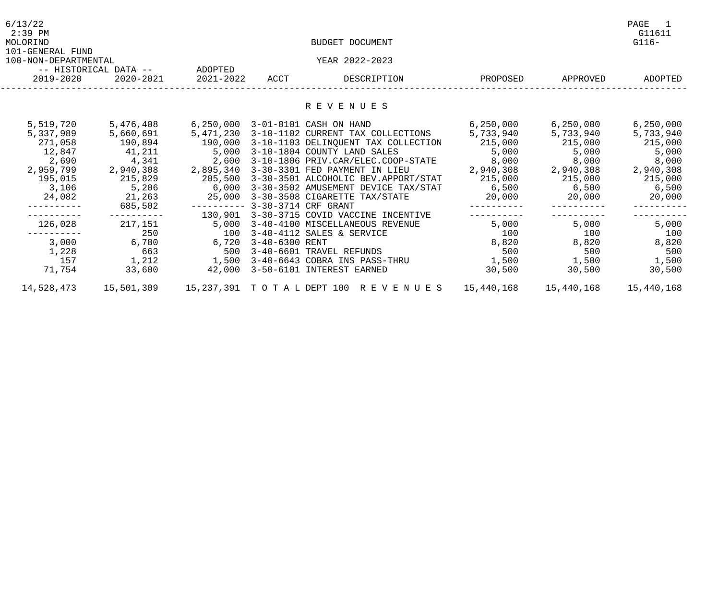| 6/13/22<br>$2:39$ PM<br>MOLORIND         |                       |           |                | BUDGET DOCUMENT                           |                      |                     | PAGE<br>-1<br>G11611<br>$G116-$ |
|------------------------------------------|-----------------------|-----------|----------------|-------------------------------------------|----------------------|---------------------|---------------------------------|
| 101-GENERAL FUND<br>100-NON-DEPARTMENTAL | -- HISTORICAL DATA -- | ADOPTED   |                | YEAR 2022-2023                            |                      |                     |                                 |
| 2019-2020                                | 2020-2021             | 2021-2022 | ACCT           | DESCRIPTION                               | PROPOSED             | APPROVED            | ADOPTED                         |
|                                          |                       |           |                | R E V E N U E S                           |                      |                     |                                 |
|                                          |                       |           |                |                                           |                      |                     |                                 |
| 5,519,720                                | 5,476,408             | 6,250,000 |                | 3-01-0101 CASH ON HAND                    | 6, 250, 000          | 6,250,000           | 6,250,000                       |
| 5,337,989                                | 5,660,691             | 5,471,230 |                | 3-10-1102 CURRENT TAX COLLECTIONS         |                      |                     | 5,733,940                       |
| 271,058                                  | 190,894               | 190,000   |                | 3-10-1103 DELINQUENT TAX COLLECTION       |                      |                     | 215,000                         |
| 12,847                                   | 41,211                | 5,000     |                | 3-10-1804 COUNTY LAND SALES               | 5,000 5,000          |                     | 5,000                           |
| 2,690                                    | 4,341                 | 2,600     |                | 3-10-1806 PRIV.CAR/ELEC.COOP-STATE        | 8,000                | 8,000               | 8,000                           |
| 2,959,799                                | 2,940,308             | 2,895,340 |                | 3-30-3301 FED PAYMENT IN LIEU             | 2,940,308            | 2,940,308 2,940,308 |                                 |
| 195,015                                  | 215,829               | 205,500   |                | 3-30-3501 ALCOHOLIC BEV.APPORT/STAT       | 215,000 215,000      |                     | 215,000                         |
| 3,106                                    | 5,206                 | 6,000     |                | 3-30-3502 AMUSEMENT DEVICE TAX/STAT       | $6,500$ 6,500        |                     | 6,500                           |
| 24,082                                   | 21,263                | 25,000    |                | 3-30-3508 CIGARETTE TAX/STATE             | 20,000 20,000 20,000 |                     |                                 |
|                                          | 685,502               |           |                |                                           |                      |                     |                                 |
|                                          |                       |           |                | 130,901 3-30-3715 COVID VACCINE INCENTIVE |                      |                     |                                 |
| 126,028                                  | 217,151               | 5,000     |                | 3-40-4100 MISCELLANEOUS REVENUE           | $5,000$ $5,000$      |                     | 5,000                           |
|                                          | 250                   | 100       |                | 3-40-4112 SALES & SERVICE                 | 100                  | 100                 | 100                             |
| 3,000                                    | 6,780                 | 6,720     | 3-40-6300 RENT |                                           | 8,820                | 8,820               | 8,820                           |
| 1,228                                    | 663                   | 500       |                | 3-40-6601 TRAVEL REFUNDS                  | 500                  | 500                 | 500                             |
| 157                                      | 1,212                 | 1,500     |                | 3-40-6643 COBRA INS PASS-THRU             |                      | 1,500 1,500 1,500   |                                 |
| 71,754                                   | 33,600                |           |                | 42,000 3-50-6101 INTEREST EARNED          | 30,500               | 30,500              | 30,500                          |
| 14,528,473                               |                       |           |                |                                           |                      |                     | 15,440,168                      |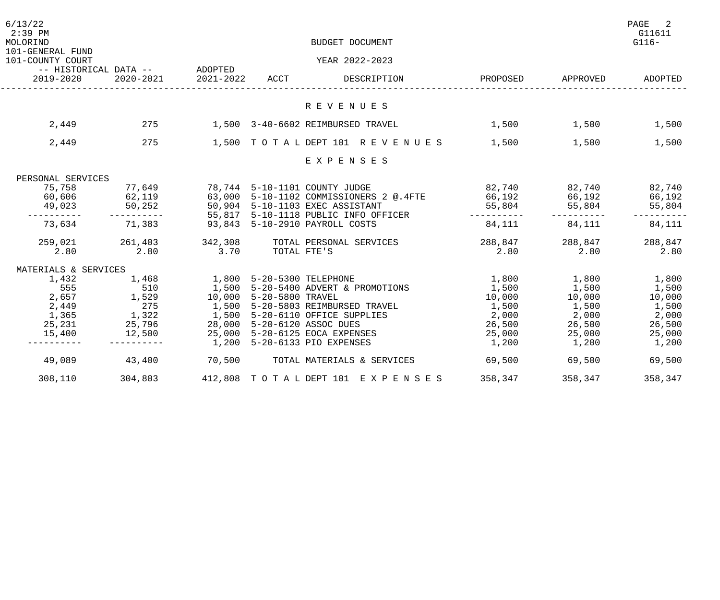| 6/13/22<br>$2:39$ PM<br>MOLORIND     |                                             |                             | BUDGET DOCUMENT                                                                                     |                                |                                                                                      | PAGE<br>$\overline{\phantom{a}}^2$<br>G11611<br>$G116-$ |
|--------------------------------------|---------------------------------------------|-----------------------------|-----------------------------------------------------------------------------------------------------|--------------------------------|--------------------------------------------------------------------------------------|---------------------------------------------------------|
| 101-GENERAL FUND<br>101-COUNTY COURT |                                             |                             | YEAR 2022-2023                                                                                      |                                |                                                                                      |                                                         |
|                                      | -- HISTORICAL DATA --       ADOPTED         |                             |                                                                                                     |                                |                                                                                      |                                                         |
| 2019-2020                            | 2020-2021                                   | 2021-2022 ACCT              | DESCRIPTION                                                                                         | PROPOSED                       | APPROVED                                                                             | ADOPTED                                                 |
|                                      |                                             |                             |                                                                                                     |                                |                                                                                      |                                                         |
|                                      |                                             |                             | R E V E N U E S                                                                                     |                                |                                                                                      |                                                         |
| 2,449                                |                                             |                             | 275 1,500 3-40-6602 REIMBURSED TRAVEL                                                               | $1,500$ $1,500$ $1,500$        |                                                                                      |                                                         |
| 2,449                                | 275                                         |                             | 1,500 TOTAL DEPT 101 REVENUES 1,500                                                                 |                                | 1,500                                                                                | 1,500                                                   |
|                                      |                                             |                             | EXPENSES                                                                                            |                                |                                                                                      |                                                         |
| PERSONAL SERVICES                    |                                             |                             |                                                                                                     |                                |                                                                                      |                                                         |
| 75,758                               |                                             |                             | 77,649 78,744 5-10-1101 COUNTY JUDGE                                                                | 82,740 82,740 82,740           |                                                                                      |                                                         |
|                                      |                                             |                             | 60,606     62,119      63,000 5-10-1102 COMMISSIONERS 2 @.4FTE       66,192      66,192      66,192 |                                |                                                                                      |                                                         |
| 49,023                               | 50, 252                                     |                             | 50,904 5-10-1103 EXEC ASSISTANT                                                                     | 55,804                         | 55,804                                                                               | 55,804                                                  |
|                                      | -----------                                 |                             | 55,817 5-10-1118 PUBLIC INFO OFFICER                                                                |                                |                                                                                      |                                                         |
| 73,634                               | 71,383                                      |                             | 93,843 5-10-2910 PAYROLL COSTS                                                                      | 84,111                         | 84,111                                                                               | 84,111                                                  |
|                                      |                                             |                             |                                                                                                     |                                |                                                                                      |                                                         |
|                                      |                                             |                             | 259,021 261,403 342,308 TOTAL PERSONAL SERVICES<br>2.80 2.80 3.70 TOTAL FTE'S                       | 288,847<br>2.80 2.80 2.80 2.80 |                                                                                      |                                                         |
| MATERIALS & SERVICES                 |                                             |                             |                                                                                                     |                                |                                                                                      |                                                         |
| 1,432                                | 1,468                                       | 1,800 5-20-5300 TELEPHONE   |                                                                                                     | 1,800 1,800 1,800              |                                                                                      |                                                         |
| 555                                  | $\begin{array}{c} 510 \\ 1,529 \end{array}$ |                             | 1,500 5-20-5400 ADVERT & PROMOTIONS                                                                 | 1,500                          | $1,500$<br>$1,500$<br>$1,500$<br>$1,500$<br>$1,500$<br>$2,000$<br>$2,000$<br>$2,000$ | 1,500                                                   |
| 2,657                                |                                             | 10,000 5-20-5800 TRAVEL     |                                                                                                     | 10,000                         |                                                                                      | 10,000                                                  |
| 2,449                                |                                             |                             | 1,500 5-20-5803 REIMBURSED TRAVEL                                                                   | 1,500                          |                                                                                      | 1,500                                                   |
| 1,365                                | $\frac{275}{1,322}$                         |                             | 1,500 5-20-6110 OFFICE SUPPLIES                                                                     |                                |                                                                                      | 2,000                                                   |
| 25,231                               | 25,796                                      | 28,000 5-20-6120 ASSOC DUES |                                                                                                     | 26,500                         | 26,500                                                                               | 26,500                                                  |
| 15,400                               |                                             |                             | 12,500  25,000  5-20-6125  EOCA EXPENSES                                                            | 25,000                         | 25,000                                                                               | 25,000                                                  |
|                                      |                                             |                             | 1,200 5-20-6133 PIO EXPENSES                                                                        | 1,200                          | $1,200$ $1,200$                                                                      |                                                         |
| 49,089                               | 43,400                                      |                             | 70,500 TOTAL MATERIALS & SERVICES                                                                   | 69,500                         | 69,500                                                                               | 69,500                                                  |
| 308,110                              | 304,803                                     |                             | 412,808 TOTAL DEPT 101 EXPENSES                                                                     | 358,347                        | 358,347                                                                              | 358,347                                                 |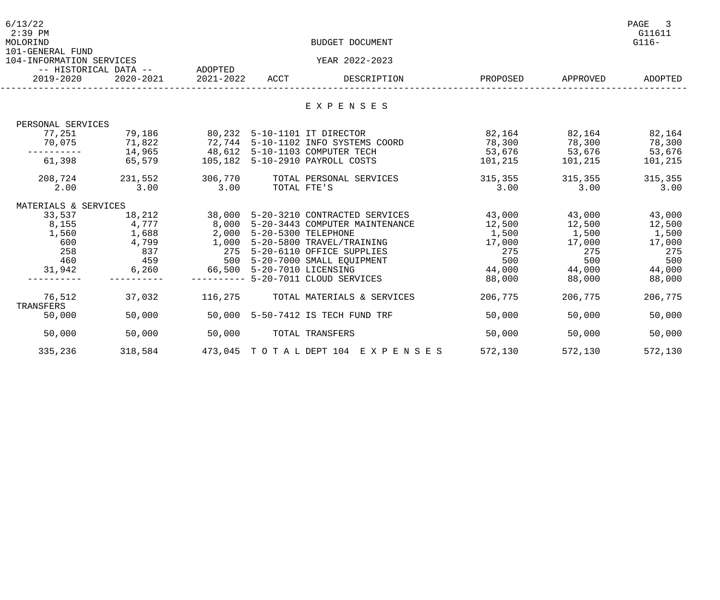| 6/13/22<br>$2:39$ PM<br>MOLORIND             |                               |                           |             | BUDGET DOCUMENT                      |         |                   | PAGE<br>$\overline{\phantom{a}}$<br>G11611<br>$G116-$ |
|----------------------------------------------|-------------------------------|---------------------------|-------------|--------------------------------------|---------|-------------------|-------------------------------------------------------|
| 101-GENERAL FUND<br>104-INFORMATION SERVICES |                               |                           |             | YEAR 2022-2023                       |         |                   |                                                       |
|                                              | -- HISTORICAL DATA -- ADOPTED |                           |             |                                      |         |                   |                                                       |
| 2019-2020                                    | 2020-2021                     | 2021-2022                 | ACCT        | DESCRIPTION                          |         | PROPOSED APPROVED | ADOPTED                                               |
|                                              |                               |                           |             | EXPENSES                             |         |                   |                                                       |
|                                              |                               |                           |             |                                      |         |                   |                                                       |
| PERSONAL SERVICES                            |                               |                           |             |                                      |         |                   |                                                       |
| 77,251                                       | 79,186                        |                           |             | 80,232 5-10-1101 IT DIRECTOR         | 82,164  | 82,164            | 82,164                                                |
|                                              | 70,075 71,822                 |                           |             | 72,744 5-10-1102 INFO SYSTEMS COORD  | 78,300  | 78,300            | 78,300                                                |
| ----------                                   | 14,965                        |                           |             | 48,612 5-10-1103 COMPUTER TECH       | 53,676  | 53,676            | 53,676                                                |
| 61,398                                       | 65,579                        |                           |             | 105,182 5-10-2910 PAYROLL COSTS      | 101,215 | 101,215           | 101,215                                               |
| 208,724                                      | 231,552                       | 306,770                   |             | TOTAL PERSONAL SERVICES              | 315,355 | 315,355           | 315,355                                               |
| 2.00                                         | 3.00                          | 3.00                      | TOTAL FTE'S |                                      | 3.00    | 3.00              | 3.00                                                  |
| MATERIALS & SERVICES                         |                               |                           |             |                                      |         |                   |                                                       |
| 33,537                                       | 18,212                        |                           |             | 38,000 5-20-3210 CONTRACTED SERVICES | 43,000  | 43,000            | 43,000                                                |
| 8,155                                        | 4,777                         |                           |             | 8,000 5-20-3443 COMPUTER MAINTENANCE | 12,500  | 12,500            | 12,500                                                |
| 1,560                                        | 1,688                         | 2,000 5-20-5300 TELEPHONE |             |                                      | 1,500   | 1,500             | 1,500                                                 |
| 600                                          | 4,799                         |                           |             | 1,000 5-20-5800 TRAVEL/TRAINING      | 17,000  | $17,000$ $17,000$ |                                                       |
| 258                                          | 837                           |                           |             | 275 5-20-6110 OFFICE SUPPLIES        | 275     | 275               | 275                                                   |
| 460                                          | 459                           |                           |             | 500 5-20-7000 SMALL EQUIPMENT        | 500     | 500               | 500                                                   |
| 31,942                                       | 6,260                         |                           |             | 66,500 5-20-7010 LICENSING           | 44,000  |                   | 44,000 44,000                                         |
|                                              |                               |                           |             | -------- 5-20-7011 CLOUD SERVICES    | 88,000  | 88,000            | 88,000                                                |
| 76,512<br>TRANSFERS                          | 37,032                        | 116,275                   |             | TOTAL MATERIALS & SERVICES           | 206,775 | 206,775           | 206,775                                               |
| 50,000                                       | 50,000                        |                           |             | 50,000 5-50-7412 IS TECH FUND TRF    | 50,000  | 50,000            | 50,000                                                |
| 50,000                                       | 50,000                        | 50,000                    |             | TOTAL TRANSFERS                      | 50,000  | 50,000            | 50,000                                                |
| 335,236                                      | 318,584                       |                           |             | 473,045 TOTAL DEPT 104 EXPENSES      | 572,130 | 572,130           | 572,130                                               |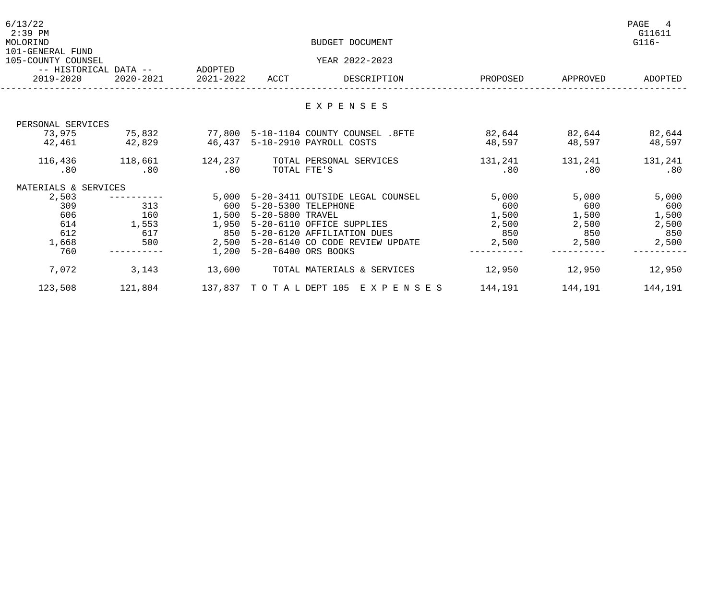| 6/13/22<br>$2:39$ PM<br>MOLORIND       |                               |           |                           | BUDGET DOCUMENT                                          |               |                   | PAGE<br>4<br>G11611<br>$G116-$ |
|----------------------------------------|-------------------------------|-----------|---------------------------|----------------------------------------------------------|---------------|-------------------|--------------------------------|
| 101-GENERAL FUND<br>105-COUNTY COUNSEL |                               |           |                           | YEAR 2022-2023                                           |               |                   |                                |
|                                        | -- HISTORICAL DATA -- ADOPTED |           |                           |                                                          |               |                   |                                |
| 2019-2020                              | 2020-2021                     | 2021-2022 | ACCT                      | DESCRIPTION                                              | PROPOSED      | APPROVED          | ADOPTED                        |
|                                        |                               |           |                           |                                                          |               |                   |                                |
|                                        |                               |           |                           | EXPENSES                                                 |               |                   |                                |
| PERSONAL SERVICES                      |                               |           |                           |                                                          |               |                   |                                |
| 73,975                                 | 75,832                        |           |                           | 77,800 5-10-1104 COUNTY COUNSEL .8FTE                    | 82,644 82,644 |                   | 82,644                         |
| 42,461 42,829                          |                               |           |                           | 46,437 5-10-2910 PAYROLL COSTS                           | 48,597        | 48,597            | 48,597                         |
| 116,436                                |                               |           |                           | 118,661 124,237 TOTAL PERSONAL SERVICES                  |               | 131, 241 131, 241 | 131,241                        |
| .80                                    | .80                           | .80       | TOTAL FTE'S               |                                                          | .80           | .80               | .80                            |
| MATERIALS & SERVICES                   |                               |           |                           |                                                          |               |                   |                                |
| 2,503                                  |                               | 5,000     |                           | 5-20-3411 OUTSIDE LEGAL COUNSEL                          | 5,000         | 5,000             | 5,000                          |
| 309                                    | 313                           | 600       | 5-20-5300 TELEPHONE       |                                                          | 600           | 600               | 600                            |
| 606                                    | 160                           |           | 1,500 5-20-5800 TRAVEL    |                                                          | 1,500         | 1,500             | 1,500                          |
| 614                                    | 1,553                         | 1,950     |                           | 5-20-6110 OFFICE SUPPLIES                                | 2,500         | 2,500             | 2,500                          |
| 612                                    | 617                           | 850       |                           | 5-20-6120 AFFILIATION DUES                               | 850           | 850               | 850                            |
| 1,668                                  | 500                           | 2,500     |                           | 5-20-6140 CO CODE REVIEW UPDATE                          | 2,500         | 2,500             | 2,500                          |
| 760                                    |                               |           | 1,200 5-20-6400 ORS BOOKS |                                                          |               |                   |                                |
| 7,072                                  | 3,143                         |           |                           | 13,600 TOTAL MATERIALS & SERVICES                        | 12,950        | 12,950            | 12,950                         |
| 123,508                                | 121,804                       |           |                           | 137,837 TO TA L DEPT 105 E X P E N S E S 144,191 144,191 |               |                   | 144,191                        |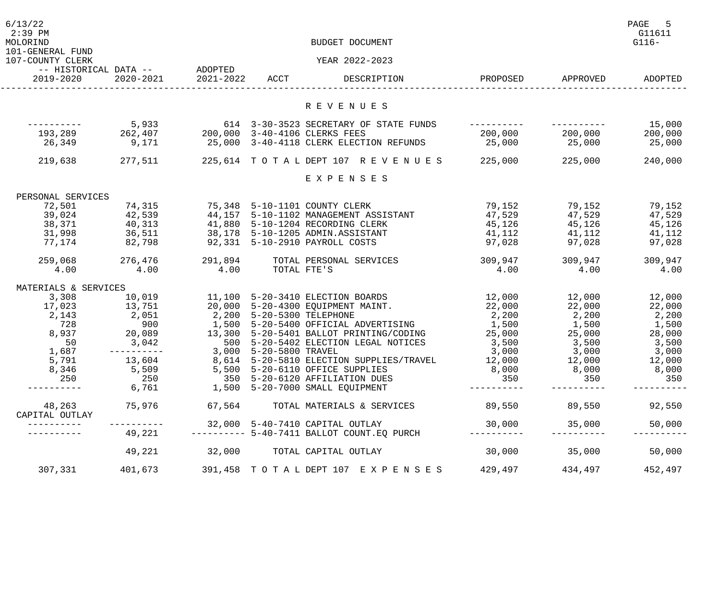| 6/13/22<br>$2:39$ PM<br>MOLORIND<br>101-GENERAL FUND<br>107-COUNTY CLERK |                                              |                |                           | BUDGET DOCUMENT<br>YEAR 2022-2023                                                                             |                       |          | PAGE<br>$-5$<br>G11611<br>$G116-$ |
|--------------------------------------------------------------------------|----------------------------------------------|----------------|---------------------------|---------------------------------------------------------------------------------------------------------------|-----------------------|----------|-----------------------------------|
|                                                                          | -- HISTORICAL DATA -- ADOPTED                |                |                           |                                                                                                               |                       |          |                                   |
| 2019-2020                                                                | 2020-2021                                    | 2021-2022 ACCT |                           | DESCRIPTION                                                                                                   | PROPOSED              | APPROVED | ADOPTED                           |
|                                                                          |                                              |                |                           |                                                                                                               |                       |          |                                   |
|                                                                          |                                              |                |                           | R E V E N U E S                                                                                               |                       |          |                                   |
|                                                                          | 5,933                                        |                |                           | 614 3-30-3523 SECRETARY OF STATE FUNDS                                                                        |                       |          | 15,000                            |
|                                                                          | 193,289 262,407                              |                |                           | 200,000 3-40-4106 CLERKS FEES                                                                                 | 200,000 200,000       |          | 200,000                           |
| 26,349                                                                   | 9,171                                        |                |                           | 25,000 3-40-4118 CLERK ELECTION REFUNDS                                                                       | 25,000                | 25,000   | 25,000                            |
| 219,638                                                                  | 277,511                                      |                |                           | 225, 614 TOTAL DEPT 107 REVENUES 225, 000                                                                     |                       | 225,000  | 240,000                           |
|                                                                          |                                              |                |                           | EXPENSES                                                                                                      |                       |          |                                   |
| PERSONAL SERVICES                                                        |                                              |                |                           |                                                                                                               |                       |          |                                   |
| 72,501                                                                   | 74,315                                       |                |                           | 75,348 5-10-1101 COUNTY CLERK                                                                                 | 79,152                | 79,152   | 79,152                            |
| 39,024                                                                   |                                              |                |                           | 44,157 5-10-1102 MANAGEMENT ASSISTANT<br>41,880 5-10-1204 RECORDING CLERK<br>38,178 5-10-1205 ADMIN.ASSISTANT | 47,529                | 47,529   | 47,529                            |
| 38,371                                                                   |                                              |                |                           |                                                                                                               | $\frac{11}{45}$ , 126 | 45,126   | 45,126                            |
| 31,998                                                                   |                                              |                |                           |                                                                                                               | 41,112                | 41,112   | 41,112                            |
| 77,174                                                                   | $42,539$<br>$40,313$<br>$36,511$<br>$82,798$ |                |                           | 92,331 5-10-2910 PAYROLL COSTS                                                                                | 97,028                | 97,028   | 97,028                            |
| 259,068                                                                  | 276,476                                      | 291,894        |                           | TOTAL PERSONAL SERVICES                                                                                       | 309,947               | 309,947  | 309,947                           |
| 4.00                                                                     | 4.00                                         | 4.00           | TOTAL FTE'S               |                                                                                                               | 4.00                  | 4.00     | 4.00                              |
| MATERIALS & SERVICES                                                     |                                              |                |                           |                                                                                                               |                       |          |                                   |
| 3,308                                                                    | 10,019                                       |                |                           | 11,100 5-20-3410 ELECTION BOARDS                                                                              | 12,000                | 12,000   | 12,000                            |
| 17,023                                                                   | 13,751                                       |                |                           | 20,000 5-20-4300 EQUIPMENT MAINT.                                                                             | 22,000                | 22,000   | 22,000                            |
| 2,143                                                                    | 2,051                                        |                | 2,200 5-20-5300 TELEPHONE |                                                                                                               | 2,200                 | 2,200    | 2,200                             |
| 728                                                                      | 900                                          |                |                           | 1,500 5-20-5400 OFFICIAL ADVERTISING                                                                          | 1,500                 | 1,500    | 1,500                             |
| 8,937                                                                    | 20,089                                       |                |                           | 13,300 5-20-5401 BALLOT PRINTING/CODING                                                                       | 25,000                | 25,000   | 28,000                            |
| 50                                                                       | 3,042                                        |                |                           | 500 5-20-5402 ELECTION LEGAL NOTICES                                                                          | 3,500                 | 3,500    | 3,500                             |
| 1,687                                                                    | ----------                                   |                | 3,000 5-20-5800 TRAVEL    |                                                                                                               | 3,000                 | 3,000    | 3,000                             |
| 5,791                                                                    | 13,604                                       |                |                           | 8,614 5-20-5810 ELECTION SUPPLIES/TRAVEL                                                                      | 12,000                | 12,000   | 12,000                            |
| 8,346                                                                    | 5,509                                        |                |                           | 5,500 5-20-6110 OFFICE SUPPLIES                                                                               | 8,000                 | 8,000    | 8,000                             |
| 250                                                                      | 250                                          |                |                           | 350 5-20-6120 AFFILIATION DUES                                                                                | 350                   | 350      | 350                               |
| --------                                                                 | 6,761                                        |                |                           | 1,500 5-20-7000 SMALL EQUIPMENT                                                                               | . - - - - - - -       |          |                                   |
| 48,263                                                                   | 75,976                                       | 67,564         |                           | TOTAL MATERIALS & SERVICES                                                                                    | 89,550                | 89,550   | 92,550                            |
| CAPITAL OUTLAY                                                           |                                              |                |                           |                                                                                                               |                       |          |                                   |
|                                                                          | -----------                                  |                |                           | 32,000 5-40-7410 CAPITAL OUTLAY                                                                               | 30,000                | 35,000   | 50,000                            |
|                                                                          | 49,221                                       |                |                           | --------- 5-40-7411 BALLOT COUNT.EQ PURCH                                                                     | ----------            |          |                                   |
|                                                                          | 49,221                                       | 32,000         |                           | TOTAL CAPITAL OUTLAY                                                                                          | 30,000                | 35,000   | 50,000                            |
| 307,331                                                                  | 401,673                                      |                |                           | 391, 458 TOTAL DEPT 107 EXPENSES                                                                              | 429,497               | 434,497  | 452,497                           |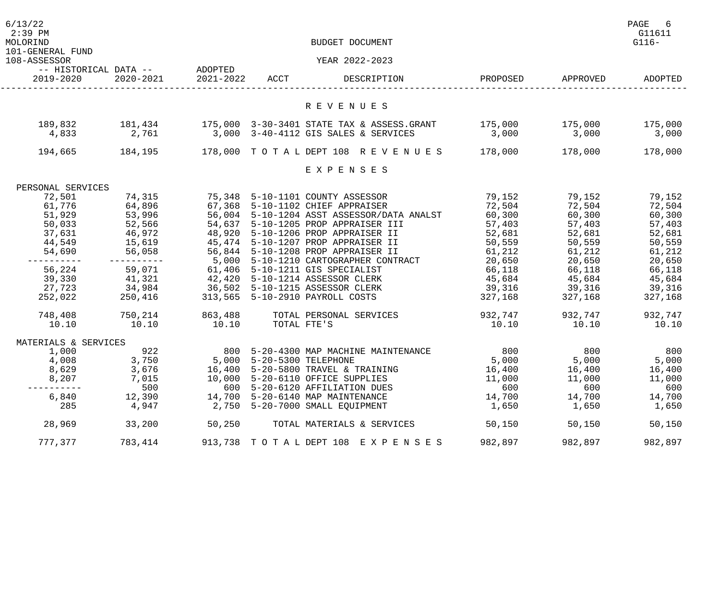| 6/13/22<br>$2:39$ PM<br>MOLORIND<br>101-GENERAL FUND |                               |                          |                           | BUDGET DOCUMENT                                                                                                                    |                                 |                   | PAGE<br>-6<br>G11611<br>$G116-$ |
|------------------------------------------------------|-------------------------------|--------------------------|---------------------------|------------------------------------------------------------------------------------------------------------------------------------|---------------------------------|-------------------|---------------------------------|
| 108-ASSESSOR                                         |                               |                          |                           | YEAR 2022-2023                                                                                                                     |                                 |                   |                                 |
|                                                      | -- HISTORICAL DATA -- ADOPTED |                          |                           |                                                                                                                                    |                                 |                   |                                 |
| 2019-2020                                            |                               | 2020-2021 2021-2022 ACCT |                           | DESCRIPTION                                                                                                                        |                                 | PROPOSED APPROVED | ADOPTED                         |
|                                                      |                               |                          |                           | R E V E N U E S                                                                                                                    |                                 |                   |                                 |
| 189,832                                              |                               |                          |                           | 181,434     175,000 3-30-3401 STATE TAX & ASSESS.GRANT     175,000    175,000    175,000                                           |                                 |                   |                                 |
| 4,833 2,761                                          |                               |                          |                           | 3,000 3-40-4112 GIS SALES & SERVICES                                                                                               | $3,000$ $3,000$ $3,000$ $3,000$ |                   |                                 |
| 194,665                                              |                               |                          |                           | 184,195              178,000    TO  T  A  L  DEPT  108    R  E  V  E  N  U  E  S                 178,000                   178,000 |                                 |                   | 178,000                         |
|                                                      |                               |                          |                           | EXPENSES                                                                                                                           |                                 |                   |                                 |
| PERSONAL SERVICES                                    |                               |                          |                           |                                                                                                                                    |                                 |                   |                                 |
| 72,501                                               | 74,315                        |                          |                           | 75,348 5-10-1101 COUNTY ASSESSOR                                                                                                   | 79,152                          |                   | 79,152 79,152                   |
| 61,776                                               | 64,896                        |                          |                           | 67,368 5-10-1102 CHIEF APPRAISER                                                                                                   | $72,504$ $72,504$ $72,504$      |                   |                                 |
| 51,929                                               | 53,996                        |                          |                           |                                                                                                                                    |                                 | 60,300            | 60,300                          |
| 50,033                                               | 52,566                        |                          |                           | 54,637 5-10-1205 PROP APPRAISER III                                                                                                | 57,403                          | 57,403            | 57,403                          |
| 37,631                                               |                               |                          |                           | 48,920 5-10-1206 PROP APPRAISER II                                                                                                 | 52,681                          | 52,681            | 52,681                          |
|                                                      | 46,972                        |                          |                           |                                                                                                                                    | 50, 559                         |                   |                                 |
|                                                      |                               |                          |                           | 44,549 15,619 45,474 5-10-1207 PROP APPRAISER II                                                                                   |                                 | 50,559            | 50,559                          |
| 54,690                                               |                               |                          |                           | 56,058 56,844 5-10-1208 PROP APPRAISER II                                                                                          | 61,212                          | 61,212            | 61,212                          |
| .                                                    | ----------                    |                          |                           | 5,000 5-10-1210 CARTOGRAPHER CONTRACT 20,650                                                                                       |                                 |                   | 20,650 20,650                   |
| 56,224                                               |                               |                          |                           | 59,071 61,406 5-10-1211 GIS SPECIALIST                                                                                             | 66,118                          | 66,118 66,118     |                                 |
| 39,330                                               | 41,321                        |                          |                           | 42,420 5-10-1214 ASSESSOR CLERK 45,684 45,684 45,684 45,684                                                                        |                                 |                   |                                 |
| 27,723                                               |                               |                          |                           | 34,984 36,502 5-10-1215 ASSESSOR CLERK                                                                                             | 39,316 39,316                   |                   | 39,316                          |
| 252,022                                              | 250,416                       |                          |                           | 313,565 5-10-2910 PAYROLL COSTS                                                                                                    |                                 | 327,168 327,168   | 327,168                         |
| 748,408                                              | 750,214                       | 863,488                  |                           | TOTAL PERSONAL SERVICES                                                                                                            |                                 | 932,747 932,747   | 932,747                         |
| 10.10                                                | 10.10                         | 10.10                    | TOTAL FTE'S               |                                                                                                                                    | 10.10                           | 10.10             | 10.10                           |
| MATERIALS & SERVICES                                 |                               |                          |                           |                                                                                                                                    |                                 |                   |                                 |
| 1,000                                                | 922                           |                          |                           | 800 5-20-4300 MAP MACHINE MAINTENANCE                                                                                              | 800                             | 800               | 800                             |
| 4,008                                                | 3,750                         |                          | 5,000 5-20-5300 TELEPHONE |                                                                                                                                    | 5,000                           | 5,000             | 5,000                           |
| 8,629                                                | 3,676                         | 16,400                   |                           | 5-20-5800 TRAVEL & TRAINING                                                                                                        | 16,400                          | 16,400            | 16,400                          |
| 8,207                                                | 7,015                         | 10,000                   |                           | 5-20-6110 OFFICE SUPPLIES                                                                                                          | 11,000                          | 11,000            | 11,000                          |
| --------                                             | 500                           | 600                      |                           | 5-20-6120 AFFILIATION DUES                                                                                                         | 600                             | 600               | 600                             |
| 6,840                                                | 12,390                        | 14,700                   |                           | 5-20-6140 MAP MAINTENANCE                                                                                                          | 14,700                          | 14,700            | 14,700                          |
| 285                                                  | 4,947                         | 2,750                    |                           | 5-20-7000 SMALL EQUIPMENT                                                                                                          | 1,650                           | 1,650             | 1,650                           |
| 28,969                                               | 33,200                        | 50,250                   |                           | TOTAL MATERIALS & SERVICES                                                                                                         | 50,150                          | 50,150            | 50,150                          |
| 777,377                                              | 783,414                       |                          |                           | 913,738 TOTAL DEPT 108 EXPENSES                                                                                                    | 982,897                         | 982,897           | 982,897                         |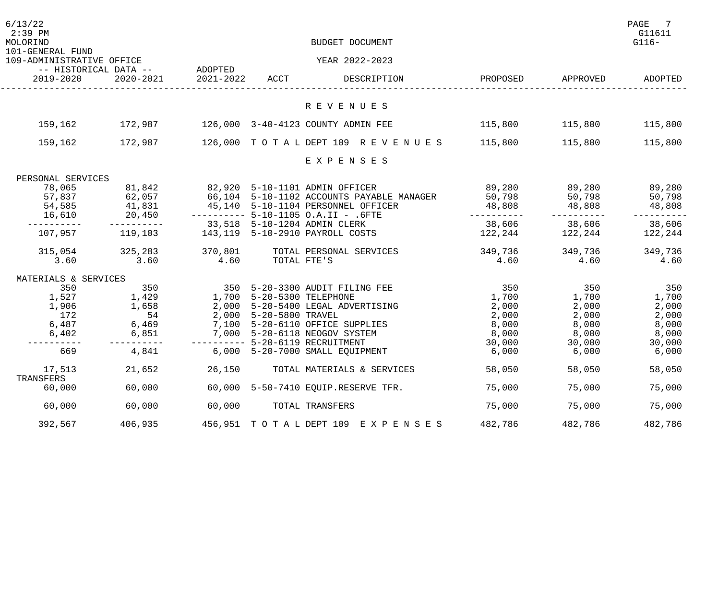| 6/13/22<br>$2:39$ PM<br>MOLORIND<br>101-GENERAL FUND |                                      |                           |                  | BUDGET DOCUMENT                                                                 |          |                 | PAGE<br>7<br>G11611<br>$G116-$ |
|------------------------------------------------------|--------------------------------------|---------------------------|------------------|---------------------------------------------------------------------------------|----------|-----------------|--------------------------------|
| 109-ADMINISTRATIVE OFFICE                            | -- HISTORICAL DATA -- ADOPTED        |                           |                  | YEAR 2022-2023                                                                  |          |                 |                                |
| 2019-2020                                            | 2020-2021                            | 2021-2022 ACCT            |                  | DESCRIPTION                                                                     | PROPOSED | APPROVED        | ADOPTED                        |
|                                                      |                                      |                           |                  | R E V E N U E S                                                                 |          |                 |                                |
| 159,162                                              | 172,987                              |                           |                  | 126,000 3-40-4123 COUNTY ADMIN FEE                                              |          | 115,800 115,800 | 115,800                        |
| 159,162                                              | 172,987                              |                           |                  | 126,000 TOTALDEPT 109 REVENUES 115,800                                          |          | 115,800         | 115,800                        |
|                                                      |                                      |                           |                  | EXPENSES                                                                        |          |                 |                                |
| PERSONAL SERVICES                                    |                                      |                           |                  |                                                                                 |          |                 |                                |
| 78,065                                               | 81,842                               |                           |                  | 82,920 5-10-1101 ADMIN OFFICER                                                  | 89,280   | 89,280          | 89,280                         |
| 57,837                                               |                                      |                           |                  | 66,104 5-10-1102 ACCOUNTS PAYABLE MANAGER<br>45,140 5-10-1104 PERSONNEL OFFICER | 50,798   | 50,798          | 50,798                         |
| 54,585                                               |                                      |                           |                  |                                                                                 | 48,808   | 48,808          | 48,808                         |
| 16,610                                               | 62,057<br>62,057<br>41,831<br>20,450 |                           |                  | --------- 5-10-1105 O.A.II - .6FTE                                              |          |                 |                                |
|                                                      |                                      |                           |                  | 33,518 5-10-1204 ADMIN CLERK                                                    | 38,606   | 38,606          | 38,606                         |
| 107,957                                              | 119, 103                             |                           |                  | 143,119 5-10-2910 PAYROLL COSTS                                                 | 122,244  | 122,244         | 122,244                        |
|                                                      | 315,054 325,283                      | 370,801                   |                  | TOTAL PERSONAL SERVICES                                                         | 349,736  |                 | 349,736                        |
| 3.60                                                 | 3.60                                 | 4.60                      | TOTAL FTE'S      |                                                                                 | 4.60     | 349,736<br>4.60 | 4.60                           |
|                                                      |                                      |                           |                  |                                                                                 |          |                 |                                |
| MATERIALS & SERVICES                                 |                                      |                           |                  |                                                                                 |          |                 |                                |
| 350                                                  | 350                                  |                           |                  | 350 5-20-3300 AUDIT FILING FEE                                                  | 350      | 350             | 350                            |
| 1,527                                                | 1,429                                | 1,700 5-20-5300 TELEPHONE |                  |                                                                                 | 1,700    | 1,700           | 1,700                          |
| 1,906                                                | 1,658                                | 2,000                     |                  | 5-20-5400 LEGAL ADVERTISING                                                     | 2,000    | 2,000           | 2,000                          |
| 172                                                  | 54                                   | 2,000                     | 5-20-5800 TRAVEL |                                                                                 | 2,000    | 2,000           | 2,000                          |
| 6,487                                                | 6,469                                |                           |                  | 7,100 5-20-6110 OFFICE SUPPLIES                                                 | 8,000    | 8,000           | 8,000                          |
| 6,402                                                | 6,851                                |                           |                  | 7,000 5-20-6118 NEOGOV SYSTEM                                                   | 8,000    | 8,000           | 8,000                          |
|                                                      |                                      |                           |                  | -------- 5-20-6119 RECRUITMENT                                                  | 30,000   | 30,000          | 30,000                         |
| 669                                                  | 4,841                                |                           |                  | 6,000 5-20-7000 SMALL EQUIPMENT                                                 | 6,000    | 6,000           | 6,000                          |
| 17,513<br>TRANSFERS                                  | 21,652                               | 26,150                    |                  | TOTAL MATERIALS & SERVICES                                                      | 58,050   | 58,050          | 58,050                         |
| 60,000                                               | 60,000                               | 60,000                    |                  | 5-50-7410 EQUIP.RESERVE TFR.                                                    | 75,000   | 75,000          | 75,000                         |
| 60,000                                               | 60,000                               | 60,000                    |                  | TOTAL TRANSFERS                                                                 | 75,000   | 75,000          | 75,000                         |
| 392,567                                              | 406,935                              |                           |                  | 456,951 TOTAL DEPT 109 EXPENSES                                                 | 482,786  | 482,786         | 482,786                        |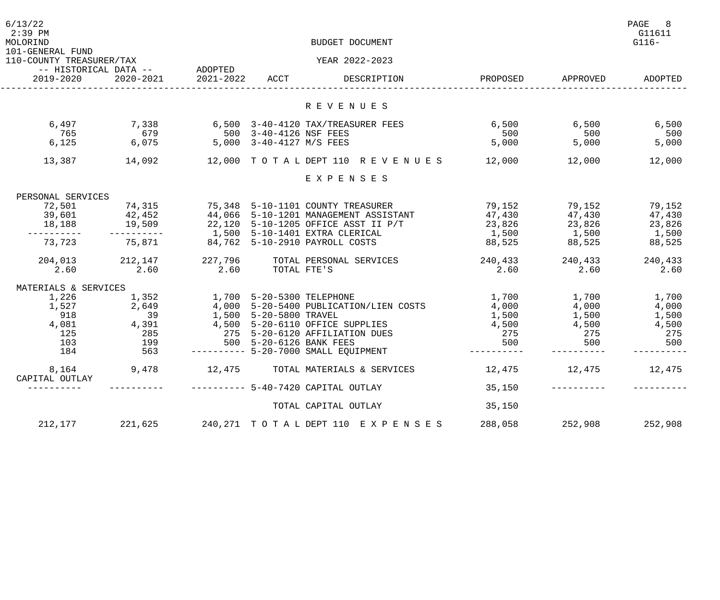| 6/13/22<br>$2:39$ PM<br>MOLORIND<br>101-GENERAL FUND |                               |                           |                          | BUDGET DOCUMENT                                                                                                   |          |                                                                   | PAGE<br>8<br>G11611<br>$G116-$ |
|------------------------------------------------------|-------------------------------|---------------------------|--------------------------|-------------------------------------------------------------------------------------------------------------------|----------|-------------------------------------------------------------------|--------------------------------|
| 110-COUNTY TREASURER/TAX                             |                               |                           |                          | YEAR 2022-2023                                                                                                    |          |                                                                   |                                |
|                                                      | -- HISTORICAL DATA -- ADOPTED |                           |                          |                                                                                                                   |          |                                                                   |                                |
| 2019-2020                                            | 2020-2021                     | 2021-2022 ACCT            |                          | DESCRIPTION                                                                                                       | PROPOSED | APPROVED                                                          | ADOPTED                        |
|                                                      |                               |                           |                          | R E V E N U E S                                                                                                   |          |                                                                   |                                |
| 6,497                                                | 7,338                         |                           |                          | 6,500 3-40-4120 TAX/TREASURER FEES                                                                                | 6,500    | 6,500                                                             | 6,500                          |
| 765                                                  | 679                           |                           | 500 3-40-4126 NSF FEES   |                                                                                                                   | 500      | 500                                                               | 500                            |
| 6,125                                                | 6,075                         |                           | 5,000 3-40-4127 M/S FEES |                                                                                                                   | 5,000    | 5,000                                                             | 5,000                          |
| 13,387                                               | 14,092                        |                           |                          | 12,000 TOTAL DEPT 110 REVENUES 12,000                                                                             |          | 12,000                                                            | 12,000                         |
|                                                      |                               |                           |                          | EXPENSES                                                                                                          |          |                                                                   |                                |
| PERSONAL SERVICES                                    |                               |                           |                          |                                                                                                                   |          |                                                                   |                                |
| 72,501                                               | 74,315                        |                           |                          |                                                                                                                   | 79,152   | 79,152                                                            | 79,152                         |
| 39,601                                               |                               |                           |                          |                                                                                                                   | 47,430   |                                                                   | 47,430                         |
| 18,188                                               | 42,452<br>19,509              |                           |                          | 75,348 5-10-1101 COUNTY TREASURER<br>44,066 5-10-1201 MANAGEMENT ASSISTANT<br>22,120 5-10-1205 OFFICE ASST II P/T | 23,826   |                                                                   | 23,826                         |
|                                                      |                               |                           |                          | 1,500 5-10-1401 EXTRA CLERICAL                                                                                    | 1,500    |                                                                   | 1,500                          |
| 73,723                                               | 75,871                        |                           |                          | 84,762 5-10-2910 PAYROLL COSTS                                                                                    | 88,525   | $79,132$<br>$47,430$<br>$23,826$<br>$1,500$<br>$88,525$<br>88,525 | 88,525                         |
|                                                      |                               |                           |                          |                                                                                                                   |          |                                                                   |                                |
| 204,013 212,147                                      |                               | 227,796                   |                          | TOTAL PERSONAL SERVICES                                                                                           | 240,433  | 240,433                                                           | 240,433                        |
| 2.60                                                 | 2.60                          | 2.60                      | TOTAL FTE'S              |                                                                                                                   | 2.60     | 2.60                                                              | 2.60                           |
| MATERIALS & SERVICES                                 |                               |                           |                          |                                                                                                                   |          |                                                                   |                                |
| 1,226                                                | 1,352                         | 1,700 5-20-5300 TELEPHONE |                          |                                                                                                                   | 1,700    | 1,700                                                             | 1,700                          |
| 1,527                                                | 2,649                         |                           |                          | $4,000$ 5-20-5400 PUBLICATION/LIEN COSTS                                                                          | 4,000    | 4,000                                                             | 4,000                          |
| 918                                                  | 39                            |                           | 1,500 5-20-5800 TRAVEL   |                                                                                                                   | 1,500    | 1,500                                                             | 1,500                          |
| 4,081                                                | 4,391                         |                           |                          | 4,500 5-20-6110 OFFICE SUPPLIES                                                                                   | 4,500    | 4,500                                                             | 4,500                          |
| 125                                                  | 285                           | 275                       |                          | 5-20-6120 AFFILIATION DUES                                                                                        | 275      | 275                                                               | 275                            |
| 103                                                  | 199                           |                           | 500 5-20-6126 BANK FEES  |                                                                                                                   | 500      | 500                                                               | 500                            |
| 184                                                  | 563                           |                           |                          | --------- 5-20-7000 SMALL EQUIPMENT                                                                               |          |                                                                   |                                |
| 8,164<br>CAPITAL OUTLAY                              | 9,478                         |                           |                          | 12,475 TOTAL MATERIALS & SERVICES                                                                                 | 12,475   | 12,475                                                            | 12,475                         |
|                                                      |                               |                           |                          | $------ - 5-40-7420$ CAPITAL OUTLAY                                                                               | 35,150   |                                                                   |                                |
|                                                      |                               |                           |                          | TOTAL CAPITAL OUTLAY                                                                                              | 35,150   |                                                                   |                                |
| 212,177                                              | 221,625                       |                           |                          | 240, 271 TOTAL DEPT 110 EXPENSES                                                                                  | 288,058  | 252,908                                                           | 252,908                        |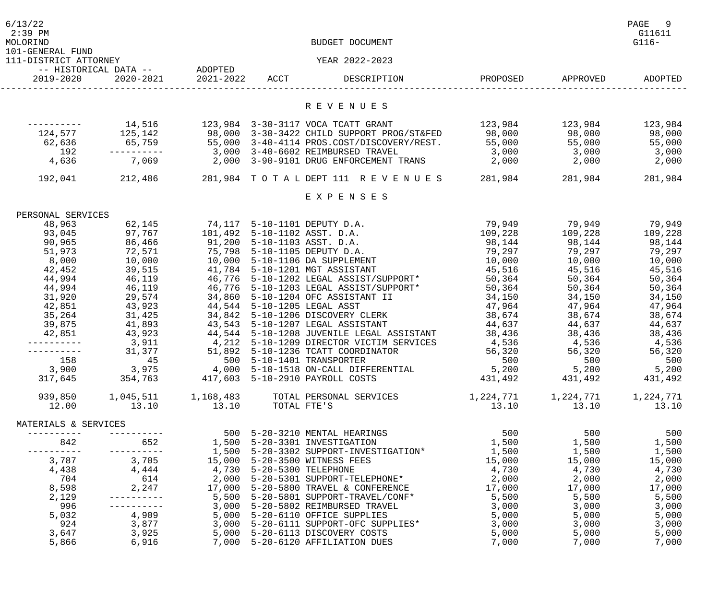| 6/13/22<br>$2:39$ PM<br>MOLORIND          |                                         |                             | BUDGET DOCUMENT                                                                |                                     |                                         | PAGE<br>- 9<br>G11611<br>$G116-$ |
|-------------------------------------------|-----------------------------------------|-----------------------------|--------------------------------------------------------------------------------|-------------------------------------|-----------------------------------------|----------------------------------|
| 101-GENERAL FUND<br>111-DISTRICT ATTORNEY |                                         |                             | YEAR 2022-2023                                                                 |                                     |                                         |                                  |
| 2019-2020                                 | -- HISTORICAL DATA -- ADOPTED           | 2020-2021 2021-2022 ACCT    | DESCRIPTION                                                                    |                                     | PROPOSED APPROVED                       | ADOPTED                          |
|                                           |                                         |                             | R E V E N U E S                                                                |                                     |                                         |                                  |
|                                           |                                         |                             | 123,984 3-30-3117 VOCA TCATT GRANT                                             |                                     |                                         |                                  |
|                                           | 14,516<br>124,577 125,142               |                             | 98,000 3-30-3422 CHILD SUPPORT PROG/ST&FED 98,000                              | 123,984 123,984                     | 98,000                                  | 123,984<br>98,000                |
| 62,636                                    |                                         |                             | 65,759 55,000  3-40-4114    PROS.COST/DISCOVERY/REST. 55,000                   |                                     | 55,000                                  | 55,000                           |
| 192                                       |                                         |                             | 3,000 3-40-6602 REIMBURSED TRAVEL                                              |                                     | 3,000 3,000                             | 3,000                            |
| 4,636                                     | 7,069                                   |                             |                                                                                |                                     |                                         | 2,000                            |
|                                           |                                         |                             | 192,041 212,486 281,984 TOTAL DEPT 111 REVENUES 281,984                        |                                     | 281,984                                 | 281,984                          |
|                                           |                                         |                             |                                                                                |                                     |                                         |                                  |
|                                           |                                         |                             | EXPENSES                                                                       |                                     |                                         |                                  |
| PERSONAL SERVICES                         |                                         |                             |                                                                                |                                     |                                         |                                  |
| 48,963                                    | 62,145                                  |                             | 74,117 5-10-1101 DEPUTY D.A.                                                   | 79,949                              | 79,949                                  | 79,949                           |
| 93,045                                    | 97,767                                  |                             | 101,492 5-10-1102 ASST. D.A.                                                   | 109,228 109,228                     |                                         | 109,228                          |
| 90,965                                    | 86,466                                  |                             | 91,200 5-10-1103 ASST. D.A.                                                    | 98,144                              | 98,144                                  | 98,144                           |
| 51,973                                    | 72,571                                  |                             | 75,798 5-10-1105 DEPUTY D.A.                                                   |                                     |                                         | 79,297                           |
| 8,000                                     | 10,000                                  |                             | 10,000 5-10-1106 DA SUPPLEMENT                                                 |                                     |                                         | 10,000                           |
| 42,452                                    | 39,515                                  |                             | 41,784 5-10-1201 MGT ASSISTANT                                                 | 45,516                              | 45,516                                  | 45,516                           |
| 44,994                                    | 46,119                                  |                             | 46,776 5-10-1202 LEGAL ASSIST/SUPPORT*                                         | 50,364                              | 50,364                                  | 50,364                           |
| 44,994                                    | 46,119                                  |                             | 46,776 5-10-1203 LEGAL ASSIST/SUPPORT*                                         | 50,364                              | 50,364                                  | 50,364                           |
| 31,920                                    | 29,574                                  |                             | 34,860 5-10-1204 OFC ASSISTANT II                                              | 34,150                              | 34,150                                  | 34,150                           |
| 42,851                                    | 43,923                                  | 44,544 5-10-1205 LEGAL ASST |                                                                                | 47,964                              | 47,964                                  | 47,964                           |
| 35,264                                    | 31,425                                  |                             | 34,842 5-10-1206 DISCOVERY CLERK                                               | 38,674                              | 38,674                                  | 38,674                           |
| 39,875                                    | 41,893                                  |                             | 43,543 5-10-1207 LEGAL ASSISTANT                                               | 44,637                              | 44,637                                  | 44,637                           |
| 42,851                                    | 43,923                                  |                             | 44,544 5-10-1208 JUVENILE LEGAL ASSISTANT                                      | 38,436                              | 38,436                                  | 38,436                           |
|                                           | 3,911                                   |                             | 4,212 5-10-1209 DIRECTOR VICTIM SERVICES                                       | 4,536                               | 4,536                                   | 4,536                            |
| ----------                                | 31,377                                  |                             | 51,892 5-10-1236 TCATT COORDINATOR                                             | 56,320                              | 56,320                                  | 56,320                           |
| 158                                       | 45                                      |                             | 500 5-10-1401 TRANSPORTER                                                      | 500                                 | 500                                     | 500                              |
| 3,900                                     | 3,975                                   |                             | 4,000 5-10-1518 ON-CALL DIFFERENTIAL 5,200                                     |                                     | 5,200                                   | 5,200                            |
| 317,645                                   | 354,763 417,603 5-10-2910 PAYROLL COSTS |                             |                                                                                | 431,492 431,492 431,492             |                                         |                                  |
| 939,850                                   |                                         |                             |                                                                                | 1, 224, 771 1, 224, 771 1, 224, 771 |                                         |                                  |
| 12.00                                     | 13.10                                   | $13.10$ TOTAL FTE'S         |                                                                                | 13.10                               | 13.10                                   | 13.10                            |
| MATERIALS & SERVICES                      |                                         |                             |                                                                                |                                     |                                         |                                  |
|                                           |                                         |                             | 500 5-20-3210 MENTAL HEARINGS                                                  | 500                                 | 500                                     | 500                              |
| 842                                       | 652                                     |                             | 1,500 5-20-3301 INVESTIGATION                                                  | 1,500                               | 1,500                                   | 1,500                            |
| -----------                               | -----------                             |                             |                                                                                |                                     | $1,500$<br>15,000<br>$15,000$<br>15,000 | 1,500                            |
| 3,787                                     | 3,705                                   |                             | 15,000 5-20-3500 WITNESS FEES                                                  |                                     |                                         | 15,000                           |
| 4,438                                     | 4,444                                   | 4,730 5-20-5300 TELEPHONE   |                                                                                |                                     | 4,730 4,730                             | 4,730                            |
| 704                                       | 614                                     |                             |                                                                                |                                     | 2,000 2,000                             | 2,000                            |
| 8,598                                     |                                         |                             | 2,247 17,000 5-20-5800 TRAVEL & CONFERENCE                                     |                                     | 17,000 17,000                           | 17,000                           |
| 2,129                                     |                                         |                             |                                                                                | 5,500                               | 5,500                                   | 5,500                            |
| 996<br>5,032                              |                                         |                             | 3,000 5-20-5802 REIMBURSED TRAVEL                                              | 3,000                               | 3,000                                   | 3,000                            |
| 924                                       |                                         |                             | 4,909 5,000 5-20-6110 OFFICE SUPPLIES<br>3,000 5-20-6111 SUPPORT-OFC SUPPLIES* |                                     | 5,000 5,000<br>3,000                    | 5,000<br>3,000                   |
| 3,647                                     | 3,877<br>3,925                          |                             | 5,000 5-20-6113 DISCOVERY COSTS                                                | 3,000<br>5,000                      | 5,000                                   | 5,000                            |
| 5,866                                     | 6,916                                   |                             | 7,000 5-20-6120 AFFILIATION DUES                                               | 7,000                               | 7,000                                   | 7,000                            |
|                                           |                                         |                             |                                                                                |                                     |                                         |                                  |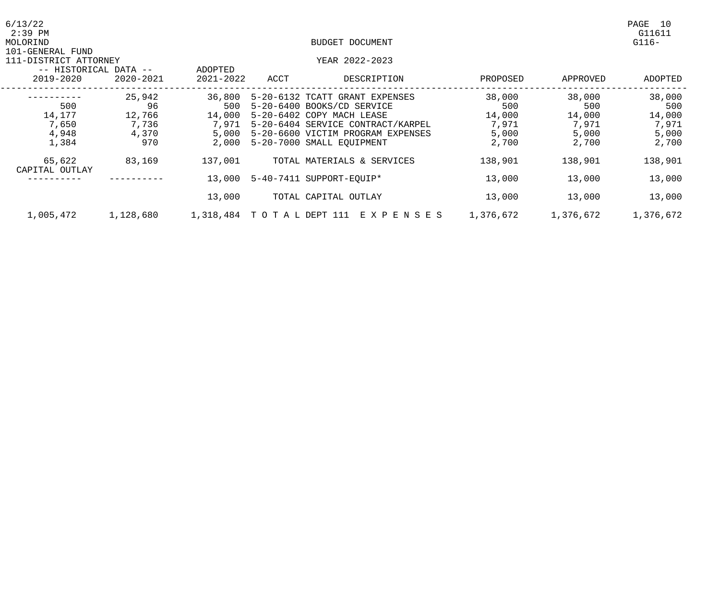| 6/13/22<br>$2:39$ PM                                                            |                      |                          |                               |                                                              |               |               | PAGE<br>10<br>G11611 |
|---------------------------------------------------------------------------------|----------------------|--------------------------|-------------------------------|--------------------------------------------------------------|---------------|---------------|----------------------|
| MOLORIND                                                                        |                      |                          |                               | BUDGET DOCUMENT                                              |               |               | $G116-$              |
| 101-GENERAL FUND<br>111-DISTRICT ATTORNEY<br>-- HISTORICAL DATA --<br>2019-2020 | ADOPTED<br>2021-2022 | ACCT                     | YEAR 2022-2023<br>DESCRIPTION | PROPOSED                                                     | APPROVED      | ADOPTED       |                      |
|                                                                                 | 2020-2021            |                          |                               |                                                              |               |               |                      |
| 500                                                                             | 25,942<br>96         | 36,800<br>500            |                               | 5-20-6132 TCATT GRANT EXPENSES<br>5-20-6400 BOOKS/CD SERVICE | 38,000<br>500 | 38,000<br>500 | 38,000<br>500        |
| 14,177                                                                          | 12,766               | 14,000                   |                               | 5-20-6402 COPY MACH LEASE                                    | 14,000        | 14,000        | 14,000               |
| 7,650                                                                           | 7,736                | 7,971                    |                               | 5-20-6404 SERVICE CONTRACT/KARPEL                            | 7,971         | 7,971         | 7,971                |
| 4,948                                                                           | 4,370                | 5,000                    | $5 - 20 - 6600$               | VICTIM PROGRAM EXPENSES                                      | 5,000         | 5,000         | 5,000                |
| 1,384                                                                           | 970                  | 2,000                    |                               | 5-20-7000 SMALL EQUIPMENT                                    | 2,700         | 2,700         | 2,700                |
| 65,622<br>CAPITAL OUTLAY                                                        | 83,169               | 137,001                  |                               | TOTAL MATERIALS & SERVICES                                   | 138,901       | 138,901       | 138,901              |
|                                                                                 |                      | 13,000                   |                               | 5-40-7411 SUPPORT-EQUIP*                                     | 13,000        | 13,000        | 13,000               |
|                                                                                 |                      | 13,000                   |                               | TOTAL CAPITAL OUTLAY                                         | 13,000        | 13,000        | 13,000               |
| 1,005,472                                                                       | 1,128,680            | 1,318,484 TOTAL DEPT 111 |                               | E X P E N S E S                                              | 1,376,672     | 1,376,672     | 1,376,672            |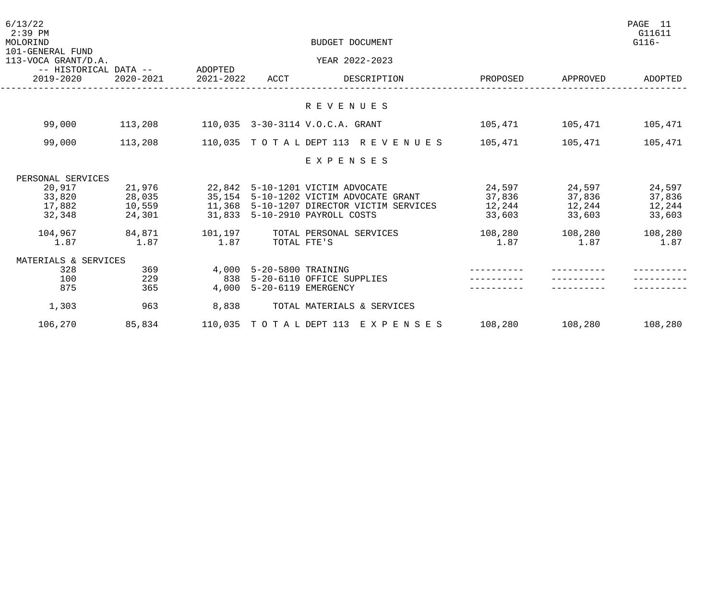| 6/13/22<br>$2:39$ PM<br>MOLORIND        |                                            |           |                           | BUDGET DOCUMENT                           |          |                 | PAGE 11<br>G11611<br>$G116-$ |
|-----------------------------------------|--------------------------------------------|-----------|---------------------------|-------------------------------------------|----------|-----------------|------------------------------|
| 101-GENERAL FUND<br>113-VOCA GRANT/D.A. |                                            |           |                           | YEAR 2022-2023                            |          |                 |                              |
| 2019-2020                               | -- HISTORICAL DATA -- ADOPTED<br>2020-2021 | 2021-2022 | ACCT                      | DESCRIPTION                               | PROPOSED | APPROVED        | ADOPTED                      |
|                                         |                                            |           |                           | R E V E N U E S                           |          |                 |                              |
|                                         |                                            |           |                           |                                           |          |                 |                              |
| 99,000                                  | 113,208                                    |           |                           | 110,035 3-30-3114 V.O.C.A. GRANT          |          | 105,471 105,471 | 105,471                      |
| 99,000                                  | 113,208                                    |           |                           | 110,035 TOTAL DEPT 113 REVENUES           | 105,471  | 105,471         | 105,471                      |
|                                         |                                            |           |                           | EXPENSES                                  |          |                 |                              |
| PERSONAL SERVICES                       |                                            |           |                           |                                           |          |                 |                              |
| 20,917                                  | 21,976                                     |           |                           | 22,842 5-10-1201 VICTIM ADVOCATE          | 24,597   | 24,597          | 24,597                       |
| 33,820                                  | 28,035                                     |           |                           | 35,154 5-10-1202 VICTIM ADVOCATE GRANT    | 37,836   | 37,836          | 37,836                       |
| 17,882                                  | 10,559                                     |           |                           | 11,368 5-10-1207 DIRECTOR VICTIM SERVICES | 12,244   | 12,244          | 12,244                       |
| 32,348                                  | 24,301                                     |           |                           | 31,833 5-10-2910 PAYROLL COSTS            | 33,603   | 33,603          | 33,603                       |
| 104,967                                 | 84,871                                     | 101, 197  |                           | TOTAL PERSONAL SERVICES                   | 108,280  | 108,280         | 108,280                      |
| 1.87                                    | 1.87                                       | 1.87      | TOTAL FTE'S               |                                           | 1.87     | 1.87            | 1.87                         |
| MATERIALS & SERVICES                    |                                            |           |                           |                                           |          |                 |                              |
| 328                                     | 369                                        |           | 4,000 5-20-5800 TRAINING  |                                           |          |                 |                              |
| 100                                     | 229                                        |           |                           | 838 5-20-6110 OFFICE SUPPLIES             |          |                 |                              |
| 875                                     | 365                                        |           | 4,000 5-20-6119 EMERGENCY |                                           |          |                 |                              |
| 1,303                                   | 963                                        | 8,838     |                           | TOTAL MATERIALS & SERVICES                |          |                 |                              |
| 106,270                                 | 85,834                                     |           |                           | 110,035 TOTAL DEPT 113 EXPENSES           | 108,280  | 108,280         | 108,280                      |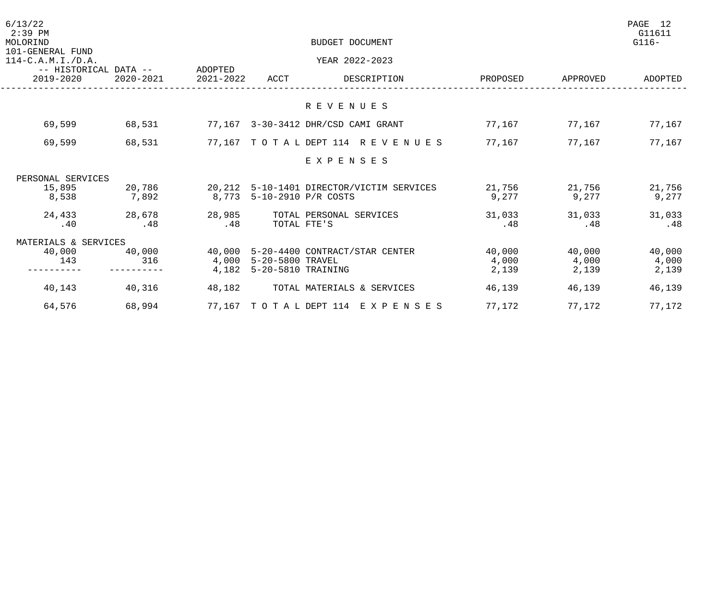| ADOPTED<br>APPROVED |
|---------------------|
|                     |
|                     |
| 77,167<br>77,167    |
| 77,167<br>77,167    |
|                     |
|                     |
| 21,756<br>21,756    |
| 9,277<br>9,277      |
| 31,033<br>31,033    |
| .48<br>.48          |
|                     |
| 40,000<br>40,000    |
| 4,000<br>4,000      |
| 2,139<br>2,139      |
| 46,139<br>46,139    |
| 77,172<br>77,172    |
|                     |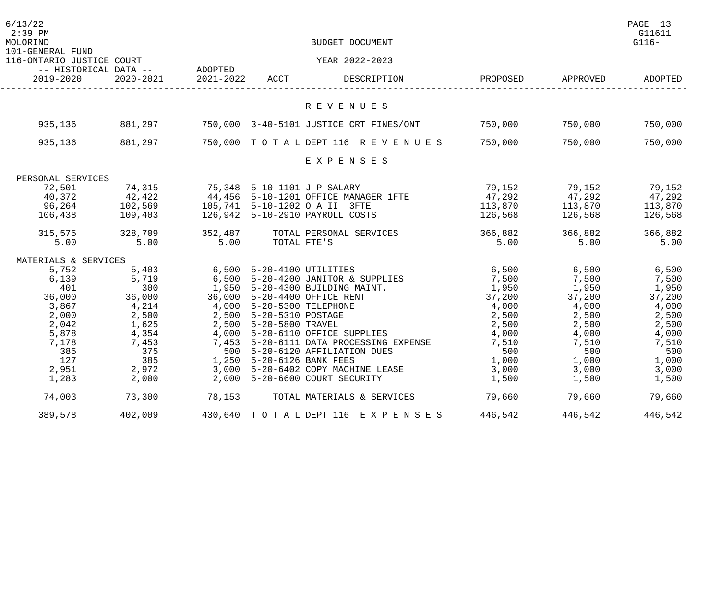| 6/13/22<br>$2:39$ PM<br>MOLORIND<br>101-GENERAL FUND |                        |                             |                           | BUDGET DOCUMENT                         |          |          | PAGE 13<br>G11611<br>$G116-$ |
|------------------------------------------------------|------------------------|-----------------------------|---------------------------|-----------------------------------------|----------|----------|------------------------------|
| 116-ONTARIO JUSTICE COURT                            |                        |                             |                           | YEAR 2022-2023                          |          |          |                              |
| -- HISTORICAL DATA --<br>2019-2020                   | 2020-2021              | ADOPTED<br>2021-2022        | ACCT                      | DESCRIPTION                             | PROPOSED | APPROVED | ADOPTED                      |
|                                                      |                        |                             |                           | R E V E N U E S                         |          |          |                              |
|                                                      |                        |                             |                           |                                         |          |          |                              |
| 935,136                                              | 881,297                |                             |                           | 750,000 3-40-5101 JUSTICE CRT FINES/ONT | 750,000  | 750,000  | 750,000                      |
| 935,136                                              | 881,297                |                             |                           | 750,000 TOTAL DEPT 116 REVENUES         | 750,000  | 750,000  | 750,000                      |
|                                                      |                        |                             |                           | EXPENSES                                |          |          |                              |
| PERSONAL SERVICES                                    |                        |                             |                           |                                         |          |          |                              |
| 72,501                                               | 74,315                 | 75,348 5-10-1101 J P SALARY |                           |                                         | 79,152   | 79,152   | 79,152                       |
| 40,372                                               | 42,422                 |                             |                           | 44,456 5-10-1201 OFFICE MANAGER 1FTE    | 47,292   | 47,292   | 47,292                       |
| 96,264                                               | $102,569$<br>$109.403$ |                             |                           | 105,741 5-10-1202 O A II 3FTE           | 113,870  | 113,870  | 113,870                      |
| 106,438                                              | 109,403                |                             |                           | 126,942 5-10-2910 PAYROLL COSTS         | 126,568  | 126,568  | 126,568                      |
| 315,575                                              | 328,709                | 352,487                     |                           | TOTAL PERSONAL SERVICES                 | 366,882  | 366,882  | 366,882                      |
| 5.00                                                 | 5.00                   | 5.00                        | TOTAL FTE'S               |                                         | 5.00     | 5.00     | 5.00                         |
| MATERIALS & SERVICES                                 |                        |                             |                           |                                         |          |          |                              |
| 5,752                                                | 5,403                  |                             | 6,500 5-20-4100 UTILITIES |                                         | 6,500    | 6,500    | 6,500                        |
| 6,139                                                | 5,719                  |                             |                           | 6,500 5-20-4200 JANITOR & SUPPLIES      | 7,500    | 7,500    | 7,500                        |
| 401                                                  | 300                    |                             |                           | 1,950 5-20-4300 BUILDING MAINT.         | 1,950    | 1,950    | 1,950                        |
| 36,000                                               | 36,000                 | 36,000                      |                           | 5-20-4400 OFFICE RENT                   | 37,200   | 37,200   | 37,200                       |
| 3,867                                                | 4,214                  | 4,000                       | 5-20-5300 TELEPHONE       |                                         | 4,000    | 4,000    | 4,000                        |
| 2,000                                                | 2,500                  |                             | 2,500 5-20-5310 POSTAGE   |                                         | 2,500    | 2,500    | 2,500                        |
| 2,042                                                | 1,625                  |                             | 2,500 5-20-5800 TRAVEL    |                                         | 2,500    | 2,500    | 2,500                        |
| 5,878                                                | 4,354                  |                             |                           | 4,000 5-20-6110 OFFICE SUPPLIES         | 4,000    | 4,000    | 4,000                        |
| 7,178                                                | 7,453                  |                             |                           | 7,453 5-20-6111 DATA PROCESSING EXPENSE | 7,510    | 7,510    | 7,510                        |
| 385                                                  | 375                    | 500                         |                           | 5-20-6120 AFFILIATION DUES              | 500      | 500      | 500                          |
| 127                                                  | 385                    |                             | 1,250 5-20-6126 BANK FEES |                                         | 1,000    | 1,000    | 1,000                        |
| 2,951                                                | 2,972                  | 3,000                       |                           | 5-20-6402 COPY MACHINE LEASE            | 3,000    | 3,000    | 3,000                        |
| 1,283                                                | 2,000                  | 2,000                       |                           | 5-20-6600 COURT SECURITY                | 1,500    | 1,500    | 1,500                        |
| 74,003                                               | 73,300                 | 78,153                      |                           | TOTAL MATERIALS & SERVICES              | 79,660   | 79,660   | 79,660                       |
| 389,578                                              | 402,009                |                             |                           | 430,640 TOTAL DEPT 116 EXPENSES         | 446,542  | 446,542  | 446,542                      |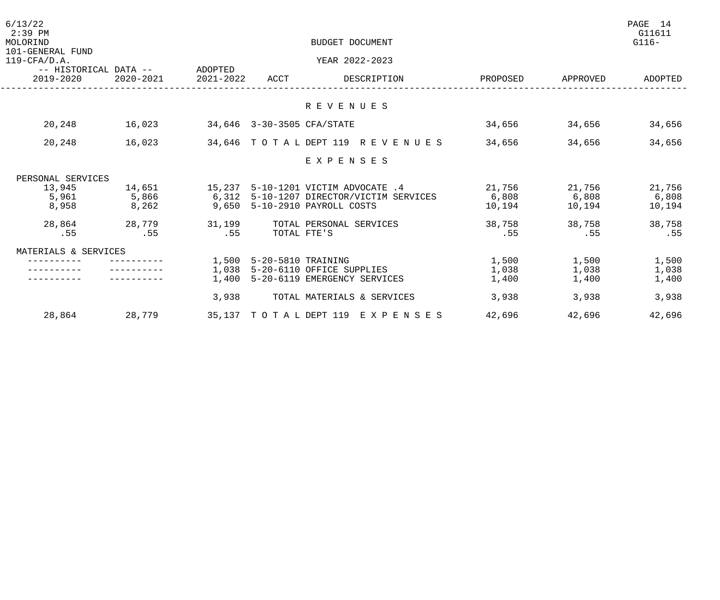| 6/13/22<br>$2:39$ PM<br>MOLORIND                             |           |           |                            | BUDGET DOCUMENT                          |          |          | PAGE 14<br>G11611<br>$G116-$ |
|--------------------------------------------------------------|-----------|-----------|----------------------------|------------------------------------------|----------|----------|------------------------------|
| 101-GENERAL FUND<br>$119$ -CFA/D.A.<br>-- HISTORICAL DATA -- |           | ADOPTED   |                            | YEAR 2022-2023                           |          |          |                              |
| 2019-2020                                                    | 2020-2021 | 2021-2022 | ACCT                       | DESCRIPTION                              | PROPOSED | APPROVED | ADOPTED                      |
|                                                              |           |           |                            | R E V E N U E S                          |          |          |                              |
| 20,248                                                       | 16,023    |           | 34,646 3-30-3505 CFA/STATE |                                          | 34,656   | 34,656   | 34,656                       |
| 20,248                                                       | 16,023    |           |                            | 34,646 TOTAL DEPT 119 REVENUES           | 34,656   | 34,656   | 34,656                       |
|                                                              |           |           |                            | EXPENSES                                 |          |          |                              |
| PERSONAL SERVICES                                            |           |           |                            |                                          |          |          |                              |
| 13,945                                                       | 14,651    |           |                            | 15,237 5-10-1201 VICTIM ADVOCATE .4      | 21,756   | 21,756   | 21,756                       |
| 5,961                                                        | 5,866     |           |                            | 6,312 5-10-1207 DIRECTOR/VICTIM SERVICES | 6,808    | 6,808    | 6,808                        |
| 8,958                                                        | 8,262     |           |                            | 9,650 5-10-2910 PAYROLL COSTS            | 10,194   | 10,194   | 10,194                       |
| 28,864                                                       | 28,779    | 31,199    |                            | TOTAL PERSONAL SERVICES                  | 38,758   | 38,758   | 38,758                       |
| .55                                                          | .55       | .55       |                            | TOTAL FTE'S                              | .55      | .55      | .55                          |
| MATERIALS & SERVICES                                         |           |           |                            |                                          |          |          |                              |
|                                                              |           | 1,500     | 5-20-5810 TRAINING         |                                          | 1,500    | 1,500    | 1,500                        |
|                                                              |           | 1,038     |                            | 5-20-6110 OFFICE SUPPLIES                | 1,038    | 1,038    | 1,038                        |
|                                                              |           | 1,400     |                            | 5-20-6119 EMERGENCY SERVICES             | 1,400    | 1,400    | 1,400                        |
|                                                              |           | 3,938     |                            | TOTAL MATERIALS & SERVICES               | 3,938    | 3,938    | 3,938                        |
| 28,864                                                       | 28,779    |           |                            | 35,137 TOTAL DEPT 119 EXPENSES           | 42,696   | 42,696   | 42,696                       |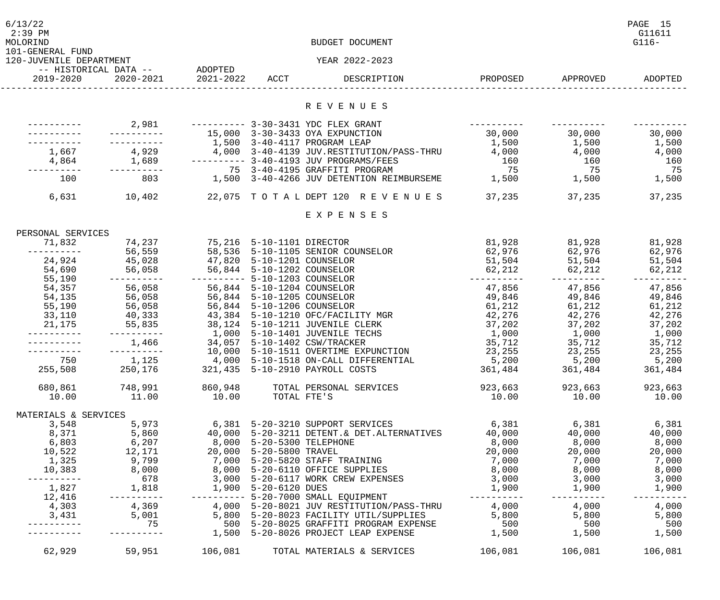| 6/13/22<br>$2:39$ PM<br>MOLORIND            |                                                                                |                                  | BUDGET DOCUMENT                                                                                                                                                                                                                                                                                                                           |                                     |                         | PAGE 15<br>G11611<br>$G116-$ |
|---------------------------------------------|--------------------------------------------------------------------------------|----------------------------------|-------------------------------------------------------------------------------------------------------------------------------------------------------------------------------------------------------------------------------------------------------------------------------------------------------------------------------------------|-------------------------------------|-------------------------|------------------------------|
| 101-GENERAL FUND<br>120-JUVENILE DEPARTMENT |                                                                                |                                  | YEAR 2022-2023                                                                                                                                                                                                                                                                                                                            |                                     |                         |                              |
| 2019-2020                                   | -- HISTORICAL DATA -- ADOPTED<br>2020-2021 2021-2022 ACCT                      |                                  | DESCRIPTION                                                                                                                                                                                                                                                                                                                               |                                     | PROPOSED APPROVED       | ADOPTED                      |
|                                             |                                                                                |                                  |                                                                                                                                                                                                                                                                                                                                           |                                     |                         |                              |
|                                             |                                                                                |                                  | R E V E N U E S                                                                                                                                                                                                                                                                                                                           |                                     |                         |                              |
|                                             |                                                                                |                                  |                                                                                                                                                                                                                                                                                                                                           | $- - - - - - - - - - -$             |                         |                              |
|                                             |                                                                                |                                  | 15,000 3-30-3433 OYA EXPUNCTION                                                                                                                                                                                                                                                                                                           | $30,000$ $30,000$ $30,000$ $30,000$ |                         |                              |
|                                             |                                                                                |                                  | 1,500 3-40-4117 PROGRAM LEAP                                                                                                                                                                                                                                                                                                              | $1,500$ $1,500$ $1,500$             |                         |                              |
|                                             |                                                                                |                                  | 1,667       4,929       4,000 3-40-4139 JUV.RESTITUTION/PASS-THRU      4,000       4,000       4,000                                                                                                                                                                                                                                      |                                     |                         |                              |
|                                             |                                                                                |                                  |                                                                                                                                                                                                                                                                                                                                           |                                     |                         |                              |
|                                             |                                                                                |                                  |                                                                                                                                                                                                                                                                                                                                           |                                     |                         |                              |
| 100                                         |                                                                                |                                  |                                                                                                                                                                                                                                                                                                                                           |                                     |                         |                              |
| 6,631                                       | 10,402                                                                         |                                  | 22,075 TOTALDEPT 120 REVENUES 37,235                                                                                                                                                                                                                                                                                                      |                                     | 37,235                  | 37,235                       |
|                                             |                                                                                |                                  | EXPENSES                                                                                                                                                                                                                                                                                                                                  |                                     |                         |                              |
| PERSONAL SERVICES                           |                                                                                |                                  |                                                                                                                                                                                                                                                                                                                                           |                                     |                         |                              |
| 71,832                                      | 74,237 75,216 5-10-1101 DIRECTOR                                               |                                  |                                                                                                                                                                                                                                                                                                                                           | 81,928 81,928 81,928                |                         |                              |
| ----------                                  |                                                                                |                                  | 56,559 58,536 5-10-1105 SENIOR COUNSELOR 62,976 62,976 62,976 62,976                                                                                                                                                                                                                                                                      |                                     |                         |                              |
|                                             | 24,924 45,028 47,820 5-10-1201 COUNSELOR                                       |                                  |                                                                                                                                                                                                                                                                                                                                           | $51,504$ $51,504$ $51,504$          |                         |                              |
| 54,690                                      |                                                                                |                                  |                                                                                                                                                                                                                                                                                                                                           |                                     |                         |                              |
| 55,190                                      | 56,058 56,844 5-10-1202 COUNSELOR<br>---------- ---------- 5-10-1203 COUNSELOR |                                  | <u> 1980 - John Stein, amerikansk politiker (</u>                                                                                                                                                                                                                                                                                         | $62,212$ $62,212$ $62,212$ $62,212$ |                         |                              |
| 54,357                                      | 56,058 56,844 5-10-1204 COUNSELOR                                              |                                  |                                                                                                                                                                                                                                                                                                                                           | $47,856$ $47,856$ $47,856$          |                         |                              |
| 54,135                                      | 56,058                                                                         | 56,844    5-10-1205    COUNSELOR |                                                                                                                                                                                                                                                                                                                                           | 49,846 49,846 49,846                |                         |                              |
| 55,190                                      | 56,058                                                                         | 56,844 5-10-1206 COUNSELOR       |                                                                                                                                                                                                                                                                                                                                           | $61,212$ $61,212$ $61,212$          |                         |                              |
| 33,110                                      |                                                                                |                                  | 40,333       43,384  5-10-1210 OFC/FACILITY MGR           42,276      42,276       42,276                                                                                                                                                                                                                                                 |                                     |                         |                              |
| 21,175                                      |                                                                                |                                  |                                                                                                                                                                                                                                                                                                                                           |                                     |                         |                              |
|                                             |                                                                                |                                  |                                                                                                                                                                                                                                                                                                                                           |                                     |                         |                              |
|                                             | 1,466 34,057 5-10-1402 CSW/TRACKER                                             |                                  |                                                                                                                                                                                                                                                                                                                                           | $35,712$ $35,712$ $35,712$          |                         |                              |
|                                             |                                                                                |                                  | 10,000 5-10-1511 OVERTIME EXPUNCTION 23,255                                                                                                                                                                                                                                                                                               |                                     |                         | 23, 255 23, 255              |
| 750                                         | 1,125                                                                          |                                  | 4,000 5-10-1518 ON-CALL DIFFERENTIAL                                                                                                                                                                                                                                                                                                      | 5,200 5,200                         |                         | 5,200                        |
| 255,508                                     | 250,176                                                                        |                                  | 321,435 5-10-2910 PAYROLL COSTS                                                                                                                                                                                                                                                                                                           |                                     | 361,484 361,484         | 361,484                      |
|                                             |                                                                                |                                  | 680,861 748,991 860,948 TOTAL PERSONAL SERVICES 923,663 923,663                                                                                                                                                                                                                                                                           |                                     |                         | 923,663                      |
|                                             |                                                                                | $10.00$ TOTAL FTE'S              |                                                                                                                                                                                                                                                                                                                                           |                                     | $10.00$ $10.00$ $10.00$ |                              |
|                                             | 10.00   11.00                                                                  |                                  |                                                                                                                                                                                                                                                                                                                                           |                                     |                         |                              |
| MATERIALS & SERVICES                        |                                                                                |                                  |                                                                                                                                                                                                                                                                                                                                           |                                     |                         |                              |
| 3,548                                       | 5,973                                                                          |                                  | 6,381 5-20-3210 SUPPORT SERVICES 6,381 6,381 6,381 6,381                                                                                                                                                                                                                                                                                  |                                     |                         |                              |
|                                             |                                                                                |                                  | 8,371 5,860 40,000 5-20-3211 DETENT.& DET.ALTERNATIVES 40,000 40,000 40,000 40,000                                                                                                                                                                                                                                                        |                                     |                         |                              |
|                                             | 6,803 6,207 8,000 5-20-5300 TELEPHONE                                          |                                  | $\begin{array}{cccc} 8\, ,000 & \phantom{000} & 8\, ,000 & \phantom{000} & 8\, ,000 & \phantom{000} & 8\, ,000 & \phantom{0000} & 8\, ,000 & \phantom{0000} & 20\, ,000 & \phantom{00000} & 20\, ,000 & \phantom{000000} & 000 & \phantom{0000000} & 000 & \phantom{00000000} & 000 & \phantom{00000000} & 000 & \phantom{00000000} & 00$ |                                     |                         |                              |
| 10,522                                      | 12,171  20,000  5-20-5800 TRAVEL                                               |                                  | 10,522 12,171 20,000 5-20-5800 TRAVEL 20,000 20,000 20,000 20,000 20,000<br>1,325 9,799 7,000 5-20-5820 STAFF TRAINING 7,000 7,000 7,000 7,000                                                                                                                                                                                            |                                     |                         |                              |
|                                             |                                                                                |                                  |                                                                                                                                                                                                                                                                                                                                           |                                     |                         |                              |
|                                             |                                                                                |                                  | 10,383      8,000       8,000 5-20-6110 OFFICE SUPPLIES          8,000      8,000       8,000                                                                                                                                                                                                                                             |                                     |                         |                              |
| ----------                                  |                                                                                |                                  | 678       3,000 5-20-6117 WORK CREW EXPENSES         3,000      3,000       3,000                                                                                                                                                                                                                                                         |                                     |                         |                              |
|                                             | 1,827 1,818 1,900 5-20-6120 DUES                                               |                                  |                                                                                                                                                                                                                                                                                                                                           | 1,900                               | 1,900                   | 1,900                        |
|                                             | $12,416$ ----------                                                            |                                  | --------- 5-20-7000 SMALL EQUIPMENT                                                                                                                                                                                                                                                                                                       | ___________                         | ___________             | -----------                  |
|                                             |                                                                                |                                  | 4,303      4,369       4,000 5-20-8021 JUV RESTITUTION/PASS-THRU      4,000      4,000                                                                                                                                                                                                                                                    |                                     |                         | 4,000                        |
| 3,431                                       |                                                                                |                                  | 5,001 5,800 5-20-8023 FACILITY UTIL/SUPPLIES 5,800 5,800 5,800 5,800                                                                                                                                                                                                                                                                      |                                     |                         |                              |
|                                             |                                                                                |                                  |                                                                                                                                                                                                                                                                                                                                           |                                     |                         | 500                          |
|                                             |                                                                                |                                  | 1,500 5-20-8026 PROJECT LEAP EXPENSE                                                                                                                                                                                                                                                                                                      | $1,500$ $1,500$ $1,500$ $1,500$     |                         |                              |
| 62,929                                      |                                                                                | 59,951 106,081                   | TOTAL MATERIALS & SERVICES                                                                                                                                                                                                                                                                                                                | 106,081                             | 106,081                 | 106,081                      |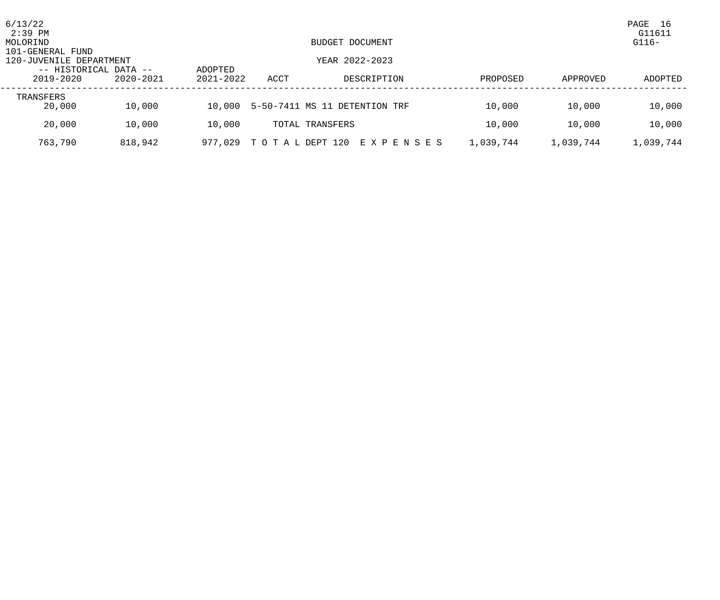| 6/13/22<br>$2:39$ PM<br>MOLORIND            |           |                          |                 | BUDGET DOCUMENT               |           |           | PAGE<br>-16<br>G11611<br>$G116-$ |
|---------------------------------------------|-----------|--------------------------|-----------------|-------------------------------|-----------|-----------|----------------------------------|
| 101-GENERAL FUND<br>120-JUVENILE DEPARTMENT |           |                          |                 | YEAR 2022-2023                |           |           |                                  |
| -- HISTORICAL DATA --<br>2019-2020          | 2020-2021 | ADOPTED<br>$2021 - 2022$ | ACCT            | DESCRIPTION                   | PROPOSED  | APPROVED  | ADOPTED                          |
| TRANSFERS<br>20,000                         | 10,000    | 10,000                   |                 | 5-50-7411 MS 11 DETENTION TRF | 10,000    | 10,000    | 10,000                           |
| 20,000                                      | 10,000    | 10,000                   |                 | TOTAL TRANSFERS               | 10,000    | 10,000    | 10,000                           |
| 763,790                                     | 818,942   | 977,029                  | TO TAL DEPT 120 | E X P E N S E S               | 1,039,744 | 1,039,744 | 1,039,744                        |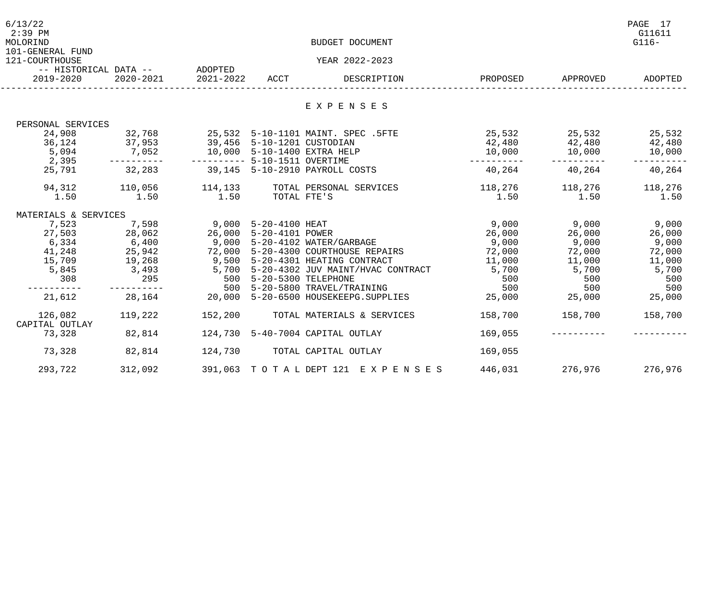| 6/13/22<br>$2:39$ PM<br>MOLORIND                                   |                                |                                                                               |             | BUDGET DOCUMENT                                                                                                                                                               |                                                                                              |                         | PAGE 17<br>G11611<br>$G116-$ |
|--------------------------------------------------------------------|--------------------------------|-------------------------------------------------------------------------------|-------------|-------------------------------------------------------------------------------------------------------------------------------------------------------------------------------|----------------------------------------------------------------------------------------------|-------------------------|------------------------------|
| 101-GENERAL FUND<br>121-COURTHOUSE                                 |                                |                                                                               |             | YEAR 2022-2023                                                                                                                                                                |                                                                                              |                         |                              |
|                                                                    | -- HISTORICAL DATA -- ADOPTED  |                                                                               |             |                                                                                                                                                                               |                                                                                              |                         |                              |
| 2019-2020                                                          | 2020-2021                      | 2021-2022                                                                     | ACCT        | DESCRIPTION                                                                                                                                                                   | PROPOSED                                                                                     | APPROVED                | ADOPTED                      |
|                                                                    |                                |                                                                               |             | EXPENSES                                                                                                                                                                      |                                                                                              |                         |                              |
|                                                                    |                                |                                                                               |             |                                                                                                                                                                               |                                                                                              |                         |                              |
| PERSONAL SERVICES                                                  |                                |                                                                               |             |                                                                                                                                                                               |                                                                                              |                         |                              |
|                                                                    | 24,908 32,768<br>36,124 37,953 |                                                                               |             | 25,532 5-10-1101 MAINT. SPEC .5FTE                                                                                                                                            | 25,532<br>42,480<br>42,480<br>42,480<br>42,480                                               |                         |                              |
|                                                                    |                                | 39,456 5-10-1201 CUSTODIAN                                                    |             |                                                                                                                                                                               |                                                                                              |                         |                              |
|                                                                    |                                |                                                                               |             |                                                                                                                                                                               | 10,000 10,000                                                                                |                         | 10,000                       |
|                                                                    |                                |                                                                               |             |                                                                                                                                                                               | -----------                                                                                  |                         |                              |
| 25,791                                                             |                                |                                                                               |             | 32,283 39,145 5-10-2910 PAYROLL COSTS                                                                                                                                         |                                                                                              | 40,264 40,264           | 40,264                       |
| 94,312                                                             | 110,056                        |                                                                               |             | 114,133 TOTAL PERSONAL SERVICES                                                                                                                                               | 118,276 118,276                                                                              |                         | 118,276                      |
| 1.50                                                               | 1.50                           | 1.50                                                                          | TOTAL FTE'S |                                                                                                                                                                               |                                                                                              | $1.50$ $1.50$ $1.50$    |                              |
| MATERIALS & SERVICES                                               |                                |                                                                               |             |                                                                                                                                                                               |                                                                                              |                         |                              |
| $7,523$<br>$27,503$<br>$6,334$<br>$41,248$<br>$15,709$<br>$19,268$ |                                | 9,000 5-20-4100 HEAT<br>26,000 5-20-4101 POWER<br>8,000 5-20-4102 WATER (CAPR |             |                                                                                                                                                                               | 9,000 9,000<br>26,000 26,000<br>9,000 9,000<br>72,000 72,000<br>11,000 11,000<br>5,700 5,700 |                         | 9,000<br>26,000              |
|                                                                    |                                |                                                                               |             |                                                                                                                                                                               |                                                                                              |                         |                              |
|                                                                    |                                |                                                                               |             | 6,400 9,000 5-20-4102 WATER/GARBAGE<br>25,942 72,000 5-20-4300 COURTHOUSE REPAIRS<br>19,268 9,500 5-20-4301 HEATING CONTRACT<br>3,493 5,700 5-20-4302 JUV MAINT/HVAC CONTRACT |                                                                                              |                         | 9,000                        |
|                                                                    |                                |                                                                               |             |                                                                                                                                                                               |                                                                                              |                         | 72,000                       |
|                                                                    |                                |                                                                               |             |                                                                                                                                                                               |                                                                                              |                         | 11,000                       |
| 5,845                                                              |                                |                                                                               |             |                                                                                                                                                                               |                                                                                              |                         | 5,700                        |
| 308                                                                |                                |                                                                               |             | 295 500 5-20-5300 TELEPHONE<br>500 5-20-5300 TELEPHONE<br>500 5-20-5800 TRAVEL/TRAINING                                                                                       | 500                                                                                          | 500                     | 500                          |
| -----------                                                        |                                |                                                                               |             |                                                                                                                                                                               | 500                                                                                          | 500                     | 500                          |
| 21,612                                                             |                                |                                                                               |             | 28,164 20,000 5-20-6500 HOUSEKEEPG.SUPPLIES                                                                                                                                   | 25,000                                                                                       | 25,000 25,000           |                              |
| 126,082<br>CAPITAL OUTLAY                                          | 119,222                        |                                                                               |             | 152,200 TOTAL MATERIALS & SERVICES                                                                                                                                            |                                                                                              | 158,700 158,700         | 158,700                      |
| 73,328 82,814                                                      |                                |                                                                               |             | 124,730 5-40-7004 CAPITAL OUTLAY                                                                                                                                              | 169,055                                                                                      |                         |                              |
| 73,328                                                             | 82,814                         |                                                                               |             | 124,730 TOTAL CAPITAL OUTLAY                                                                                                                                                  | 169,055                                                                                      |                         |                              |
| 293,722                                                            | 312,092                        |                                                                               |             | 391,063 TOTAL DEPT 121 EXPENSES                                                                                                                                               |                                                                                              | 446,031 276,976 276,976 |                              |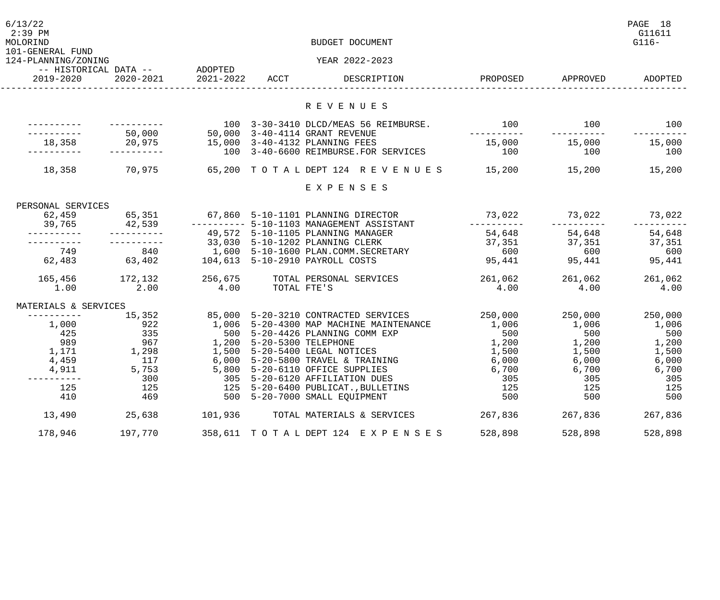| 6/13/22<br>$2:39$ PM<br>MOLORIND<br>101-GENERAL FUND |                                            |                           | BUDGET DOCUMENT                           |               |                   | PAGE 18<br>G11611<br>$G116-$ |
|------------------------------------------------------|--------------------------------------------|---------------------------|-------------------------------------------|---------------|-------------------|------------------------------|
| 124-PLANNING/ZONING                                  |                                            |                           | YEAR 2022-2023                            |               |                   |                              |
| 2019-2020                                            | -- HISTORICAL DATA -- ADOPTED<br>2020-2021 |                           | 2021-2022 ACCT DESCRIPTION                |               | PROPOSED APPROVED | ADOPTED                      |
|                                                      |                                            |                           | R E V E N U E S                           |               |                   |                              |
|                                                      |                                            |                           |                                           |               |                   |                              |
|                                                      |                                            |                           | 100 3-30-3410 DLCD/MEAS 56 REIMBURSE.     | 100           | 100               | 100                          |
|                                                      | 50,000<br>20,975                           |                           | 50,000 3-40-4114 GRANT REVENUE            | __________    |                   |                              |
| 18,358                                               |                                            |                           | 15,000 3-40-4132 PLANNING FEES            | 15,000        | 15,000            | 15,000                       |
|                                                      |                                            |                           | 100 3-40-6600 REIMBURSE.FOR SERVICES      | 100           | 100               | 100                          |
| 18,358                                               | 70,975                                     |                           | 65,200 TOTALDEPT 124 REVENUES 15,200      |               | 15,200            | 15,200                       |
|                                                      |                                            |                           | EXPENSES                                  |               |                   |                              |
| PERSONAL SERVICES                                    |                                            |                           |                                           |               |                   |                              |
| 62,459                                               |                                            |                           | 65,351 67,860 5-10-1101 PLANNING DIRECTOR | 73,022        | 73,022            | 73,022                       |
|                                                      |                                            |                           | --------- 5-10-1103 MANAGEMENT ASSISTANT  | -----------   | ----------        | --------                     |
|                                                      |                                            |                           | 49,572 5-10-1105 PLANNING MANAGER         | 54,648        | 54,648            | 54,648                       |
|                                                      |                                            |                           | 33,030 5-10-1202 PLANNING CLERK           | 37,351<br>600 | 37,351            | 37,351                       |
| 749                                                  | $840$<br>63,402                            |                           | 1,600    5-10-1600    PLAN.COMM.SECRETARY |               | 600               | 600                          |
| 62,483                                               |                                            |                           | 104,613 5-10-2910 PAYROLL COSTS           | 95,441        | 95,441            | 95,441                       |
| 165,456                                              | 172,132                                    | 256,675                   | TOTAL PERSONAL SERVICES                   | 261,062       | 261,062           | 261,062                      |
| 1.00                                                 | 2.00                                       | 4.00                      | TOTAL FTE'S                               | 4.00          | 4.00              | 4.00                         |
| MATERIALS & SERVICES                                 |                                            |                           |                                           |               |                   |                              |
|                                                      | 15,352                                     |                           | 85,000 5-20-3210 CONTRACTED SERVICES      | 250,000       | 250,000           | 250,000                      |
| 1,000                                                | 922<br>335<br>967                          |                           | 1,006 5-20-4300 MAP MACHINE MAINTENANCE   | 1,006         | 1,006             | 1,006                        |
| 425                                                  |                                            |                           | 500 5-20-4426 PLANNING COMM EXP           | 500           | 500               | 500                          |
| 989                                                  |                                            | 1,200 5-20-5300 TELEPHONE |                                           | 1,200         | 1,200             | 1,200                        |
| 1,171                                                | 1,298                                      |                           | 1,500 5-20-5400 LEGAL NOTICES             | 1,500         | 1,500             | 1,500                        |
| 4,459                                                | 117                                        |                           | 6,000 5-20-5800 TRAVEL & TRAINING         | 6,000         | 6,000             | 6,000                        |
| 4,911                                                | 5,753                                      | 5,800                     | 5-20-6110 OFFICE SUPPLIES                 | 6,700         | 6,700             | 6,700                        |
|                                                      | 300                                        | 305                       | 5-20-6120 AFFILIATION DUES                | 305           | 305               | 305                          |
| 125                                                  | 125                                        | 125                       | 5-20-6400 PUBLICAT., BULLETINS            | 125           | 125               | 125                          |
| 410                                                  | 469                                        | 500                       | 5-20-7000 SMALL EQUIPMENT                 | 500           | 500               | 500                          |
| 13,490                                               | 25,638                                     | 101,936                   | TOTAL MATERIALS & SERVICES                | 267,836       | 267,836           | 267,836                      |
| 178,946                                              | 197,770                                    |                           | 358, 611 TOTAL DEPT 124 EXPENSES          | 528,898       | 528,898           | 528,898                      |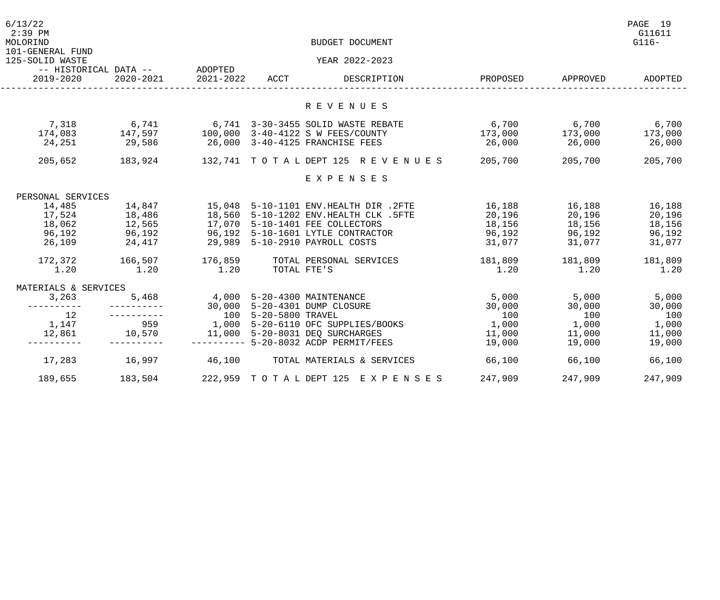| 6/13/22<br>$2:39$ PM<br>MOLORIND    |                                       |           |             | BUDGET DOCUMENT                                                                                                                               |                                |                                                                 | PAGE 19<br>G11611<br>$G116-$ |
|-------------------------------------|---------------------------------------|-----------|-------------|-----------------------------------------------------------------------------------------------------------------------------------------------|--------------------------------|-----------------------------------------------------------------|------------------------------|
| 101-GENERAL FUND<br>125-SOLID WASTE |                                       |           |             | YEAR 2022-2023                                                                                                                                |                                |                                                                 |                              |
|                                     |                                       |           |             |                                                                                                                                               |                                |                                                                 |                              |
| 2019-2020                           | 2020-2021                             | 2021-2022 | ACCT        | DESCRIPTION                                                                                                                                   | PROPOSED                       | APPROVED                                                        | ADOPTED                      |
|                                     |                                       |           |             |                                                                                                                                               |                                |                                                                 |                              |
|                                     |                                       |           |             | R E V E N U E S                                                                                                                               |                                |                                                                 |                              |
|                                     |                                       |           |             | 7,318 6,741 6,741 6,741 3-30-3455 SOLID WASTE REBA<br>174,083 147,597 100,000 3-40-4122 S W FEES/COUNTY<br>6,741 3-30-3455 SOLID WASTE REBATE | 6,700 6,700<br>173,000 173,000 |                                                                 | 6,700                        |
|                                     |                                       |           |             |                                                                                                                                               |                                |                                                                 | 173,000                      |
| 24,251                              | 29,586                                |           |             | 26,000 3-40-4125 FRANCHISE FEES                                                                                                               | 26,000                         | 26,000                                                          | 26,000                       |
|                                     |                                       |           |             | 205,652 183,924 132,741 TOTAL DEPT 125 REVENUES 205,700                                                                                       |                                | 205,700                                                         | 205,700                      |
|                                     |                                       |           |             | EXPENSES                                                                                                                                      |                                |                                                                 |                              |
| PERSONAL SERVICES                   |                                       |           |             |                                                                                                                                               |                                |                                                                 |                              |
| 14,485                              | 14,847                                |           |             |                                                                                                                                               | 16,188 16,188 16,188           |                                                                 |                              |
|                                     | $17,524$ $18,486$                     |           |             |                                                                                                                                               | 20,196                         | 20,196                                                          | 20,196                       |
| 18,062                              | 12,565                                |           |             | 15,048 5-10-1101 ENV.HEALTH DIR .2FTE<br>18,560 5-10-1202 ENV.HEALTH CLK .5FTE<br>17,070 5-10-1401 FEE COLLECTORS                             | 18,156                         | 18,156 18,156                                                   |                              |
| 96,192                              | 96,192                                |           |             | 96,192 5-10-1601 LYTLE CONTRACTOR 56,192                                                                                                      |                                | 96,192 96,192                                                   |                              |
| 26,109                              | 24,417 29,989 5-10-2910 PAYROLL COSTS |           |             |                                                                                                                                               | 31,077 31,077                  |                                                                 | 31,077                       |
|                                     | 172,372 166,507 176,859               |           |             | TOTAL PERSONAL SERVICES                                                                                                                       |                                | 181,809 181,809                                                 | 181,809                      |
| 1.20                                | 1.20                                  | 1.20      | TOTAL FTE'S |                                                                                                                                               | 1.20                           | 1.20                                                            | 1.20                         |
| MATERIALS & SERVICES                |                                       |           |             |                                                                                                                                               |                                |                                                                 |                              |
| 3,263                               |                                       |           |             | 5,468 4,000 5-20-4300 MAINTENANCE                                                                                                             | $5,000$ 5,000                  |                                                                 | 5,000                        |
| ----------                          |                                       |           |             | 30,000 5-20-4301 DUMP CLOSURE                                                                                                                 | 30,000                         | 30,000                                                          | 30,000                       |
| 12                                  |                                       |           |             | 100   5-20-5800  TRAVEL<br>1,000   5-20-6110  OFC  SUPPLIES/BOOKS                                                                             | 100                            | 100                                                             | 100                          |
| 1,147                               | 1,147 959<br>12,861 10,570            |           |             |                                                                                                                                               | 1,000                          |                                                                 | 1,000                        |
|                                     |                                       |           |             | 11,000 5-20-8031 DEO SURCHARGES                                                                                                               | 11,000                         |                                                                 | 11,000                       |
|                                     |                                       |           |             | --------- 5-20-8032 ACDP PERMIT/FEES                                                                                                          | 19,000                         | $\begin{array}{c} 100 \\ 1,000 \\ 11,000 \\ 19,000 \end{array}$ | 19,000                       |
|                                     |                                       |           |             | 17,283 16,997 46,100 TOTAL MATERIALS & SERVICES                                                                                               | 66,100                         | 66,100                                                          | 66,100                       |
| 189,655                             | 183,504                               |           |             | 222,959 TO TA L DEPT 125 E X P E N S E S 247,909 247,909                                                                                      |                                |                                                                 | 247,909                      |
|                                     |                                       |           |             |                                                                                                                                               |                                |                                                                 |                              |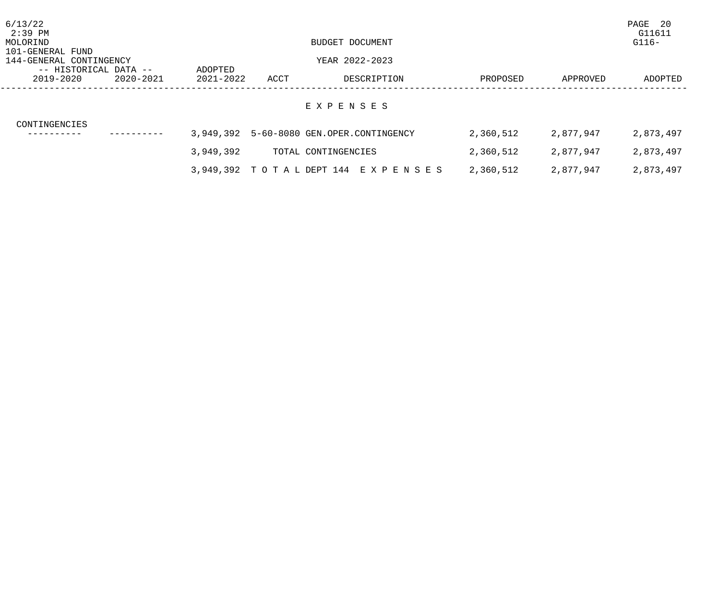| 6/13/22<br>2:39 PM                               |           |           |      |                                                |           |           | PAGE<br>- 20<br>G11611 |
|--------------------------------------------------|-----------|-----------|------|------------------------------------------------|-----------|-----------|------------------------|
| MOLORIND<br>101-GENERAL FUND                     |           |           |      | BUDGET DOCUMENT                                |           |           | $G116-$                |
| 144-GENERAL CONTINGENCY<br>-- HISTORICAL DATA -- |           | ADOPTED   |      | YEAR 2022-2023                                 |           |           |                        |
| 2019-2020                                        | 2020-2021 | 2021-2022 | ACCT | DESCRIPTION                                    | PROPOSED  | APPROVED  | ADOPTED                |
| CONTINGENCIES                                    |           |           |      | EXPENSES                                       |           |           |                        |
|                                                  |           |           |      | 3,949,392    5-60-8080    GEN.OPER.CONTINGENCY | 2,360,512 | 2,877,947 | 2,873,497              |
|                                                  |           | 3,949,392 |      | TOTAL CONTINGENCIES                            | 2,360,512 | 2,877,947 | 2,873,497              |
|                                                  |           |           |      | 3,949,392 TOTAL DEPT 144 EXPENSES              | 2,360,512 | 2,877,947 | 2,873,497              |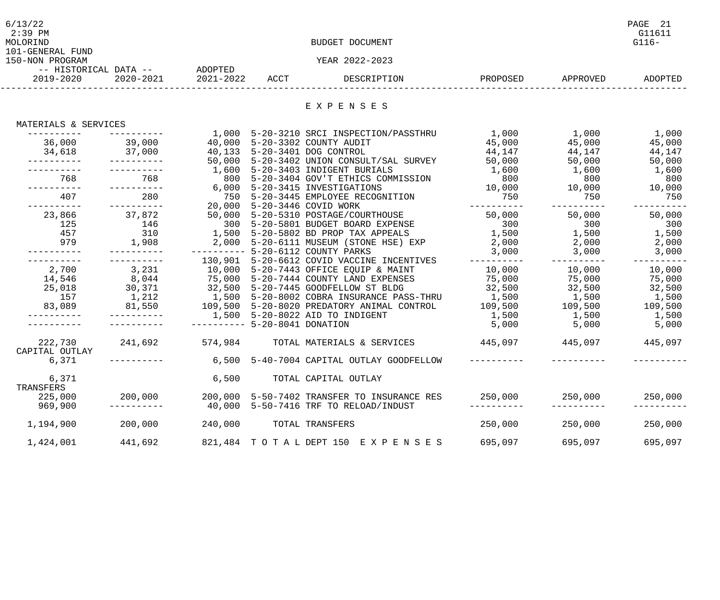| 6/13/22               |           |           |      |                 |          |          | PAGE<br>-21 |
|-----------------------|-----------|-----------|------|-----------------|----------|----------|-------------|
| $2:39$ PM             |           |           |      |                 |          |          | G11611      |
| MOLORIND              |           |           |      | BUDGET DOCUMENT |          |          | $G116-$     |
| 101-GENERAL FUND      |           |           |      |                 |          |          |             |
| 150-NON PROGRAM       |           |           |      | YEAR 2022-2023  |          |          |             |
| -- HISTORICAL DATA -- |           | ADOPTED   |      |                 |          |          |             |
| 2019-2020             | 2020-2021 | 2021-2022 | ACCT | DESCRIPTION     | PROPOSED | APPROVED | ADOPTED     |
|                       |           |           |      |                 |          |          |             |

E X P E N S E S

## MATERIALS & SERVICES

|                |                      | 1,000   | 5-20-3210 SRCI INSPECTION/PASSTHRU                                            | 1,000       | 1,000                         | 1,000      |
|----------------|----------------------|---------|-------------------------------------------------------------------------------|-------------|-------------------------------|------------|
| 36,000         | 39,000               | 40,000  | 5-20-3302 COUNTY AUDIT                                                        | 45,000      | 45,000                        | 45,000     |
|                | 34,618 37,000 40,133 |         | 5-20-3401 DOG CONTROL                                                         | 44,147      | 44,147                        | 44,147     |
| -----------    | -----------          | 50,000  | 5-20-3402 UNION CONSULT/SAL SURVEY 50,000                                     |             | 50,000                        | 50,000     |
|                |                      | 1,600   | 5-20-3403 INDIGENT BURIALS                                                    | 1,600       | 1,600 1,600                   |            |
| 768            | 768                  | 800     | 5-20-3404 GOV'T ETHICS COMMISSION                                             | 800         | 800                           | 800        |
| -----------    | -----------          |         | 6,000 5-20-3415 INVESTIGATIONS                                                |             |                               |            |
| 407            | 280                  | 750     | 5-20-3445 EMPLOYEE RECOGNITION                                                | 750         | 750                           | 750        |
| ----------     | ----------           | 20,000  | 5-20-3446 COVID WORK                                                          | ----------  | ----------                    |            |
| 23,866         | 37,872               |         | 50,000 5-20-5310 POSTAGE/COURTHOUSE                                           | 50,000      | 50,000                        | 50,000     |
| 125            | 146                  |         | 300 5-20-5801 BUDGET BOARD EXPENSE                                            | 300         | 300                           | 300        |
| 457            |                      |         | 310 1,500 5-20-5802 BD PROP TAX APPEALS                                       | 1,500       | 1,500                         | 1,500      |
| 979            | 1,908                |         | 2,000 5-20-6111 MUSEUM (STONE HSE) EXP                                        | 2,000       | 2,000                         | 2,000      |
|                |                      |         | ---------- 5-20-6112 COUNTY PARKS                                             | 3,000       | 3,000                         | 3,000      |
|                |                      |         | 130,901 5-20-6612 COVID VACCINE INCENTIVES                                    | ----------- |                               | ---------- |
| 2,700          | 3,231                |         | 10,000 5-20-7443 OFFICE EQUIP & MAINT                                         | 10,000      | 10,000                        | 10,000     |
| 14,546         | 8,044                |         | 75,000 5-20-7444 COUNTY LAND EXPENSES                                         | 75,000      | 75,000                        | 75,000     |
| 25,018         | 30,371               |         | 32,500 5-20-7445 GOODFELLOW ST BLDG                                           | 32,500      | 32,500 32,500                 |            |
| 157            | 1,212                |         | 1,500    5-20-8002    COBRA INSURANCE PASS-THRU        1,500         1,500    |             |                               | 1,500      |
| 83,089         |                      |         | 81,550     109,500 5-20-8020 PREDATORY ANIMAL CONTROL     109,500     109,500 |             |                               | 109,500    |
|                | -----------          |         | 1,500 5-20-8022 AID TO INDIGENT                                               | 1,500       | 1,500                         | 1,500      |
|                |                      |         | $------ 5-20-8041$ DONATION                                                   | 5,000       | 5,000                         | 5,000      |
| 222,730        | 241,692              |         |                                                                               |             | 445,097 445,097               |            |
| CAPITAL OUTLAY |                      |         |                                                                               |             |                               |            |
| 6,371          |                      | 6,500   | 5-40-7004 CAPITAL OUTLAY GOODFELLOW                                           |             |                               |            |
| 6,371          |                      | 6,500   | TOTAL CAPITAL OUTLAY                                                          |             |                               |            |
| TRANSFERS      |                      |         |                                                                               |             |                               |            |
| 225,000        | 200,000              |         | 200,000 5-50-7402 TRANSFER TO INSURANCE RES                                   |             | $250,000$ $250,000$ $250,000$ |            |
| 969,900        |                      |         | 40,000 5-50-7416 TRF TO RELOAD/INDUST                                         |             |                               |            |
| 1,194,900      | 200,000              | 240,000 | TOTAL TRANSFERS                                                               | 250,000     | 250,000                       | 250,000    |
| 1,424,001      | 441,692              |         | 821,484 TOTAL DEPT 150 EXPENSES 695,097                                       |             | 695,097                       | 695,097    |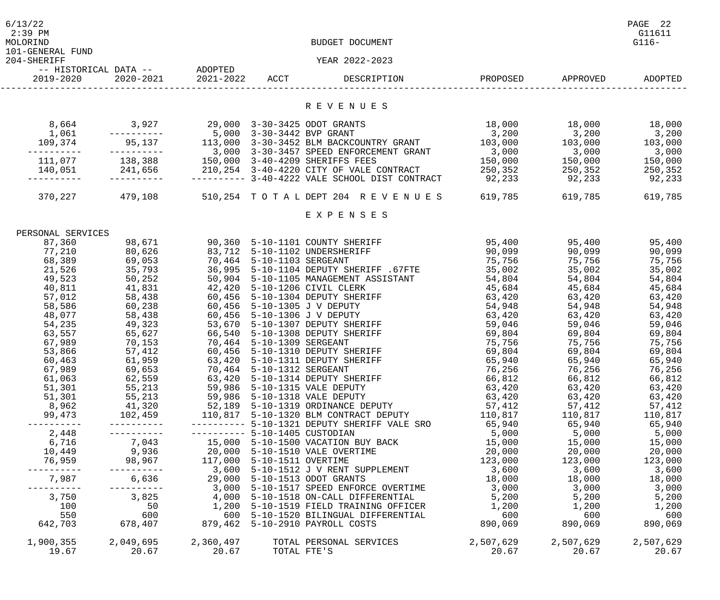| 6/13/22<br>$2:39$ PM<br>MOLORIND<br>101-GENERAL FUND |                                                                |                              |                           | BUDGET DOCUMENT                                                                                                    |                     |                                 | PAGE 22<br>G11611<br>$G116-$ |
|------------------------------------------------------|----------------------------------------------------------------|------------------------------|---------------------------|--------------------------------------------------------------------------------------------------------------------|---------------------|---------------------------------|------------------------------|
| 204-SHERIFF                                          |                                                                |                              |                           | YEAR 2022-2023                                                                                                     |                     |                                 |                              |
| 2019-2020                                            | -- HISTORICAL DATA -- ADOPTED                                  | 2020-2021 2021-2022 ACCT     |                           | DESCRIPTION                                                                                                        |                     | PROPOSED APPROVED               | ADOPTED                      |
|                                                      |                                                                |                              |                           | R E V E N U E S                                                                                                    |                     |                                 |                              |
| 8,664<br>1,061                                       | 3,927<br>-----------                                           |                              | 5,000 3-30-3442 BVP GRANT | 29,000 3-30-3425 ODOT GRANTS                                                                                       | 18,000<br>3,200     | 18,000                          | 18,000<br>3,200              |
| 109,374                                              |                                                                |                              |                           | 95,137 113,000 3-30-3452 BLM BACKCOUNTRY GRANT<br>3,000 3-30-3457 SPEED ENFORCEMENT GRANT                          | 103,000<br>3,000    | $\frac{10,000}{3,200}$<br>3,000 | 103,000<br>3,000             |
|                                                      | 111,077 138,388 150,000 3-40-4209 SHERIFFS FEES<br>----------- |                              |                           | 140,051  241,656  210,254  3-40-4220 CITY OF VALE CONTRACT<br>--------- 3-40-4222 VALE SCHOOL DIST CONTRACT 92,233 | 150,000<br>250,352  | 150,000<br>250,352<br>92,233    | 150,000<br>250,352<br>92,233 |
|                                                      | 370,227 479,108                                                |                              |                           | 510,254 TOTAL DEPT 204 REVENUES 619,785                                                                            |                     | 619,785                         | 619,785                      |
|                                                      |                                                                |                              |                           | EXPENSES                                                                                                           |                     |                                 |                              |
| PERSONAL SERVICES                                    |                                                                |                              |                           |                                                                                                                    |                     |                                 |                              |
| 87,360                                               | 98,671                                                         |                              |                           | 90,360 5-10-1101 COUNTY SHERIFF                                                                                    | 95,400              | 95,400                          | 95,400                       |
| 77,210                                               | 80,626                                                         |                              |                           | 83,712 5-10-1102 UNDERSHERIFF                                                                                      | 90,099              | 90,099                          | 90,099                       |
| 68,389                                               | 69,053                                                         | 70,464 5-10-1103 SERGEANT    |                           |                                                                                                                    | 75,756              | 75,756                          | 75,756                       |
| 21,526                                               | 35,793                                                         |                              |                           | 36,995 5-10-1104 DEPUTY SHERIFF .67FTE                                                                             | 35,002              | 35,002                          | 35,002                       |
| 49,523                                               | 50,252                                                         |                              |                           | 50,904 5-10-1105 MANAGEMENT ASSISTANT                                                                              | 54,804              | 54,804                          | 54,804                       |
| 40,811                                               | 41,831                                                         |                              |                           | 42,420 5-10-1206 CIVIL CLERK                                                                                       | 45,684              | 45,684                          | 45,684                       |
| 57,012                                               | 58,438                                                         |                              |                           | 60,456 5-10-1304 DEPUTY SHERIFF                                                                                    | 63,420              | 63,420                          | 63,420                       |
| 58,586                                               | 60,238                                                         | 60,456 5-10-1305 J V DEPUTY  |                           |                                                                                                                    | 54,948              | 54,948                          | 54,948                       |
| 48,077                                               | 58,438                                                         | 60,456 5-10-1306 J V DEPUTY  |                           |                                                                                                                    | 63,420              | 63,420                          | 63,420                       |
| 54,235                                               | 49,323                                                         |                              |                           | 53,670 5-10-1307 DEPUTY SHERIFF                                                                                    | 59,046              | 59,046                          | 59,046                       |
| 63,557                                               | 65,627                                                         |                              |                           | 66,540 5-10-1308 DEPUTY SHERIFF                                                                                    | 69,804              | 69,804                          | 69,804                       |
| 67,989                                               | 70,153                                                         | 70,464 5-10-1309 SERGEANT    |                           |                                                                                                                    | 75,756              | 75,756                          | 75,756                       |
| 53,866                                               | 57,412                                                         |                              |                           | 60,456 5-10-1310 DEPUTY SHERIFF                                                                                    | 69,804              | 69,804                          | 69,804                       |
| 60,463                                               | 61,959                                                         |                              |                           | 63,420 5-10-1311 DEPUTY SHERIFF                                                                                    | 65,940              | 65,940                          | 65,940                       |
| 67,989                                               | 69,653                                                         |                              | 70,464 5-10-1312 SERGEANT |                                                                                                                    | 76,256              | 76,256                          | 76,256                       |
| 61,063                                               | 62,559                                                         |                              |                           | 63,420 5-10-1314 DEPUTY SHERIFF                                                                                    | 66,812              | 66,812                          | 66,812                       |
| 51,301                                               | 55,213                                                         |                              |                           | 59,986 5-10-1315 VALE DEPUTY                                                                                       | 63,420              | 63,420                          | 63,420                       |
| 51,301                                               | 55,213                                                         | 59,986 5-10-1318 VALE DEPUTY |                           |                                                                                                                    | 63,420              | 63,420                          | 63,420                       |
| 8,962                                                | 41,320                                                         |                              |                           | 41,320 52,189 5-10-1319 ORDINANCE DEPUTY<br>102,459 110,817 5-10-1320 BLM CONTRACT DEPUTY                          | 57,412<br>110,817   | 57,412                          | 57,412                       |
| 99,473                                               |                                                                |                              |                           |                                                                                                                    |                     | 110,817                         | 110,817                      |
| ----------                                           |                                                                |                              |                           | --------- 5-10-1321 DEPUTY SHERIFF VALE SRO                                                                        | 65,940              | 65,940                          | 65,940                       |
| 2,448                                                |                                                                |                              |                           |                                                                                                                    | $\frac{5}{15}$ ,000 | 5,000                           | 5,000                        |
| 6,716                                                |                                                                |                              |                           |                                                                                                                    |                     | 15,000                          | 15,000                       |
| 10,449                                               |                                                                |                              |                           |                                                                                                                    | 20,000              | 20,000                          | 20,000                       |
| 76,959                                               |                                                                |                              |                           |                                                                                                                    | 123,000             | 123,000                         | 123,000                      |
|                                                      | -----------                                                    |                              |                           | ------- 3,600 5-10-1512 J V RENT SUPPLEMENT<br>6,636      29,000  5-10-1513 ODOT GRANTS                            | 3,600               | 3,600                           | 3,600                        |
| 7,987                                                | -----------                                                    |                              |                           | 29,000 5-10-1513 ODOT GRANTS<br>3,000 5-10-1517 SPEED ENFORCE OVERTIME                                             | 18,000              | 18,000                          | 18,000                       |
|                                                      |                                                                |                              |                           |                                                                                                                    | 3,000               | 3,000                           | 3,000                        |
| 3,750<br>100                                         | 3,825<br>50                                                    |                              |                           | 4,000 5-10-1518 ON-CALL DIFFERENTIAL                                                                               | 5,200               | 5,200                           | 5,200                        |
| 550                                                  | 600                                                            |                              |                           | 1,200 5-10-1519 FIELD TRAINING OFFICER<br>600 5-10-1520 BILINGUAL DIFFERENTIAL                                     | 1,200<br>600        | 1,200                           | 1,200                        |
| 642,703                                              | 678,407                                                        |                              |                           | 879,462 5-10-2910 PAYROLL COSTS                                                                                    | 890,069             | 600<br>890,069                  | 600<br>890,069               |
| 1,900,355<br>19.67                                   | 2,049,695<br>20.67                                             | 2,360,497<br>20.67           | TOTAL FTE'S               | TOTAL PERSONAL SERVICES                                                                                            | 2,507,629<br>20.67  | 2,507,629<br>20.67              | 2,507,629<br>20.67           |
|                                                      |                                                                |                              |                           |                                                                                                                    |                     |                                 |                              |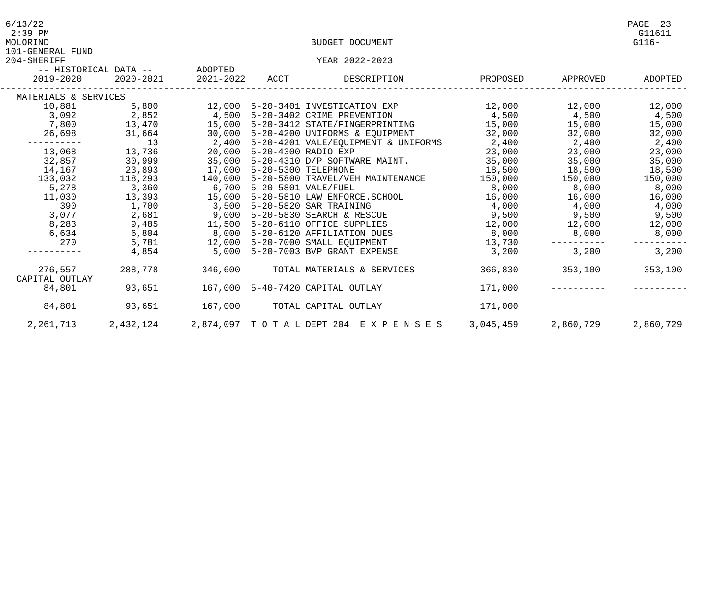| 6/13/22<br>$2:39$ PM<br>MOLORIND |                                   |  | BUDGET DOCUMENT                                                                                                                                                                                                                       |                      |                         | PAGE 23<br>G11611<br>$G116-$ |
|----------------------------------|-----------------------------------|--|---------------------------------------------------------------------------------------------------------------------------------------------------------------------------------------------------------------------------------------|----------------------|-------------------------|------------------------------|
| 101-GENERAL FUND                 |                                   |  |                                                                                                                                                                                                                                       |                      |                         |                              |
| 204-SHERIFF                      | -- HISTORICAL DATA -- ADOPTED     |  | YEAR 2022-2023                                                                                                                                                                                                                        |                      |                         |                              |
|                                  | 2019-2020 2020-2021               |  | 2021-2022 ACCT DESCRIPTION                                                                                                                                                                                                            | PROPOSED             | APPROVED                | ADOPTED                      |
| MATERIALS & SERVICES             |                                   |  |                                                                                                                                                                                                                                       |                      |                         |                              |
|                                  |                                   |  |                                                                                                                                                                                                                                       |                      |                         |                              |
|                                  |                                   |  |                                                                                                                                                                                                                                       |                      |                         |                              |
|                                  |                                   |  | 10,881 5,800 12,000 5-20-3401 INVESTIGATION EXP 12,000 12,000 12,000 12,000<br>3,092 2,852 4,500 5-20-3402 CRIME PREVENTION 4,500 4,500 4,500 4,500<br>7,800 13,470 15,000 5-20-3412 STATE/FINGERPRINTING 15,000 15,000 15,000        |                      |                         |                              |
|                                  |                                   |  | 26,698 31,664 30,000 5-20-4200 UNIFORMS & EQUIPMENT 32,000 32,000 32,000 32,000 32,000<br>------- 13 2,400 5-20-4201 VALE/EQUIPMENT & UNIFORMS 2,400 2,400 2,400<br>13,068 13,736 20,000 5-20-4300 RADIO EXP 23,000 23,000 23,000<br> |                      |                         |                              |
|                                  |                                   |  |                                                                                                                                                                                                                                       |                      |                         |                              |
|                                  |                                   |  |                                                                                                                                                                                                                                       |                      |                         |                              |
|                                  |                                   |  |                                                                                                                                                                                                                                       |                      |                         |                              |
| 14,167                           | 23,893 17,000 5-20-5300 TELEPHONE |  |                                                                                                                                                                                                                                       |                      | 18,500 18,500 18,500    |                              |
| 133,032                          |                                   |  | 118,293   140,000   5-20-5800   TRAVEL/VEH MAINTENANCE                                                                                                                                                                                |                      | 150,000 150,000         | 150,000                      |
| 5,278                            |                                   |  | 3,360 15,000 5-20-5801 TRAVEL/VEH MAINTENANCE<br>13,393 15,000 5-20-5801 VALE/FUEL<br>13,393 15,000 5-20-5810 LAW ENFORCE.SCHOOL<br>1,700 3,500 5-20-5820 SAR TRAINING                                                                |                      | 8,000 8,000             | 8,000                        |
| 11,030                           |                                   |  |                                                                                                                                                                                                                                       | 16,000 16,000 16,000 |                         |                              |
| 390                              |                                   |  |                                                                                                                                                                                                                                       |                      | $4,000$ $4,000$ $4,000$ |                              |
| 3,077                            | 2,681                             |  | 9,000 5-20-5830 SEARCH & RESCUE                         9,500             9,500           9,500                                                                                                                                       |                      |                         |                              |
|                                  |                                   |  | 8,283 9,485 11,500 5-20-6110 OFFICE SUPPLIES 12,000 12,000 12,000 12,000                                                                                                                                                              |                      |                         |                              |
|                                  |                                   |  | 6,634 6,804 8,000 5-20-6120 AFFILIATION DUES 8,000 8,000 8,000 8,000 8,000<br>270 5,781 12,000 5-20-7000 SMALL EQUIPMENT 13,730 ---------- ---------                                                                                  |                      |                         |                              |
|                                  |                                   |  |                                                                                                                                                                                                                                       |                      |                         |                              |
|                                  | 4,854                             |  | 5,000 5-20-7003 BVP GRANT EXPENSE                                                                                                                                                                                                     | 3,200                | 3,200                   | 3,200                        |
| 276,557                          | 288,778                           |  | 346,600 TOTAL MATERIALS & SERVICES                                                                                                                                                                                                    |                      | 366,830 353,100 353,100 |                              |
| CAPITAL OUTLAY<br>84,801         |                                   |  |                                                                                                                                                                                                                                       | 171,000              |                         |                              |
|                                  |                                   |  |                                                                                                                                                                                                                                       |                      |                         |                              |
| 84,801                           | 93,651                            |  | 167,000         TOTAL CAPITAL OUTLAY                                                                                                                                                                                                  | 171,000              |                         |                              |
| 2,261,713                        |                                   |  | 2,432,124 2,874,097 TOTAL DEPT 204 EXPENSES 3,045,459                                                                                                                                                                                 |                      |                         | 2,860,729 2,860,729          |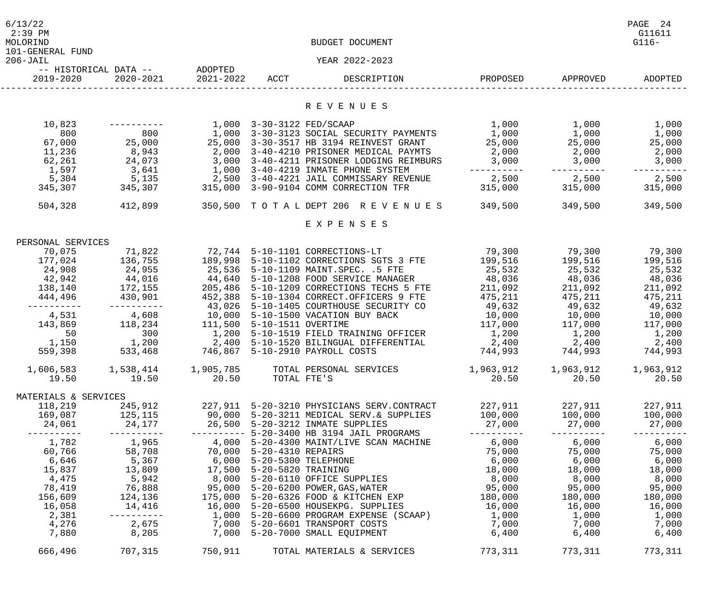| 6/13/22<br>$2:39$ PM<br>MOLORIND<br>101-GENERAL FUND |                                            |                |                    | BUDGET DOCUMENT                                                                                                                                                                                                                                                                             |                                     |                         | PAGE 24<br>G11611<br>$G116-$ |
|------------------------------------------------------|--------------------------------------------|----------------|--------------------|---------------------------------------------------------------------------------------------------------------------------------------------------------------------------------------------------------------------------------------------------------------------------------------------|-------------------------------------|-------------------------|------------------------------|
| $206 - JAIL$                                         |                                            |                |                    | YEAR 2022-2023                                                                                                                                                                                                                                                                              |                                     |                         |                              |
| 2019-2020                                            | -- HISTORICAL DATA -- ADOPTED<br>2020-2021 | 2021-2022 ACCT |                    | DESCRIPTION                                                                                                                                                                                                                                                                                 | PROPOSED                            | APPROVED                | ADOPTED                      |
|                                                      |                                            |                |                    | R E V E N U E S                                                                                                                                                                                                                                                                             |                                     |                         |                              |
| 10,823                                               |                                            |                |                    | 1,000 3-30-3122 FED/SCAAP                                                                                                                                                                                                                                                                   | 1,000                               | 1,000                   | 1,000                        |
| 800                                                  | 800                                        |                |                    | 1,000 3-30-3123 SOCIAL SECURITY PAYMENTS                                                                                                                                                                                                                                                    | 1,000                               | 1,000                   | 1,000                        |
| 67,000                                               | 25,000                                     |                |                    | 25,000 3-30-3517 HB 3194 REINVEST GRANT                                                                                                                                                                                                                                                     | 25,000                              |                         | 25,000                       |
| 11,236                                               | 8,943                                      |                |                    | 2,000 3-40-4210 PRISONER MEDICAL PAYMTS                                                                                                                                                                                                                                                     | 2,000                               | 25,000<br>2,000         | 2,000                        |
| 62,261                                               | 24,073                                     |                |                    | 3,000 3-40-4211 PRISONER LODGING REIMBURS                                                                                                                                                                                                                                                   | 3,000                               | 3,000                   | 3,000                        |
| 1,597                                                | 3,641                                      |                |                    | 1,000 3-40-4219 INMATE PHONE SYSTEM                                                                                                                                                                                                                                                         | --------                            | ----------              |                              |
| 5,304                                                | 5,135                                      |                |                    | 2,500 3-40-4221 JAIL COMMISSARY REVENUE                                                                                                                                                                                                                                                     | 2,500                               | 2,500                   | 2,500                        |
| 345,307                                              | 345,307                                    |                |                    | 315,000 3-90-9104 COMM CORRECTION TFR                                                                                                                                                                                                                                                       | 315,000 315,000                     |                         | 315,000                      |
| 504,328                                              | 412,899                                    |                |                    | 350,500 TOTALDEPT 206 REVENUES 349,500 349,500                                                                                                                                                                                                                                              |                                     |                         | 349,500                      |
|                                                      |                                            |                |                    | EXPENSES                                                                                                                                                                                                                                                                                    |                                     |                         |                              |
| PERSONAL SERVICES                                    |                                            |                |                    |                                                                                                                                                                                                                                                                                             |                                     |                         |                              |
| 70,075                                               | 71,822                                     |                |                    | 72,744 5-10-1101 CORRECTIONS-LT                                                                                                                                                                                                                                                             | 79,300                              | 79,300                  | 79,300                       |
| 177,024                                              | 136,755                                    | 189,998        |                    | 5-10-1102 CORRECTIONS SGTS 3 FTE                                                                                                                                                                                                                                                            | 199,516                             | 199,516                 | 199,516                      |
| 24,908                                               | 24,955                                     | 25,536         |                    | 5-10-1109 MAINT.SPEC. .5 FTE                                                                                                                                                                                                                                                                | 25,532                              | 25,532                  | 25,532                       |
| 42,942                                               | 44,016                                     | 44,640         |                    | 5-10-1208 FOOD SERVICE MANAGER 48,036                                                                                                                                                                                                                                                       |                                     | 48,036 48,036           |                              |
| 138,140                                              | 172,155                                    | 205,486        |                    | 5-10-1209 CORRECTIONS TECHS 5 FTE                                                                                                                                                                                                                                                           | 211,092                             | 211,092                 | 211,092                      |
| 444,496                                              | 430,901                                    | 452,388        |                    | 5-10-1304 CORRECT.OFFICERS 9 FTE                                                                                                                                                                                                                                                            | 475,211                             | 475,211                 | 475,211                      |
| ---------                                            | ----------                                 | 43,026         |                    | 5-10-1405 COURTHOUSE SECURITY CO                                                                                                                                                                                                                                                            | 49,632                              | 49,632                  | 49,632                       |
| 4,531                                                | $4,608$ 10,000                             |                |                    | 5-10-1500 VACATION BUY BACK                                                                                                                                                                                                                                                                 | 10,000                              | 10,000                  | 10,000                       |
| 143,869                                              | 118,234                                    | 111,500        | 5-10-1511 OVERTIME |                                                                                                                                                                                                                                                                                             | 117,000                             | 117,000                 | 117,000                      |
| 50                                                   | 300                                        | 1,200          |                    | 5-10-1519 FIELD TRAINING OFFICER                                                                                                                                                                                                                                                            | 1,200                               | 1,200                   | 1,200                        |
|                                                      | 1,150 1,200                                | 2,400          |                    | 5-10-1520 BILINGUAL DIFFERENTIAL                                                                                                                                                                                                                                                            | 2,400                               | 2,400                   | 2,400                        |
| 559,398                                              | 533,468                                    |                |                    | 746,867 5-10-2910 PAYROLL COSTS                                                                                                                                                                                                                                                             |                                     | 744,993 744,993 744,993 |                              |
|                                                      |                                            |                |                    | 1,606,583 1,538,414 1,905,785 TOTAL PERSONAL SERVICES                                                                                                                                                                                                                                       | $1,963,912$ $1,963,912$ $1,963,912$ |                         |                              |
|                                                      | 19.50    19.50    20.50                    |                | TOTAL FTE'S        |                                                                                                                                                                                                                                                                                             |                                     | 20.50 20.50             | 20.50                        |
| MATERIALS & SERVICES                                 |                                            |                |                    |                                                                                                                                                                                                                                                                                             |                                     |                         |                              |
| 118,219                                              |                                            |                |                    | 245,912  227,911  5-20-3210 PHYSICIANS SERV.CONTRACT  227,911  227,911                                                                                                                                                                                                                      |                                     |                         | 227,911                      |
|                                                      |                                            |                |                    | 169,087 125,115 90,000 5-20-3211 MEDICAL SERV.& SUPPLIES 100,000 100,000 100,000 100,000                                                                                                                                                                                                    |                                     |                         |                              |
|                                                      |                                            |                |                    |                                                                                                                                                                                                                                                                                             |                                     |                         |                              |
|                                                      |                                            |                |                    |                                                                                                                                                                                                                                                                                             |                                     |                         | -----------                  |
|                                                      |                                            |                |                    |                                                                                                                                                                                                                                                                                             |                                     |                         |                              |
|                                                      |                                            |                |                    |                                                                                                                                                                                                                                                                                             |                                     |                         |                              |
|                                                      |                                            |                |                    | $\begin{array}{cccccccc} 1,782 & 1,965 & 4,000 & 5-20-4300 & \text{MAINT/LIVE SCAN MACHINE} & 6,000 & 6,000 & 6,000 & 6,000 & 6,000 & 6,000 & 6,000 & 6,000 & 6,000 & 6,000 & 6,000 & 6,000 & 6,000 & 6,000 & 6,000 & 6,000 & 6,000 & 6,000 & 6,000 & 6,000 & 6,000 & 6,000 & 6,000 & 6,00$ |                                     |                         |                              |
|                                                      |                                            |                |                    |                                                                                                                                                                                                                                                                                             |                                     |                         |                              |
| 78,419                                               |                                            |                |                    | 76,888      95,000 5-20-6200 POWER,GAS,WATER           95,000     95,000     95,000                                                                                                                                                                                                         |                                     |                         |                              |
|                                                      |                                            |                |                    | 156,609 124,136 175,000 5-20-6326 FOOD & KITCHEN EXP 180,000 180,000                                                                                                                                                                                                                        |                                     |                         | 180,000                      |
| 16,058                                               |                                            |                |                    | 14,416      16,000 5-20-6500 HOUSEKPG. SUPPLIES         16,000      16,000      16,000                                                                                                                                                                                                      |                                     |                         |                              |
| 2,381                                                |                                            |                |                    |                                                                                                                                                                                                                                                                                             |                                     |                         |                              |
| 4,276                                                |                                            |                |                    | 2,675 7,000 5-20-6601 TRANSPORT COSTS 7,000 7,000 7,000 7,000                                                                                                                                                                                                                               |                                     |                         |                              |
| 7,880                                                |                                            |                |                    | 8,205       7,000 5-20-7000 SMALL EQUIPMENT            6,400      6,400                                                                                                                                                                                                                     |                                     |                         | 6,400                        |
| 666,496                                              | 707,315 750,911                            |                |                    | TOTAL MATERIALS & SERVICES                                                                                                                                                                                                                                                                  |                                     | 773,311 773,311         | 773,311                      |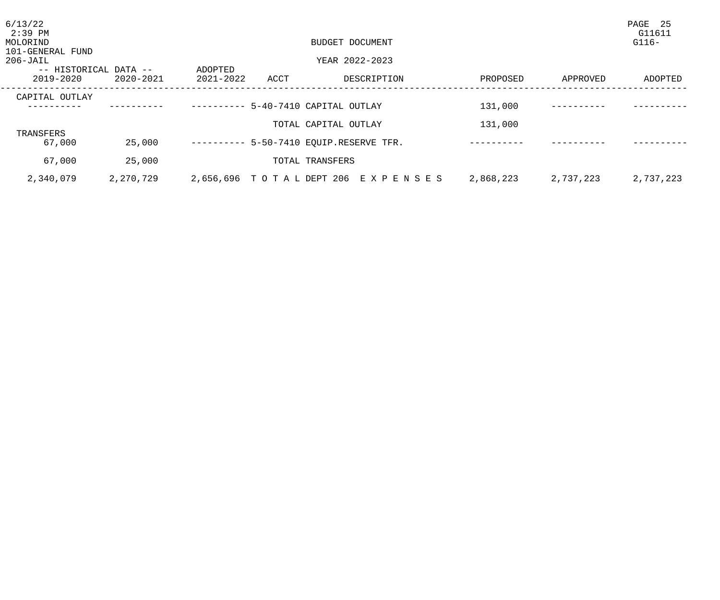| 6/13/22<br>2:39 PM<br>MOLORIND<br>101-GENERAL FUND |           | BUDGET DOCUMENT<br>YEAR 2022-2023 |      |                                                                 |           |           | PAGE<br>25<br>G11611<br>$G116-$ |  |
|----------------------------------------------------|-----------|-----------------------------------|------|-----------------------------------------------------------------|-----------|-----------|---------------------------------|--|
| $206 - JAIL$                                       |           |                                   |      |                                                                 |           |           |                                 |  |
| -- HISTORICAL DATA --<br>2019-2020                 | 2020-2021 | ADOPTED<br>2021-2022              | ACCT | DESCRIPTION                                                     | PROPOSED  | APPROVED  | ADOPTED                         |  |
| CAPITAL OUTLAY                                     |           |                                   |      | 5-40-7410 CAPITAL OUTLAY                                        | 131,000   |           |                                 |  |
| TRANSFERS<br>67,000                                | 25,000    |                                   |      | TOTAL CAPITAL OUTLAY<br>---------- 5-50-7410 EQUIP.RESERVE TFR. | 131,000   |           |                                 |  |
| 67,000                                             | 25,000    |                                   |      | TOTAL TRANSFERS                                                 |           |           |                                 |  |
| 2,340,079                                          | 2,270,729 | 2,656,696 TO TA L DEPT 206        |      | E X P E N S E S                                                 | 2,868,223 | 2,737,223 | 2,737,223                       |  |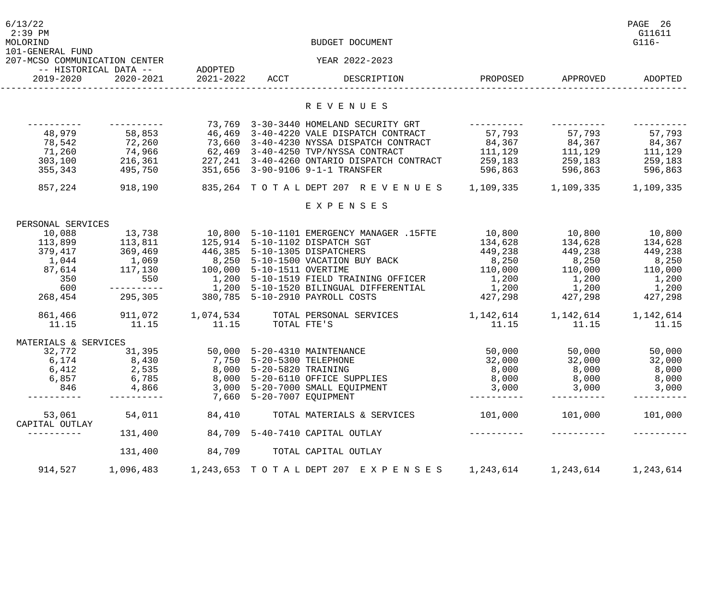| 6/13/22<br>$2:39$ PM<br>MOLORIND<br>101-GENERAL FUND |                                         | BUDGET DOCUMENT               |                           |                                                                                                |                      |                         |           |  |
|------------------------------------------------------|-----------------------------------------|-------------------------------|---------------------------|------------------------------------------------------------------------------------------------|----------------------|-------------------------|-----------|--|
| 207-MCSO COMMUNICATION CENTER                        |                                         |                               |                           | YEAR 2022-2023                                                                                 |                      |                         |           |  |
| -- HISTORICAL DATA --                                |                                         | ADOPTED                       |                           |                                                                                                |                      |                         |           |  |
| 2019-2020                                            | 2020-2021                               | 2021-2022 ACCT                |                           | DESCRIPTION                                                                                    |                      | PROPOSED APPROVED       | ADOPTED   |  |
|                                                      |                                         |                               |                           | R E V E N U E S                                                                                |                      |                         |           |  |
|                                                      |                                         |                               |                           | 73,769 3-30-3440 HOMELAND SECURITY GRT                                                         |                      |                         |           |  |
| 48,979                                               | ----------                              |                               |                           | 58,853 46,469 3-40-4220 VALE DISPATCH CONTRACT                                                 | 57,793               | 57,793                  | 57,793    |  |
|                                                      |                                         |                               |                           | 73,660 3-40-4230 NYSSA DISPATCH CONTRACT                                                       |                      |                         |           |  |
| 78,542                                               | 72,260                                  |                               |                           |                                                                                                | 84,367 84,367 84,367 |                         |           |  |
| 71,260                                               | 74,966                                  |                               |                           | 62,469 3-40-4250 TVP/NYSSA CONTRACT                                                            | 111,129 111,129      |                         | 111,129   |  |
| 303,100                                              | 216,361                                 |                               |                           | 227,241 3-40-4260 ONTARIO DISPATCH CONTRACT 259,183 259,183                                    |                      |                         | 259,183   |  |
| 355,343                                              | 495,750                                 |                               |                           | 351,656 3-90-9106 9-1-1 TRANSFER                                                               |                      | 596,863 596,863         | 596,863   |  |
| 857,224                                              |                                         |                               |                           | 918,190     835,264  T O T A L DEPT 207  R E V E N U E S   1,109,335    1,109,335    1,109,335 |                      |                         |           |  |
|                                                      |                                         |                               |                           | EXPENSES                                                                                       |                      |                         |           |  |
| PERSONAL SERVICES                                    |                                         |                               |                           |                                                                                                |                      |                         |           |  |
| 10,088                                               | 13,738                                  |                               |                           | 10,800  5-10-1101 EMERGENCY MANAGER .15FTE                                                     | 10,800               | 10,800 10,800           |           |  |
| 113,899                                              | 113,811                                 |                               |                           | 125,914 5-10-1102 DISPATCH SGT                                                                 | 134,628              | 134,628                 | 134,628   |  |
| 379,417                                              | 369,469                                 | 446,385 5-10-1305 DISPATCHERS |                           |                                                                                                | 449,238              | 449,238                 | 449,238   |  |
| 1,044                                                | 1,069                                   |                               |                           | 8,250 5-10-1500 VACATION BUY BACK                                                              | 8,250                | 8,250                   | 8,250     |  |
| 87,614                                               | 117,130                                 | 100,000 5-10-1511 OVERTIME    |                           |                                                                                                | 110,000              | 110,000                 | 110,000   |  |
| 350                                                  |                                         |                               |                           | 550 1,200 5-10-1519 FIELD TRAINING OFFICER                                                     | 1,200                | $1,200$ $1,200$         |           |  |
| 600                                                  | ----------                              |                               |                           | 1,200 5-10-1520 BILINGUAL DIFFERENTIAL                                                         | 1,200                | 1,200                   | 1,200     |  |
| 268,454                                              | 295,305 380,785 5-10-2910 PAYROLL COSTS |                               |                           |                                                                                                | 427,298 427,298      |                         | 427,298   |  |
| 861,466                                              | 911,072                                 |                               |                           | 1,074,534 TOTAL PERSONAL SERVICES                                                              | 1,142,614            | 1, 142, 614 1, 142, 614 |           |  |
| 11.15                                                | 11.15                                   | 11.15                         | TOTAL FTE'S               |                                                                                                | 11.15                | 11.15                   | 11.15     |  |
|                                                      |                                         |                               |                           |                                                                                                |                      |                         |           |  |
| MATERIALS & SERVICES                                 |                                         |                               |                           |                                                                                                |                      |                         |           |  |
| 32,772                                               | 31,395                                  |                               |                           | 50,000 5-20-4310 MAINTENANCE                                                                   | 50,000               | 50,000                  | 50,000    |  |
| 6,174                                                | 8,430                                   |                               | 7,750 5-20-5300 TELEPHONE |                                                                                                | 32,000               | 32,000                  | 32,000    |  |
| 6,412                                                | 2,535                                   |                               | 8,000 5-20-5820 TRAINING  |                                                                                                | 8,000                | 8,000                   | 8,000     |  |
| 6,857                                                | 6,785                                   |                               |                           | 8,000 5-20-6110 OFFICE SUPPLIES                                                                | 8,000                | 8,000                   | 8,000     |  |
| 846                                                  | 4,866                                   |                               |                           | 3,000 5-20-7000 SMALL EQUIPMENT                                                                | 3,000                | 3,000                   | 3,000     |  |
| $- - - - - - - -$                                    |                                         |                               | 7,660 5-20-7007 EQUIPMENT |                                                                                                | ----------           |                         |           |  |
| 53,061                                               | 54,011                                  | 84,410                        |                           | TOTAL MATERIALS & SERVICES                                                                     | 101,000              | 101,000                 | 101,000   |  |
| CAPITAL OUTLAY<br>----------                         | 131,400                                 |                               |                           | 84,709 5-40-7410 CAPITAL OUTLAY                                                                |                      |                         |           |  |
|                                                      | 131,400                                 | 84,709                        |                           | TOTAL CAPITAL OUTLAY                                                                           |                      |                         |           |  |
| 914,527                                              | 1,096,483                               |                               |                           | 1,243,653 TOTAL DEPT 207 EXPENSES                                                              | 1,243,614            | 1,243,614               | 1,243,614 |  |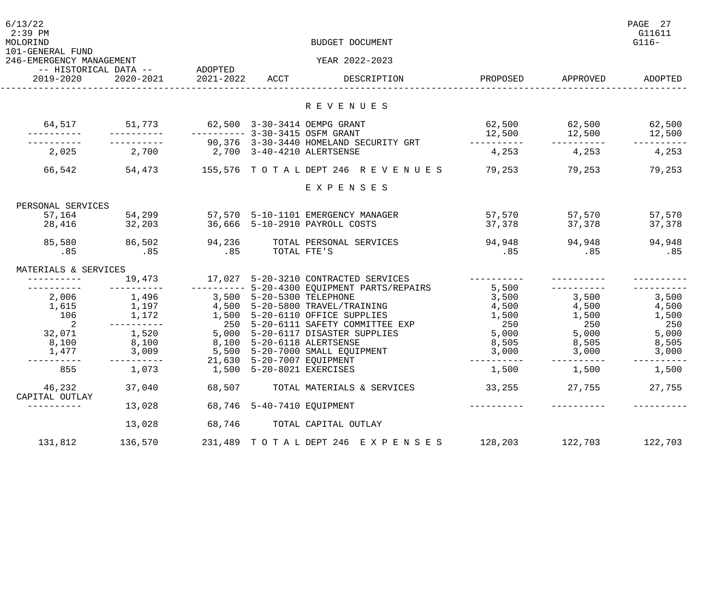| 6/13/22<br>$2:39$ PM<br>MOLORIND<br>101-GENERAL FUND |                                            | BUDGET DOCUMENT              |                            |                                                                           |                      |          |         |
|------------------------------------------------------|--------------------------------------------|------------------------------|----------------------------|---------------------------------------------------------------------------|----------------------|----------|---------|
| 246-EMERGENCY MANAGEMENT                             |                                            |                              |                            | YEAR 2022-2023                                                            |                      |          |         |
| 2019-2020                                            | -- HISTORICAL DATA -- ADOPTED<br>2020-2021 | 2021-2022 ACCT               |                            | DESCRIPTION                                                               | PROPOSED             | APPROVED | ADOPTED |
|                                                      |                                            |                              |                            | R E V E N U E S                                                           |                      |          |         |
|                                                      | $64,517$ $51,773$                          | 62,500 3-30-3414 OEMPG GRANT |                            |                                                                           | 62,500 62,500 62,500 |          |         |
|                                                      |                                            |                              |                            | ---------- 3-30-3415 OSFM GRANT<br>90,376 3-30-3440 HOMELAND SECURITY GRT | 12,500               | 12,500   | 12,500  |
| 2,025                                                | 2,700                                      |                              |                            | 2,700 3-40-4210 ALERTSENSE                                                | 4,253                | 4,253    | 4,253   |
| 66,542                                               | 54,473                                     |                              |                            | 155,576 TOTALDEPT 246 REVENUES 79,253                                     |                      | 79,253   | 79,253  |
|                                                      |                                            |                              |                            | EXPENSES                                                                  |                      |          |         |
| PERSONAL SERVICES                                    |                                            |                              |                            |                                                                           |                      |          |         |
| 57,164                                               | 54,299                                     |                              |                            | 57,570    5-10-1101 EMERGENCY MANAGER                                     | 57,570               | 57,570   | 57,570  |
| 28,416                                               | 32,203                                     |                              |                            | 36,666 5-10-2910 PAYROLL COSTS                                            | 37,378               | 37,378   | 37,378  |
| 85,580                                               | 86,502                                     | 94,236                       |                            | TOTAL PERSONAL SERVICES                                                   | 94,948               | 94,948   | 94,948  |
| .85                                                  | .85                                        | .85                          | TOTAL FTE'S                |                                                                           | .85                  | .85      | .85     |
| MATERIALS & SERVICES                                 |                                            |                              |                            |                                                                           |                      |          |         |
|                                                      | 19,473                                     |                              |                            | 17,027 5-20-3210 CONTRACTED SERVICES                                      |                      |          |         |
|                                                      |                                            |                              |                            | ---------- 5-20-4300 EQUIPMENT PARTS/REPAIRS                              | 5,500                |          |         |
| 2,006                                                | 1,496                                      | 3,500 5-20-5300 TELEPHONE    |                            |                                                                           | 3,500                | 3,500    | 3,500   |
| 1,615                                                | 1,197                                      |                              |                            | 4,500 5-20-5800 TRAVEL/TRAINING                                           | 4,500                | 4,500    | 4,500   |
| 106                                                  | 1,172                                      |                              |                            | 1,500 5-20-6110 OFFICE SUPPLIES                                           | 1,500                | 1,500    | 1,500   |
| 2                                                    | $- - - - - - - - - -$                      |                              |                            | 250 5-20-6111 SAFETY COMMITTEE EXP                                        | 250                  | 250      | 250     |
| 32,071                                               | 1,520                                      |                              |                            | 5,000 5-20-6117 DISASTER SUPPLIES<br>8,100 5-20-6118 ALERTSENSE           | 5,000                | 5,000    | 5,000   |
| 8,100                                                | 8,100                                      |                              |                            |                                                                           | 8,505                | 8,505    | 8,505   |
| 1,477                                                | 3,009<br>---------                         |                              |                            | 5,500 5-20-7000 SMALL EQUIPMENT<br>21,630 5-20-7007 EQUIPMENT             | 3,000                | 3,000    | 3,000   |
| 855                                                  | 1,073                                      |                              | 1,500 5-20-8021 EXERCISES  |                                                                           | 1,500                | 1,500    | 1,500   |
| 46,232                                               | 37,040                                     | 68,507                       |                            | TOTAL MATERIALS & SERVICES                                                | 33,255               | 27,755   | 27,755  |
| CAPITAL OUTLAY                                       | 13,028                                     |                              | 68,746 5-40-7410 EQUIPMENT |                                                                           |                      |          |         |
|                                                      | 13,028                                     | 68,746                       |                            | TOTAL CAPITAL OUTLAY                                                      |                      |          |         |
| 131,812                                              | 136,570                                    |                              |                            | 231, 489 TOTAL DEPT 246 EXPENSES                                          | 128,203              | 122,703  | 122,703 |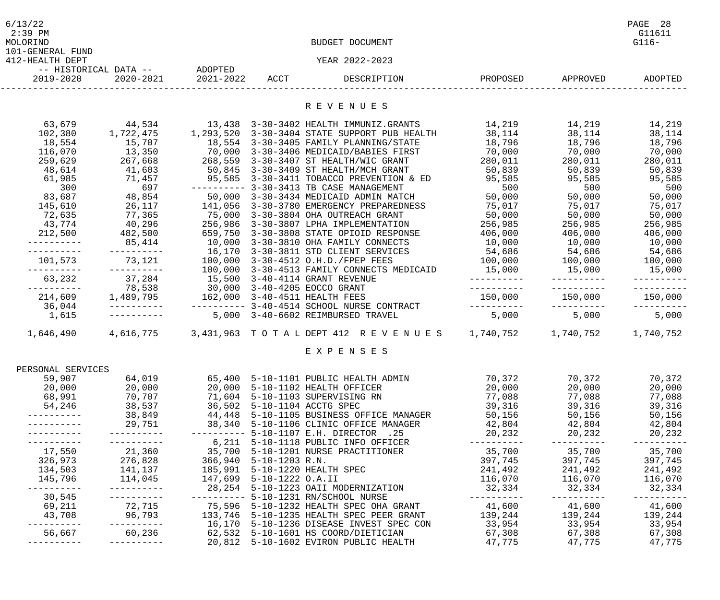| 6/13/22<br>$2:39$ PM<br>MOLORIND |                                            |                               | BUDGET DOCUMENT                                                                                                                                                                                                                          |                                                                                         |                   | PAGE 28<br>G11611<br>$G116-$ |
|----------------------------------|--------------------------------------------|-------------------------------|------------------------------------------------------------------------------------------------------------------------------------------------------------------------------------------------------------------------------------------|-----------------------------------------------------------------------------------------|-------------------|------------------------------|
| 101-GENERAL FUND                 |                                            |                               |                                                                                                                                                                                                                                          |                                                                                         |                   |                              |
| 412-HEALTH DEPT                  |                                            |                               | YEAR 2022-2023                                                                                                                                                                                                                           |                                                                                         |                   |                              |
| 2019-2020                        | -- HISTORICAL DATA -- ADOPTED<br>2020-2021 | 2021-2022 ACCT                | DESCRIPTION                                                                                                                                                                                                                              |                                                                                         | PROPOSED APPROVED | ADOPTED                      |
|                                  |                                            |                               | R E V E N U E S                                                                                                                                                                                                                          |                                                                                         |                   |                              |
|                                  |                                            |                               |                                                                                                                                                                                                                                          |                                                                                         |                   |                              |
| 63,679                           | 44,534                                     |                               | 13,438 3-30-3402 HEALTH IMMUNIZ.GRANTS                                                                                                                                                                                                   | 14,219                                                                                  | 14,219            | 14,219                       |
| 102,380                          | 1,722,475                                  |                               | 1,293,520 3-30-3404 STATE SUPPORT PUB HEALTH                                                                                                                                                                                             | 38,114                                                                                  | 38,114            | 38,114                       |
| 18,554                           | 15,707                                     |                               | 18,554 3-30-3405 FAMILY PLANNING/STATE                                                                                                                                                                                                   | 18,796                                                                                  | 18,796            | 18,796                       |
| 116,070                          | 13,350                                     |                               | 70,000 3-30-3406 MEDICAID/BABIES FIRST                                                                                                                                                                                                   | 70,000                                                                                  | 70,000            | 70,000                       |
| 259,629                          | 267,668                                    |                               | 268,559 3-30-3407 ST HEALTH/WIC GRANT                                                                                                                                                                                                    | 280,011                                                                                 | 280,011           | 280,011                      |
| 48,614                           | 41,603                                     |                               | 50,845 3-30-3409 ST HEALTH/MCH GRANT                                                                                                                                                                                                     | 50,839                                                                                  | 50,839            | 50,839                       |
| 61,985<br>300                    | 71,457<br>697                              |                               | 95,585 3-30-3411 TOBACCO PREVENTION & ED                                                                                                                                                                                                 | 95,585                                                                                  | 95,585            | 95,585                       |
| 83,687                           | 48,854                                     |                               | ---------- 3-30-3413 TB CASE MANAGEMENT<br>50,000 3-30-3434 MEDICAID ADMIN MATCH                                                                                                                                                         | 500<br>500<br>50,000<br>50,000                                                          | 500<br>50,000     | 500                          |
| 145,610                          |                                            |                               | 141,056 3-30-3780 EMERGENCY PREPAREDNESS                                                                                                                                                                                                 |                                                                                         |                   | 50,000<br>75,017             |
| 72,635                           | 26,117                                     |                               | 77,365 75,000 3-30-3804 OHA OUTREACH GRANT<br>40,296 256,986 3-30-3807 LPHA IMPLEMENTATION<br>482,500 659,750 3-30-3808 STATE OPIOID RESPONS<br>85,414 10,000 3-30-3810 OHA FAMILY CONNECTS                                              | 75,017<br>50,000                                                                        | 75,017<br>50,000  | 50,000                       |
| 43,774                           |                                            |                               |                                                                                                                                                                                                                                          | 256,985                                                                                 | 256,985           | 256,985                      |
| 212,500                          |                                            |                               | 659,750 3-30-3808 STATE OPIOID RESPONSE                                                                                                                                                                                                  | 406,000                                                                                 |                   | 406,000                      |
|                                  |                                            |                               | 2.1.1 UPIOID RESPON<br>------- 16,170 3-30-3810 OHA FAMILY CONNECTS<br>73,121 100,000 3-30-4512 O.H.D./FPEP FFFC<br>37,284                                                                                                               | 10,000                                                                                  | 406,000<br>10,000 | 10,000                       |
|                                  |                                            |                               |                                                                                                                                                                                                                                          | 54,686                                                                                  |                   | 54,686                       |
| 101,573                          |                                            |                               |                                                                                                                                                                                                                                          | 100,000                                                                                 | 54,686<br>100,000 | 100,000                      |
|                                  |                                            |                               | 100,000 3-30-4513 FAMILY CONNECTS MEDICAID                                                                                                                                                                                               | 15,000                                                                                  | 15,000            | 15,000                       |
| 63,232                           | 37,284                                     |                               | 15,500 3-40-4114 GRANT REVENUE                                                                                                                                                                                                           |                                                                                         |                   |                              |
|                                  | 78,538                                     |                               | 30,000 3-40-4205 EOCCO GRANT                                                                                                                                                                                                             |                                                                                         |                   |                              |
| 214,609                          | 1,489,795                                  | 162,000 3-40-4511 HEALTH FEES |                                                                                                                                                                                                                                          | 150,000                                                                                 | 150,000           | 150,000                      |
| 36,044                           |                                            |                               | ---------  3-40-4514 SCHOOL NURSE CONTRACT                                                                                                                                                                                               | __________                                                                              |                   |                              |
| 1,615                            |                                            |                               | 5,000 3-40-6602 REIMBURSED TRAVEL                                                                                                                                                                                                        | 5,000                                                                                   | 5,000             | 5,000                        |
|                                  |                                            |                               | 1,646,490 4,616,775 3,431,963 TOTALDEPT 412 REVENUES 1,740,752 1,740,752 1,740,752                                                                                                                                                       |                                                                                         |                   |                              |
|                                  |                                            |                               | EXPENSES                                                                                                                                                                                                                                 |                                                                                         |                   |                              |
|                                  |                                            |                               |                                                                                                                                                                                                                                          |                                                                                         |                   |                              |
| PERSONAL SERVICES<br>59,907      | 64,019                                     |                               | 65,400 5-10-1101 PUBLIC HEALTH ADMIN                                                                                                                                                                                                     | 70,372                                                                                  | 70,372            | 70,372                       |
| 20,000                           | 20,000                                     |                               |                                                                                                                                                                                                                                          | 20,000                                                                                  | 20,000            | 20,000                       |
| 68,991                           |                                            |                               |                                                                                                                                                                                                                                          | 77,088                                                                                  | 77,088            | 77,088                       |
| 54,246                           | $70, 707$<br>$38, 537$                     |                               | 20,000 20,000 5-10-1102 HEALTH OFFICER<br>70,707 71,604 5-10-1103 SUPERVISING RN<br>38,537 36,502 5-10-1104 ACCTG SPEC<br>38,849 44,448 5-10-1105 BUSINESS OFFICE MANAGER<br>29,751 38,340 5-10-1106 CLINIC OFFICE MANAGER<br>---------- | 39,316                                                                                  | 39,316            | 39,316                       |
|                                  |                                            |                               |                                                                                                                                                                                                                                          | 50,156                                                                                  | 50,156            | 50,156                       |
|                                  |                                            |                               |                                                                                                                                                                                                                                          | 50,156<br>42,804                                                                        |                   | 42,804 42,804                |
|                                  |                                            |                               |                                                                                                                                                                                                                                          | 20,232                                                                                  | 20,232            | 20,232                       |
| $- - - - - - - - - -$            |                                            |                               |                                                                                                                                                                                                                                          |                                                                                         | -----------       | -----------                  |
|                                  |                                            |                               |                                                                                                                                                                                                                                          |                                                                                         |                   | 35,700                       |
|                                  |                                            |                               |                                                                                                                                                                                                                                          |                                                                                         |                   | 397,745                      |
|                                  |                                            |                               |                                                                                                                                                                                                                                          | 35,700 35,700<br>397,745 397,745<br>241,492 241,492<br>116,070 116,070<br>32.334 30.000 |                   | 241,492                      |
|                                  |                                            |                               |                                                                                                                                                                                                                                          |                                                                                         |                   | 116,070                      |
| ----------                       | -----------                                |                               | 28, 254 5-10-1223 OAII MODERNIZATION                                                                                                                                                                                                     | 32,334                                                                                  | 32,334            | 32,334                       |
| 30,545                           |                                            |                               | --------- 5-10-1231 RN/SCHOOL NURSE                                                                                                                                                                                                      |                                                                                         |                   | -----------                  |
| 69,211                           |                                            |                               |                                                                                                                                                                                                                                          |                                                                                         |                   | 41,600                       |
| 43,708                           |                                            |                               |                                                                                                                                                                                                                                          |                                                                                         |                   | 139,244                      |
|                                  |                                            |                               | ---------- 16,170 5-10-1236 DISEASE INVEST SPEC CON<br>60,236 62,532 5-10-1601 HS COORD/DIETICIAN                                                                                                                                        | 33,954                                                                                  | 33,954            | 33,954                       |
| 56,667                           |                                            |                               |                                                                                                                                                                                                                                          | 67,308                                                                                  | 67,308 67,308     |                              |
|                                  |                                            |                               | 20,812 5-10-1602 EVIRON PUBLIC HEALTH                                                                                                                                                                                                    | 47,775                                                                                  | 47,775            | 47,775                       |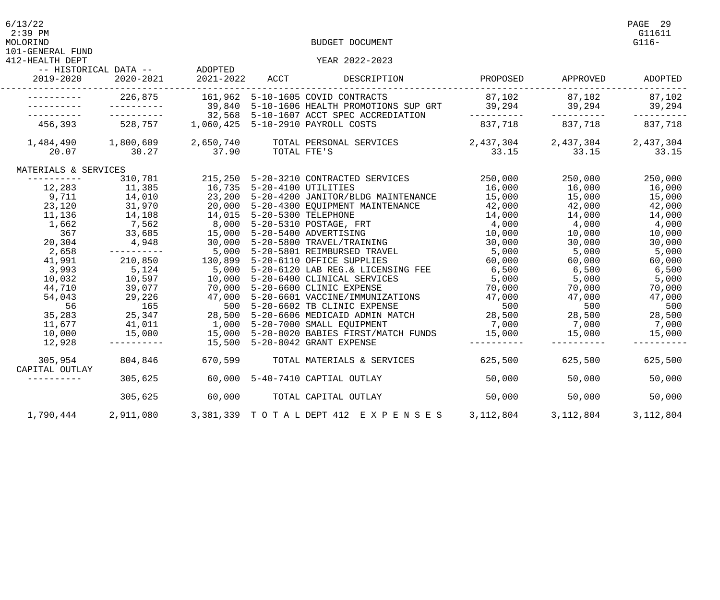| 6/13/22<br>the contract of the contract of the contract of the contract of the contract of the contract of the contract of | PAGE 29 |
|----------------------------------------------------------------------------------------------------------------------------|---------|
| $2 \cdot 20$ DM                                                                                                            | C11C11  |

412-HEALTH DEPT YEAR 2022-2023

|                      | -- HISTORICAL DATA -- ADOPTED                                                                                                                           |                   |                                                                                                                                                                                                                                                                                            |                                                                                                                                                                                 |                         |                   |
|----------------------|---------------------------------------------------------------------------------------------------------------------------------------------------------|-------------------|--------------------------------------------------------------------------------------------------------------------------------------------------------------------------------------------------------------------------------------------------------------------------------------------|---------------------------------------------------------------------------------------------------------------------------------------------------------------------------------|-------------------------|-------------------|
| 2019-2020            | 2020-2021                                                                                                                                               | 2021-2022 ACCT    | DESCRIPTION                                                                                                                                                                                                                                                                                | PROPOSED                                                                                                                                                                        | APPROVED                | ADOPTED           |
|                      |                                                                                                                                                         |                   | 226,875 161,962 5-10-1605 COVID CONTRACTS                                                                                                                                                                                                                                                  | $87,102$ $87,102$ $87,102$ $87,102$                                                                                                                                             |                         |                   |
|                      | __________                                                                                                                                              |                   | 39,840 5-10-1606 HEALTH PROMOTIONS SUP GRT 39,294 39,294 39,294 39,294                                                                                                                                                                                                                     |                                                                                                                                                                                 |                         |                   |
|                      |                                                                                                                                                         |                   | 32,568 5-10-1607 ACCT SPEC ACCREDIATION                                                                                                                                                                                                                                                    | -----------                                                                                                                                                                     | -----------             | -----------       |
|                      | 456,393 528,757 1,060,425 5-10-2910 PAYROLL COSTS                                                                                                       |                   |                                                                                                                                                                                                                                                                                            |                                                                                                                                                                                 | 837,718 837,718 837,718 |                   |
|                      |                                                                                                                                                         |                   | 1,484,490 1,800,609 2,650,740 TOTAL PERSONAL SERVICES 2,437,304 2,437,304 2,437,304                                                                                                                                                                                                        |                                                                                                                                                                                 |                         |                   |
|                      | 20.07 30.27                                                                                                                                             | 37.90 TOTAL FTE'S |                                                                                                                                                                                                                                                                                            |                                                                                                                                                                                 | 33.15 33.15             | 33.15             |
| MATERIALS & SERVICES |                                                                                                                                                         |                   |                                                                                                                                                                                                                                                                                            |                                                                                                                                                                                 |                         |                   |
| -----------          | 310,781                                                                                                                                                 |                   | 210 000 250,000 250,000 250,000 250,000<br>16,735 5-20-4100 UTILITIES 16,000 16,000<br>23,200 5-20-4200 JANITOR/BLDG MAINTENANCE 15,000 15,000<br>20,000 5-20-4300 EQUIPMENT MAINTENANCE 42,000 42,000<br>14,015 5-20-5300 TELEPHONE 1                                                     |                                                                                                                                                                                 |                         | 250,000           |
|                      | $\begin{array}{cccc} - & - & - & - & - \\ 12,283 & & 11,385 \\ 9,711 & & 14,010 \\ 23,120 & & 31,970 \\ 11,136 & & 14,108 \\ 1 & 662 & & 1 \end{array}$ |                   |                                                                                                                                                                                                                                                                                            |                                                                                                                                                                                 |                         | 16,000            |
|                      |                                                                                                                                                         |                   |                                                                                                                                                                                                                                                                                            |                                                                                                                                                                                 |                         | 15,000            |
|                      |                                                                                                                                                         |                   |                                                                                                                                                                                                                                                                                            |                                                                                                                                                                                 |                         | $42,000$ $42,000$ |
|                      |                                                                                                                                                         |                   |                                                                                                                                                                                                                                                                                            |                                                                                                                                                                                 | $14,000$ $14,000$       |                   |
| 1,662                | 7,562                                                                                                                                                   |                   | 8,000 5-20-5310 POSTAGE, FRT                                                                                                                                                                                                                                                               |                                                                                                                                                                                 | $4,000$ $4,000$ $4,000$ |                   |
| 367                  |                                                                                                                                                         |                   | 33,685 15,000 5-20-5400 ADVERTISING                                                                                                                                                                                                                                                        |                                                                                                                                                                                 |                         |                   |
| 20,304               |                                                                                                                                                         |                   |                                                                                                                                                                                                                                                                                            |                                                                                                                                                                                 | 30,000 30,000           |                   |
| 2,658                |                                                                                                                                                         |                   | ----------      5,000 5-20-5801 REIMBURSED TRAVEL          5,000      5,000      5,000                                                                                                                                                                                                     |                                                                                                                                                                                 |                         |                   |
| 41,991               |                                                                                                                                                         |                   | 210,850 130,899 5-20-6110 OFFICE SUPPLIES                                                                                                                                                                                                                                                  | 60,000                                                                                                                                                                          | $60,000$ 60,000         |                   |
| 3,993                |                                                                                                                                                         |                   | 5,124 5,000 5-20-6110 OFFICE SOPPINES<br>5,124 5,000 5-20-6120 LAB REG.& LICENS<br>39,077 70,000 5-20-6600 CLINICAL SERVICE<br>29,226 47,000 5-20-6601 VACCINE/IMMUNIZA<br>165 500 5-20-6602 TB CLINIC EXPENS<br>25,347 28,500 5-20-6606<br>5,000 5-20-6120 LAB REG. & LICENSING FEE 6,500 |                                                                                                                                                                                 | 6,500 6,500             |                   |
| 10,032               |                                                                                                                                                         |                   | 10,000 5-20-6400 CLINICAL SERVICES<br>70,000 5-20-6600 CLINIC EXPENSE<br>47,000 5-20-6601 VACCINE/IMMUNIZATIONS<br>500 5-20-6602 TB CLINIC EXPENSE<br>28,500 5-20-6606 MEDICAID ADMIN MATCH<br>1,000 5-20-7000 SMALL EQUIPMENT                                                             | $5,000$<br>$70,000$<br>$\begin{array}{cccc} 5,000 & 5,000 & 5,000 & 5,000 \ 70,000 & 70,000 & 70,000 \ 47,000 & 47,000 & 47,000 \ 500 & 28,500 & 28,500 & 28,500 \ \end{array}$ |                         |                   |
| 44,710               |                                                                                                                                                         |                   |                                                                                                                                                                                                                                                                                            |                                                                                                                                                                                 |                         |                   |
| 54,043               |                                                                                                                                                         |                   |                                                                                                                                                                                                                                                                                            |                                                                                                                                                                                 |                         |                   |
| 56                   |                                                                                                                                                         |                   |                                                                                                                                                                                                                                                                                            |                                                                                                                                                                                 |                         |                   |
| 35,283               |                                                                                                                                                         |                   |                                                                                                                                                                                                                                                                                            |                                                                                                                                                                                 |                         |                   |
| 11,677               |                                                                                                                                                         |                   |                                                                                                                                                                                                                                                                                            |                                                                                                                                                                                 | $\frac{1}{7},000$ 7,000 | 7,000             |
| 10,000               |                                                                                                                                                         |                   | 15,000   15,000   5-20-8020 BABIES FIRST/MATCH FUNDS   15,000   15,000                                                                                                                                                                                                                     |                                                                                                                                                                                 |                         | 15,000            |
| 12,928               | ___________                                                                                                                                             |                   | 15,500 5-20-8042 GRANT EXPENSE                                                                                                                                                                                                                                                             |                                                                                                                                                                                 |                         |                   |
| 305,954              |                                                                                                                                                         |                   | 804,846     670,599    TOTAL MATERIALS & SERVICES       625,500     625,500                                                                                                                                                                                                                |                                                                                                                                                                                 |                         | 625,500           |
| CAPITAL OUTLAY       |                                                                                                                                                         |                   |                                                                                                                                                                                                                                                                                            |                                                                                                                                                                                 |                         |                   |
|                      | 305,625                                                                                                                                                 |                   | 60,000 5-40-7410 CAPTIAL OUTLAY                                                                                                                                                                                                                                                            | 50,000                                                                                                                                                                          | 50,000                  | 50,000            |
|                      | 305,625                                                                                                                                                 |                   | 60,000 TOTAL CAPITAL OUTLAY                                                                                                                                                                                                                                                                | 50,000                                                                                                                                                                          | 50,000                  | 50,000            |
|                      |                                                                                                                                                         |                   |                                                                                                                                                                                                                                                                                            |                                                                                                                                                                                 |                         |                   |
|                      |                                                                                                                                                         |                   | 1,790,444 2,911,080 3,381,339 TOTAL DEPT 412 EXPENSES 3,112,804                                                                                                                                                                                                                            |                                                                                                                                                                                 | 3,112,804               | 3, 112, 804       |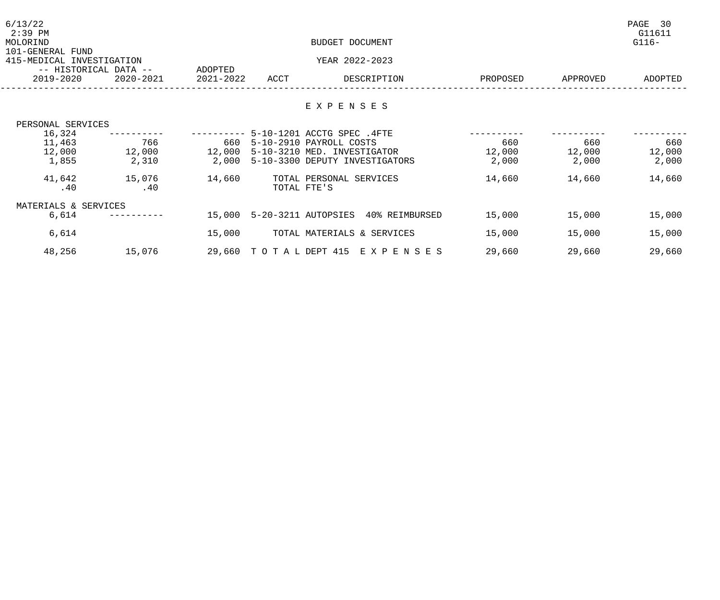| 6/13/22<br>$2:39$ PM<br>MOLORIND<br>101-GENERAL FUND |                                    |                      | BUDGET DOCUMENT |                                                                     |          |          |         |
|------------------------------------------------------|------------------------------------|----------------------|-----------------|---------------------------------------------------------------------|----------|----------|---------|
| 415-MEDICAL INVESTIGATION                            |                                    |                      |                 | YEAR 2022-2023                                                      |          |          |         |
| 2019-2020                                            | -- HISTORICAL DATA --<br>2020-2021 | ADOPTED<br>2021-2022 | ACCT            | DESCRIPTION                                                         | PROPOSED | APPROVED | ADOPTED |
|                                                      |                                    |                      |                 | EXPENSES                                                            |          |          |         |
| PERSONAL SERVICES                                    |                                    |                      |                 |                                                                     |          |          |         |
| 16,324<br>11,463                                     | 766                                |                      |                 | --------- 5-10-1201 ACCTG SPEC .4FTE<br>660 5-10-2910 PAYROLL COSTS | 660      | 660      | 660     |
| 12,000                                               | 12,000                             | 12,000               |                 | 5-10-3210 MED. INVESTIGATOR                                         | 12,000   | 12,000   | 12,000  |
| 1,855                                                | 2,310                              | 2,000                |                 | 5-10-3300 DEPUTY INVESTIGATORS                                      | 2,000    | 2,000    | 2,000   |
| 41,642                                               | 15,076                             | 14,660               |                 | TOTAL PERSONAL SERVICES                                             | 14,660   | 14,660   | 14,660  |
| .40                                                  | .40                                |                      | TOTAL FTE'S     |                                                                     |          |          |         |
| MATERIALS & SERVICES                                 |                                    |                      |                 |                                                                     |          |          |         |
| 6,614                                                |                                    | 15,000               |                 | 5-20-3211 AUTOPSIES 40% REIMBURSED                                  | 15,000   | 15,000   | 15,000  |
| 6,614                                                |                                    | 15,000               |                 | TOTAL MATERIALS & SERVICES                                          | 15,000   | 15,000   | 15,000  |
| 48,256                                               | 15,076                             |                      |                 | 29,660 TOTAL DEPT 415 EXPENSES                                      | 29,660   | 29,660   | 29,660  |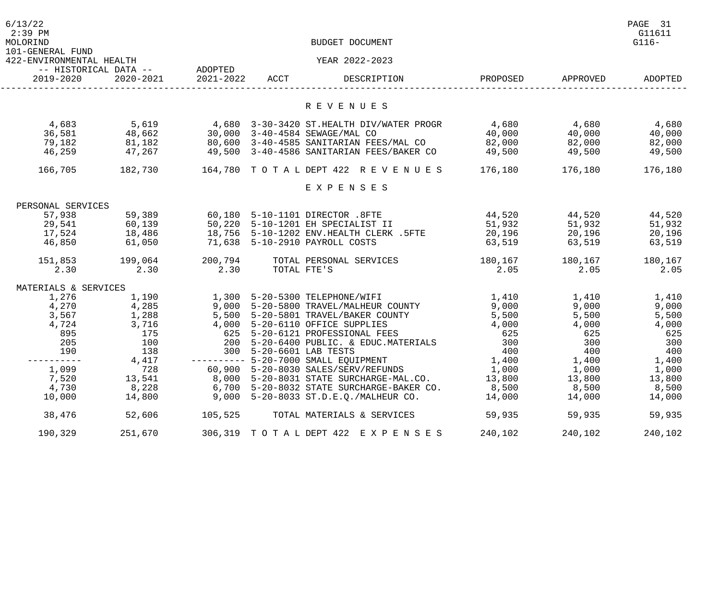| 6/13/22<br>$2:39$ PM<br>MOLORIND<br>101-GENERAL FUND |                                                 | BUDGET DOCUMENT |                         |                                                                                                                                                                                                                                                                 |                                                                                                        |          |                                     |
|------------------------------------------------------|-------------------------------------------------|-----------------|-------------------------|-----------------------------------------------------------------------------------------------------------------------------------------------------------------------------------------------------------------------------------------------------------------|--------------------------------------------------------------------------------------------------------|----------|-------------------------------------|
| 422-ENVIRONMENTAL HEALTH                             | -- HISTORICAL DATA -- ADOPTED                   |                 |                         | YEAR 2022-2023                                                                                                                                                                                                                                                  |                                                                                                        |          |                                     |
| 2019-2020                                            | 2020-2021                                       | 2021-2022 ACCT  |                         | DESCRIPTION                                                                                                                                                                                                                                                     | PROPOSED                                                                                               | APPROVED | ADOPTED                             |
|                                                      |                                                 |                 |                         | R E V E N U E S                                                                                                                                                                                                                                                 |                                                                                                        |          |                                     |
| 4,683<br>36,581<br>79,182<br>46,259                  | 5,619<br>48,662<br>81,182<br>47,267             |                 |                         | 4,680 3-30-3420 ST.HEALTH DIV/WATER PROGR<br>30,000 3-40-4584 SEWAGE/MAL CO<br>80,600 3-40-4585 SANITARIAN FEES/MAL CO<br>90,000 5 10 1501 SEMAGE/FALE CO<br>80,600 3-40-4585 SANITARIAN FEES/MAL CO 82,000<br>49,500 3-40-4586 SANITARIAN FEES/BAKER CO 49,500 | $4,680$ $4,680$<br>$\begin{array}{cccc} 4,680 \\ 40,000 \\ 82,000 \\ 600 \\ 100 \\ 49,500 \end{array}$ |          | 4,680<br>40,000<br>82,000<br>49,500 |
| 166,705                                              |                                                 |                 |                         | 182,730     164,780  T O T A L DEPT 422  R E V E N U E S     176,180     176,180                                                                                                                                                                                |                                                                                                        |          | 176,180                             |
|                                                      |                                                 |                 |                         | EXPENSES                                                                                                                                                                                                                                                        |                                                                                                        |          |                                     |
| PERSONAL SERVICES                                    |                                                 |                 |                         |                                                                                                                                                                                                                                                                 |                                                                                                        |          |                                     |
| 57,938                                               | 59,389                                          |                 |                         | 60,180 5-10-1101 DIRECTOR .8FTE                                                                                                                                                                                                                                 | 44,520                                                                                                 |          | 44,520 44,520                       |
|                                                      |                                                 |                 |                         | 50,220 5-10-1201 EH SPECIALIST II<br>18,756 5-10-1202 ENV.HEALTH CLERK                                                                                                                                                                                          | 51,932                                                                                                 | 51,932   | 51,932                              |
|                                                      |                                                 |                 |                         | 18,756 5-10-1202 ENV. HEALTH CLERK . 5FTE                                                                                                                                                                                                                       | 20,196                                                                                                 | 20,196   | 20,196                              |
|                                                      | 29,541 60,139<br>17,524 18,486<br>46,850 61,050 |                 |                         | 71,638 5-10-2910 PAYROLL COSTS                                                                                                                                                                                                                                  | 63,519                                                                                                 | 63,519   | 63,519                              |
|                                                      | 151,853 199,064                                 | 200,794         |                         | TOTAL PERSONAL SERVICES                                                                                                                                                                                                                                         | 180,167                                                                                                | 180,167  | 180,167                             |
| 2.30                                                 | 2.30                                            | 2.30            | TOTAL FTE'S             |                                                                                                                                                                                                                                                                 | 2.05                                                                                                   | 2.05     | 2.05                                |
| MATERIALS & SERVICES                                 |                                                 |                 |                         |                                                                                                                                                                                                                                                                 |                                                                                                        |          |                                     |
| 1,276                                                | 1,190                                           |                 |                         | 1,300 5-20-5300 TELEPHONE/WIFI                                                                                                                                                                                                                                  | 1,410                                                                                                  | 1,410    | 1,410                               |
| $\frac{4}{3}, \frac{270}{567}$                       | $\frac{4}{1}$ , 285                             |                 |                         | 9,000 5-20-5800 TRAVEL/MALHEUR COUNTY                                                                                                                                                                                                                           | 9,000<br>5,500                                                                                         | 9,000    | 9,000                               |
|                                                      | 1,288                                           |                 |                         | 5,500 5-20-5801 TRAVEL/BAKER COUNTY                                                                                                                                                                                                                             |                                                                                                        | 5,500    | 5,500                               |
| 4,724                                                | 3,716                                           |                 |                         | 4,000 5-20-6110 OFFICE SUPPLIES                                                                                                                                                                                                                                 | 4,000                                                                                                  | 4,000    | 4,000                               |
| 895                                                  | 175                                             |                 |                         | 625 5-20-6121 PROFESSIONAL FEES                                                                                                                                                                                                                                 | 625                                                                                                    | 625      | 625                                 |
| 205                                                  | 100                                             |                 |                         | 200 5-20-6400 PUBLIC. & EDUC.MATERIALS                                                                                                                                                                                                                          | 300                                                                                                    | 300      | 300                                 |
| 190                                                  | 138                                             |                 | 300 5-20-6601 LAB TESTS |                                                                                                                                                                                                                                                                 | 400                                                                                                    | 400      | 400                                 |
|                                                      | 4,417                                           |                 |                         | ---------- 5-20-7000 SMALL EQUIPMENT                                                                                                                                                                                                                            | 1,400                                                                                                  | 1,400    | 1,400                               |
| 1,099                                                | 728                                             |                 |                         | 60,900 5-20-8030 SALES/SERV/REFUNDS                                                                                                                                                                                                                             | 1,000                                                                                                  | 1,000    | 1,000                               |
| 7,520                                                | 13,541                                          |                 |                         | 8,000 5-20-8031 STATE SURCHARGE-MAL.CO.                                                                                                                                                                                                                         | 13,800                                                                                                 | 13,800   | 13,800                              |
| 4,730                                                | 8,228                                           |                 |                         | 6,700 5-20-8032 STATE SURCHARGE-BAKER CO.                                                                                                                                                                                                                       | 8,500                                                                                                  | 8,500    | 8,500                               |
| 10,000                                               | 14,800                                          |                 |                         | 9,000 5-20-8033 ST.D.E.Q./MALHEUR CO.                                                                                                                                                                                                                           | 14,000                                                                                                 | 14,000   | 14,000                              |
| 38,476                                               | 52,606                                          | 105,525         |                         | TOTAL MATERIALS & SERVICES                                                                                                                                                                                                                                      | 59,935                                                                                                 | 59,935   | 59,935                              |
| 190,329                                              | 251,670                                         |                 |                         | 306, 319 TOTAL DEPT 422 EXPENSES                                                                                                                                                                                                                                | 240,102                                                                                                | 240,102  | 240,102                             |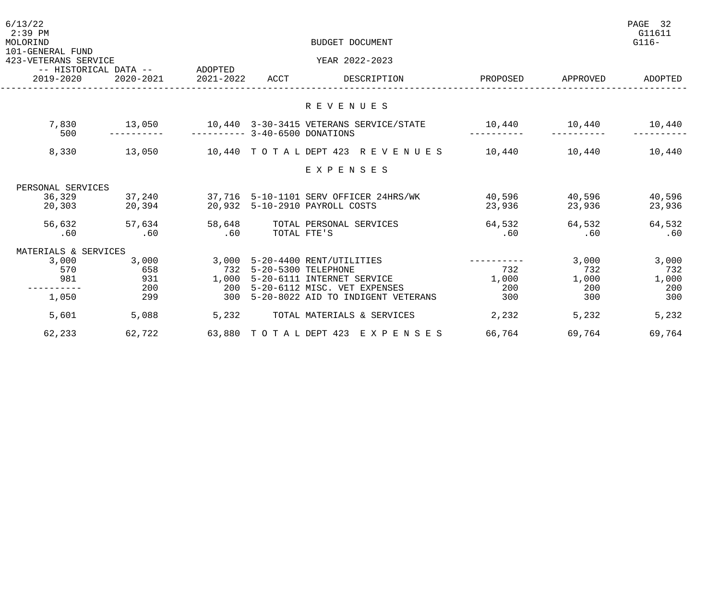| 6/13/22<br>$2:39$ PM<br>MOLORIND         |                               | BUDGET DOCUMENT              |                     |                                                      |          |          |         |
|------------------------------------------|-------------------------------|------------------------------|---------------------|------------------------------------------------------|----------|----------|---------|
| 101-GENERAL FUND<br>423-VETERANS SERVICE |                               |                              |                     | YEAR 2022-2023                                       |          |          |         |
|                                          | -- HISTORICAL DATA -- ADOPTED |                              |                     |                                                      |          |          |         |
| 2019-2020                                | 2020-2021                     | 2021-2022                    | ACCT                | DESCRIPTION                                          | PROPOSED | APPROVED | ADOPTED |
|                                          |                               |                              |                     |                                                      |          |          |         |
|                                          |                               |                              |                     | R E V E N U E S                                      |          |          |         |
|                                          |                               |                              |                     | 7,830 13,050 10,440 3-30-3415 VETERANS SERVICE/STATE |          |          |         |
| 500                                      |                               | $------ 3-40-6500$ DONATIONS |                     |                                                      |          |          |         |
| 8,330                                    | 13,050                        |                              |                     | 10,440 TOTAL DEPT 423 REVENUES 10,440 10,440 10,440  |          |          |         |
|                                          |                               |                              |                     | EXPENSES                                             |          |          |         |
| PERSONAL SERVICES                        |                               |                              |                     |                                                      |          |          |         |
| 36,329                                   | 37,240                        |                              |                     | 37,716 5-10-1101 SERV OFFICER 24HRS/WK               | 40,596   | 40,596   | 40,596  |
|                                          | 20,303 20,394                 |                              |                     | 20,932 5-10-2910 PAYROLL COSTS                       | 23,936   | 23,936   | 23,936  |
| 56,632                                   | 57,634                        | 58,648                       |                     | TOTAL PERSONAL SERVICES                              | 64,532   | 64,532   | 64,532  |
| .60                                      | .60                           | .60                          | TOTAL FTE'S         |                                                      | .60      | .60      | .60     |
| MATERIALS & SERVICES                     |                               |                              |                     |                                                      |          |          |         |
| 3,000                                    | 3,000                         |                              |                     | 3,000 5-20-4400 RENT/UTILITIES                       |          | 3,000    | 3,000   |
| 570                                      | 658                           | 732                          | 5-20-5300 TELEPHONE |                                                      | 732      | 732      | 732     |
| 981                                      | 931                           | 1,000                        |                     | 5-20-6111 INTERNET SERVICE                           | 1,000    | 1,000    | 1,000   |
|                                          | 200                           | 200                          |                     | 5-20-6112 MISC. VET EXPENSES                         | 200      | 200      | 200     |
| 1,050                                    | 299                           | 300                          |                     | 5-20-8022 AID TO INDIGENT VETERANS                   | 300      | 300      | 300     |
| 5,601                                    | 5,088                         | 5,232                        |                     | TOTAL MATERIALS & SERVICES                           | 2,232    | 5,232    | 5,232   |
| 62,233                                   | 62,722                        |                              |                     | 63,880 TOTAL DEPT 423 EXPENSES                       | 66,764   | 69,764   | 69,764  |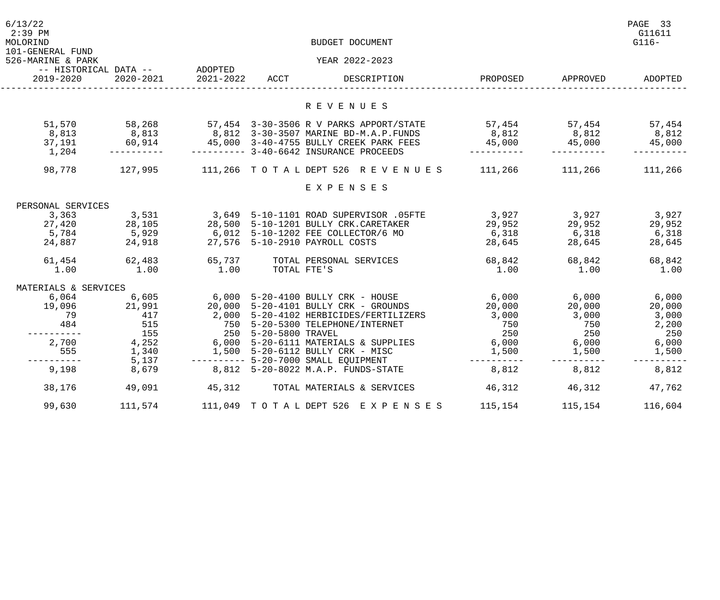| 6/13/22<br>$2:39$ PM<br>MOLORIND<br>101-GENERAL FUND |                               | BUDGET DOCUMENT          |             |                                                                                                                                                    |                      |                          |         |  |
|------------------------------------------------------|-------------------------------|--------------------------|-------------|----------------------------------------------------------------------------------------------------------------------------------------------------|----------------------|--------------------------|---------|--|
| 526-MARINE & PARK                                    |                               |                          |             | YEAR 2022-2023                                                                                                                                     |                      |                          |         |  |
| 2019-2020                                            | -- HISTORICAL DATA -- ADOPTED | 2020-2021 2021-2022 ACCT |             | DESCRIPTION                                                                                                                                        | PROPOSED             | APPROVED                 | ADOPTED |  |
|                                                      |                               |                          |             | R E V E N U E S                                                                                                                                    |                      |                          |         |  |
|                                                      |                               |                          |             |                                                                                                                                                    |                      |                          |         |  |
| 51,570                                               | 58,268                        |                          |             | 57,454     3-30-3506 R V PARKS APPORT/STATE          57,454             57,454              57,454                                                 | $8,812$ $8,812$      |                          |         |  |
| 8,813<br>37,191 60,914                               | 8,813                         |                          |             | 8,812  3-30-3507 MARINE BD-M.A.P.FUNDS<br>45,000     3-40-4755    BULLY CREEK PARK FEES          45,000               45,000                45,000 |                      |                          | 8,812   |  |
| 1,204                                                | -----------                   |                          |             |                                                                                                                                                    | -----------          |                          |         |  |
|                                                      |                               |                          |             | 98,778 127,995 111,266 TOTALDEPT 526 REVENUES 111,266 111,266                                                                                      |                      |                          | 111,266 |  |
|                                                      |                               |                          |             | EXPENSES                                                                                                                                           |                      |                          |         |  |
| PERSONAL SERVICES                                    |                               |                          |             |                                                                                                                                                    |                      |                          |         |  |
| 3,363                                                |                               |                          |             | 3,649 5-10-1101 ROAD SUPERVISOR .05FTE<br>28,500 5-10-1201 BULLY CRK.CARETAKER<br>6,012 5-10-1202 FEE COLLECTOR/6 MO                               | 3,927                |                          | 3,927   |  |
| 27,420                                               | 3,531<br>28,105<br>5,929      |                          |             |                                                                                                                                                    |                      | 3,927<br>29,952<br>6,318 | 29,952  |  |
| 5,784                                                |                               |                          |             |                                                                                                                                                    | 29,952<br>6,318      |                          | 6,318   |  |
| 24,887 24,918                                        |                               |                          |             | 27,576 5-10-2910 PAYROLL COSTS                                                                                                                     | 28,645               | 28,645                   | 28,645  |  |
| 61,454                                               | 62,483                        | 65,737                   |             | TOTAL PERSONAL SERVICES                                                                                                                            | 68,842               | 68,842                   | 68,842  |  |
| 1.00                                                 | 1.00                          | 1.00                     | TOTAL FTE'S |                                                                                                                                                    | 1.00                 | 1.00                     | 1.00    |  |
| MATERIALS & SERVICES                                 |                               |                          |             |                                                                                                                                                    |                      |                          |         |  |
| 6,064                                                | 6,605                         |                          |             | 6,000 5-20-4100 BULLY CRK - HOUSE                                                                                                                  | $6,000$ $6,000$      |                          | 6,000   |  |
| 19,096                                               | 21,991                        |                          |             | 20,000 5-20-4101 BULLY CRK - GROUNDS                                                                                                               | 20,000               | 20,000                   | 20,000  |  |
| 79                                                   | 417                           |                          |             | 2,000 5-20-4102 HERBICIDES/FERTILIZERS 3,000                                                                                                       |                      | 3,000                    | 3,000   |  |
| 484                                                  | 515<br>155                    |                          |             | 750 5-20-5300 TELEPHONE/INTERNET<br>250 5-20-5800 TRAVEL                                                                                           | 750<br>250           | 750<br>250               | 2,200   |  |
| ----------                                           |                               |                          |             |                                                                                                                                                    |                      |                          | 250     |  |
| 2,700<br>555                                         | 4,252                         |                          |             | 6,000 5-20-6111 MATERIALS & SUPPLIES 6,000                                                                                                         |                      | 6,000                    | 6,000   |  |
| - - - - - - - -                                      | 1,340<br>5,137                |                          |             | 1,500 5-20-6112 BULLY CRK - MISC<br>--------- 5-20-7000 SMALL EQUIPMENT                                                                            | 1,500<br>----------- | 1,500<br>-----------     | 1,500   |  |
| 9,198                                                | 8,679                         |                          |             | 8,812 5-20-8022 M.A.P. FUNDS-STATE                                                                                                                 | 8,812                | 8,812                    | 8,812   |  |
| 38,176                                               | 49,091                        | 45, 312                  |             | TOTAL MATERIALS & SERVICES                                                                                                                         | 46,312               | 46,312                   | 47,762  |  |
| 99,630                                               | 111,574                       |                          |             | 111,049 TOTAL DEPT 526 EXPENSES                                                                                                                    | 115,154              | 115,154                  | 116,604 |  |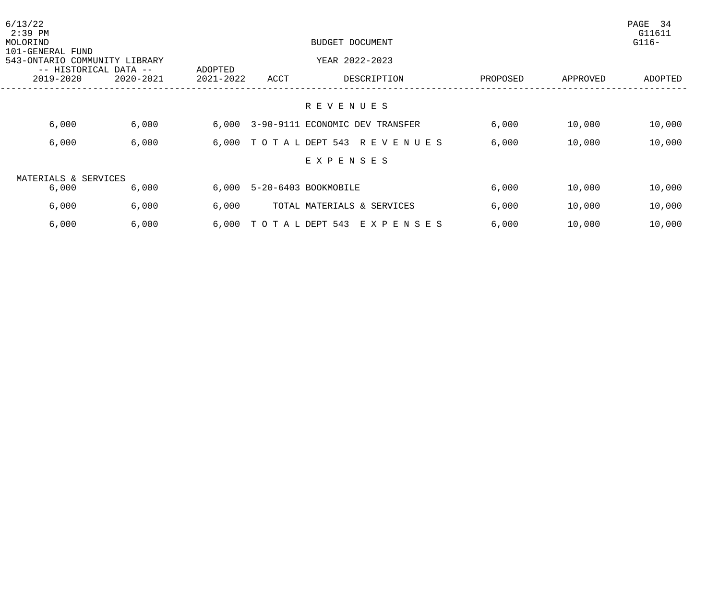| 6/13/22<br>$2:39$ PM<br>MOLORIND<br>101-GENERAL FUND |                                                        |               | BUDGET DOCUMENT |                      |                                       |          |          | PAGE<br>34<br>G11611<br>$G116-$ |
|------------------------------------------------------|--------------------------------------------------------|---------------|-----------------|----------------------|---------------------------------------|----------|----------|---------------------------------|
|                                                      | 543-ONTARIO COMMUNITY LIBRARY<br>-- HISTORICAL DATA -- |               | ADOPTED         | YEAR 2022-2023       |                                       |          |          |                                 |
|                                                      | 2019-2020                                              | $2020 - 2021$ | 2021-2022       | ACCT                 | DESCRIPTION                           | PROPOSED | APPROVED | ADOPTED                         |
|                                                      |                                                        |               |                 |                      | R E V E N U E S                       |          |          |                                 |
|                                                      | 6,000                                                  | 6,000         |                 |                      | 6,000 3-90-9111 ECONOMIC DEV TRANSFER | 6,000    | 10,000   | 10,000                          |
|                                                      | 6,000                                                  | 6,000         |                 |                      | 6,000 TOTAL DEPT 543 REVENUES         | 6,000    | 10,000   | 10,000                          |
|                                                      |                                                        |               |                 |                      | EXPENSES                              |          |          |                                 |
|                                                      | MATERIALS & SERVICES                                   |               |                 |                      |                                       |          |          |                                 |
|                                                      | 6,000                                                  | 6,000         | 6,000           |                      | 5-20-6403 BOOKMOBILE                  | 6,000    | 10,000   | 10,000                          |
|                                                      | 6,000                                                  | 6,000         | 6,000           |                      | TOTAL MATERIALS & SERVICES            | 6,000    | 10,000   | 10,000                          |
|                                                      | 6,000                                                  | 6,000         |                 | 6,000 TOTAL DEPT 543 | E X P E N S E S                       | 6,000    | 10,000   | 10,000                          |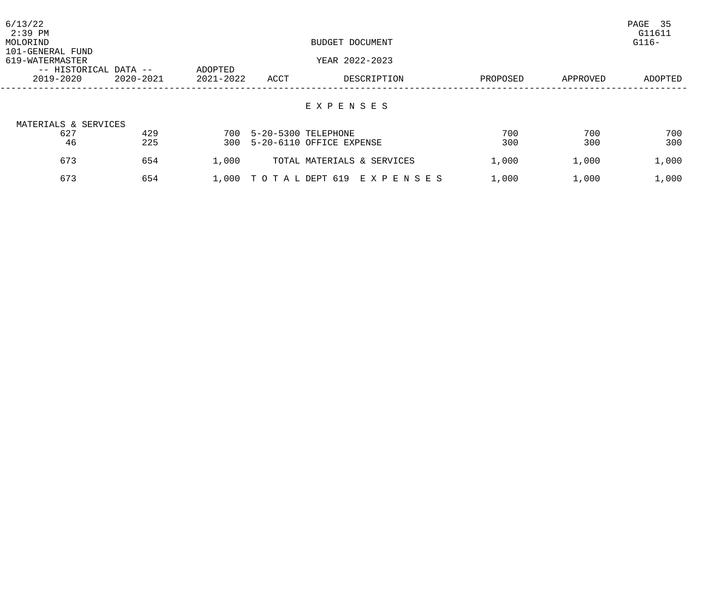| 6/13/22<br>$2:39$ PM<br>MOLORIND<br>101-GENERAL FUND<br>619-WATERMASTER |           |           | PAGE 35<br>G11611<br>$G116-$ |                               |          |          |         |
|-------------------------------------------------------------------------|-----------|-----------|------------------------------|-------------------------------|----------|----------|---------|
| -- HISTORICAL DATA --                                                   | ADOPTED   |           | YEAR 2022-2023               |                               |          |          |         |
| 2019-2020                                                               | 2020-2021 | 2021-2022 | ACCT                         | DESCRIPTION                   | PROPOSED | APPROVED | ADOPTED |
| MATERIALS & SERVICES                                                    |           |           |                              | EXPENSES                      |          |          |         |
| 627                                                                     | 429       | 700       | 5-20-5300 TELEPHONE          |                               | 700      | 700      | 700     |
| 46                                                                      | 225       | 300       |                              | 5-20-6110 OFFICE EXPENSE      | 300      | 300      | 300     |
| 673                                                                     | 654       | 1,000     |                              | TOTAL MATERIALS & SERVICES    | 1,000    | 1,000    | 1,000   |
| 673                                                                     | 654       |           |                              | 1,000 TOTAL DEPT 619 EXPENSES | 1,000    | 1,000    | 1,000   |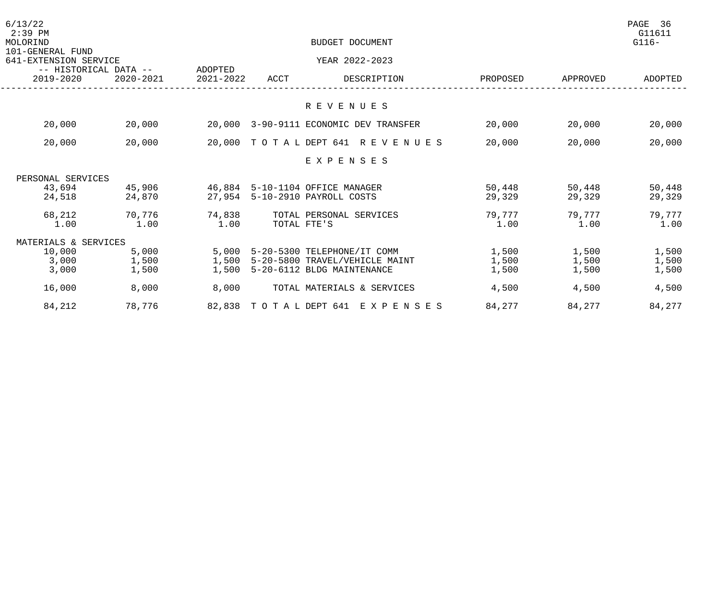| 6/13/22<br>$2:39$ PM<br>MOLORIND                                   |           | BUDGET DOCUMENT |      |                                      |          |          |         |
|--------------------------------------------------------------------|-----------|-----------------|------|--------------------------------------|----------|----------|---------|
| 101-GENERAL FUND<br>641-EXTENSION SERVICE<br>-- HISTORICAL DATA -- |           | ADOPTED         |      | YEAR 2022-2023                       |          |          |         |
| 2019-2020                                                          | 2020-2021 | 2021-2022       | ACCT | DESCRIPTION                          | PROPOSED | APPROVED | ADOPTED |
|                                                                    |           |                 |      | R E V E N U E S                      |          |          |         |
|                                                                    |           |                 |      |                                      |          |          |         |
| 20,000                                                             | 20,000    | 20,000          |      | 3-90-9111 ECONOMIC DEV TRANSFER      | 20,000   | 20,000   | 20,000  |
| 20,000                                                             | 20,000    |                 |      | 20,000 TOTAL DEPT 641 REVENUES       | 20,000   | 20,000   | 20,000  |
|                                                                    |           |                 |      | EXPENSES                             |          |          |         |
| PERSONAL SERVICES                                                  |           |                 |      |                                      |          |          |         |
| 43,694                                                             | 45,906    |                 |      | 46,884 5-10-1104 OFFICE MANAGER      | 50,448   | 50,448   | 50,448  |
| 24,518                                                             | 24,870    |                 |      | 27,954 5-10-2910 PAYROLL COSTS       | 29,329   | 29,329   | 29,329  |
| 68,212                                                             | 70,776    | 74,838          |      | TOTAL PERSONAL SERVICES              | 79,777   | 79,777   | 79,777  |
| 1.00                                                               | 1.00      | 1.00            |      | TOTAL FTE'S                          | 1.00     | 1.00     | 1.00    |
| MATERIALS & SERVICES                                               |           |                 |      |                                      |          |          |         |
| 10,000                                                             | 5,000     |                 |      | 5,000 5-20-5300 TELEPHONE/IT COMM    | 1,500    | 1,500    | 1,500   |
| 3,000                                                              | 1,500     |                 |      | 1,500 5-20-5800 TRAVEL/VEHICLE MAINT | 1,500    | 1,500    | 1,500   |
| 3,000                                                              | 1,500     | 1,500           |      | 5-20-6112 BLDG MAINTENANCE           | 1,500    | 1,500    | 1,500   |
| 16,000                                                             | 8,000     | 8,000           |      | TOTAL MATERIALS & SERVICES           | 4,500    | 4,500    | 4,500   |
| 84,212                                                             | 78,776    |                 |      | 82,838 TOTAL DEPT 641 EXPENSES       | 84,277   | 84,277   | 84,277  |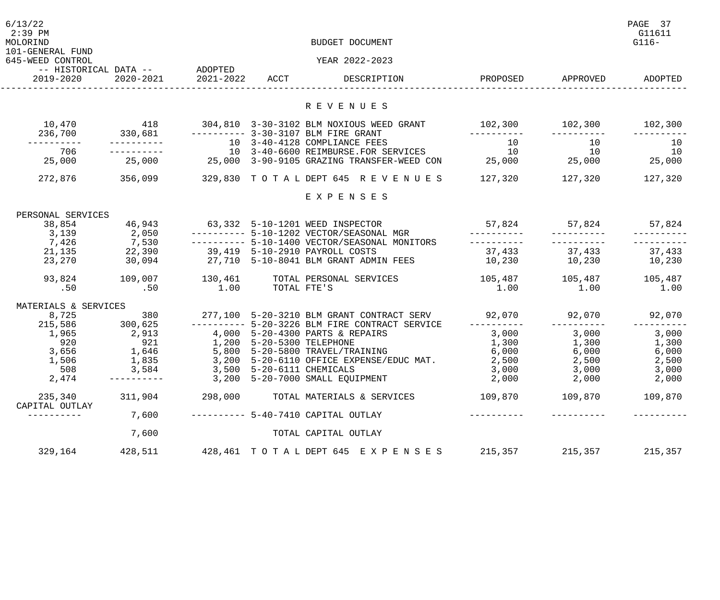| 6/13/22<br>$2:39$ PM<br>MOLORIND<br>101-GENERAL FUND |                                            |           |                           | BUDGET DOCUMENT                                                                                     |                                |                   | PAGE 37<br>G11611<br>$G116-$ |
|------------------------------------------------------|--------------------------------------------|-----------|---------------------------|-----------------------------------------------------------------------------------------------------|--------------------------------|-------------------|------------------------------|
| 645-WEED CONTROL                                     |                                            |           |                           | YEAR 2022-2023                                                                                      |                                |                   |                              |
| 2019-2020                                            | -- HISTORICAL DATA -- ADOPTED<br>2020-2021 | 2021-2022 | ACCT                      | DESCRIPTION                                                                                         |                                | PROPOSED APPROVED | ADOPTED                      |
|                                                      |                                            |           |                           | R E V E N U E S                                                                                     |                                |                   |                              |
| 10,470<br>236,700                                    | 418<br>330,681                             |           |                           | 304,810 3-30-3102 BLM NOXIOUS WEED GRANT<br>--------- 3-30-3107 BLM FIRE GRANT                      | 102,300 102,300                |                   | 102,300                      |
|                                                      |                                            |           |                           | 10 3-40-4128 COMPLIANCE FEES                                                                        | 10                             | 10                | 10                           |
| 706<br>25,000                                        |                                            |           |                           | 10 3-40-6600 REIMBURSE.FOR SERVICES<br>$25,000$ 25,000 $3-90-9105$ GRAZING TRANSFER-WEED CON 25,000 | 10                             | 10<br>25,000      | 10<br>25,000                 |
| 272,876                                              | 356,099                                    |           |                           | 329,830 TOTAL DEPT 645 REVENUES                                                                     | 127,320                        | 127,320           | 127,320                      |
|                                                      |                                            |           |                           | EXPENSES                                                                                            |                                |                   |                              |
| PERSONAL SERVICES                                    |                                            |           |                           |                                                                                                     |                                |                   |                              |
| 38,854                                               | 46,943                                     |           |                           | 63,332 5-10-1201 WEED INSPECTOR                                                                     | 57,824                         | 57,824            | 57,824                       |
| 3,139                                                |                                            |           |                           | ---------- 5-10-1202 VECTOR/SEASONAL MGR                                                            |                                |                   |                              |
| 7,426                                                | $2,050$<br>$7,530$<br>$22,390$<br>$30,094$ |           |                           | --------- 5-10-1400 VECTOR/SEASONAL MONITORS                                                        | -----------                    |                   |                              |
| 21,135<br>23,270                                     | 30,094                                     |           |                           | 39,419 5-10-2910 PAYROLL COSTS<br>27,710 5-10-8041 BLM GRANT ADMIN FEES                             | 37,433 37,433<br>10,230 10,230 |                   | 37,433<br>10,230             |
| 93,824                                               | 109,007                                    | 130,461   |                           | TOTAL PERSONAL SERVICES                                                                             | 105,487                        | 105,487           | 105,487                      |
| .50                                                  | .50                                        | 1.00      | TOTAL FTE'S               |                                                                                                     | 1.00                           | 1.00              | 1.00                         |
| MATERIALS & SERVICES                                 |                                            |           |                           |                                                                                                     |                                |                   |                              |
| 8,725                                                | 380                                        |           |                           | 277,100 5-20-3210 BLM GRANT CONTRACT SERV                                                           | 92,070                         | 92,070            | 92,070                       |
| 215,586 300,625<br>1,965                             | 2,913                                      |           |                           | ---------- 5-20-3226 BLM FIRE CONTRACT SERVICE<br>4,000 5-20-4300 PARTS & REPAIRS                   | -----------                    | 3,000             | 3,000                        |
| 920                                                  | 921                                        |           | 1,200 5-20-5300 TELEPHONE |                                                                                                     | 3,000<br>1,300                 | 1,300             | 1,300                        |
| 3,656                                                | 1,646                                      |           |                           | 5,800 5-20-5800 TRAVEL/TRAINING                                                                     | 6,000                          | 6,000             | 6,000                        |
| 1,506                                                | 1,835                                      |           |                           | 3,200 5-20-6110 OFFICE EXPENSE/EDUC MAT.                                                            | 2,500                          | 2,500             | 2,500                        |
| 508                                                  | 3,584                                      |           | 3,500 5-20-6111 CHEMICALS |                                                                                                     | 3,000                          | 3,000             | 3,000                        |
| 2,474                                                |                                            |           |                           | 3,200 5-20-7000 SMALL EQUIPMENT                                                                     | 2,000                          | 2,000             | 2,000                        |
| 235,340<br>CAPITAL OUTLAY                            | 311,904                                    | 298,000   |                           | TOTAL MATERIALS & SERVICES                                                                          | 109,870                        | 109,870           | 109,870                      |
| ----------                                           | 7,600                                      |           |                           | ---------- 5-40-7410 CAPITAL OUTLAY                                                                 |                                |                   |                              |
|                                                      | 7,600                                      |           |                           | TOTAL CAPITAL OUTLAY                                                                                |                                |                   |                              |
| 329,164                                              | 428,511                                    |           |                           | 428, 461 TOTAL DEPT 645 EXPENSES                                                                    | 215,357                        | 215,357           | 215,357                      |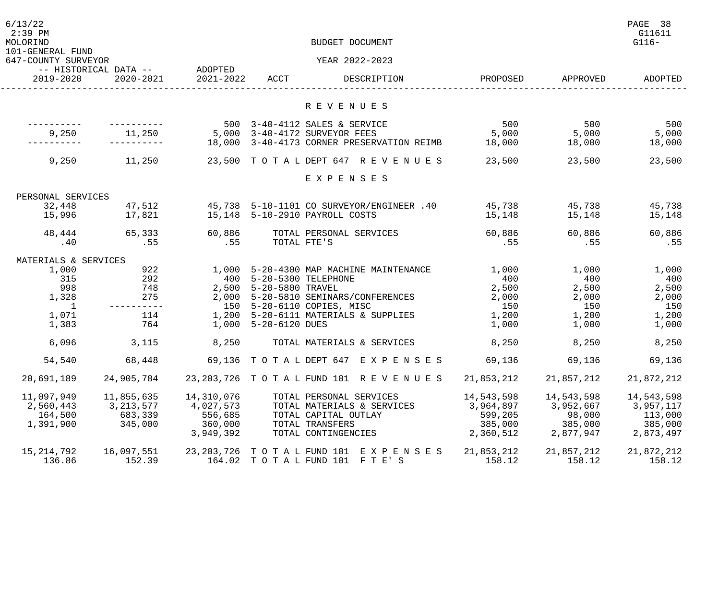| 6/13/22<br>$2:39$ PM<br>MOLORIND<br>101-GENERAL FUND |                                            |            |                         | BUDGET DOCUMENT                                      |            |            | PAGE 38<br>G11611<br>$G116-$ |
|------------------------------------------------------|--------------------------------------------|------------|-------------------------|------------------------------------------------------|------------|------------|------------------------------|
| 647-COUNTY SURVEYOR                                  |                                            |            |                         | YEAR 2022-2023                                       |            |            |                              |
| 2019-2020                                            | -- HISTORICAL DATA -- ADOPTED<br>2020-2021 | 2021-2022  | ACCT                    | DESCRIPTION                                          | PROPOSED   | APPROVED   | ADOPTED                      |
|                                                      |                                            |            |                         | R E V E N U E S                                      |            |            |                              |
|                                                      |                                            |            |                         |                                                      |            |            |                              |
|                                                      |                                            |            |                         | 500 3-40-4112 SALES & SERVICE                        | 500        | 500        | 500                          |
| 9,250                                                | 11,250                                     |            |                         | 5,000 3-40-4172 SURVEYOR FEES                        | 5,000      | 5,000      | 5,000                        |
|                                                      |                                            |            |                         | 18,000  3-40-4173  CORNER PRESERVATION REIMB  18,000 |            | 18,000     | 18,000                       |
| 9,250                                                | 11,250                                     |            |                         | 23,500 TOTAL DEPT 647 REVENUES                       | 23,500     | 23,500     | 23,500                       |
|                                                      |                                            |            |                         | EXPENSES                                             |            |            |                              |
| PERSONAL SERVICES                                    |                                            |            |                         |                                                      |            |            |                              |
| 32,448                                               | 47,512                                     |            |                         |                                                      |            | 45,738     | 45,738                       |
| 15,996                                               | 17,821                                     |            |                         | 15,148 5-10-2910 PAYROLL COSTS                       | 15,148     | 15,148     | 15,148                       |
| 48,444                                               | 65,333                                     | 60,886     |                         | TOTAL PERSONAL SERVICES                              | 60,886     | 60,886     | 60,886                       |
| .40                                                  | .55                                        | .55        | TOTAL FTE'S             |                                                      | .55        | .55        | .55                          |
| MATERIALS & SERVICES                                 |                                            |            |                         |                                                      |            |            |                              |
| 1,000                                                | 922                                        |            |                         | 1,000 5-20-4300 MAP MACHINE MAINTENANCE              | 1,000      | 1,000      | 1,000                        |
| 315                                                  | 292                                        |            | 400 5-20-5300 TELEPHONE |                                                      | 400        | 400        | 400                          |
| 998                                                  | 748                                        |            | 2,500 5-20-5800 TRAVEL  |                                                      | 2,500      | 2,500      | 2,500                        |
| 1,328                                                | 275                                        |            |                         | 2,000 5-20-5810 SEMINARS/CONFERENCES                 | 2,000      | 2,000      | 2,000                        |
| 1                                                    |                                            |            |                         | 150 5-20-6110 COPIES, MISC                           | 150        | 150        | 150                          |
| 1,071                                                | 114                                        |            |                         | 1,200 5-20-6111 MATERIALS & SUPPLIES                 | 1,200      | 1,200      | 1,200                        |
| 1,383                                                | 764                                        |            | 1,000 5-20-6120 DUES    |                                                      | 1,000      | 1,000      | 1,000                        |
| 6,096                                                | 3,115                                      | 8,250      |                         | TOTAL MATERIALS & SERVICES                           | 8,250      | 8,250      | 8,250                        |
| 54,540                                               | 68,448                                     |            |                         | 69,136 TOTAL DEPT 647 EXPENSES                       | 69,136     | 69,136     | 69,136                       |
| 20,691,189                                           | 24,905,784                                 |            |                         | 23, 203, 726 TOTAL FUND 101 REVENUES                 | 21,853,212 | 21,857,212 | 21,872,212                   |
| 11,097,949                                           | 11,855,635                                 | 14,310,076 |                         | TOTAL PERSONAL SERVICES                              | 14,543,598 | 14,543,598 | 14,543,598                   |
| 2,560,443                                            | 3, 213, 577                                | 4,027,573  |                         | TOTAL MATERIALS & SERVICES                           | 3,964,897  | 3,952,667  | 3,957,117                    |
| 164,500                                              | 683,339                                    | 556,685    |                         | TOTAL CAPITAL OUTLAY                                 | 599,205    | 98,000     | 113,000                      |
| 1,391,900                                            | 345,000                                    | 360,000    |                         | TOTAL TRANSFERS                                      | 385,000    | 385,000    | 385,000                      |
|                                                      |                                            | 3,949,392  |                         | TOTAL CONTINGENCIES                                  | 2,360,512  | 2,877,947  | 2,873,497                    |
| 15,214,792                                           | 16,097,551                                 |            |                         | 23, 203, 726 TOTAL FUND 101 EXPENSES                 | 21,853,212 | 21,857,212 | 21,872,212                   |
| 136.86                                               | 152.39                                     |            |                         | 164.02 TOTAL FUND 101 FTE'S                          | 158.12     | 158.12     | 158.12                       |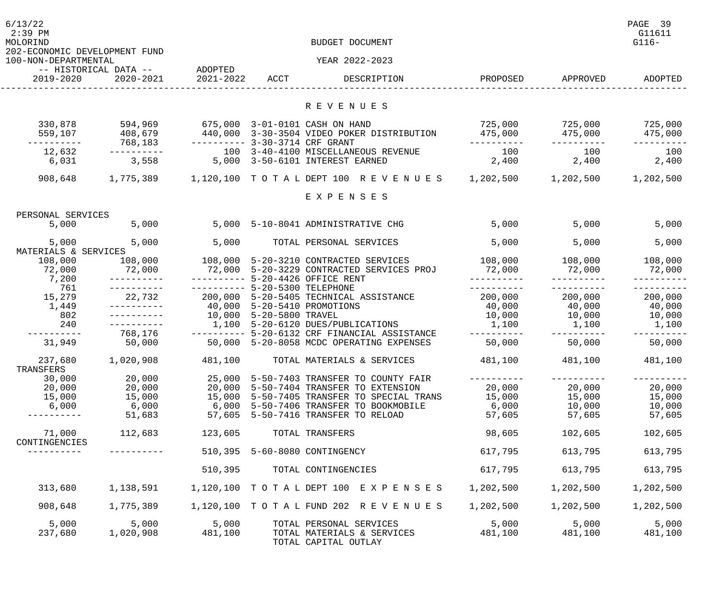| 6/13/22<br>$2:39$ PM<br>MOLORIND                      |                                               |                                                                  |                         | BUDGET DOCUMENT                                                                                                                                                                                                   |                                                             |                                                     | PAGE 39<br>G11611<br>$G116-$                       |
|-------------------------------------------------------|-----------------------------------------------|------------------------------------------------------------------|-------------------------|-------------------------------------------------------------------------------------------------------------------------------------------------------------------------------------------------------------------|-------------------------------------------------------------|-----------------------------------------------------|----------------------------------------------------|
| 202-ECONOMIC DEVELOPMENT FUND<br>100-NON-DEPARTMENTAL |                                               |                                                                  |                         | YEAR 2022-2023                                                                                                                                                                                                    |                                                             |                                                     |                                                    |
| 2019-2020                                             | -- HISTORICAL DATA -- ADOPTED<br>2020-2021    | 2021-2022                                                        | ACCT                    | DESCRIPTION                                                                                                                                                                                                       | PROPOSED                                                    | APPROVED                                            | ADOPTED                                            |
|                                                       |                                               |                                                                  |                         | R E V E N U E S                                                                                                                                                                                                   |                                                             |                                                     |                                                    |
| 330,878<br>559,107                                    | 594,969<br>408,679<br>768,183                 | 675,000 3-01-0101 CASH ON HAND<br>---------- 3-30-3714 CRF GRANT |                         | 440,000 3-30-3504 VIDEO POKER DISTRIBUTION                                                                                                                                                                        | 475,000<br>-----------                                      | $725,000$ $725,000$<br>475,000                      | 725,000<br>475,000                                 |
| 12,632<br>6,031                                       | 3,558                                         |                                                                  |                         | 100 3-40-4100 MISCELLANEOUS REVENUE<br>5,000 3-50-6101 INTEREST EARNED                                                                                                                                            | 100<br>2,400                                                | 100<br>2,400                                        | 100<br>2,400                                       |
| 908,648                                               | 1,775,389                                     |                                                                  |                         | 1,120,100 TOTALDEPT 100 REVENUES 1,202,500                                                                                                                                                                        |                                                             | 1,202,500                                           | 1,202,500                                          |
|                                                       |                                               |                                                                  |                         | EXPENSES                                                                                                                                                                                                          |                                                             |                                                     |                                                    |
| PERSONAL SERVICES                                     |                                               |                                                                  |                         |                                                                                                                                                                                                                   |                                                             |                                                     |                                                    |
| 5,000                                                 | 5,000                                         |                                                                  |                         | 5,000 5-10-8041 ADMINISTRATIVE CHG                                                                                                                                                                                | 5,000                                                       | 5,000                                               | 5,000                                              |
| 5,000<br>MATERIALS & SERVICES                         | 5,000                                         | 5,000                                                            |                         | TOTAL PERSONAL SERVICES                                                                                                                                                                                           | 5,000                                                       | 5,000                                               | 5,000                                              |
| 108,000<br>72,000<br>7,200                            | 72,000                                        |                                                                  |                         | 108,000   108,000   5-20-3210 CONTRACTED SERVICES<br>72,000 5-20-3229 CONTRACTED SERVICES PROJ<br>--------- 5-20-4426 OFFICE RENT                                                                                 | 108,000 108,000<br>72,000                                   | 72,000                                              | 108,000<br>72,000                                  |
| 761<br>15,279<br>1,449<br>802<br>240                  |                                               | ---------- 5-20-5300 TELEPHONE                                   | 10,000 5-20-5800 TRAVEL | 22,732  200,000  5-20-5405  TECHNICAL ASSISTANCE<br>40,000  5-20-5410  PROMOTIONS<br>1,100 5-20-6120 DUES/PUBLICATIONS                                                                                            | -----------<br>200,000 200,000<br>40,000<br>10,000<br>1,100 | 40,000<br>10,000<br>1,100                           | 200,000<br>40,000<br>10,000<br>1,100               |
| 31,949                                                | 768,176<br>50,000                             |                                                                  |                         | --------- 5-20-6132 CRF FINANCIAL ASSISTANCE<br>50,000 5-20-8058 MCDC OPERATING EXPENSES                                                                                                                          | -----------<br>50,000                                       | 50,000                                              | 50,000                                             |
| 237,680<br>TRANSFERS                                  | 1,020,908                                     | 481,100                                                          |                         | TOTAL MATERIALS & SERVICES                                                                                                                                                                                        | 481,100                                                     | 481,100                                             | 481,100                                            |
| 30,000<br>20,000<br>15,000<br>6,000<br>--------       | 20,000<br>20,000<br>15,000<br>6,000<br>51,683 |                                                                  |                         | 25,000 5-50-7403 TRANSFER TO COUNTY FAIR<br>20,000 5-50-7404 TRANSFER TO EXTENSION<br>15,000 5-50-7405 TRANSFER TO SPECIAL TRANS<br>6,000 5-50-7406 TRANSFER TO BOOKMOBILE<br>57,605 5-50-7416 TRANSFER TO RELOAD | ----------<br>20,000<br>15,000<br>6,000<br>57,605           | -----------<br>20,000<br>15,000<br>10,000<br>57,605 | ----------<br>20,000<br>15,000<br>10,000<br>57,605 |
| 71,000<br>CONTINGENCIES                               | 112,683                                       | 123,605                                                          |                         | TOTAL TRANSFERS                                                                                                                                                                                                   | 98,605                                                      | 102,605                                             | 102,605                                            |
|                                                       |                                               |                                                                  |                         | 510,395 5-60-8080 CONTINGENCY                                                                                                                                                                                     | 617,795                                                     | 613,795                                             | 613,795                                            |
|                                                       |                                               | 510,395                                                          |                         | TOTAL CONTINGENCIES                                                                                                                                                                                               | 617,795                                                     | 613,795                                             | 613,795                                            |
| 313,680                                               | 1,138,591                                     |                                                                  |                         | 1,120,100 TOTAL DEPT 100 EXPENSES                                                                                                                                                                                 | 1,202,500                                                   | 1,202,500                                           | 1,202,500                                          |
| 908,648                                               | 1,775,389                                     |                                                                  |                         | 1,120,100 TOTAL FUND 202 REVENUES                                                                                                                                                                                 | 1,202,500                                                   | 1,202,500                                           | 1,202,500                                          |
| 5,000<br>237,680                                      | 5,000<br>1,020,908                            | 5,000<br>481,100                                                 |                         | TOTAL PERSONAL SERVICES<br>TOTAL MATERIALS & SERVICES<br>TOTAL CAPITAL OUTLAY                                                                                                                                     | 5,000<br>481,100                                            | 5,000<br>481,100                                    | 5,000<br>481,100                                   |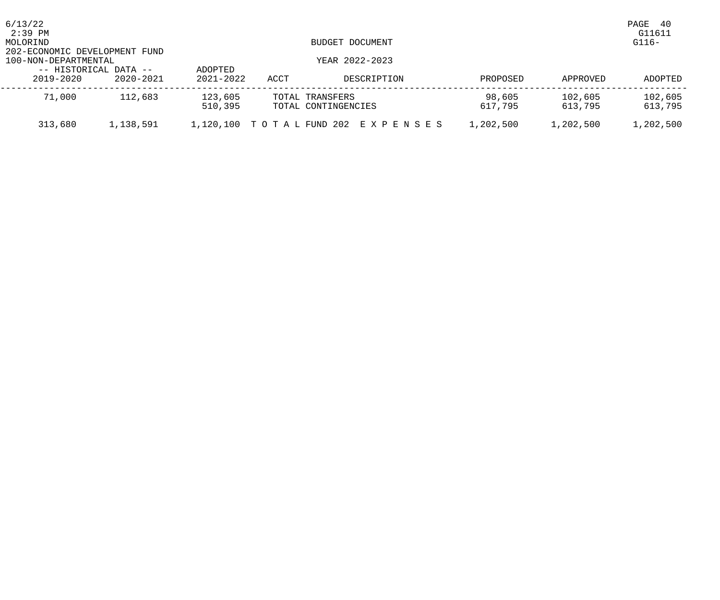| 6/13/22<br>2:39 PM                 |           |                          |      |                                        |                   |                    | PAGE<br>-40<br>G11611 |
|------------------------------------|-----------|--------------------------|------|----------------------------------------|-------------------|--------------------|-----------------------|
| MOLORIND<br>BUDGET DOCUMENT        |           |                          |      |                                        |                   |                    | $G116-$               |
| 202-ECONOMIC DEVELOPMENT FUND      |           |                          |      |                                        |                   |                    |                       |
| 100-NON-DEPARTMENTAL               |           |                          |      | YEAR 2022-2023                         |                   |                    |                       |
| -- HISTORICAL DATA --<br>2019-2020 | 2020-2021 | ADOPTED<br>$2021 - 2022$ | ACCT | DESCRIPTION                            | PROPOSED          | APPROVED           | ADOPTED               |
| 71,000                             | 112,683   | 123,605<br>510,395       |      | TOTAL TRANSFERS<br>TOTAL CONTINGENCIES | 98,605<br>617,795 | 102,605<br>613,795 | 102,605<br>613,795    |
| 313,680                            | 1,138,591 |                          |      | 1,120,100 TOTAL FUND 202 EXPENSES      | 1,202,500         | 1,202,500          | 1,202,500             |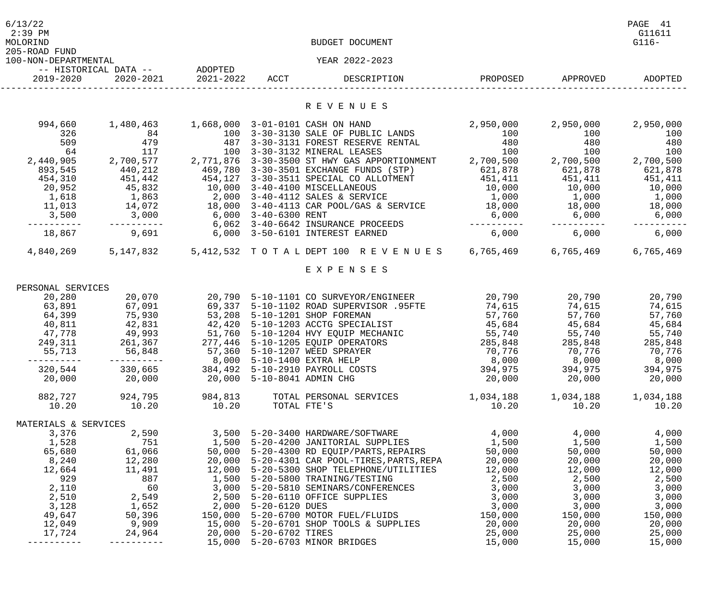| 6/13/22<br>$2:39$ PM<br>MOLORIND<br>205-ROAD FUND |                                            |                            |                        | BUDGET DOCUMENT                                                                      |                     |                  | PAGE 41<br>G11611<br>$G116-$ |
|---------------------------------------------------|--------------------------------------------|----------------------------|------------------------|--------------------------------------------------------------------------------------|---------------------|------------------|------------------------------|
| 100-NON-DEPARTMENTAL                              |                                            |                            |                        | YEAR 2022-2023                                                                       |                     |                  |                              |
| 2019-2020                                         | -- HISTORICAL DATA -- ADOPTED<br>2020-2021 | 2021-2022                  | ACCT                   | DESCRIPTION                                                                          | PROPOSED            | APPROVED         | ADOPTED                      |
|                                                   |                                            |                            |                        | R E V E N U E S                                                                      |                     |                  |                              |
| 994,660                                           | 1,480,463                                  |                            |                        | 1,668,000 3-01-0101 CASH ON HAND                                                     | 2,950,000           | 2,950,000        | 2,950,000                    |
| 326                                               | 84                                         |                            |                        | 100 3-30-3130 SALE OF PUBLIC LANDS                                                   | 100                 | 100              | 100                          |
| 509                                               | 479                                        |                            |                        | 487 3-30-3131 FOREST RESERVE RENTAL                                                  | 480                 | 480              | 480                          |
| 64<br>2,440,905                                   | 117<br>2,700,577                           |                            |                        | 100 3-30-3132 MINERAL LEASES<br>2,771,876 3-30-3500 ST HWY GAS APPORTIONMENT         | 100<br>2,700,500    | 100<br>2,700,500 | 100<br>2,700,500             |
| 893,545                                           | 440,212                                    |                            |                        | 469,780 3-30-3501 EXCHANGE FUNDS (STP)                                               | 621,878             | 621,878          | 621,878                      |
| 454,310                                           | 451,442                                    |                            |                        | 454,127 3-30-3511 SPECIAL CO ALLOTMENT                                               | 451,411             | 451,411          | 451,411                      |
| 20,952                                            | 45,832                                     |                            |                        | 10,000 3-40-4100 MISCELLANEOUS                                                       | 10,000              | 10,000           | 10,000                       |
| 1,618                                             | 1,863                                      |                            |                        | 2,000 3-40-4112 SALES & SERVICE                                                      | 1,000               | 1,000            | 1,000                        |
| 11,013                                            | 14,072                                     |                            |                        | 18,000 3-40-4113 CAR POOL/GAS & SERVICE                                              | 18,000              | 18,000           | 18,000                       |
| 3,500                                             | 3,000                                      | 6,000 3-40-6300 RENT       |                        |                                                                                      | 6,000               | 6,000            | 6,000                        |
| 18,867                                            | 9,691                                      |                            |                        | 6,062 3-40-6642 INSURANCE PROCEEDS<br>6,000 3-50-6101 INTEREST EARNED                | ----------<br>6,000 | 6,000            | 6,000                        |
| 4,840,269                                         | 5,147,832                                  |                            |                        | 5,412,532 TOTALDEPT 100 REVENUES 6,765,469                                           |                     | 6,765,469        | 6,765,469                    |
|                                                   |                                            |                            |                        | EXPENSES                                                                             |                     |                  |                              |
|                                                   |                                            |                            |                        |                                                                                      |                     |                  |                              |
| PERSONAL SERVICES                                 |                                            |                            |                        |                                                                                      |                     |                  |                              |
| 20,280                                            | 20,070                                     |                            |                        | 20,790 5-10-1101 CO SURVEYOR/ENGINEER                                                | 20,790              | 20,790           | 20,790                       |
| 63,891                                            | 67,091                                     |                            |                        | 69,337 5-10-1102 ROAD SUPERVISOR .95FTE                                              | 74,615              | 74,615           | 74,615                       |
| 64,399<br>40,811                                  | 75,930<br>42,831                           |                            |                        | 53,208 5-10-1201 SHOP FOREMAN<br>42,420 5-10-1203 ACCTG SPECIALIST                   | 57,760<br>45,684    | 57,760<br>45,684 | 57,760<br>45,684             |
| 47,778                                            | 49,993                                     |                            |                        | 51,760 5-10-1204 HVY EQUIP MECHANIC                                                  | 55,740              | 55,740           | 55,740                       |
| 249,311                                           | 261,367                                    |                            |                        | 277,446 5-10-1205 EQUIP OPERATORS                                                    | 285,848             | 285,848          | 285,848                      |
| 55,713                                            | 56,848                                     |                            |                        | 57,360 5-10-1207 WEED SPRAYER                                                        | 70,776              | 70,776           | 70,776                       |
|                                                   |                                            |                            |                        | 8,000 5-10-1400 EXTRA HELP                                                           | 8,000               | 8,000            | 8,000                        |
| 320,544                                           | 330,665                                    |                            |                        | 384,492 5-10-2910 PAYROLL COSTS                                                      | 394,975             | 394,975          | 394,975                      |
| 20,000                                            | 20,000                                     | 20,000 5-10-8041 ADMIN CHG |                        |                                                                                      | 20,000              | 20,000           | 20,000                       |
| 882,727                                           | 924,795                                    | 984,813                    |                        | TOTAL PERSONAL SERVICES                                                              | 1,034,188           | 1,034,188        | 1,034,188                    |
| 10.20                                             | 10.20                                      | 10.20                      | TOTAL FTE'S            |                                                                                      | 10.20               | 10.20            | 10.20                        |
| MATERIALS & SERVICES                              |                                            |                            |                        |                                                                                      |                     |                  |                              |
| 3,376                                             | 2,590                                      |                            |                        | 3,500 5-20-3400 HARDWARE/SOFTWARE                                                    | 4,000               | 4,000            | 4,000                        |
| 1,528                                             | 751                                        |                            |                        | 1,500 5-20-4200 JANITORIAL SUPPLIES                                                  | 1,500               | 1,500            | 1,500                        |
| 65,680                                            | 61,066                                     |                            |                        | 50,000 5-20-4300 RD EQUIP/PARTS, REPAIRS 50,000                                      |                     | 50,000           | 50,000                       |
| 8,240                                             | 12,280                                     |                            |                        | 20,000 5-20-4301 CAR POOL-TIRES, PARTS, REPA 20,000                                  |                     | 20,000           | 20,000                       |
| 12,664<br>929                                     | 11,491<br>887                              |                            |                        | 12,000 5-20-5300 SHOP TELEPHONE/UTILITIES 12,000<br>1,500 5-20-5800 TRAINING/TESTING |                     | 12,000<br>2,500  | 12,000<br>2,500              |
| 2,110                                             | 60                                         |                            |                        |                                                                                      | 2,500               | 3,000            | 3,000                        |
| 2,510                                             | 2,549                                      |                            |                        | 2,500 5-20-6110 OFFICE SUPPLIES                                                      | 3,000               | 3,000            | 3,000                        |
| 3,128                                             | 1,652                                      |                            | 2,000 5-20-6120 DUES   |                                                                                      | 3,000               | 3,000            | 3,000                        |
| 49,647                                            | 50,396                                     |                            |                        | 150,000 5-20-6700 MOTOR FUEL/FLUIDS                                                  | 150,000             | 150,000          | 150,000                      |
| 12,049                                            | 9,909                                      |                            |                        | 15,000 5-20-6701 SHOP TOOLS & SUPPLIES                                               | 20,000              | 20,000           | 20,000                       |
| 17,724                                            | 24,964                                     |                            | 20,000 5-20-6702 TIRES |                                                                                      | 25,000              | 25,000           | 25,000                       |
|                                                   |                                            |                            |                        | 15,000 5-20-6703 MINOR BRIDGES                                                       | 15,000              | 15,000           | 15,000                       |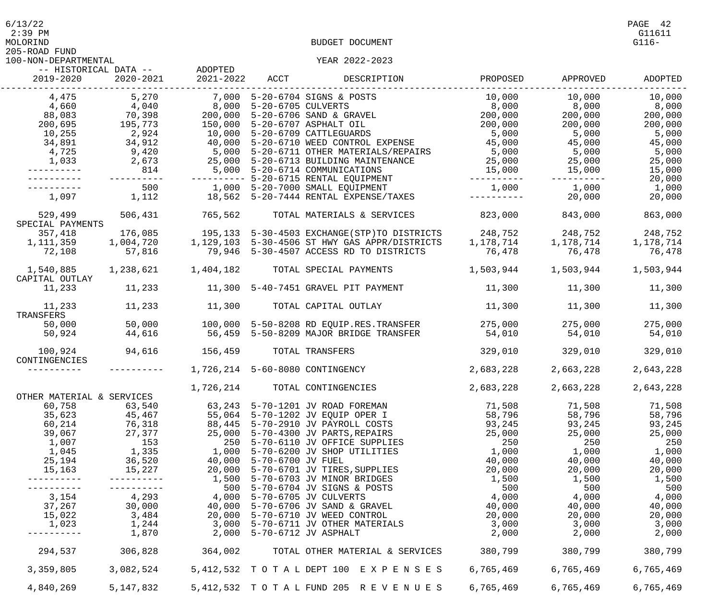$6/13/22$  PAGE 42

205-ROAD FUND

| 100-NON-DEPARTMENTAL        |             |           |                    | YEAR 2022-2023                                |           |           |           |
|-----------------------------|-------------|-----------|--------------------|-----------------------------------------------|-----------|-----------|-----------|
| -- HISTORICAL DATA --       |             | ADOPTED   |                    |                                               |           |           |           |
| 2019-2020                   | 2020-2021   | 2021-2022 | ACCT               | DESCRIPTION                                   | PROPOSED  | APPROVED  | ADOPTED   |
| 4,475                       | 5,270       | 7,000     |                    | 5-20-6704 SIGNS & POSTS                       | 10,000    | 10,000    | 10,000    |
| 4,660                       | 4,040       | 8,000     | 5-20-6705 CULVERTS |                                               | 8,000     | 8,000     | 8,000     |
| 88,083                      | 70,398      | 200,000   |                    | 5-20-6706 SAND & GRAVEL                       | 200,000   | 200,000   | 200,000   |
| 200,695                     | 195,773     | 150,000   |                    | 5-20-6707 ASPHALT OIL                         | 200,000   | 200,000   | 200,000   |
| 10,255                      | 2,924       | 10,000    |                    | 5-20-6709 CATTLEGUARDS                        | 5,000     | 5,000     | 5,000     |
| 34,891                      | 34,912      | 40,000    |                    | 5-20-6710 WEED CONTROL EXPENSE                | 45,000    | 45,000    | 45,000    |
|                             |             |           |                    |                                               |           |           |           |
| 4,725                       | 9,420       | 5,000     |                    | 5-20-6711 OTHER MATERIALS/REPAIRS             | 5,000     | 5,000     | 5,000     |
| 1,033                       | 2,673       |           |                    | 25,000 5-20-6713 BUILDING MAINTENANCE         | 25,000    | 25,000    | 25,000    |
|                             | 814         |           |                    | 5,000 5-20-6714 COMMUNICATIONS                | 15,000    | 15,000    | 15,000    |
|                             |             |           |                    | 5-20-6715 RENTAL EQUIPMENT                    |           | -------   | 20,000    |
|                             | 500         |           |                    | 1,000 5-20-7000 SMALL EQUIPMENT               | 1,000     | 1,000     | 1,000     |
| 1,097                       | 1,112       |           |                    | 18,562 5-20-7444 RENTAL EXPENSE/TAXES         |           | 20,000    | 20,000    |
| 529,499                     | 506,431     | 765,562   |                    | TOTAL MATERIALS & SERVICES                    | 823,000   | 843,000   | 863,000   |
| SPECIAL PAYMENTS            |             |           |                    |                                               |           |           |           |
| 357,418                     | 176,085     |           |                    | 195,133 5-30-4503 EXCHANGE(STP)TO DISTRICTS   | 248,752   | 248,752   | 248,752   |
| 1,111,359                   | 1,004,720   |           |                    | 1,129,103 5-30-4506 ST HWY GAS APPR/DISTRICTS | 1,178,714 | 1,178,714 | 1,178,714 |
| 72,108                      | 57,816      |           |                    | 79,946 5-30-4507 ACCESS RD TO DISTRICTS       | 76,478    | 76,478    | 76,478    |
|                             |             |           |                    |                                               |           |           |           |
| 1,540,885<br>CAPITAL OUTLAY | 1,238,621   | 1,404,182 |                    | TOTAL SPECIAL PAYMENTS                        | 1,503,944 | 1,503,944 | 1,503,944 |
| 11,233                      | 11,233      |           |                    | 11,300 5-40-7451 GRAVEL PIT PAYMENT           | 11,300    | 11,300    | 11,300    |
|                             |             |           |                    |                                               |           |           |           |
| 11,233<br>TRANSFERS         | 11,233      | 11,300    |                    | TOTAL CAPITAL OUTLAY                          | 11,300    | 11,300    | 11,300    |
|                             |             |           |                    |                                               |           |           |           |
| 50,000                      | 50,000      |           |                    | 100,000 5-50-8208 RD EQUIP.RES.TRANSFER       | 275,000   | 275,000   | 275,000   |
| 50,924                      | 44,616      |           |                    | 56,459 5-50-8209 MAJOR BRIDGE TRANSFER        | 54,010    | 54,010    | 54,010    |
| 100,924                     | 94,616      | 156,459   |                    | TOTAL TRANSFERS                               | 329,010   | 329,010   | 329,010   |
| CONTINGENCIES               |             |           |                    |                                               |           |           |           |
|                             |             |           |                    | 1,726,214 5-60-8080 CONTINGENCY               | 2,683,228 | 2,663,228 | 2,643,228 |
|                             |             | 1,726,214 |                    | TOTAL CONTINGENCIES                           | 2,683,228 | 2,663,228 | 2,643,228 |
| OTHER MATERIAL & SERVICES   |             |           |                    |                                               |           |           |           |
| 60,758                      | 63,540      |           |                    | 63,243 5-70-1201 JV ROAD FOREMAN              | 71,508    | 71,508    | 71,508    |
| 35,623                      | 45,467      |           |                    | 55,064 5-70-1202 JV EQUIP OPER I              | 58,796    | 58,796    | 58,796    |
| 60,214                      | 76,318      | 88,445    |                    | 5-70-2910 JV PAYROLL COSTS                    | 93,245    | 93,245    | 93,245    |
| 39,067                      | 27,377      | 25,000    |                    | 5-70-4300 JV PARTS, REPAIRS                   | 25,000    | 25,000    | 25,000    |
| 1,007                       | 153         | 250       |                    | 5-70-6110 JV OFFICE SUPPLIES                  | 250       | 250       | 250       |
| 1,045                       | 1,335       | 1,000     |                    | 5-70-6200 JV SHOP UTILITIES                   | 1,000     | 1,000     | 1,000     |
|                             |             |           |                    |                                               |           |           |           |
| 25,194                      | 36,520      | 40,000    | 5-70-6700 JV FUEL  |                                               | 40,000    | 40,000    | 40,000    |
| 15,163                      | 15,227      |           |                    | 20,000 5-70-6701 JV TIRES, SUPPLIES           | 20,000    | 20,000    | 20,000    |
|                             |             |           |                    | 1,500 5-70-6703 JV MINOR BRIDGES              | 1,500     | 1,500     | 1,500     |
|                             |             |           |                    | 500 5-70-6704 JV SIGNS & POSTS                | 500       | 500       | 500       |
| 3,154                       | 4,293       |           |                    | 4,000 5-70-6705 JV CULVERTS                   | 4,000     | 4,000     | 4,000     |
| 37,267                      | 30,000      |           |                    | 40,000 5-70-6706 JV SAND & GRAVEL             | 40,000    | 40,000    | 40,000    |
| 15,022                      | 3,484       |           |                    | 20,000 5-70-6710 JV WEED CONTROL              | 20,000    | 20,000    | 20,000    |
| 1,023                       | 1,244       |           |                    | 3,000 5-70-6711 JV OTHER MATERIALS            | 3,000     | 3,000     | 3,000     |
|                             | 1,870       | 2,000     |                    | 5-70-6712 JV ASPHALT                          | 2,000     | 2,000     | 2,000     |
| 294,537                     | 306,828     | 364,002   |                    | TOTAL OTHER MATERIAL & SERVICES               | 380,799   | 380,799   | 380,799   |
|                             |             |           |                    |                                               |           |           |           |
| 3,359,805                   | 3,082,524   |           |                    | 5, 412, 532 TOTAL DEPT 100 EXPENSES           | 6,765,469 | 6,765,469 | 6,765,469 |
| 4,840,269                   | 5, 147, 832 |           |                    | 5, 412, 532 TOTAL FUND 205 REVENUES           | 6,765,469 | 6,765,469 | 6,765,469 |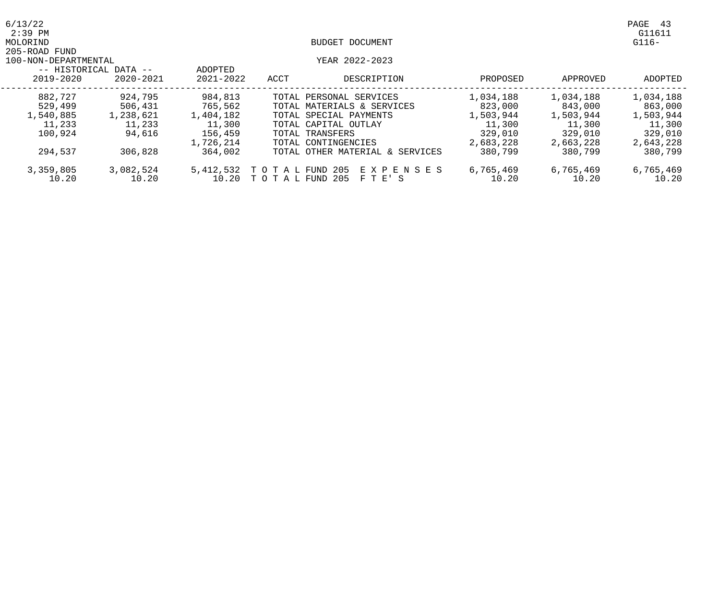| 6/13/22<br>$2:39$ PM |                       |               |                 |                                 |           |           | PAGE<br>-43<br>G11611 |
|----------------------|-----------------------|---------------|-----------------|---------------------------------|-----------|-----------|-----------------------|
| MOLORIND             |                       |               |                 | BUDGET DOCUMENT                 |           |           | $G116-$               |
| 205-ROAD FUND        |                       |               |                 |                                 |           |           |                       |
| 100-NON-DEPARTMENTAL |                       |               |                 | YEAR 2022-2023                  |           |           |                       |
|                      | -- HISTORICAL DATA -- | ADOPTED       |                 |                                 |           |           |                       |
| 2019-2020            | 2020-2021             | $2021 - 2022$ | ACCT            | DESCRIPTION                     | PROPOSED  | APPROVED  | ADOPTED               |
| 882,727              | 924,795               | 984,813       |                 | TOTAL PERSONAL SERVICES         | 1,034,188 | 1,034,188 | 1,034,188             |
| 529,499              | 506,431               | 765,562       |                 | TOTAL MATERIALS & SERVICES      | 823,000   | 843,000   | 863,000               |
| 1,540,885            | 1,238,621             | 1,404,182     |                 | TOTAL SPECIAL PAYMENTS          | 1,503,944 | 1,503,944 | 1,503,944             |
| 11,233               | 11,233                | 11,300        |                 | TOTAL CAPITAL OUTLAY            | 11,300    | 11,300    | 11,300                |
| 100,924              | 94,616                | 156,459       |                 | TOTAL TRANSFERS                 | 329,010   | 329,010   | 329,010               |
|                      |                       | 1,726,214     |                 | TOTAL CONTINGENCIES             | 2,683,228 | 2,663,228 | 2,643,228             |
| 294,537              | 306,828               | 364,002       |                 | TOTAL OTHER MATERIAL & SERVICES | 380,799   | 380,799   | 380,799               |
| 3,359,805            | 3,082,524             | 5,412,532     | таь<br>T O      | -205<br>E X P E N S E S<br>FUND | 6,765,469 | 6,765,469 | 6,765,469             |
| 10.20                | 10.20                 | 10.20         | TO TAL FUND 205 | F T E' S                        | 10.20     | 10.20     | 10.20                 |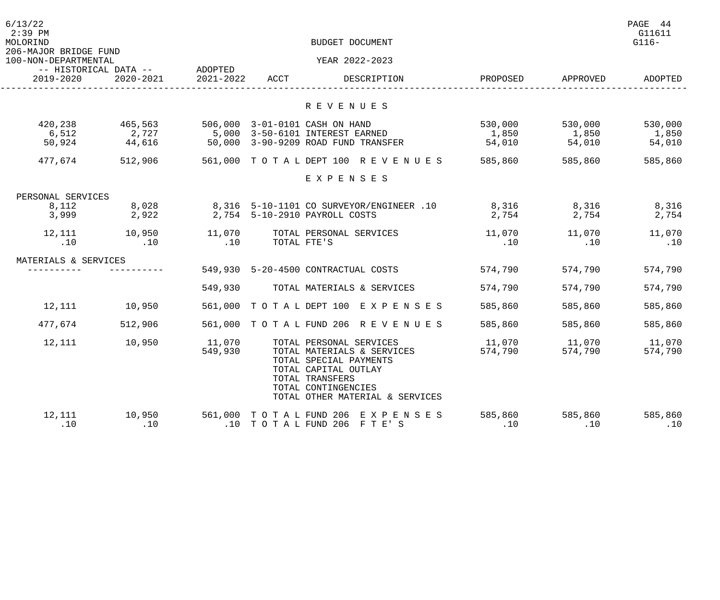| 6/13/22<br>$2:39$ PM<br>MOLORIND<br>206-MAJOR BRIDGE FUND |                                    |                      |                                           | BUDGET DOCUMENT                                                                                                                                           |                |                  | PAGE 44<br>G11611<br>$G116-$ |
|-----------------------------------------------------------|------------------------------------|----------------------|-------------------------------------------|-----------------------------------------------------------------------------------------------------------------------------------------------------------|----------------|------------------|------------------------------|
| 100-NON-DEPARTMENTAL                                      |                                    |                      |                                           | YEAR 2022-2023                                                                                                                                            |                |                  |                              |
| 2019-2020                                                 | -- HISTORICAL DATA --<br>2020-2021 | ADOPTED<br>2021-2022 | ACCT                                      | DESCRIPTION                                                                                                                                               | PROPOSED       | APPROVED         | ADOPTED                      |
|                                                           |                                    |                      |                                           | R E V E N U E S                                                                                                                                           |                |                  |                              |
| 420,238                                                   |                                    |                      |                                           | 506,000 3-01-0101 CASH ON HAND                                                                                                                            | 530,000        |                  | 530,000                      |
| 6,512                                                     | 465,563<br>2,727                   |                      |                                           | 5,000 3-50-6101 INTEREST EARNED                                                                                                                           | 1,850          | 530,000<br>1,850 | 1,850                        |
| 50,924                                                    | 44,616                             |                      |                                           | 50,000 3-90-9209 ROAD FUND TRANSFER                                                                                                                       | 54,010         | 54,010           | 54,010                       |
| 477,674                                                   | 512,906                            |                      |                                           | 561,000 TOTAL DEPT 100 REVENUES                                                                                                                           | 585,860        | 585,860          | 585,860                      |
|                                                           |                                    |                      |                                           | EXPENSES                                                                                                                                                  |                |                  |                              |
| PERSONAL SERVICES                                         |                                    |                      |                                           |                                                                                                                                                           |                |                  |                              |
| 8,112                                                     | 8,028                              |                      |                                           | 8,316 5-10-1101 CO SURVEYOR/ENGINEER .10                                                                                                                  | 8,316          | 8,316            | 8,316                        |
| 3,999                                                     | 2,922                              |                      |                                           | 2,754 5-10-2910 PAYROLL COSTS                                                                                                                             | 2,754          | 2,754            | 2,754                        |
| 12,111                                                    | 10,950                             | 11,070               |                                           | TOTAL PERSONAL SERVICES                                                                                                                                   | 11,070         | 11,070           | 11,070                       |
| .10                                                       | .10                                | .10                  |                                           | TOTAL FTE'S                                                                                                                                               | .10            | .10              | .10                          |
| MATERIALS & SERVICES                                      |                                    |                      |                                           |                                                                                                                                                           |                |                  |                              |
|                                                           |                                    |                      |                                           | 549,930 5-20-4500 CONTRACTUAL COSTS                                                                                                                       | 574,790        | 574,790          | 574,790                      |
|                                                           |                                    | 549,930              |                                           | TOTAL MATERIALS & SERVICES                                                                                                                                | 574,790        | 574,790          | 574,790                      |
| 12,111                                                    | 10,950                             | 561,000              |                                           | TOTAL DEPT 100 EXPENSES                                                                                                                                   | 585,860        | 585,860          | 585,860                      |
| 477,674                                                   | 512,906                            |                      |                                           | 561,000 TOTAL FUND 206 REVENUES                                                                                                                           | 585,860        | 585,860          | 585,860                      |
| 12,111                                                    | 10,950                             | 11,070               |                                           | TOTAL PERSONAL SERVICES                                                                                                                                   | 11,070         | 11,070           | 11,070                       |
|                                                           |                                    | 549,930              |                                           | TOTAL MATERIALS & SERVICES<br>TOTAL SPECIAL PAYMENTS<br>TOTAL CAPITAL OUTLAY<br>TOTAL TRANSFERS<br>TOTAL CONTINGENCIES<br>TOTAL OTHER MATERIAL & SERVICES | 574,790        | 574,790          | 574,790                      |
| 12,111<br>.10                                             | 10,950<br>.10                      | .10                  | 561,000 TOTAL FUND 206<br>TO TAL FUND 206 | E X P E N S E S<br>F T E' S                                                                                                                               | 585,860<br>.10 | 585,860<br>.10   | 585,860<br>.10               |
|                                                           |                                    |                      |                                           |                                                                                                                                                           |                |                  |                              |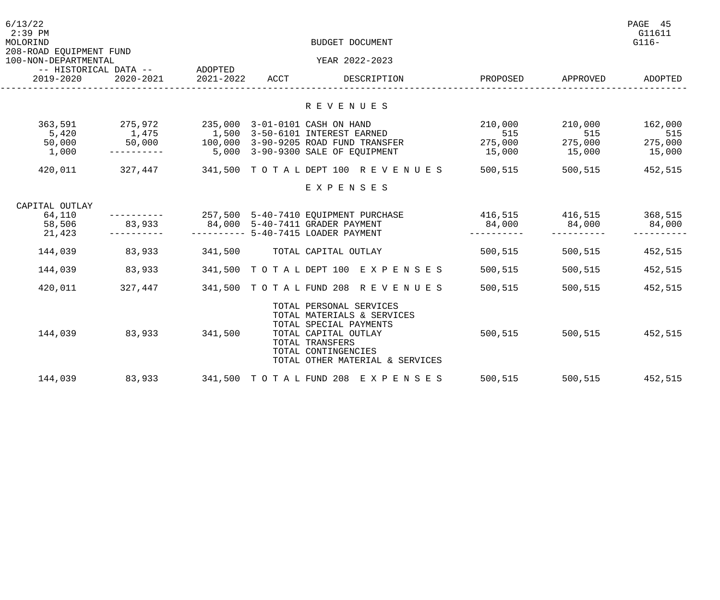| 6/13/22<br>$2:39$ PM<br>MOLORIND                |                               |           |      | BUDGET DOCUMENT                                                                                                                                                                      |                 |                | PAGE 45<br>G11611<br>$G116-$ |
|-------------------------------------------------|-------------------------------|-----------|------|--------------------------------------------------------------------------------------------------------------------------------------------------------------------------------------|-----------------|----------------|------------------------------|
| 208-ROAD EQUIPMENT FUND<br>100-NON-DEPARTMENTAL |                               |           |      | YEAR 2022-2023                                                                                                                                                                       |                 |                |                              |
|                                                 | -- HISTORICAL DATA -- ADOPTED |           |      |                                                                                                                                                                                      |                 |                |                              |
| 2019-2020                                       | 2020-2021                     | 2021-2022 | ACCT | DESCRIPTION                                                                                                                                                                          | PROPOSED        | APPROVED       | ADOPTED                      |
|                                                 |                               |           |      |                                                                                                                                                                                      |                 |                |                              |
|                                                 |                               |           |      | R E V E N U E S                                                                                                                                                                      |                 |                |                              |
| 363,591                                         | 275,972                       |           |      | 235,000 3-01-0101 CASH ON HAND                                                                                                                                                       | 210,000         | 210,000        | 162,000                      |
| 5,420                                           |                               |           |      |                                                                                                                                                                                      | 515             | 515<br>275,000 | 515                          |
| 50,000                                          |                               |           |      |                                                                                                                                                                                      | 275,000         |                | 275,000                      |
| 1,000                                           | -----------                   |           |      | 5,000 3-90-9300 SALE OF EQUIPMENT                                                                                                                                                    | 15,000          | 15,000 15,000  |                              |
| 420,011                                         |                               |           |      | 327,447 341,500 TOTAL DEPT 100 REVENUES                                                                                                                                              | 500,515         | 500,515        | 452,515                      |
|                                                 |                               |           |      | EXPENSES                                                                                                                                                                             |                 |                |                              |
| CAPITAL OUTLAY                                  |                               |           |      |                                                                                                                                                                                      |                 |                |                              |
| 64,110                                          |                               |           |      | 257,500 5-40-7410 EQUIPMENT PURCHASE                                                                                                                                                 | 416,515 416,515 |                | 368,515                      |
| 58,506                                          | 83,933                        |           |      | 84,000 5-40-7411 GRADER PAYMENT                                                                                                                                                      | 84,000          | 84,000         | 84,000                       |
| 21,423                                          |                               |           |      | ---------- 5-40-7415 LOADER PAYMENT                                                                                                                                                  |                 |                |                              |
| 144,039                                         | 83,933                        |           |      | 341,500 TOTAL CAPITAL OUTLAY                                                                                                                                                         | 500,515         | 500,515        | 452,515                      |
| 144,039                                         | 83,933                        |           |      | 341,500 TOTAL DEPT 100 EXPENSES                                                                                                                                                      | 500,515         | 500,515        | 452,515                      |
| 420,011                                         | 327,447                       |           |      | 341,500 TOTAL FUND 208 REVENUES                                                                                                                                                      | 500,515         | 500,515        | 452,515                      |
| 144,039                                         | 83,933                        | 341,500   |      | TOTAL PERSONAL SERVICES<br>TOTAL MATERIALS & SERVICES<br>TOTAL SPECIAL PAYMENTS<br>TOTAL CAPITAL OUTLAY<br>TOTAL TRANSFERS<br>TOTAL CONTINGENCIES<br>TOTAL OTHER MATERIAL & SERVICES | 500,515         |                | 500,515 452,515              |
| 144,039                                         | 83,933                        |           |      | 341,500 TOTAL FUND 208 EXPENSES                                                                                                                                                      | 500,515         | 500,515        | 452,515                      |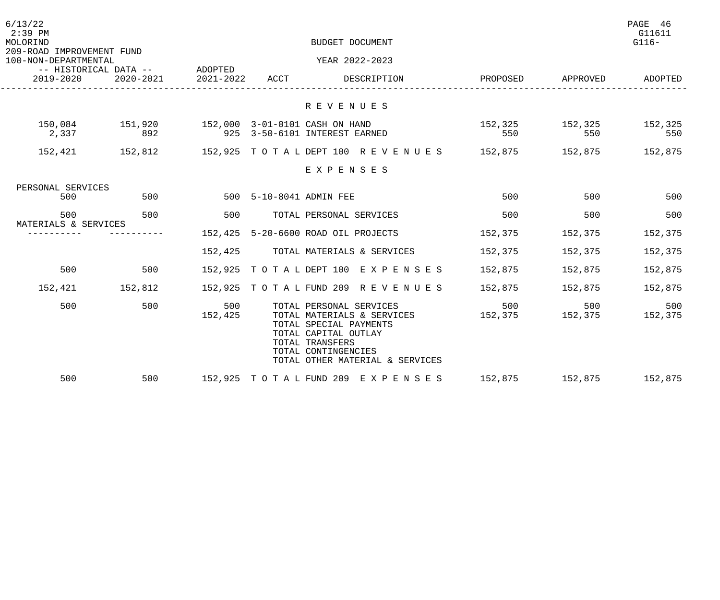| 6/13/22<br>$2:39$ PM<br>MOLORIND                  |                               |           |                         | BUDGET DOCUMENT                                      |          |                 | PAGE 46<br>G11611<br>$G116-$ |
|---------------------------------------------------|-------------------------------|-----------|-------------------------|------------------------------------------------------|----------|-----------------|------------------------------|
| 209-ROAD IMPROVEMENT FUND<br>100-NON-DEPARTMENTAL |                               |           |                         | YEAR 2022-2023                                       |          |                 |                              |
|                                                   | -- HISTORICAL DATA -- ADOPTED |           |                         |                                                      |          |                 |                              |
| 2019-2020                                         | 2020-2021                     | 2021-2022 | ACCT                    | DESCRIPTION                                          | PROPOSED | APPROVED        | ADOPTED                      |
|                                                   |                               |           |                         |                                                      |          |                 |                              |
|                                                   |                               |           |                         | R E V E N U E S                                      |          |                 |                              |
| 150,084                                           |                               |           |                         |                                                      |          | 152,325 152,325 | 152,325                      |
| 2,337                                             | 892                           |           |                         | 925 3-50-6101 INTEREST EARNED                        | 550      | 550             | 550                          |
|                                                   | 152,421 152,812               |           |                         | 152,925 TOTALDEPT 100 REVENUES 152,875 152,875       |          |                 | 152,875                      |
|                                                   |                               |           |                         | EXPENSES                                             |          |                 |                              |
| PERSONAL SERVICES                                 |                               |           |                         |                                                      |          |                 |                              |
| 500                                               | 500                           |           | 500 5-10-8041 ADMIN FEE |                                                      | 500      | 500             | 500                          |
| 500<br>MATERIALS & SERVICES                       | 500                           | 500       |                         | TOTAL PERSONAL SERVICES                              | 500      | 500             | 500                          |
|                                                   |                               |           |                         | 152,425 5-20-6600 ROAD OIL PROJECTS                  | 152,375  | 152,375         | 152,375                      |
|                                                   |                               |           |                         | 152,425 TOTAL MATERIALS & SERVICES                   | 152,375  | 152,375         | 152,375                      |
| 500                                               | 500                           |           |                         | 152,925 TOTAL DEPT 100 EXPENSES                      | 152,875  | 152,875         | 152,875                      |
| 152,421                                           | 152,812                       |           |                         | 152,925 TOTAL FUND 209 REVENUES                      | 152,875  | 152,875         | 152,875                      |
| 500                                               | 500                           | 500       |                         | TOTAL PERSONAL SERVICES                              | 500      | 500             | 500                          |
|                                                   |                               | 152,425   |                         | TOTAL MATERIALS & SERVICES<br>TOTAL SPECIAL PAYMENTS | 152,375  | 152,375         | 152,375                      |
|                                                   |                               |           |                         | TOTAL CAPITAL OUTLAY                                 |          |                 |                              |
|                                                   |                               |           |                         | TOTAL TRANSFERS<br>TOTAL CONTINGENCIES               |          |                 |                              |
|                                                   |                               |           |                         | TOTAL OTHER MATERIAL & SERVICES                      |          |                 |                              |
| 500                                               | 500                           |           |                         | 152,925 TOTAL FUND 209 EXPENSES                      | 152,875  | 152,875         | 152,875                      |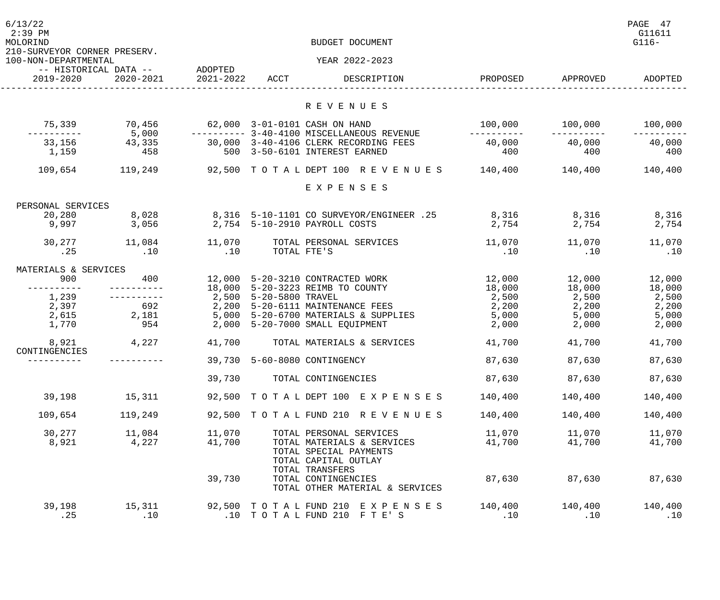| 6/13/22<br>$2:39$ PM<br>MOLORIND<br>210-SURVEYOR CORNER PRESERV. |                                            |                |                        | BUDGET DOCUMENT<br>YEAR 2022-2023                                                               |                  |                  | PAGE 47<br>G11611<br>$G116-$ |
|------------------------------------------------------------------|--------------------------------------------|----------------|------------------------|-------------------------------------------------------------------------------------------------|------------------|------------------|------------------------------|
| 100-NON-DEPARTMENTAL                                             |                                            |                |                        |                                                                                                 |                  |                  |                              |
| 2019-2020                                                        | -- HISTORICAL DATA -- ADOPTED<br>2020-2021 | 2021-2022 ACCT |                        | DESCRIPTION                                                                                     | PROPOSED         | APPROVED         | ADOPTED                      |
|                                                                  |                                            |                |                        | R E V E N U E S                                                                                 |                  |                  |                              |
| 75,339                                                           | 70,456                                     |                |                        | 62,000 3-01-0101 CASH ON HAND                                                                   |                  |                  | 100,000                      |
| 33,156                                                           | 5,000<br>43,335                            |                |                        | 30,000 3-40-4106 CLERK RECORDING FEES                                                           | 40,000           | 40,000           | 40,000                       |
| 1,159                                                            | 458                                        |                |                        | 500 3-50-6101 INTEREST EARNED                                                                   | 400              | 400              | 400                          |
| 109,654                                                          | 119,249                                    |                |                        | 92,500 TOTALDEPT 100 REVENUES 140,400 140,400                                                   |                  |                  | 140,400                      |
|                                                                  |                                            |                |                        | EXPENSES                                                                                        |                  |                  |                              |
| PERSONAL SERVICES                                                |                                            |                |                        |                                                                                                 |                  |                  |                              |
| 20,280                                                           | 8,028                                      |                |                        | 8,316 5-10-1101 CO SURVEYOR/ENGINEER .25                                                        | 8,316 8,316      |                  | 8,316                        |
| 9,997                                                            | 3,056                                      |                |                        | 2,754 5-10-2910 PAYROLL COSTS                                                                   | 2,754            | 2,754            | 2,754                        |
|                                                                  | 30,277 11,084                              | 11,070         |                        | TOTAL PERSONAL SERVICES                                                                         |                  |                  | 11,070                       |
| .25                                                              | .10                                        | .10            | TOTAL FTE'S            |                                                                                                 | .10              | .10              | .10                          |
| MATERIALS & SERVICES                                             |                                            |                |                        |                                                                                                 |                  |                  |                              |
| 900                                                              | 400                                        |                |                        | 12,000 5-20-3210 CONTRACTED WORK<br>18,000 5-20-3223 REIMB TO COUNTY                            | 12,000<br>18,000 | 12,000<br>18,000 | 12,000<br>18,000             |
| 1,239<br>2.397                                                   |                                            |                | 2,500 5-20-5800 TRAVEL |                                                                                                 | 2,500            | 2,500            | 2,500                        |
| 2,397                                                            | 692                                        |                |                        | 2,200 5-20-6111 MAINTENANCE FEES                                                                | 2,200            | 2,200            | 2,200                        |
| 2,615                                                            | 2,181                                      |                |                        | 5,000 5-20-6700 MATERIALS & SUPPLIES                                                            | 5,000            | 5,000            | 5,000                        |
| 1,770                                                            | 954                                        |                |                        | 2,000 5-20-7000 SMALL EQUIPMENT                                                                 | 2,000            | 2,000            | 2,000                        |
| 8,921<br>CONTINGENCIES                                           | 4,227                                      | 41,700         |                        | TOTAL MATERIALS & SERVICES                                                                      | 41,700           | 41,700           | 41,700                       |
|                                                                  |                                            |                |                        | 39,730 5-60-8080 CONTINGENCY                                                                    | 87,630           | 87,630           | 87,630                       |
|                                                                  |                                            | 39,730         |                        | TOTAL CONTINGENCIES                                                                             | 87,630           | 87,630           | 87,630                       |
| 39,198                                                           | 15,311                                     |                |                        | 92,500 TOTAL DEPT 100 EXPENSES                                                                  | 140,400          | 140,400          | 140,400                      |
| 109,654                                                          | 119,249                                    |                |                        | 92,500 TOTAL FUND 210 REVENUES                                                                  | 140,400          | 140,400          | 140,400                      |
| 30,277                                                           | 11,084                                     | 11,070         |                        | TOTAL PERSONAL SERVICES                                                                         | 11,070           | 11,070           | 11,070                       |
| 8,921                                                            | 4,227                                      | 41,700         |                        | TOTAL MATERIALS & SERVICES<br>TOTAL SPECIAL PAYMENTS<br>TOTAL CAPITAL OUTLAY<br>TOTAL TRANSFERS | 41,700           | 41,700           | 41,700                       |
|                                                                  |                                            | 39,730         |                        | TOTAL CONTINGENCIES<br>TOTAL OTHER MATERIAL & SERVICES                                          | 87,630           | 87,630           | 87,630                       |
| 39,198<br>.25                                                    | 15,311<br>.10                              | .10            |                        | 92,500 TOTAL FUND 210 EXPENSES<br>TOTAL FUND 210 FTE'S                                          | 140,400<br>.10   | 140,400<br>.10   | 140,400<br>.10               |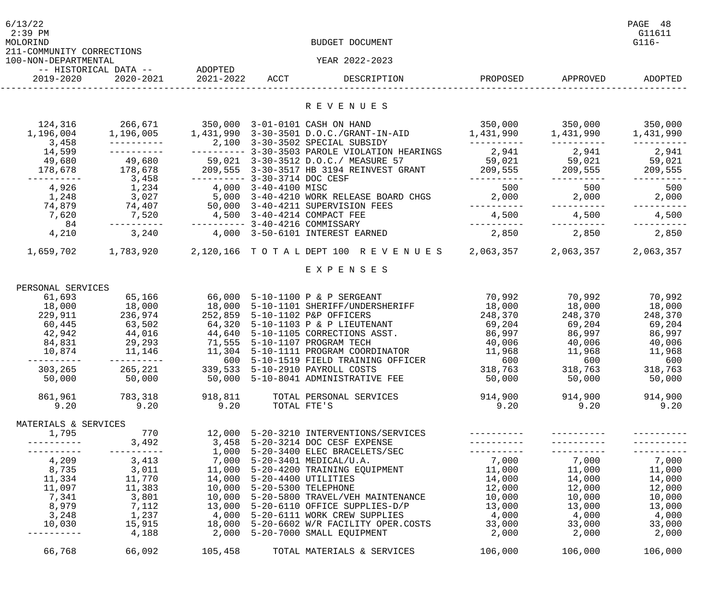| 6/13/22<br>$2:39$ PM<br>MOLORIND                  |                                            |                               |                            | BUDGET DOCUMENT                                                                                |                         |                         | PAGE 48<br>G11611<br>$G116-$ |
|---------------------------------------------------|--------------------------------------------|-------------------------------|----------------------------|------------------------------------------------------------------------------------------------|-------------------------|-------------------------|------------------------------|
| 211-COMMUNITY CORRECTIONS<br>100-NON-DEPARTMENTAL |                                            |                               |                            | YEAR 2022-2023                                                                                 |                         |                         |                              |
|                                                   | -- HISTORICAL DATA --                      | ADOPTED                       |                            |                                                                                                |                         |                         |                              |
| 2019-2020                                         | 2020-2021                                  | 2021-2022 ACCT                |                            | DESCRIPTION                                                                                    | PROPOSED                | APPROVED                | ADOPTED                      |
|                                                   |                                            |                               |                            | R E V E N U E S                                                                                |                         |                         |                              |
| 124,316                                           | 266,671 350,000 3-01-0101 CASH ON HAND     |                               |                            |                                                                                                |                         | 350,000 350,000 350,000 |                              |
| 1,196,004                                         | 1,196,005                                  |                               |                            |                                                                                                |                         | 1,431,990 1,431,990     |                              |
| 3,458                                             |                                            |                               |                            | 2,100 3-30-3502 SPECIAL SUBSIDY                                                                | -----------             | -----------             |                              |
| 14,599                                            |                                            |                               |                            | ---------- 3-30-3503 PAROLE VIOLATION HEARINGS                                                 | 2,941                   | 2,941                   | 2,941                        |
| 49,680                                            | 49,680                                     |                               |                            | 59,021 3-30-3512 D.O.C./ MEASURE 57                                                            |                         | 59,021 59,021 59,021    |                              |
| 178,678                                           | 178,678                                    |                               |                            | 209,555 3-30-3517 HB 3194 REINVEST GRANT 209,555 209,555 209,555 209,555                       |                         |                         |                              |
| ----------                                        | 3,458                                      | ---------- 3-30-3714 DOC CESF |                            |                                                                                                | -----------             |                         | ---------                    |
| 4,926                                             | 1,234                                      | 4,000 3-40-4100 MISC          |                            |                                                                                                | 500                     | 500                     | 500                          |
| 1,248                                             | 3,027                                      |                               |                            | 5,000 3-40-4210 WORK RELEASE BOARD CHGS                                                        | 2,000                   | 2,000                   | 2,000                        |
| 74,879                                            | 74,407                                     |                               |                            | 50,000 3-40-4211 SUPERVISION FEES                                                              |                         | -----------             |                              |
| 7,620<br>84                                       | 7,520                                      | 4,500 3-40-4214 COMPACT FEE   |                            | $------ 3-40-4216$ COMMISSARY                                                                  | 4,500                   | 4,500                   | 4,500                        |
| 4,210                                             | 3,240                                      |                               |                            | 4,000 3-50-6101 INTEREST EARNED                                                                | 2,850                   | 2,850                   | 2,850                        |
|                                                   |                                            |                               |                            | 1,783,920          2,120,166     TO    TA    L    DEPT 100    REVENUES         2,063,357       |                         | 2,063,357 2,063,357     |                              |
| 1,659,702                                         |                                            |                               |                            |                                                                                                |                         |                         |                              |
|                                                   |                                            |                               |                            | EXPENSES                                                                                       |                         |                         |                              |
| PERSONAL SERVICES                                 |                                            |                               |                            |                                                                                                |                         |                         |                              |
| 61,693                                            | 65,166                                     |                               |                            | 66,000 5-10-1100 P & P SERGEANT                                                                | 70,992                  | 70,992                  | 70,992                       |
| 18,000                                            | 18,000                                     | 18,000                        |                            | 5-10-1101 SHERIFF/UNDERSHERIFF                                                                 | 18,000                  | 18,000                  | 18,000                       |
| 229,911                                           | 236,974                                    | 252,859                       |                            | 5-10-1102 P&P OFFICERS                                                                         | 248,370                 | 248,370                 | 248,370                      |
| 60,445                                            | 63,502                                     | 64,320                        |                            | 5-10-1103 P & P LIEUTENANT                                                                     | 69,204                  | 69,204                  | 69,204                       |
| 42,942                                            | 44,016                                     | 44,640                        |                            | 5-10-1105 CORRECTIONS ASST.                                                                    | 86,997                  | 86,997      86,997      |                              |
| 84,831                                            | 29,293                                     | 71,555                        |                            | 5-10-1107 PROGRAM TECH                                                                         | 40,006                  | $40,006$ $40,006$       |                              |
| 10,874                                            | 11,146                                     |                               |                            | 11,304 5-10-1111 PROGRAM COORDINATOR                                                           | 11,968                  | 11,968                  | 11,968                       |
|                                                   |                                            |                               |                            | 600 5-10-1519 FIELD TRAINING OFFICER                                                           | 600                     | 600                     | 600                          |
| 303,265                                           | 265,221 339,533 5-10-2910 PAYROLL COSTS    |                               |                            |                                                                                                | 318,763 318,763 318,763 |                         |                              |
|                                                   |                                            |                               |                            | 50,000 50,000 50,000 5-10-8041 ADMINISTRATIVE FEE                                              | 50,000 50,000           |                         | 50,000                       |
|                                                   |                                            |                               |                            | 861,961 783,318 918,811 TOTAL PERSONAL SERVICES                                                |                         | 914,900 914,900         | 914,900                      |
| 9.20                                              | 9.20                                       | 9.20                          |                            | TOTAL FTE'S                                                                                    | 9.20                    | 9.20                    | 9.20                         |
| MATERIALS & SERVICES                              |                                            |                               |                            |                                                                                                |                         |                         |                              |
| 1,795                                             | 770                                        |                               |                            | 12,000 5-20-3210 INTERVENTIONS/SERVICES ----------                                             |                         |                         |                              |
|                                                   | 3,492                                      |                               |                            |                                                                                                |                         |                         |                              |
|                                                   | ____________                               |                               |                            | 1,000 5-20-3400 ELEC BRACELETS/SEC ----------                                                  |                         | ___________             |                              |
|                                                   | $4,209$ 3,413 7,000 5-20-3401 MEDICAL/U.A. |                               |                            |                                                                                                | $7,000$ $7,000$         |                         | 7,000                        |
|                                                   |                                            |                               |                            | 8,735      3,011      11,000 5-20-4200 TRAINING EQUIPMENT         11,000     11,000     11,000 |                         |                         |                              |
|                                                   | 11,334 11,770                              |                               |                            | 14,000 5-20-4400 UTILITIES                                                                     | 14,000 14,000 14,000    |                         |                              |
|                                                   | $11,097$ $11,383$                          |                               | 10,000 5-20-5300 TELEPHONE |                                                                                                | 12,000                  | $12,000$ $12,000$       |                              |
| 7,341                                             | 3,801                                      |                               |                            | 10,000 5-20-5800 TRAVEL/VEH MAINTENANCE 10,000                                                 |                         | 10,000                  | 10,000                       |
| 8,979                                             | 7,112                                      |                               |                            | 13,000 5-20-6110 OFFICE SUPPLIES-D/P 13,000                                                    |                         | 13,000                  | 13,000                       |
| 3,248                                             | 1,237                                      |                               |                            | $4,000$ 5-20-6111 WORK CREW SUPPLIES $4,000$                                                   |                         | $4,000$ $4,000$         |                              |
| 10,030                                            |                                            |                               |                            | 15,915      18,000 5-20-6602 W/R FACILITY OPER.COSTS       33,000                              |                         |                         | 33,000 33,000                |
|                                                   | 4,188                                      |                               |                            | 2,000 5-20-7000 SMALL EQUIPMENT                                                                | 2,000                   | 2,000                   | 2,000                        |
| 66,768                                            | 66,092                                     | 105,458                       |                            | TOTAL MATERIALS & SERVICES                                                                     | 106,000                 | 106,000                 | 106,000                      |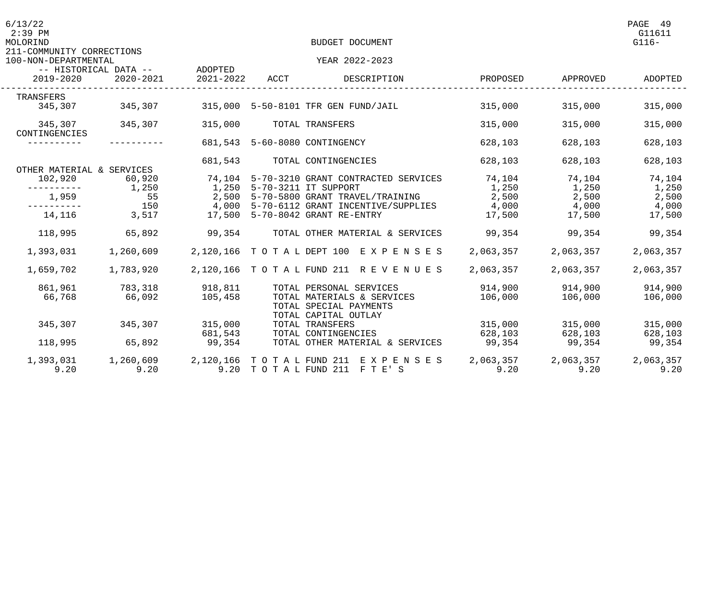| 6/13/22<br>$2:39$ PM<br>MOLORIND                  |                                                       |                            |      | BUDGET DOCUMENT                                                              |           |                   | PAGE 49<br>G11611<br>$G116-$ |
|---------------------------------------------------|-------------------------------------------------------|----------------------------|------|------------------------------------------------------------------------------|-----------|-------------------|------------------------------|
| 211-COMMUNITY CORRECTIONS<br>100-NON-DEPARTMENTAL | N-DEPARTMENTAL<br>-- HISTORICAL DATA --       ADOPTED |                            |      | YEAR 2022-2023                                                               |           |                   |                              |
| 2019-2020                                         | 2020-2021                                             | 2021-2022                  | ACCT | DESCRIPTION                                                                  | PROPOSED  | APPROVED          | ADOPTED                      |
| TRANSFERS                                         |                                                       |                            |      |                                                                              |           |                   |                              |
|                                                   | 345,307 345,307                                       |                            |      | 315,000 5-50-8101 TFR GEN FUND/JAIL                                          | 315,000   | 315,000           | 315,000                      |
| CONTINGENCIES                                     | 345,307 345,307                                       | 315,000                    |      | TOTAL TRANSFERS                                                              | 315,000   | 315,000           | 315,000                      |
| -----------                                       |                                                       |                            |      | 681,543 5-60-8080 CONTINGENCY                                                | 628,103   | 628,103           | 628,103                      |
| OTHER MATERIAL & SERVICES                         |                                                       |                            |      | 681,543 TOTAL CONTINGENCIES                                                  | 628,103   | 628,103           | 628,103                      |
| 102,920                                           | 60,920                                                |                            |      | 74,104 5-70-3210 GRANT CONTRACTED SERVICES 74,104                            |           | $74,104$ $74,104$ |                              |
| -----------                                       | 1,250                                                 | 1,250 5-70-3211 IT SUPPORT |      |                                                                              | 1,250     | $1,250$ $1,250$   |                              |
| 1,959                                             |                                                       |                            |      | 55 2,500 5-70-5800 GRANT TRAVEL/TRAINING                                     | 2,500     | 2,500             | 2,500                        |
| 14,116                                            | 3,517                                                 |                            |      | 17,500 5-70-8042 GRANT RE-ENTRY                                              |           | 4,000             | 4,000                        |
|                                                   |                                                       |                            |      |                                                                              | 17,500    | 17,500 17,500     |                              |
| 118,995                                           | 65,892                                                | 99,354                     |      | TOTAL OTHER MATERIAL & SERVICES 99,354                                       |           | 99,354            | 99,354                       |
| 1,393,031                                         | 1,260,609                                             |                            |      | 2,120,166 TOTAL DEPT 100 EXPENSES                                            | 2,063,357 | 2,063,357         | 2,063,357                    |
| 1,659,702                                         | 1,783,920                                             |                            |      | 2,120,166 TOTAL FUND 211 REVENUES 2,063,357                                  |           | 2,063,357         | 2,063,357                    |
|                                                   | 861,961 783,318                                       | 918,811                    |      | TOTAL PERSONAL SERVICES                                                      | 914,900   | 914,900           | 914,900                      |
| 66,768                                            | 66,092                                                | 105,458                    |      | TOTAL MATERIALS & SERVICES<br>TOTAL SPECIAL PAYMENTS<br>TOTAL CAPITAL OUTLAY | 106,000   | 106,000           | 106,000                      |
| 345,307                                           | 345,307 315,000                                       |                            |      | TOTAL TRANSFERS                                                              |           | 315,000 315,000   | 315,000                      |
|                                                   |                                                       | 681,543                    |      | TOTAL CONTINGENCIES                                                          | 628,103   | 628,103           | 628,103                      |
| 118,995                                           | 65,892                                                | 99,354                     |      | TOTAL OTHER MATERIAL & SERVICES                                              | 99,354    | 99,354            | 99,354                       |
|                                                   |                                                       |                            |      | 1,393,031 1,260,609 2,120,166 TOTAL FUND 211 EXPENSES                        | 2,063,357 | 2,063,357         | 2,063,357                    |
| 9.20                                              | 9.20                                                  |                            |      | 9.20 TOTAL FUND 211 FTE'S                                                    | 9.20      | 9.20              | 9.20                         |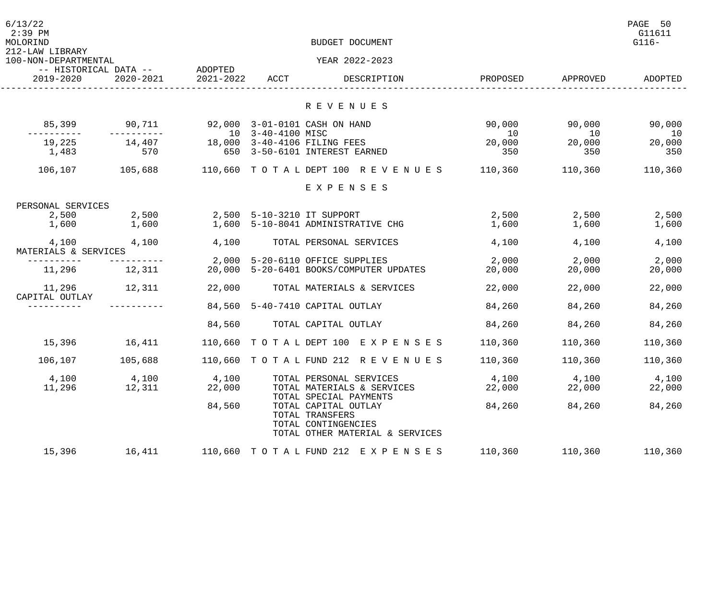| 6/13/22<br>$2:39$ PM<br>MOLORIND<br>212-LAW LIBRARY |                               |                 |                   | BUDGET DOCUMENT                                                                                   |                 |                 | PAGE 50<br>G11611<br>$G116-$ |
|-----------------------------------------------------|-------------------------------|-----------------|-------------------|---------------------------------------------------------------------------------------------------|-----------------|-----------------|------------------------------|
| 100-NON-DEPARTMENTAL                                | -- HISTORICAL DATA -- ADOPTED |                 |                   | YEAR 2022-2023                                                                                    |                 |                 |                              |
| 2019-2020                                           | 2020-2021                     | 2021-2022       | ACCT              | DESCRIPTION                                                                                       | PROPOSED        | APPROVED        | ADOPTED                      |
|                                                     |                               |                 |                   | R E V E N U E S                                                                                   |                 |                 |                              |
| 85,399                                              | 90,711                        |                 | 10 3-40-4100 MISC | 92,000 3-01-0101 CASH ON HAND                                                                     | 90,000<br>10    | 90,000<br>10    | 90,000<br>10                 |
| 19,225<br>1,483                                     | 14,407<br>570                 |                 |                   | 18,000 3-40-4106 FILING FEES<br>650 3-50-6101 INTEREST EARNED                                     | 20,000<br>350   | 20,000<br>350   | 20,000<br>350                |
| 106,107                                             | 105,688                       |                 |                   | 110,660 TOTAL DEPT 100 REVENUES                                                                   | 110,360         | 110,360         | 110,360                      |
|                                                     |                               |                 |                   | EXPENSES                                                                                          |                 |                 |                              |
| PERSONAL SERVICES                                   |                               |                 |                   |                                                                                                   |                 |                 |                              |
| 2,500<br>1,600                                      | 2,500<br>1,600                |                 |                   | 2,500 5-10-3210 IT SUPPORT<br>1,600 5-10-8041 ADMINISTRATIVE CHG                                  | 2,500<br>1,600  | 2,500<br>1,600  | 2,500<br>1,600               |
| 4,100<br>MATERIALS & SERVICES                       | 4,100                         | 4,100           |                   | TOTAL PERSONAL SERVICES                                                                           | 4,100           | 4,100           | 4,100                        |
|                                                     |                               |                 |                   | 2,000 5-20-6110 OFFICE SUPPLIES                                                                   | 2,000           | 2,000           | 2,000                        |
| 11,296 12,311                                       |                               |                 |                   | 20,000 5-20-6401 BOOKS/COMPUTER UPDATES                                                           | 20,000          | 20,000          | 20,000                       |
| 11,296<br>CAPITAL OUTLAY                            | 12,311                        | 22,000          |                   | TOTAL MATERIALS & SERVICES                                                                        | 22,000          | 22,000          | 22,000                       |
|                                                     |                               |                 |                   | 84,560 5-40-7410 CAPITAL OUTLAY                                                                   | 84,260          | 84,260          | 84,260                       |
|                                                     |                               | 84,560          |                   | TOTAL CAPITAL OUTLAY                                                                              | 84,260          | 84,260          | 84,260                       |
| 15,396                                              | 16,411                        |                 |                   | 110,660 TOTAL DEPT 100 EXPENSES                                                                   | 110,360         | 110,360         | 110,360                      |
| 106,107                                             | 105,688                       |                 |                   | 110,660 TOTAL FUND 212 REVENUES                                                                   | 110,360         | 110,360         | 110,360                      |
| 4,100<br>11,296                                     | 4,100<br>12,311               | 4,100<br>22,000 |                   | TOTAL PERSONAL SERVICES<br>TOTAL MATERIALS & SERVICES<br>TOTAL SPECIAL PAYMENTS                   | 4,100<br>22,000 | 4,100<br>22,000 | 4,100<br>22,000              |
|                                                     |                               | 84,560          |                   | TOTAL CAPITAL OUTLAY<br>TOTAL TRANSFERS<br>TOTAL CONTINGENCIES<br>TOTAL OTHER MATERIAL & SERVICES | 84,260          | 84,260          | 84,260                       |
| 15,396                                              | 16,411                        |                 |                   | 110,660 TOTAL FUND 212 EXPENSES                                                                   | 110,360         | 110,360         | 110,360                      |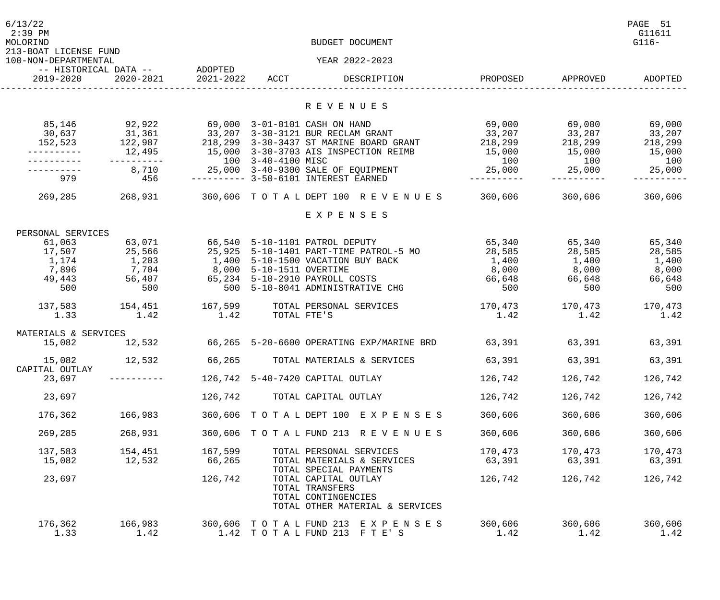| 6/13/22<br>$2:39$ PM<br>MOLORIND              |                                                                               |         |             | BUDGET DOCUMENT                                                                                                                                                                                                                         |                                                                  |                        | PAGE 51<br>G11611<br>$G116-$ |
|-----------------------------------------------|-------------------------------------------------------------------------------|---------|-------------|-----------------------------------------------------------------------------------------------------------------------------------------------------------------------------------------------------------------------------------------|------------------------------------------------------------------|------------------------|------------------------------|
| 213-BOAT LICENSE FUND<br>100-NON-DEPARTMENTAL |                                                                               |         |             | YEAR 2022-2023                                                                                                                                                                                                                          |                                                                  |                        |                              |
| 2019-2020                                     | -- HISTORICAL DATA -- ADOPTED                                                 |         |             |                                                                                                                                                                                                                                         |                                                                  | PROPOSED APPROVED      | ADOPTED                      |
|                                               |                                                                               |         |             | R E V E N U E S                                                                                                                                                                                                                         |                                                                  |                        |                              |
| 85,146                                        | 92,922<br>-----------                                                         |         |             | 69,000 3-01-0101 CASH ON HAND<br>30,637 31,361 33,207 3-30-3121 BUR RECLAM GRANT<br>152,523 122,987 218,299 3-30-3437 ST MARINE BOARD GRANT 218,299 218,299 218,299 218,299                                                             | 69,000      69,000      69,000<br>33, 207 33, 207 33, 207<br>100 | 100                    |                              |
| 979                                           | 456                                                                           |         |             | --------- 3-50-6101 INTEREST EARNED                                                                                                                                                                                                     | ___________                                                      |                        |                              |
|                                               |                                                                               |         |             | 269,285 268,931 360,606 TO TA L DEPT 100 R E V E N U E S 360,606 360,606                                                                                                                                                                |                                                                  |                        | 360,606                      |
|                                               |                                                                               |         |             | EXPENSES                                                                                                                                                                                                                                |                                                                  |                        |                              |
| PERSONAL SERVICES<br>61,063                   | 63,071 66,540 5-10-1101 PATROL DEPUTY                                         |         |             |                                                                                                                                                                                                                                         | 65,340 65,340 65,340                                             |                        |                              |
| 500                                           | 17,507 25,566<br>1, 174 1, 203<br>7,896 7,704 8,000 5-10-1511 OVERTIME<br>500 |         |             | 25,925 5-10-1401 PART-TIME PATROL-5 MO       28,585      28,585      28,595<br>1,400 5-10-1500 VACATION BUY BACK<br>49,443 56,407 65,234 5-10-2910 PAYROLL COSTS 66,648 66,648 66,648 66,648 66,648<br>500 5-10-8041 ADMINISTRATIVE CHG | 1,400<br>8,000 8,000 8,000                                       | 1,400 1,400<br>500 500 | 500                          |
| 137,583<br>1.33                               | 1.42                                                                          | 1.42    | TOTAL FTE'S | 154,451 167,599 TOTAL PERSONAL SERVICES                                                                                                                                                                                                 | $170,473$ $170,473$<br>1.42                                      | 1.42                   | 170,473<br>1.42              |
| MATERIALS & SERVICES                          |                                                                               |         |             |                                                                                                                                                                                                                                         |                                                                  |                        |                              |
| 15,082                                        | 12,532                                                                        |         |             | 66,265 5-20-6600 OPERATING EXP/MARINE BRD 63,391 63,391 63,391 63,391                                                                                                                                                                   |                                                                  |                        |                              |
| 15,082<br>CAPITAL OUTLAY                      | 12,532                                                                        | 66,265  |             | TOTAL MATERIALS & SERVICES                                                                                                                                                                                                              | 63,391                                                           | 63,391                 | 63,391                       |
| 23,697                                        |                                                                               |         |             | 126,742 5-40-7420 CAPITAL OUTLAY                                                                                                                                                                                                        | 126,742                                                          | 126,742                | 126,742                      |
| 23,697                                        |                                                                               | 126,742 |             | TOTAL CAPITAL OUTLAY                                                                                                                                                                                                                    | 126,742                                                          | 126,742                | 126,742                      |
| 176,362                                       | 166,983                                                                       |         |             | 360,606 TOTAL DEPT 100 EXPENSES                                                                                                                                                                                                         | 360,606                                                          | 360,606                | 360,606                      |
| 269,285                                       | 268,931                                                                       |         |             | 360,606 TOTAL FUND 213 REVENUES                                                                                                                                                                                                         | 360,606                                                          | 360,606                | 360,606                      |
| 137,583                                       | 154,451                                                                       | 167,599 |             | TOTAL PERSONAL SERVICES                                                                                                                                                                                                                 | 170,473                                                          | 170,473                | 170,473                      |
| 15,082                                        | 12,532                                                                        | 66,265  |             | TOTAL MATERIALS & SERVICES<br>TOTAL SPECIAL PAYMENTS                                                                                                                                                                                    | 63,391                                                           | 63,391                 | 63,391                       |
| 23,697                                        |                                                                               | 126,742 |             | TOTAL CAPITAL OUTLAY<br>TOTAL TRANSFERS<br>TOTAL CONTINGENCIES<br>TOTAL OTHER MATERIAL & SERVICES                                                                                                                                       | 126,742                                                          | 126,742                | 126,742                      |
| 176,362<br>1.33                               | 166,983<br>1.42                                                               |         |             | 360,606 TOTAL FUND 213 EXPENSES<br>1.42 TOTAL FUND 213 FTE'S                                                                                                                                                                            | 360,606<br>1.42                                                  | 360,606<br>1.42        | 360,606<br>1.42              |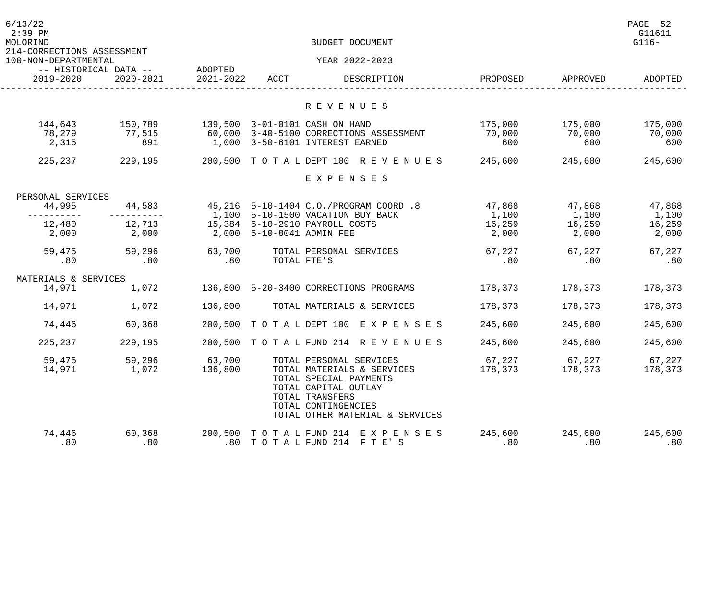| 6/13/22<br>$2:39$ PM<br>MOLORIND<br>214-CORRECTIONS ASSESSMENT |                                    | BUDGET DOCUMENT      |                           |                                                                                                                                                           |                |                |                |  |
|----------------------------------------------------------------|------------------------------------|----------------------|---------------------------|-----------------------------------------------------------------------------------------------------------------------------------------------------------|----------------|----------------|----------------|--|
| 100-NON-DEPARTMENTAL                                           |                                    |                      |                           | YEAR 2022-2023                                                                                                                                            |                |                |                |  |
| 2019-2020                                                      | -- HISTORICAL DATA --<br>2020-2021 | ADOPTED<br>2021-2022 | ACCT                      | DESCRIPTION                                                                                                                                               | PROPOSED       | APPROVED       | ADOPTED        |  |
|                                                                |                                    |                      |                           | R E V E N U E S                                                                                                                                           |                |                |                |  |
| 144,643                                                        | 150,789                            |                      |                           | 139,500 3-01-0101 CASH ON HAND                                                                                                                            | 175,000        | 175,000        | 175,000        |  |
| 78,279                                                         | 77,515                             |                      |                           | 60,000 3-40-5100 CORRECTIONS ASSESSMENT                                                                                                                   | 70,000         | 70,000         | 70,000         |  |
| 2,315                                                          | 891                                |                      |                           | 1,000 3-50-6101 INTEREST EARNED                                                                                                                           | 600            | 600            | 600            |  |
| 225,237                                                        | 229,195                            |                      |                           | 200,500 TOTAL DEPT 100 REVENUES                                                                                                                           | 245,600        | 245,600        | 245,600        |  |
|                                                                |                                    |                      |                           | EXPENSES                                                                                                                                                  |                |                |                |  |
| PERSONAL SERVICES                                              |                                    |                      |                           |                                                                                                                                                           |                |                |                |  |
| 44,995                                                         | 44,583                             |                      |                           | 45,216 5-10-1404 C.O./PROGRAM COORD .8                                                                                                                    | 47,868         | 47,868         | 47,868         |  |
|                                                                |                                    |                      |                           | 1,100 5-10-1500 VACATION BUY BACK                                                                                                                         | 1,100          | 1,100          | 1,100          |  |
| 12,480                                                         | 12,713                             |                      |                           | 15,384 5-10-2910 PAYROLL COSTS                                                                                                                            | 16,259         | 16,259         | 16,259         |  |
| 2,000                                                          | 2,000                              |                      | 2,000 5-10-8041 ADMIN FEE |                                                                                                                                                           | 2,000          | 2,000          | 2,000          |  |
| 59,475                                                         | 59,296                             | 63,700               |                           | TOTAL PERSONAL SERVICES                                                                                                                                   | 67,227         | 67,227         | 67,227         |  |
| .80                                                            | .80                                | .80                  |                           | TOTAL FTE'S                                                                                                                                               | .80            | .80            | .80            |  |
| MATERIALS & SERVICES                                           |                                    |                      |                           |                                                                                                                                                           |                |                |                |  |
| 14,971                                                         | 1,072                              |                      |                           | 136,800 5-20-3400 CORRECTIONS PROGRAMS                                                                                                                    | 178,373        | 178,373        | 178,373        |  |
|                                                                |                                    |                      |                           |                                                                                                                                                           |                |                |                |  |
| 14,971                                                         | 1,072                              | 136,800              |                           | TOTAL MATERIALS & SERVICES                                                                                                                                | 178,373        | 178,373        | 178,373        |  |
| 74,446                                                         | 60,368                             |                      |                           | 200,500 TOTAL DEPT 100 EXPENSES                                                                                                                           | 245,600        | 245,600        | 245,600        |  |
| 225,237                                                        | 229,195                            |                      |                           | 200,500 TOTAL FUND 214 REVENUES                                                                                                                           | 245,600        | 245,600        | 245,600        |  |
| 59,475                                                         | 59,296                             | 63,700               |                           | TOTAL PERSONAL SERVICES                                                                                                                                   | 67,227         | 67,227         | 67,227         |  |
| 14,971                                                         | 1,072                              | 136,800              |                           | TOTAL MATERIALS & SERVICES<br>TOTAL SPECIAL PAYMENTS<br>TOTAL CAPITAL OUTLAY<br>TOTAL TRANSFERS<br>TOTAL CONTINGENCIES<br>TOTAL OTHER MATERIAL & SERVICES | 178,373        | 178,373        | 178,373        |  |
| 74,446<br>.80                                                  | 60,368<br>.80                      |                      |                           | 200,500 TOTAL FUND 214 EXPENSES<br>.80 TOTAL FUND 214 FTE'S                                                                                               | 245,600<br>.80 | 245,600<br>.80 | 245,600<br>.80 |  |
|                                                                |                                    |                      |                           |                                                                                                                                                           |                |                |                |  |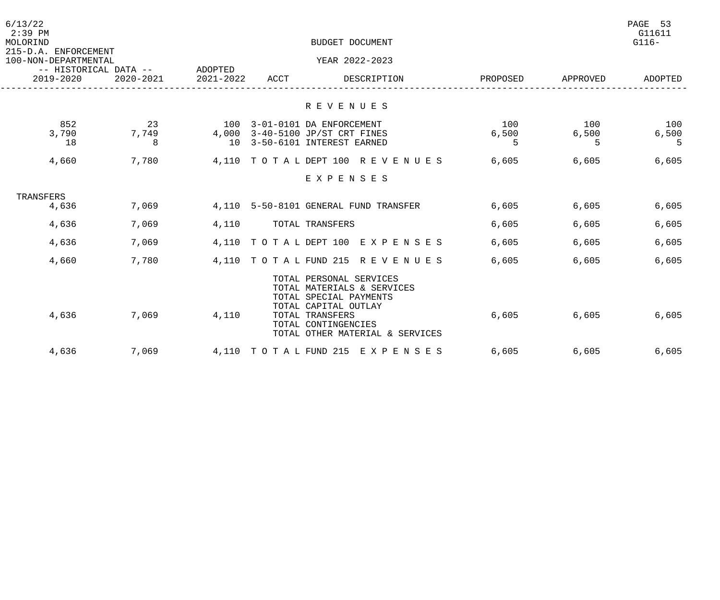| 6/13/22<br>$2:39$ PM<br>MOLORIND                    | BUDGET DOCUMENT  |                      |                      |                                                                                                                                                                                      |                   |                   |                   |
|-----------------------------------------------------|------------------|----------------------|----------------------|--------------------------------------------------------------------------------------------------------------------------------------------------------------------------------------|-------------------|-------------------|-------------------|
| 215-D.A. ENFORCEMENT<br>100-NON-DEPARTMENTAL        |                  |                      |                      | YEAR 2022-2023                                                                                                                                                                       |                   |                   |                   |
| -- HISTORICAL DATA --<br>2019-2020<br>$2020 - 2021$ |                  | ADOPTED<br>2021-2022 | ACCT                 | DESCRIPTION                                                                                                                                                                          | PROPOSED          | APPROVED          | ADOPTED           |
|                                                     |                  |                      |                      | R E V E N U E S                                                                                                                                                                      |                   |                   |                   |
| 852<br>3,790<br>18                                  | 23<br>7,749<br>8 | 100<br>4,000<br>1 O  |                      | 3-01-0101 DA ENFORCEMENT<br>3-40-5100 JP/ST CRT FINES<br>3-50-6101 INTEREST EARNED                                                                                                   | 100<br>6,500<br>5 | 100<br>6,500<br>5 | 100<br>6,500<br>5 |
| 4,660                                               | 7,780            | 4,110                | TO TAL DEPT 100      | R E V E N U E S                                                                                                                                                                      | 6,605             | 6,605             | 6,605             |
|                                                     |                  |                      |                      | EXPENSES                                                                                                                                                                             |                   |                   |                   |
| TRANSFERS<br>4,636                                  | 7,069            |                      |                      | 4,110 5-50-8101 GENERAL FUND TRANSFER                                                                                                                                                | 6,605             | 6,605             | 6,605             |
| 4,636                                               | 7,069            | 4,110                |                      | TOTAL TRANSFERS                                                                                                                                                                      | 6,605             | 6,605             | 6,605             |
| 4,636                                               | 7,069            |                      | 4,110 TOTAL DEPT 100 | E X P E N S E S                                                                                                                                                                      | 6,605             | 6,605             | 6,605             |
| 4,660                                               | 7,780            |                      |                      | 4,110 TOTAL FUND 215 REVENUES                                                                                                                                                        | 6,605             | 6,605             | 6,605             |
| 4,636                                               | 7,069            | 4,110                |                      | TOTAL PERSONAL SERVICES<br>TOTAL MATERIALS & SERVICES<br>TOTAL SPECIAL PAYMENTS<br>TOTAL CAPITAL OUTLAY<br>TOTAL TRANSFERS<br>TOTAL CONTINGENCIES<br>TOTAL OTHER MATERIAL & SERVICES | 6,605             | 6,605             | 6,605             |
| 4,636                                               | 7,069            |                      |                      | 4,110 TOTAL FUND 215 EXPENSES                                                                                                                                                        | 6,605             | 6,605             | 6,605             |
|                                                     |                  |                      |                      |                                                                                                                                                                                      |                   |                   |                   |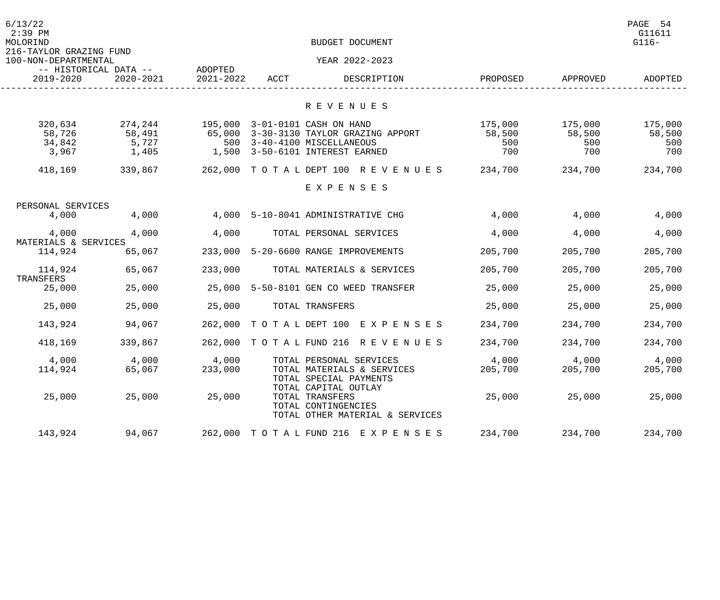| 6/13/22<br>$2:39$ PM<br>MOLORIND<br>216-TAYLOR GRAZING FUND |                                     |                      |      | BUDGET DOCUMENT                                                                                                                  |                                 |                                 | PAGE 54<br>G11611<br>$G116-$    |
|-------------------------------------------------------------|-------------------------------------|----------------------|------|----------------------------------------------------------------------------------------------------------------------------------|---------------------------------|---------------------------------|---------------------------------|
| 100-NON-DEPARTMENTAL                                        |                                     |                      |      | YEAR 2022-2023                                                                                                                   |                                 |                                 |                                 |
| -- HISTORICAL DATA --<br>2019-2020                          | 2020-2021                           | ADOPTED<br>2021-2022 | ACCT | DESCRIPTION                                                                                                                      | PROPOSED                        | APPROVED                        | ADOPTED                         |
|                                                             |                                     |                      |      | R E V E N U E S                                                                                                                  |                                 |                                 |                                 |
| 320,634<br>58,726<br>34,842<br>3,967                        | 274,244<br>58,491<br>5,727<br>1,405 | 500<br>1,500         |      | 195,000 3-01-0101 CASH ON HAND<br>65,000 3-30-3130 TAYLOR GRAZING APPORT<br>3-40-4100 MISCELLANEOUS<br>3-50-6101 INTEREST EARNED | 175,000<br>58,500<br>500<br>700 | 175,000<br>58,500<br>500<br>700 | 175,000<br>58,500<br>500<br>700 |
| 418,169                                                     | 339,867                             | 262,000              |      | TOTAL DEPT 100 REVENUES                                                                                                          | 234,700                         | 234,700                         | 234,700                         |
|                                                             |                                     |                      |      | EXPENSES                                                                                                                         |                                 |                                 |                                 |
| PERSONAL SERVICES                                           |                                     |                      |      |                                                                                                                                  |                                 |                                 |                                 |
| 4,000                                                       | 4,000                               |                      |      | 4,000 5-10-8041 ADMINISTRATIVE CHG                                                                                               | 4,000                           | 4,000                           | 4,000                           |
| 4,000<br>MATERIALS & SERVICES                               | 4,000                               | 4,000                |      | TOTAL PERSONAL SERVICES                                                                                                          | 4,000                           | 4,000                           | 4,000                           |
| 114,924                                                     | 65,067                              | 233,000              |      | 5-20-6600 RANGE IMPROVEMENTS                                                                                                     | 205,700                         | 205,700                         | 205,700                         |
| 114,924<br>TRANSFERS                                        | 65,067                              | 233,000              |      | TOTAL MATERIALS & SERVICES                                                                                                       | 205,700                         | 205,700                         | 205,700                         |
| 25,000                                                      | 25,000                              | 25,000               |      | 5-50-8101 GEN CO WEED TRANSFER                                                                                                   | 25,000                          | 25,000                          | 25,000                          |
| 25,000                                                      | 25,000                              | 25,000               |      | TOTAL TRANSFERS                                                                                                                  | 25,000                          | 25,000                          | 25,000                          |
| 143,924                                                     | 94,067                              | 262,000              |      | TOTAL DEPT 100 EXPENSES                                                                                                          | 234,700                         | 234,700                         | 234,700                         |
| 418,169                                                     | 339,867                             | 262,000              |      | TOTAL FUND 216 REVENUES                                                                                                          | 234,700                         | 234,700                         | 234,700                         |
| 4,000<br>114,924                                            | 4,000<br>65,067                     | 4,000<br>233,000     |      | TOTAL PERSONAL SERVICES<br>TOTAL MATERIALS & SERVICES<br>TOTAL SPECIAL PAYMENTS<br>TOTAL CAPITAL OUTLAY                          | 4,000<br>205,700                | 4,000<br>205,700                | 4,000<br>205,700                |
| 25,000                                                      | 25,000                              | 25,000               |      | TOTAL TRANSFERS<br>TOTAL CONTINGENCIES<br>TOTAL OTHER MATERIAL & SERVICES                                                        | 25,000                          | 25,000                          | 25,000                          |
| 143,924                                                     | 94,067                              |                      |      | 262,000 TOTAL FUND 216 EXPENSES                                                                                                  | 234,700                         | 234,700                         | 234,700                         |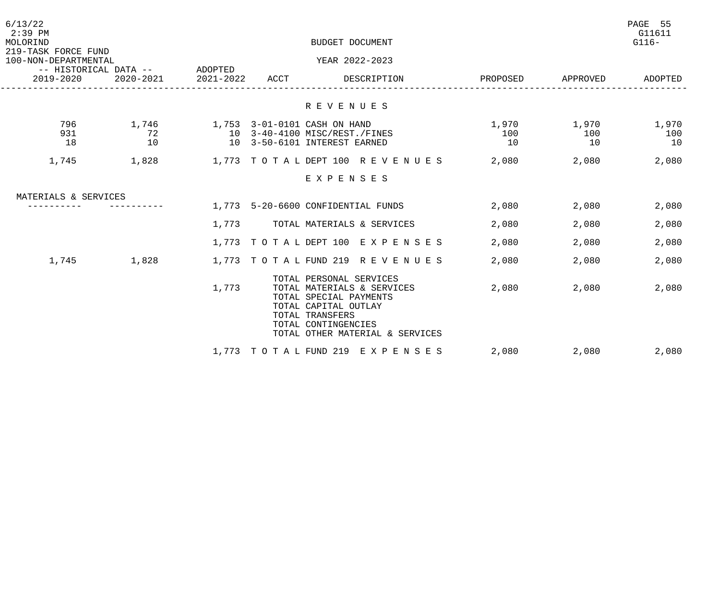| 6/13/22<br>$2:39$ PM<br>MOLORIND                                                          |                   |                     | PAGE 55<br>G11611<br>$G116-$ |                                                                                                                                                                                      |                    |                    |                    |
|-------------------------------------------------------------------------------------------|-------------------|---------------------|------------------------------|--------------------------------------------------------------------------------------------------------------------------------------------------------------------------------------|--------------------|--------------------|--------------------|
| 219-TASK FORCE FUND<br>100-NON-DEPARTMENTAL<br>-- HISTORICAL DATA -- ADOPTED<br>2019-2020 |                   |                     |                              | YEAR 2022-2023                                                                                                                                                                       |                    |                    |                    |
|                                                                                           |                   | 2020-2021 2021-2022 | ACCT                         | DESCRIPTION                                                                                                                                                                          | PROPOSED APPROVED  |                    | ADOPTED            |
|                                                                                           |                   |                     |                              | R E V E N U E S                                                                                                                                                                      |                    |                    |                    |
| 796<br>931<br>18                                                                          | 1,746<br>72<br>10 |                     |                              | 1,753 3-01-0101 CASH ON HAND<br>10 3-40-4100 MISC/REST./FINES<br>10 3-50-6101 INTEREST EARNED                                                                                        | 1,970<br>100<br>10 | 1,970<br>100<br>10 | 1,970<br>100<br>10 |
| 1,745                                                                                     | 1,828             |                     |                              | 1,773 TOTALDEPT 100 REVENUES                                                                                                                                                         | 2,080              | 2,080              | 2,080              |
|                                                                                           |                   |                     |                              | EXPENSES                                                                                                                                                                             |                    |                    |                    |
| MATERIALS & SERVICES                                                                      |                   |                     |                              |                                                                                                                                                                                      |                    |                    |                    |
|                                                                                           |                   |                     |                              | 1,773 5-20-6600 CONFIDENTIAL FUNDS                                                                                                                                                   | 2,080              | 2,080              | 2,080              |
|                                                                                           |                   | 1,773               |                              | TOTAL MATERIALS & SERVICES                                                                                                                                                           | 2,080              | 2,080              | 2,080              |
|                                                                                           |                   |                     |                              | 1,773 TOTAL DEPT 100 EXPENSES                                                                                                                                                        | 2,080              | 2,080              | 2,080              |
| 1,745                                                                                     | 1,828             |                     |                              | 1,773 TOTAL FUND 219 REVENUES                                                                                                                                                        | 2,080              | 2,080              | 2,080              |
|                                                                                           |                   | 1,773               |                              | TOTAL PERSONAL SERVICES<br>TOTAL MATERIALS & SERVICES<br>TOTAL SPECIAL PAYMENTS<br>TOTAL CAPITAL OUTLAY<br>TOTAL TRANSFERS<br>TOTAL CONTINGENCIES<br>TOTAL OTHER MATERIAL & SERVICES | 2,080              | 2,080              | 2,080              |
|                                                                                           |                   |                     |                              | 1,773 TOTAL FUND 219 EXPENSES                                                                                                                                                        | 2,080              | 2,080              | 2,080              |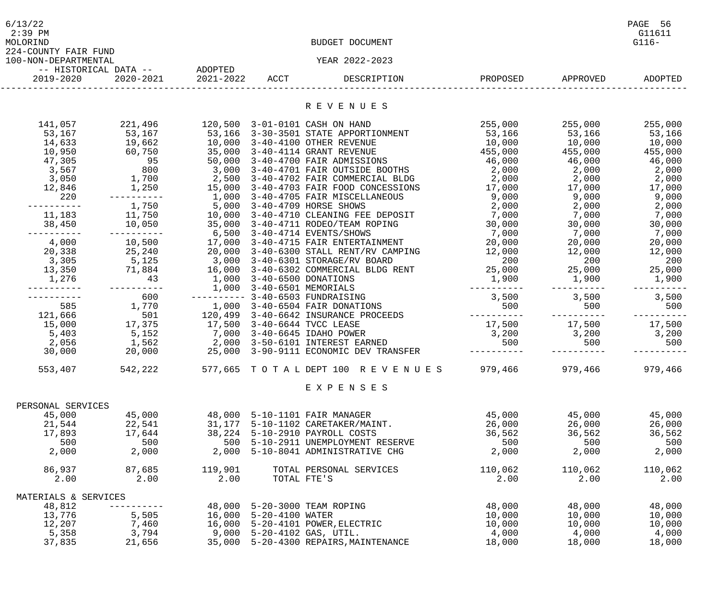| 6/13/22<br>$2:39$ PM<br>MOLORIND             |                                              |                          |                                | BUDGET DOCUMENT                                                                                                                                                                                                                     |                                 |                   | PAGE 56<br>G11611<br>$G116-$ |
|----------------------------------------------|----------------------------------------------|--------------------------|--------------------------------|-------------------------------------------------------------------------------------------------------------------------------------------------------------------------------------------------------------------------------------|---------------------------------|-------------------|------------------------------|
| 224-COUNTY FAIR FUND<br>100-NON-DEPARTMENTAL |                                              |                          |                                | YEAR 2022-2023                                                                                                                                                                                                                      |                                 |                   |                              |
| 2019-2020                                    | -- HISTORICAL DATA -- ADOPTED                | 2020-2021 2021-2022 ACCT |                                | DESCRIPTION                                                                                                                                                                                                                         |                                 | PROPOSED APPROVED | ADOPTED                      |
|                                              |                                              |                          |                                |                                                                                                                                                                                                                                     |                                 |                   |                              |
|                                              |                                              |                          |                                | R E V E N U E S                                                                                                                                                                                                                     |                                 |                   |                              |
| 141,057                                      |                                              |                          |                                |                                                                                                                                                                                                                                     | 255,000 255,000 255,000         |                   |                              |
|                                              |                                              |                          |                                | 53,167 53,167 53,166 3-30-3501 STATE APPORTIONMENT 53,166                                                                                                                                                                           |                                 | 53,166 53,166     |                              |
|                                              | 14,633 19,662 10,000 3-40-4100 OTHER REVENUE |                          |                                |                                                                                                                                                                                                                                     | $10,000$ $10,000$ $10,000$      |                   |                              |
|                                              |                                              |                          |                                | 10,950 60,750 35,000 3-40-4114 GRANT REVENUE 455,000 455,000 455,000 455,000<br>47,305 95 50,000 3-40-4700 FAIR ADMISSIONS 46,000 46,000 46,000 46,000<br>3,567 800 3,000 3-40-4701 FAIR OUTSIDE BOOTHS 2,000 2,000 2,000           |                                 |                   |                              |
|                                              |                                              |                          |                                |                                                                                                                                                                                                                                     |                                 |                   |                              |
|                                              |                                              |                          |                                |                                                                                                                                                                                                                                     |                                 |                   |                              |
|                                              |                                              |                          |                                | 3,050      1,700      2,500 3-40-4702 FAIR COMMERCIAL BLDG        2,000      2,000      2,000                                                                                                                                       |                                 |                   |                              |
|                                              |                                              |                          |                                | 12,846 1,250 15,000 3-40-4703 FAIR FOOD CONCESSIONS 17,000 17,000 17,000 17,000                                                                                                                                                     |                                 |                   |                              |
| 220                                          |                                              |                          |                                | ---------- 1,000 3-40-4705 FAIR MISCELLANEOUS 9,000 9,000 9,000 9,000                                                                                                                                                               |                                 |                   |                              |
| -----------                                  | 1,750 5,000 3-40-4709 HORSE SHOWS            |                          |                                |                                                                                                                                                                                                                                     | $2,000$ $2,000$ $2,000$ $2,000$ |                   |                              |
|                                              |                                              |                          |                                | 11,183 11,750 10,000 3-40-4710 CLEANING FEE DEPOSIT 7,000 7,000 7,000 7,000                                                                                                                                                         |                                 |                   |                              |
|                                              |                                              |                          |                                |                                                                                                                                                                                                                                     |                                 |                   |                              |
| -----------                                  |                                              |                          |                                |                                                                                                                                                                                                                                     |                                 |                   |                              |
|                                              |                                              |                          |                                | 4,000      10,500      17,000 3-40-4715 FAIR ENTERTAINMENT          20,000                                                                                                                                                          |                                 | 20,000            | 20,000                       |
|                                              |                                              |                          |                                | 20,338 25,240 20,000 3-40-6300 STALL RENT/RV CAMPING 20,000 12,000 12,000 12,000 12,000<br>3,305 5,125 3,000 3-40-6301 STORAGE/RV BOARD 200 200 200 200<br>13,350 71,884 16,000 3-40-6302 COMMERCIAL BLDG RENT 25,000 25,000 25,000 |                                 |                   |                              |
|                                              |                                              |                          |                                |                                                                                                                                                                                                                                     |                                 |                   |                              |
|                                              |                                              |                          |                                |                                                                                                                                                                                                                                     |                                 |                   |                              |
|                                              |                                              |                          |                                |                                                                                                                                                                                                                                     |                                 |                   |                              |
|                                              |                                              |                          |                                | 1,000 3-40-6500 DONATIONS 1,000 3-40-6501 MEMORIALS 1,000 3-40-6501 MEMORIALS                                                                                                                                                       |                                 |                   |                              |
|                                              | 600                                          |                          |                                | --------- 3-40-6503 FUNDRAISING                                                                                                                                                                                                     | 3,500 3,500 3,500               |                   |                              |
| 585                                          |                                              |                          |                                | 1,770    1,000    3-40-6504 FAIR DONATIONS                                                                                                                                                                                          | 500 500 500 500                 |                   |                              |
| 121,666                                      |                                              |                          |                                |                                                                                                                                                                                                                                     |                                 | -----------       |                              |
|                                              |                                              |                          |                                |                                                                                                                                                                                                                                     | $17,500$ $17,500$ $17,500$      |                   |                              |
|                                              |                                              |                          |                                | 5,403 5,152 7,000 3-40-6645 IDAHO POWER                                                                                                                                                                                             | $3,200$ $3,200$ $3,200$ $3,200$ |                   |                              |
|                                              |                                              |                          |                                | 2,056 1,562 2,000 3-50-6101 INTEREST EARNED<br>30,000 20,000 25,000 3-90-9111 ECONOMIC DEV TRANSFER ---------- -----                                                                                                                |                                 |                   | 500 500                      |
|                                              |                                              |                          |                                |                                                                                                                                                                                                                                     |                                 | -----------       |                              |
| 553,407                                      | 542,222                                      |                          |                                | 577,665 TOTAL DEPT 100 REVENUES                                                                                                                                                                                                     | 979,466                         | 979,466           | 979,466                      |
|                                              |                                              |                          |                                | EXPENSES                                                                                                                                                                                                                            |                                 |                   |                              |
| PERSONAL SERVICES                            |                                              |                          |                                |                                                                                                                                                                                                                                     |                                 |                   |                              |
| 45,000                                       | 45,000                                       |                          | 48,000 5-10-1101 FAIR MANAGER  |                                                                                                                                                                                                                                     | 45,000                          | 45,000            | 45,000                       |
| 21,544                                       | 22,541                                       |                          |                                | 31, 177    5-10-1102    CARETAKER/MAINT.                                                                                                                                                                                            | 26,000                          | 26,000            | 26,000                       |
| 17,893                                       | 17,644                                       |                          | 38,224 5-10-2910 PAYROLL COSTS |                                                                                                                                                                                                                                     | 36,562                          | 36,562            | 36,562                       |
| 500                                          | 500                                          |                          |                                | 500 5-10-2911 UNEMPLOYMENT RESERVE                                                                                                                                                                                                  | 500                             | 500               | 500                          |
| 2,000                                        | 2,000                                        |                          |                                | 2,000 5-10-8041 ADMINISTRATIVE CHG                                                                                                                                                                                                  | 2,000                           | 2,000             | 2,000                        |
| 86,937                                       | 87,685                                       | 119,901                  |                                | TOTAL PERSONAL SERVICES                                                                                                                                                                                                             | 110,062                         | 110,062           | 110,062                      |
| 2.00                                         | 2.00                                         | 2.00                     | TOTAL FTE'S                    |                                                                                                                                                                                                                                     | 2.00                            | 2.00              | 2.00                         |
|                                              |                                              |                          |                                |                                                                                                                                                                                                                                     |                                 |                   |                              |
| MATERIALS & SERVICES                         |                                              |                          |                                |                                                                                                                                                                                                                                     |                                 |                   |                              |
| 48,812                                       |                                              |                          | 48,000 5-20-3000 TEAM ROPING   |                                                                                                                                                                                                                                     | 48,000                          | 48,000            | 48,000                       |
| 13,776                                       | 5,505                                        |                          | 16,000 5-20-4100 WATER         |                                                                                                                                                                                                                                     | 10,000                          | 10,000            | 10,000                       |
| 12,207                                       | 7,460                                        |                          |                                | 16,000    5-20-4101    POWER, ELECTRIC                                                                                                                                                                                              | 10,000                          | 10,000            | 10,000                       |
| 5,358                                        | 3,794                                        |                          | 9,000 5-20-4102 GAS, UTIL.     |                                                                                                                                                                                                                                     | 4,000                           | 4,000             | 4,000                        |
| 37,835                                       | 21,656                                       |                          |                                | 35,000    5-20-4300 REPAIRS, MAINTENANCE                                                                                                                                                                                            | 18,000                          | 18,000            | 18,000                       |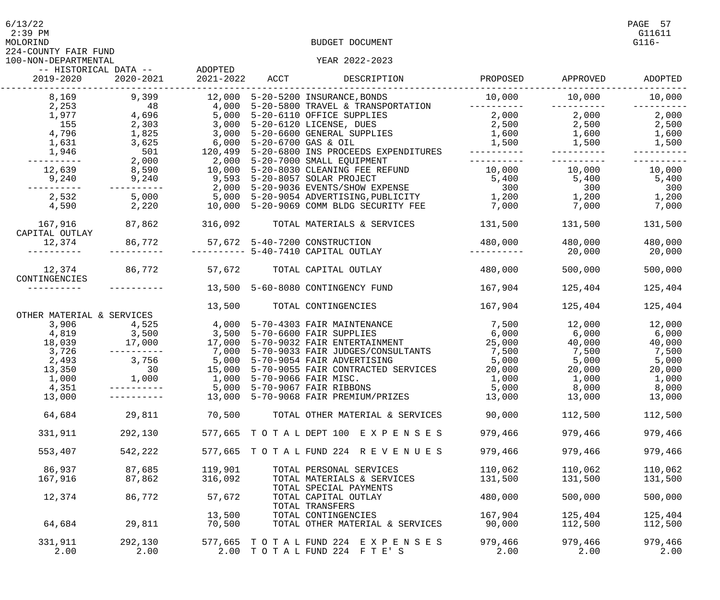$6/13/22$  PAGE 57

224-COUNTY FAIR FUND

## 100-NON-DEPARTMENTAL YEAR 2022-2023

| 2019-2020                      | -- HISTORICAL DATA --<br>2020-2021                 | ADOPTED<br>2021-2022 | ACCT                      | DESCRIPTION                                                                      | PROPOSED              | APPROVED        | ADOPTED              |
|--------------------------------|----------------------------------------------------|----------------------|---------------------------|----------------------------------------------------------------------------------|-----------------------|-----------------|----------------------|
| 8,169<br>2,253                 | 9,399<br>48                                        | 12,000               |                           | 5-20-5200 INSURANCE, BONDS<br>4,000 5-20-5800 TRAVEL & TRANSPORTATION            | 10,000<br>----------- | 10,000          | 10,000<br>---------- |
| 1,977                          | 4,696                                              |                      |                           | 5,000 5-20-6110 OFFICE SUPPLIES                                                  | 2,000                 | 2,000           | 2,000                |
| 155                            | 2,303                                              |                      |                           | 3,000 5-20-6120 LICENSE, DUES                                                    | 2,500                 | 2,500           | 2,500                |
| 4,796                          | 1,825                                              |                      |                           | 3,000 5-20-6600 GENERAL SUPPLIES                                                 | 1,600                 | 1,600           | 1,600                |
| 1,631                          | 3,625                                              |                      | 6,000 5-20-6700 GAS & OIL |                                                                                  | 1,500                 | 1,500           | 1,500                |
| 1,946                          | 501                                                |                      |                           | 120,499 5-20-6800 INS PROCEEDS EXPENDITURES                                      |                       |                 |                      |
| -------                        | $2,000$<br>8,590<br>9.240                          |                      |                           | 2,000 5-20-7000 SMALL EQUIPMENT<br>10,000 5-20-8030 CLEANING FEE REFUND          |                       |                 |                      |
| 12,639                         |                                                    |                      |                           |                                                                                  | 10,000                | 10,000          | 10,000               |
| 9,240                          | 9,240                                              |                      |                           | 9,593 5-20-8057 SOLAR PROJECT                                                    | 5,400                 | 5,400           | 5,400                |
|                                | ----------                                         |                      |                           | 2,000 5-20-9036 EVENTS/SHOW EXPENSE                                              | 300                   | 300             | 300                  |
| 2,532                          | 5,000                                              |                      |                           |                                                                                  | 1,200                 | 1,200           | 1,200                |
| 4,590                          | 2,220                                              |                      |                           | 5,000 5-20-9054 ADVERTISING,PUBLICITY<br>10,000 5-20-9069 COMM BLDG SECURITY FEE | 7,000                 | 7,000           | 7,000                |
| 167,916<br>CAPITAL OUTLAY      | 87,862                                             | 316,092              |                           | TOTAL MATERIALS & SERVICES                                                       | 131,500               | 131,500         | 131,500              |
| 12,374                         | 86,772                                             |                      |                           | 57,672 5-40-7200 CONSTRUCTION                                                    | 480,000               | 480,000         | 480,000              |
|                                |                                                    |                      |                           | ---------- 5-40-7410 CAPITAL OUTLAY                                              |                       | 20,000          | 20,000               |
|                                |                                                    |                      |                           |                                                                                  |                       |                 |                      |
| 12,374 86,772<br>CONTINGENCIES |                                                    | 57,672               |                           | TOTAL CAPITAL OUTLAY                                                             | 480,000               | 500,000         | 500,000              |
|                                |                                                    |                      |                           | 13,500 5-60-8080 CONTINGENCY FUND                                                | 167,904               | 125,404         | 125,404              |
| OTHER MATERIAL & SERVICES      |                                                    | 13,500               |                           | TOTAL CONTINGENCIES                                                              | 167,904               | 125,404         | 125,404              |
| 3,906                          | 4,525                                              |                      |                           |                                                                                  | 7,500                 | 12,000          | 12,000               |
|                                |                                                    |                      |                           | 4,000 5-70-4303 FAIR MAINTENANCE<br>3,500 5-70-6600 FAIR SUPPLIES                | 6,000                 | 6,000           | 6,000                |
|                                |                                                    |                      |                           | 17,000 5-70-9032 FAIR ENTERTAINMENT                                              | 25,000                | 40,000          | 40,000               |
| 3,726                          | $4,819$<br>18,039<br>3,726<br>3,726<br>----------- |                      |                           | 7,000 5-70-9033 FAIR JUDGES/CONSULTANTS                                          | 7,500                 | 7,500           | 7,500                |
| 2,493                          | 3,756                                              |                      |                           | 5,000 5-70-9054 FAIR ADVERTISING                                                 | 5,000                 | 5,000           | 5,000                |
| 13,350                         | 30                                                 |                      |                           | 15,000 5-70-9055 FAIR CONTRACTED SERVICES                                        | 20,000                | 20,000          | 20,000               |
| 1,000                          | 1,000                                              |                      |                           | 1,000 5-70-9066 FAIR MISC.                                                       | 1,000                 | 1,000           | 1,000                |
| 4,351                          |                                                    |                      |                           | 5,000 5-70-9067 FAIR RIBBONS                                                     | 5,000                 | 8,000           | 8,000                |
| 13,000                         |                                                    |                      |                           | 13,000 5-70-9068 FAIR PREMIUM/PRIZES                                             | 13,000                | 13,000 13       | 13,000               |
| 64,684                         | 29,811                                             | 70,500               |                           | TOTAL OTHER MATERIAL & SERVICES                                                  | 90,000                | 112,500         | 112,500              |
| 331,911                        | 292,130                                            |                      |                           | 577,665 TOTAL DEPT 100 EXPENSES                                                  | 979,466               | 979,466         | 979,466              |
| 553,407                        | 542,222                                            |                      |                           | 577,665 TOTAL FUND 224 REVENUES                                                  | 979,466               | 979,466         | 979,466              |
| 86,937                         | 87,685                                             | 119,901              |                           | TOTAL PERSONAL SERVICES                                                          | 110,062               | 110,062         | 110,062              |
| 167,916                        | 87,862                                             | 316,092              |                           | TOTAL MATERIALS & SERVICES<br>TOTAL SPECIAL PAYMENTS                             | 131,500               | 131,500         | 131,500              |
| 12,374                         | 86,772                                             | 57,672               |                           | TOTAL CAPITAL OUTLAY<br>TOTAL TRANSFERS                                          | 480,000               | 500,000         | 500,000              |
|                                |                                                    | 13,500               |                           | TOTAL CONTINGENCIES                                                              | 167,904               | 125,404         | 125,404              |
| 64,684                         | 29,811                                             | 70,500               |                           | TOTAL OTHER MATERIAL & SERVICES                                                  | 90,000                | 112,500         | 112,500              |
| 331,911<br>2.00                | 292,130<br>2.00                                    |                      |                           | 577,665 TOTAL FUND 224 EXPENSES<br>2.00 TOTAL FUND 224 FTE'S                     | 979,466<br>2.00       | 979,466<br>2.00 | 979,466<br>2.00      |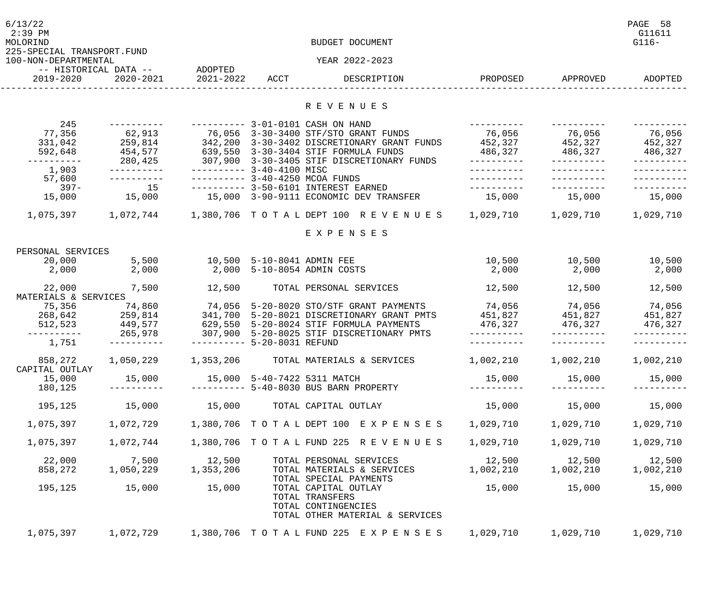| 6/13/22<br>$2:39$ PM<br>MOLORIND<br>225-SPECIAL TRANSPORT.FUND<br>100-NON-DEPARTMENTAL |                                    |                             |      | BUDGET DOCUMENT<br>YEAR 2022-2023                                                                 |               |           | PAGE 58<br>G11611<br>$G116-$ |
|----------------------------------------------------------------------------------------|------------------------------------|-----------------------------|------|---------------------------------------------------------------------------------------------------|---------------|-----------|------------------------------|
| 2019-2020                                                                              | -- HISTORICAL DATA --<br>2020-2021 | ADOPTED<br>2021-2022        | ACCT | DESCRIPTION                                                                                       | PROPOSED      | APPROVED  | ADOPTED                      |
|                                                                                        |                                    |                             |      |                                                                                                   |               |           |                              |
|                                                                                        |                                    |                             |      | R E V E N U E S                                                                                   |               |           |                              |
| 245<br>77,356                                                                          | -----------                        |                             |      | ---------- 3-01-0101 CASH ON HAND                                                                 | 76,056        | 76,056    | 76,056                       |
| 331,042                                                                                | 259,814                            |                             |      | 342,200 3-30-3402 DISCRETIONARY GRANT FUNDS                                                       | 452,327       | 452,327   | 452,327                      |
| 592,648                                                                                | 454,577                            |                             |      | 639,550 3-30-3404 STIF FORMULA FUNDS                                                              | 486,327       | 486,327   | 486,327                      |
| ---------                                                                              | 280,425                            |                             |      | 307,900 3-30-3405 STIF DISCRETIONARY FUNDS                                                        | -----------   |           |                              |
| 1,903                                                                                  | $- - - - - - - - - - -$            | $------ 3-40-4100$ MISC     |      |                                                                                                   |               |           |                              |
| 57,600<br>$397 -$                                                                      | 15                                 |                             |      | ---------- 3-40-4250 MCOA FUNDS<br>---------- 3-50-6101 INTEREST EARNED                           |               |           |                              |
| 15,000                                                                                 | 15,000                             |                             |      | 15,000 3-90-9111 ECONOMIC DEV TRANSFER                                                            | 15,000        | 15,000    | 15,000                       |
| 1,075,397                                                                              | 1,072,744                          |                             |      | 1,380,706   TO TA L DEPT 100   R E V E N U E S                                                    | 1,029,710     | 1,029,710 | 1,029,710                    |
|                                                                                        |                                    |                             |      | EXPENSES                                                                                          |               |           |                              |
| PERSONAL SERVICES                                                                      |                                    |                             |      |                                                                                                   |               |           |                              |
| 20,000                                                                                 | 5,500                              | 10,500 5-10-8041 ADMIN FEE  |      |                                                                                                   | 10,500        | 10,500    | 10,500                       |
| 2,000                                                                                  | 2,000                              |                             |      | 2,000 5-10-8054 ADMIN COSTS                                                                       | 2,000         | 2,000     | 2,000                        |
| 22,000<br>MATERIALS & SERVICES                                                         | 7,500                              | 12,500                      |      | TOTAL PERSONAL SERVICES                                                                           | 12,500        | 12,500    | 12,500                       |
| 75,356                                                                                 | 74,860                             |                             |      | 74,056 5-20-8020 STO/STF GRANT PAYMENTS                                                           | 74,056        | 74,056    | 74,056                       |
| 268,642                                                                                | 259,814                            |                             |      | 341,700 5-20-8021 DISCRETIONARY GRANT PMTS                                                        | 451,827       | 451,827   | 451,827                      |
| 512,523                                                                                | 449,577                            |                             |      | 629,550 5-20-8024 STIF FORMULA PAYMENTS                                                           | 476,327       | 476,327   | 476,327                      |
| _ _ _ _ _ _ _ _ _ _<br>1,751                                                           | 265,978                            | --------- 5-20-8031 REFUND  |      | 307,900 5-20-8025 STIF DISCRETIONARY PMTS                                                         |               |           |                              |
| 858,272                                                                                | 1,050,229                          |                             |      | 1,353,206 TOTAL MATERIALS & SERVICES                                                              | 1,002,210     | 1,002,210 | 1,002,210                    |
| CAPITAL OUTLAY<br>15,000                                                               | 15,000                             | 15,000 5-40-7422 5311 MATCH |      |                                                                                                   | 15,000        | 15,000    | 15,000                       |
| 180,125                                                                                |                                    |                             |      | --------- 5-40-8030 BUS BARN PROPERTY                                                             |               |           |                              |
| 195,125                                                                                | 15,000                             |                             |      | 15,000 TOTAL CAPITAL OUTLAY                                                                       | 15,000        | 15,000    | 15,000                       |
| 1,075,397                                                                              |                                    |                             |      | 1,072,729 1,380,706 TOTAL DEPT 100 EXPENSES 1,029,710                                             |               | 1,029,710 | 1,029,710                    |
| 1,075,397                                                                              | 1,072,744                          |                             |      | 1,380,706 TOTAL FUND 225 REVENUES                                                                 | 1,029,710     | 1,029,710 | 1,029,710                    |
| 22,000                                                                                 | 7,500                              | 12,500                      |      | TOTAL PERSONAL SERVICES                                                                           | 12,500 12,500 |           | 12,500                       |
| 858,272                                                                                | 1,050,229                          | 1,353,206                   |      | TOTAL MATERIALS & SERVICES<br>TOTAL SPECIAL PAYMENTS                                              | 1,002,210     | 1,002,210 | 1,002,210                    |
| 195,125                                                                                | 15,000                             | 15,000                      |      | TOTAL CAPITAL OUTLAY<br>TOTAL TRANSFERS<br>TOTAL CONTINGENCIES<br>TOTAL OTHER MATERIAL & SERVICES | 15,000        | 15,000    | 15,000                       |
| 1,075,397                                                                              |                                    |                             |      | 1,072,729 1,380,706 TOTAL FUND 225 EXPENSES                                                       | 1,029,710     | 1,029,710 | 1,029,710                    |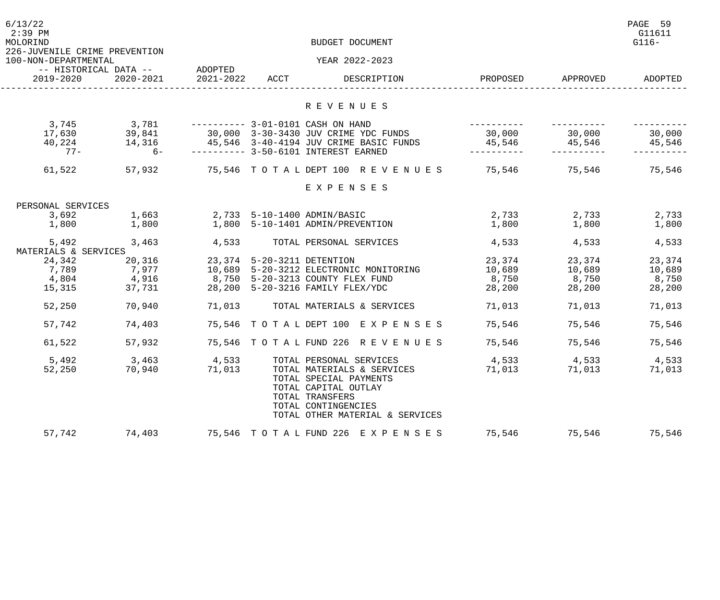| 6/13/22<br>$2:39$ PM<br>MOLORIND<br>226-JUVENILE CRIME PREVENTION |                       | BUDGET DOCUMENT |                            |                                                                                                                                                           |          |          |         |
|-------------------------------------------------------------------|-----------------------|-----------------|----------------------------|-----------------------------------------------------------------------------------------------------------------------------------------------------------|----------|----------|---------|
| 100-NON-DEPARTMENTAL                                              | -- HISTORICAL DATA -- | ADOPTED         |                            | YEAR 2022-2023                                                                                                                                            |          |          |         |
| 2019-2020                                                         | 2020-2021             | 2021-2022       | ACCT                       | DESCRIPTION                                                                                                                                               | PROPOSED | APPROVED | ADOPTED |
|                                                                   |                       |                 |                            | R E V E N U E S                                                                                                                                           |          |          |         |
| 3,745                                                             | 3,781                 |                 |                            | ---------- 3-01-0101 CASH ON HAND                                                                                                                         |          |          |         |
| 17,630                                                            | 39,841                |                 |                            | 30,000 3-30-3430 JUV CRIME YDC FUNDS                                                                                                                      | 30,000   | 30,000   | 30,000  |
| 40,224                                                            | 14,316                |                 |                            | 45,546 3-40-4194 JUV CRIME BASIC FUNDS                                                                                                                    | 45,546   | 45,546   | 45,546  |
| $77 -$                                                            | $6-$                  |                 |                            | ---------- 3-50-6101 INTEREST EARNED                                                                                                                      |          |          |         |
| 61,522                                                            | 57,932                |                 |                            | 75,546 TOTAL DEPT 100 REVENUES                                                                                                                            | 75,546   | 75,546   | 75,546  |
|                                                                   |                       |                 |                            | EXPENSES                                                                                                                                                  |          |          |         |
| PERSONAL SERVICES                                                 |                       |                 |                            |                                                                                                                                                           |          |          |         |
| 3,692                                                             | 1,663                 |                 |                            | 2,733 5-10-1400 ADMIN/BASIC                                                                                                                               | 2,733    | 2,733    | 2,733   |
| 1,800                                                             | 1,800                 |                 |                            | 1,800 5-10-1401 ADMIN/PREVENTION                                                                                                                          | 1,800    | 1,800    | 1,800   |
| 5,492<br>MATERIALS & SERVICES                                     | 3,463                 | 4,533           |                            | TOTAL PERSONAL SERVICES                                                                                                                                   | 4,533    | 4,533    | 4,533   |
| 24,342                                                            | 20,316                |                 | 23,374 5-20-3211 DETENTION |                                                                                                                                                           | 23,374   | 23,374   | 23,374  |
| 7,789                                                             | 7,977                 |                 |                            | 10,689 5-20-3212 ELECTRONIC MONITORING                                                                                                                    | 10,689   | 10,689   | 10,689  |
| 4,804                                                             | 4,916                 |                 |                            | 8,750 5-20-3213 COUNTY FLEX FUND                                                                                                                          | 8,750    | 8,750    | 8,750   |
| 15,315                                                            | 37,731                |                 |                            | 28,200 5-20-3216 FAMILY FLEX/YDC                                                                                                                          | 28,200   | 28,200   | 28,200  |
| 52,250                                                            | 70,940                | 71,013          |                            | TOTAL MATERIALS & SERVICES                                                                                                                                | 71,013   | 71,013   | 71,013  |
| 57,742                                                            | 74,403                |                 |                            | 75,546 TOTAL DEPT 100 EXPENSES                                                                                                                            | 75,546   | 75,546   | 75,546  |
| 61,522                                                            | 57,932                |                 |                            | 75,546 TOTAL FUND 226 REVENUES                                                                                                                            | 75,546   | 75,546   | 75,546  |
| 5,492                                                             | 3,463                 | 4,533           |                            | TOTAL PERSONAL SERVICES                                                                                                                                   | 4,533    | 4,533    | 4,533   |
| 52,250                                                            | 70,940                | 71,013          |                            | TOTAL MATERIALS & SERVICES<br>TOTAL SPECIAL PAYMENTS<br>TOTAL CAPITAL OUTLAY<br>TOTAL TRANSFERS<br>TOTAL CONTINGENCIES<br>TOTAL OTHER MATERIAL & SERVICES | 71,013   | 71,013   | 71,013  |
| 57,742                                                            | 74,403                |                 | 75,546 TOTAL FUND 226      | E X P E N S E S                                                                                                                                           | 75,546   | 75,546   | 75,546  |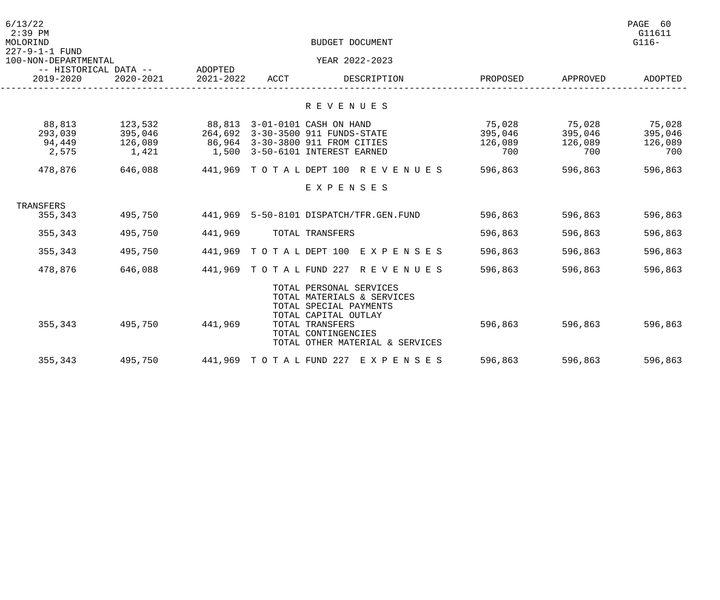| 6/13/22<br>$2:39$ PM<br>MOLORIND<br>227-9-1-1 FUND |                                        | BUDGET DOCUMENT               |      |                                                                                                                                                                                      |                                     |                                     |                                     |
|----------------------------------------------------|----------------------------------------|-------------------------------|------|--------------------------------------------------------------------------------------------------------------------------------------------------------------------------------------|-------------------------------------|-------------------------------------|-------------------------------------|
| 100-NON-DEPARTMENTAL                               |                                        |                               |      | YEAR 2022-2023                                                                                                                                                                       |                                     |                                     |                                     |
| -- HISTORICAL DATA --<br>2019-2020                 | 2020-2021                              | ADOPTED<br>2021-2022          | ACCT | DESCRIPTION                                                                                                                                                                          | PROPOSED                            | APPROVED                            | ADOPTED                             |
|                                                    |                                        |                               |      | R E V E N U E S                                                                                                                                                                      |                                     |                                     |                                     |
| 88,813<br>293,039<br>94,449<br>2,575               | 123,532<br>395,046<br>126,089<br>1,421 | 88,813 3-01-0101 CASH ON HAND |      | 264,692 3-30-3500 911 FUNDS-STATE<br>86,964 3-30-3800 911 FROM CITIES<br>1,500 3-50-6101 INTEREST EARNED                                                                             | 75,028<br>395,046<br>126,089<br>700 | 75,028<br>395,046<br>126,089<br>700 | 75,028<br>395,046<br>126,089<br>700 |
| 478,876                                            | 646,088                                |                               |      | 441,969 TOTAL DEPT 100 REVENUES                                                                                                                                                      | 596,863                             | 596,863                             | 596,863                             |
|                                                    |                                        |                               |      | EXPENSES                                                                                                                                                                             |                                     |                                     |                                     |
| TRANSFERS                                          |                                        |                               |      |                                                                                                                                                                                      |                                     |                                     |                                     |
| 355,343                                            | 495,750                                |                               |      | 441,969 5-50-8101 DISPATCH/TFR.GEN.FUND                                                                                                                                              | 596,863                             | 596,863                             | 596,863                             |
| 355,343                                            | 495,750                                | 441,969                       |      | TOTAL TRANSFERS                                                                                                                                                                      | 596,863                             | 596,863                             | 596,863                             |
| 355,343                                            | 495,750                                |                               |      | 441,969 TOTAL DEPT 100 EXPENSES                                                                                                                                                      | 596,863                             | 596,863                             | 596,863                             |
| 478,876                                            | 646,088                                |                               |      | 441,969 TOTAL FUND 227 REVENUES                                                                                                                                                      | 596,863                             | 596,863                             | 596,863                             |
| 355,343                                            | 495,750                                | 441,969                       |      | TOTAL PERSONAL SERVICES<br>TOTAL MATERIALS & SERVICES<br>TOTAL SPECIAL PAYMENTS<br>TOTAL CAPITAL OUTLAY<br>TOTAL TRANSFERS<br>TOTAL CONTINGENCIES<br>TOTAL OTHER MATERIAL & SERVICES | 596,863                             | 596,863                             | 596,863                             |
| 355,343                                            | 495,750                                |                               |      | 441,969   TO TA L FUND 227   EXPENSES                                                                                                                                                | 596,863                             | 596,863                             | 596,863                             |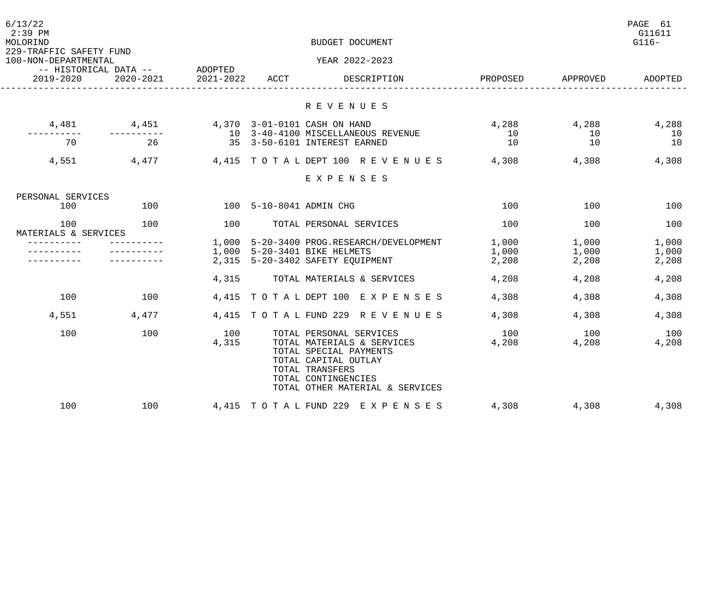| 6/13/22<br>$2:39$ PM<br>MOLORIND<br>229-TRAFFIC SAFETY FUND<br>100-NON-DEPARTMENTAL |                                            |              |      | PAGE 61<br>G11611<br>$G116-$                                                                                                                                                         |                |                |                |
|-------------------------------------------------------------------------------------|--------------------------------------------|--------------|------|--------------------------------------------------------------------------------------------------------------------------------------------------------------------------------------|----------------|----------------|----------------|
| $2019 - 2020$                                                                       | -- HISTORICAL DATA -- ADOPTED<br>2020-2021 | 2021-2022    | ACCT | YEAR 2022-2023<br>DESCRIPTION                                                                                                                                                        | PROPOSED       | APPROVED       | ADOPTED        |
|                                                                                     |                                            |              |      |                                                                                                                                                                                      |                |                |                |
|                                                                                     |                                            |              |      | R E V E N U E S                                                                                                                                                                      |                |                |                |
| 4,481                                                                               | 4,451                                      |              |      | 4,370 3-01-0101 CASH ON HAND                                                                                                                                                         | 4,288          | 4,288          | 4,288          |
| -------<br>70                                                                       | __________<br>26                           |              |      | 10 3-40-4100 MISCELLANEOUS REVENUE<br>35 3-50-6101 INTEREST EARNED                                                                                                                   | 10<br>10       | 10<br>10       | 10<br>10       |
| 4,551                                                                               | 4,477                                      |              |      | 4,415 TOTAL DEPT 100 REVENUES                                                                                                                                                        | 4,308          | 4,308          | 4,308          |
|                                                                                     |                                            |              |      | EXPENSES                                                                                                                                                                             |                |                |                |
| PERSONAL SERVICES                                                                   |                                            |              |      |                                                                                                                                                                                      |                |                |                |
| 100                                                                                 | 100                                        |              |      | 100 5-10-8041 ADMIN CHG                                                                                                                                                              | 100            | 100            | 100            |
| 100<br>MATERIALS & SERVICES                                                         | 100                                        | 100          |      | TOTAL PERSONAL SERVICES                                                                                                                                                              | 100            | 100            | 100            |
|                                                                                     |                                            |              |      | 1,000    5-20-3400    PROG.RESEARCH/DEVELOPMENT                                                                                                                                      | 1,000          | 1,000          | 1,000          |
|                                                                                     |                                            | 2.315        |      | 1,000 5-20-3401 BIKE HELMETS<br>5-20-3402 SAFETY EQUIPMENT                                                                                                                           | 1,000<br>2,208 | 1,000<br>2,208 | 1,000<br>2,208 |
|                                                                                     |                                            | 4,315        |      | TOTAL MATERIALS & SERVICES                                                                                                                                                           | 4,208          | 4,208          | 4,208          |
| 100                                                                                 | 100                                        |              |      | 4,415 TOTAL DEPT 100 EXPENSES                                                                                                                                                        | 4,308          | 4,308          | 4,308          |
| 4,551                                                                               | 4,477                                      |              |      | 4,415 TOTAL FUND 229 REVENUES                                                                                                                                                        | 4,308          | 4,308          | 4,308          |
| 100                                                                                 | 100                                        | 100<br>4,315 |      | TOTAL PERSONAL SERVICES<br>TOTAL MATERIALS & SERVICES<br>TOTAL SPECIAL PAYMENTS<br>TOTAL CAPITAL OUTLAY<br>TOTAL TRANSFERS<br>TOTAL CONTINGENCIES<br>TOTAL OTHER MATERIAL & SERVICES | 100<br>4,208   | 100<br>4,208   | 100<br>4,208   |
| 100                                                                                 | 100                                        |              |      | 4,415 TOTAL FUND 229 EXPENSES                                                                                                                                                        | 4,308          | 4,308          | 4,308          |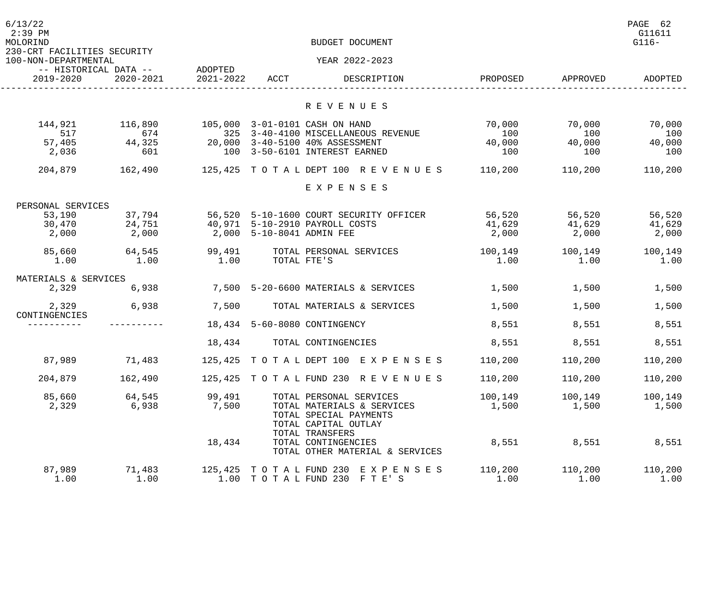| 6/13/22<br>$2:39$ PM<br>MOLORIND<br>230-CRT FACILITIES SECURITY<br>100-NON-DEPARTMENTAL |                |           |                           | BUDGET DOCUMENT<br>YEAR 2022-2023                                                               |                 |                 | PAGE 62<br>G11611<br>$G116-$ |
|-----------------------------------------------------------------------------------------|----------------|-----------|---------------------------|-------------------------------------------------------------------------------------------------|-----------------|-----------------|------------------------------|
| -- HISTORICAL DATA --                                                                   |                | ADOPTED   |                           |                                                                                                 |                 |                 |                              |
| 2019-2020                                                                               | 2020-2021      | 2021-2022 | ACCT                      | DESCRIPTION                                                                                     | PROPOSED        | APPROVED        | ADOPTED                      |
|                                                                                         |                |           |                           | R E V E N U E S                                                                                 |                 |                 |                              |
| 144,921<br>517                                                                          | 116,890<br>674 |           |                           | 105,000 3-01-0101 CASH ON HAND<br>325 3-40-4100 MISCELLANEOUS REVENUE                           | 70,000<br>100   | 70,000<br>100   | 70,000<br>100                |
| 57,405<br>2,036                                                                         | 44,325<br>601  |           |                           | 20,000 3-40-5100 40% ASSESSMENT<br>100 3-50-6101 INTEREST EARNED                                | 40,000<br>100   | 40,000<br>100   | 40,000<br>100                |
| 204,879                                                                                 | 162,490        |           |                           | 125,425 TOTAL DEPT 100 REVENUES                                                                 | 110,200         | 110,200         | 110,200                      |
|                                                                                         |                |           |                           | EXPENSES                                                                                        |                 |                 |                              |
| PERSONAL SERVICES                                                                       |                |           |                           |                                                                                                 |                 |                 |                              |
| 53,190                                                                                  | 37,794         |           |                           | 56,520 5-10-1600 COURT SECURITY OFFICER                                                         | 56,520          | 56,520          | 56,520                       |
| 30,470                                                                                  | 24,751         |           |                           | 40,971 5-10-2910 PAYROLL COSTS                                                                  | 41,629          | 41,629          | 41,629                       |
| 2,000                                                                                   | 2,000          |           | 2,000 5-10-8041 ADMIN FEE |                                                                                                 | 2,000           | 2,000           | 2,000                        |
| 85,660                                                                                  | 64,545         | 99,491    |                           | TOTAL PERSONAL SERVICES                                                                         | 100,149         | 100,149         | 100,149                      |
| 1.00                                                                                    | 1.00           | 1.00      | TOTAL FTE'S               |                                                                                                 | 1.00            | 1.00            | 1.00                         |
| MATERIALS & SERVICES                                                                    |                |           |                           |                                                                                                 |                 |                 |                              |
| 2,329                                                                                   | 6,938          |           |                           | 7,500 5-20-6600 MATERIALS & SERVICES                                                            | 1,500           | 1,500           | 1,500                        |
| 2,329<br>CONTINGENCIES                                                                  | 6,938          | 7,500     |                           | TOTAL MATERIALS & SERVICES                                                                      | 1,500           | 1,500           | 1,500                        |
|                                                                                         |                |           |                           | 18,434 5-60-8080 CONTINGENCY                                                                    | 8,551           | 8,551           | 8,551                        |
|                                                                                         |                | 18,434    |                           | TOTAL CONTINGENCIES                                                                             | 8,551           | 8,551           | 8,551                        |
| 87,989                                                                                  | 71,483         |           |                           | 125,425 TOTAL DEPT 100 EXPENSES 110,200                                                         |                 | 110,200         | 110,200                      |
| 204,879                                                                                 | 162,490        |           |                           | 125,425 TOTAL FUND 230 REVENUES                                                                 | 110,200         | 110,200         | 110,200                      |
| 85,660                                                                                  | 64,545         | 99,491    |                           | TOTAL PERSONAL SERVICES                                                                         | 100,149         | 100,149         | 100,149                      |
| 2,329                                                                                   | 6,938          | 7,500     |                           | TOTAL MATERIALS & SERVICES<br>TOTAL SPECIAL PAYMENTS<br>TOTAL CAPITAL OUTLAY<br>TOTAL TRANSFERS | 1,500           | 1,500           | 1,500                        |
|                                                                                         |                | 18,434    |                           | TOTAL CONTINGENCIES<br>TOTAL OTHER MATERIAL & SERVICES                                          | 8,551           | 8,551           | 8,551                        |
| 87,989<br>1.00                                                                          | 71,483<br>1.00 |           | 125,425 TOTAL FUND 230    | E X P E N S E S<br>1.00 TOTAL FUND 230 FTE'S                                                    | 110,200<br>1.00 | 110,200<br>1.00 | 110,200<br>1.00              |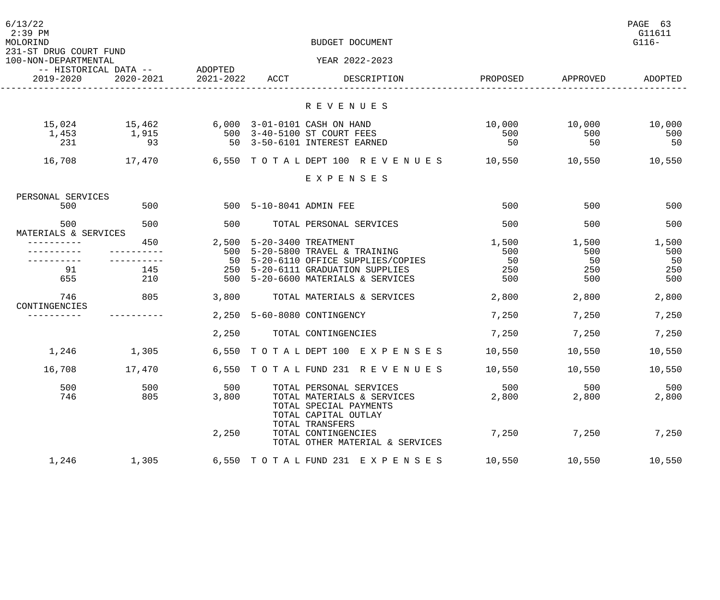| 6/13/22<br>$2:39$ PM<br>MOLORIND<br>231-ST DRUG COURT FUND<br>100-NON-DEPARTMENTAL |               |           |                         | BUDGET DOCUMENT<br>YEAR 2022-2023                                                               |          |          | PAGE 63<br>G11611<br>$G116-$ |
|------------------------------------------------------------------------------------|---------------|-----------|-------------------------|-------------------------------------------------------------------------------------------------|----------|----------|------------------------------|
| -- HISTORICAL DATA --                                                              |               | ADOPTED   |                         |                                                                                                 |          |          |                              |
| 2019-2020                                                                          | $2020 - 2021$ | 2021-2022 | ACCT                    | DESCRIPTION                                                                                     | PROPOSED | APPROVED | ADOPTED                      |
|                                                                                    |               |           |                         | R E V E N U E S                                                                                 |          |          |                              |
| 15,024                                                                             | 15,462        |           |                         | 6,000 3-01-0101 CASH ON HAND                                                                    | 10,000   | 10,000   | 10,000                       |
| 1,453                                                                              | 1,915         | 500       |                         | 3-40-5100 ST COURT FEES                                                                         | 500      | 500      | 500                          |
| 231                                                                                | 93            | 50        |                         | 3-50-6101 INTEREST EARNED                                                                       | 50       | 50       | 50                           |
| 16,708                                                                             | 17,470        |           | 6,550 TOTAL DEPT 100    | R E V E N U E S                                                                                 | 10,550   | 10,550   | 10,550                       |
|                                                                                    |               |           |                         | EXPENSES                                                                                        |          |          |                              |
| PERSONAL SERVICES                                                                  |               |           |                         |                                                                                                 |          |          |                              |
| 500                                                                                | 500           |           | 500 5-10-8041 ADMIN FEE |                                                                                                 | 500      | 500      | 500                          |
| 500<br>MATERIALS & SERVICES                                                        | 500           | 500       |                         | TOTAL PERSONAL SERVICES                                                                         | 500      | 500      | 500                          |
|                                                                                    | 450           | 2,500     |                         | 5-20-3400 TREATMENT                                                                             | 1,500    | 1,500    | 1,500                        |
|                                                                                    |               | 500       |                         | 5-20-5800 TRAVEL & TRAINING                                                                     | 500      | 500      | 500                          |
|                                                                                    |               | 50        |                         | 5-20-6110 OFFICE SUPPLIES/COPIES                                                                | 50       | 50       | 50                           |
| 91                                                                                 | 145           | 250       |                         | 5-20-6111 GRADUATION SUPPLIES                                                                   | 250      | 250      | 250                          |
| 655                                                                                | 210           | 500       |                         | 5-20-6600 MATERIALS & SERVICES                                                                  | 500      | 500      | 500                          |
| 746<br>CONTINGENCIES                                                               | 805           | 3,800     |                         | TOTAL MATERIALS & SERVICES                                                                      | 2,800    | 2,800    | 2,800                        |
|                                                                                    |               |           |                         | 2,250 5-60-8080 CONTINGENCY                                                                     | 7,250    | 7,250    | 7,250                        |
|                                                                                    |               | 2,250     |                         | TOTAL CONTINGENCIES                                                                             | 7,250    | 7,250    | 7,250                        |
| 1,246                                                                              | 1,305         |           |                         | 6,550 TOTAL DEPT 100 EXPENSES                                                                   | 10,550   | 10,550   | 10,550                       |
| 16,708                                                                             | 17,470        |           |                         | 6,550 TOTAL FUND 231 REVENUES                                                                   | 10,550   | 10,550   | 10,550                       |
| 500                                                                                | 500           | 500       |                         | TOTAL PERSONAL SERVICES                                                                         | 500      | 500      | 500                          |
| 746                                                                                | 805           | 3,800     |                         | TOTAL MATERIALS & SERVICES<br>TOTAL SPECIAL PAYMENTS<br>TOTAL CAPITAL OUTLAY<br>TOTAL TRANSFERS | 2,800    | 2,800    | 2,800                        |
|                                                                                    |               | 2,250     |                         | TOTAL CONTINGENCIES<br>TOTAL OTHER MATERIAL & SERVICES                                          | 7,250    | 7,250    | 7,250                        |
| 1,246                                                                              | 1,305         |           |                         | 6,550 TOTAL FUND 231 EXPENSES                                                                   | 10,550   | 10,550   | 10,550                       |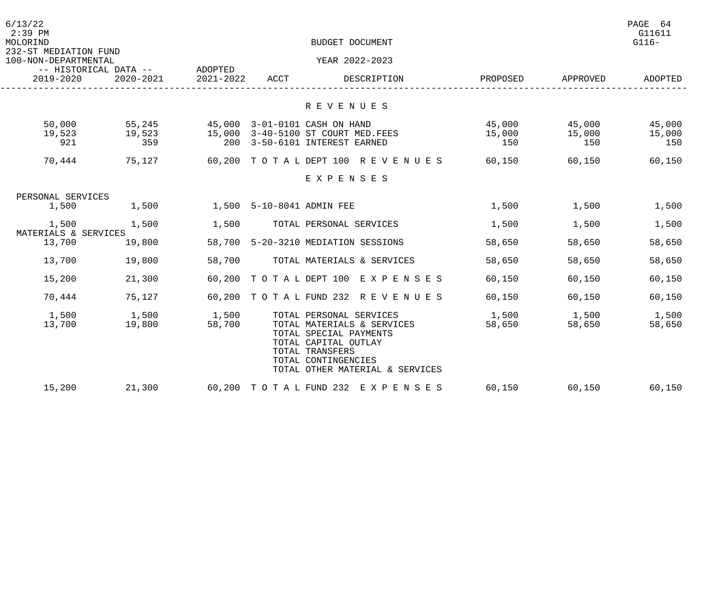| 6/13/22<br>$2:39$ PM<br>MOLORIND              |                               |                           |      | BUDGET DOCUMENT                                                                                                                                                                      |                         |                         | PAGE 64<br>G11611<br>$G116-$ |
|-----------------------------------------------|-------------------------------|---------------------------|------|--------------------------------------------------------------------------------------------------------------------------------------------------------------------------------------|-------------------------|-------------------------|------------------------------|
| 232-ST MEDIATION FUND<br>100-NON-DEPARTMENTAL | -- HISTORICAL DATA -- ADOPTED | YEAR 2022-2023            |      |                                                                                                                                                                                      |                         |                         |                              |
| 2019-2020                                     | 2020-2021                     | 2021-2022                 | ACCT | DESCRIPTION                                                                                                                                                                          | PROPOSED                | APPROVED                | ADOPTED                      |
|                                               |                               |                           |      | R E V E N U E S                                                                                                                                                                      |                         |                         |                              |
| 50,000<br>19,523<br>921                       | 55,245<br>19,523<br>359       |                           |      | 45,000 3-01-0101 CASH ON HAND<br>15,000 3-40-5100 ST COURT MED. FEES<br>200 3-50-6101 INTEREST EARNED                                                                                | 45,000<br>15,000<br>150 | 45,000<br>15,000<br>150 | 45,000<br>15,000<br>150      |
| 70,444                                        | 75,127                        |                           |      | 60,200 TOTALDEPT 100 REVENUES 60,150                                                                                                                                                 |                         | 60,150                  | 60,150                       |
|                                               |                               |                           |      | EXPENSES                                                                                                                                                                             |                         |                         |                              |
| PERSONAL SERVICES                             |                               |                           |      |                                                                                                                                                                                      |                         |                         |                              |
| 1,500                                         | 1,500                         | 1,500 5-10-8041 ADMIN FEE |      |                                                                                                                                                                                      | 1,500                   | 1,500                   | 1,500                        |
| 1,500<br>MATERIALS & SERVICES                 | 1,500                         | 1,500                     |      | TOTAL PERSONAL SERVICES                                                                                                                                                              | 1,500                   | 1,500                   | 1,500                        |
| 13,700                                        | 19,800                        |                           |      | 58,700 5-20-3210 MEDIATION SESSIONS                                                                                                                                                  | 58,650                  | 58,650                  | 58,650                       |
| 13,700                                        | 19,800                        | 58,700                    |      | TOTAL MATERIALS & SERVICES                                                                                                                                                           | 58,650                  | 58,650                  | 58,650                       |
| 15,200                                        | 21,300                        |                           |      | 60,200 TOTAL DEPT 100 EXPENSES                                                                                                                                                       | 60,150                  | 60,150                  | 60,150                       |
| 70,444                                        | 75,127                        |                           |      | 60,200 TOTAL FUND 232 REVENUES                                                                                                                                                       | 60,150                  | 60,150                  | 60,150                       |
| 1,500<br>13,700                               | 1,500<br>19,800               | 1,500<br>58,700           |      | TOTAL PERSONAL SERVICES<br>TOTAL MATERIALS & SERVICES<br>TOTAL SPECIAL PAYMENTS<br>TOTAL CAPITAL OUTLAY<br>TOTAL TRANSFERS<br>TOTAL CONTINGENCIES<br>TOTAL OTHER MATERIAL & SERVICES | 1,500<br>58,650         | 1,500<br>58,650         | 1,500<br>58,650              |
| 15,200                                        | 21,300                        |                           |      | 60,200 TOTAL FUND 232 EXPENSES                                                                                                                                                       | 60,150                  | 60,150                  | 60,150                       |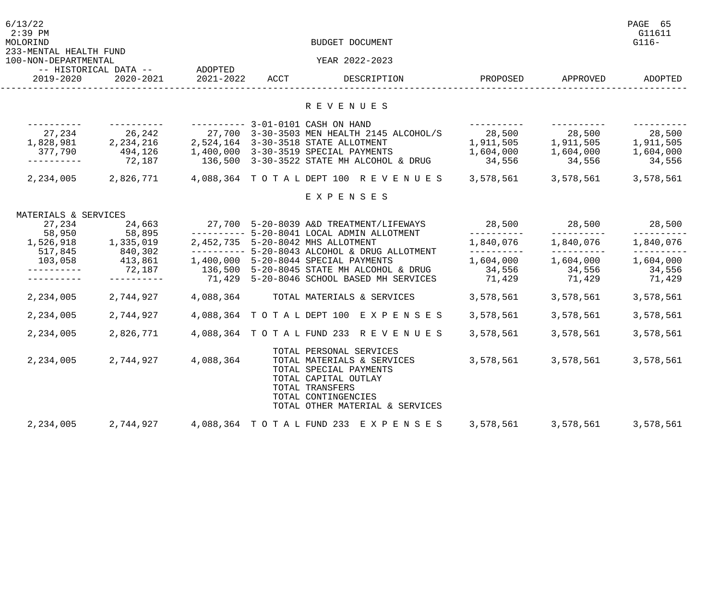| 6/13/22<br>$2:39$ PM<br>MOLORIND<br>233-MENTAL HEALTH FUND |                                    |                      |      | BUDGET DOCUMENT                                                                                                                                                                      |                     |                     | PAGE 65<br>G11611<br>$G116-$ |
|------------------------------------------------------------|------------------------------------|----------------------|------|--------------------------------------------------------------------------------------------------------------------------------------------------------------------------------------|---------------------|---------------------|------------------------------|
| 100-NON-DEPARTMENTAL                                       |                                    |                      |      | YEAR 2022-2023                                                                                                                                                                       |                     |                     |                              |
| 2019-2020                                                  | -- HISTORICAL DATA --<br>2020-2021 | ADOPTED<br>2021-2022 | ACCT | DESCRIPTION                                                                                                                                                                          | PROPOSED            | APPROVED            | ADOPTED                      |
|                                                            |                                    |                      |      | R E V E N U E S                                                                                                                                                                      |                     |                     |                              |
|                                                            |                                    |                      |      | ---------- 3-01-0101 CASH ON HAND                                                                                                                                                    |                     |                     |                              |
| 27,234                                                     | 26,242                             |                      |      | 27,700 3-30-3503 MEN HEALTH 2145 ALCOHOL/S                                                                                                                                           | 28,500              | 28,500              | 28,500                       |
| 1,828,981                                                  | 2, 234, 216                        |                      |      | 2,524,164 3-30-3518 STATE ALLOTMENT                                                                                                                                                  | 1,911,505           | 1,911,505           | 1,911,505                    |
| 377,790                                                    | 494,126                            |                      |      | 1,400,000 3-30-3519 SPECIAL PAYMENTS                                                                                                                                                 | 1,604,000           | 1,604,000           | 1,604,000                    |
|                                                            | 72,187                             |                      |      | 136,500 3-30-3522 STATE MH ALCOHOL & DRUG                                                                                                                                            | 34,556              | 34,556              | 34,556                       |
| 2,234,005                                                  | 2,826,771                          |                      |      | 4,088,364 TOTALDEPT 100 REVENUES                                                                                                                                                     | 3,578,561           | 3,578,561           | 3,578,561                    |
|                                                            |                                    |                      |      | EXPENSES                                                                                                                                                                             |                     |                     |                              |
| MATERIALS & SERVICES                                       |                                    |                      |      |                                                                                                                                                                                      |                     |                     |                              |
| 27,234                                                     | 24,663                             |                      |      | 27,700 5-20-8039 A&D TREATMENT/LIFEWAYS                                                                                                                                              | 28,500              | 28,500              | 28,500                       |
| 58,950                                                     | 58,895                             |                      |      | --------- 5-20-8041 LOCAL ADMIN ALLOTMENT                                                                                                                                            | -----------         |                     |                              |
| 1,526,918                                                  | 1,335,019                          |                      |      | 2,452,735 5-20-8042 MHS ALLOTMENT                                                                                                                                                    | 1,840,076           | 1,840,076           | 1,840,076                    |
| 517,845                                                    | 840,302                            |                      |      | ------ 5-20-8043 ALCOHOL & DRUG ALLOTMENT                                                                                                                                            | ----------          |                     |                              |
| 103,058                                                    | 413,861<br>72,187                  |                      |      | 1,400,000 5-20-8044 SPECIAL PAYMENTS<br>136,500 5-20-8045 STATE MH ALCOHOL & DRUG                                                                                                    | 1,604,000<br>34,556 | 1,604,000<br>34,556 | 1,604,000<br>34,556          |
|                                                            |                                    |                      |      | 71,429 5-20-8046 SCHOOL BASED MH SERVICES                                                                                                                                            | 71,429              | 71,429              | 71,429                       |
|                                                            |                                    |                      |      |                                                                                                                                                                                      |                     |                     |                              |
| 2,234,005                                                  | 2,744,927                          | 4,088,364            |      | TOTAL MATERIALS & SERVICES                                                                                                                                                           | 3,578,561           | 3,578,561           | 3,578,561                    |
| 2,234,005                                                  | 2,744,927                          |                      |      | 4,088,364 TOTAL DEPT 100 EXPENSES                                                                                                                                                    | 3,578,561           | 3,578,561           | 3,578,561                    |
| 2,234,005                                                  | 2,826,771                          |                      |      | 4,088,364 TOTAL FUND 233 REVENUES                                                                                                                                                    | 3,578,561           | 3,578,561           | 3,578,561                    |
| 2,234,005                                                  | 2,744,927                          | 4,088,364            |      | TOTAL PERSONAL SERVICES<br>TOTAL MATERIALS & SERVICES<br>TOTAL SPECIAL PAYMENTS<br>TOTAL CAPITAL OUTLAY<br>TOTAL TRANSFERS<br>TOTAL CONTINGENCIES<br>TOTAL OTHER MATERIAL & SERVICES | 3,578,561           | 3,578,561           | 3,578,561                    |
| 2,234,005                                                  | 2,744,927                          |                      |      | 4,088,364 TOTAL FUND 233 EXPENSES                                                                                                                                                    | 3,578,561           | 3,578,561           | 3,578,561                    |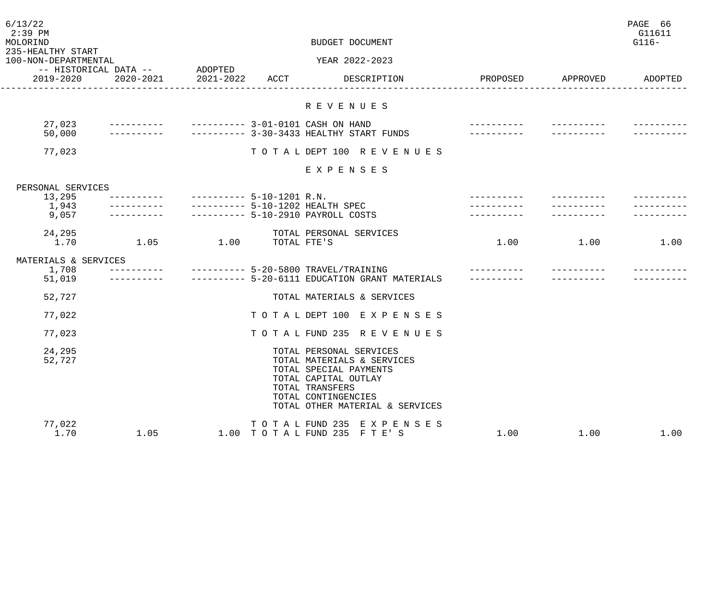| 6/13/22<br>$2:39$ PM<br>MOLORIND<br>235-HEALTHY START<br>100-NON-DEPARTMENTAL |                                            |                           |                                        | BUDGET DOCUMENT<br>YEAR 2022-2023                                                                                                                                                    |          |          | PAGE 66<br>G11611<br>$G116-$ |
|-------------------------------------------------------------------------------|--------------------------------------------|---------------------------|----------------------------------------|--------------------------------------------------------------------------------------------------------------------------------------------------------------------------------------|----------|----------|------------------------------|
| 2019-2020                                                                     | -- HISTORICAL DATA -- ADOPTED<br>2020-2021 | 2021-2022                 | ACCT                                   | DESCRIPTION                                                                                                                                                                          | PROPOSED | APPROVED | ADOPTED                      |
|                                                                               |                                            |                           |                                        | R E V E N U E S                                                                                                                                                                      |          |          |                              |
| 27,023<br>50,000                                                              |                                            |                           |                                        | ---------- 3-01-0101 CASH ON HAND<br>---------- 3-30-3433 HEALTHY START FUNDS                                                                                                        |          |          |                              |
| 77,023                                                                        |                                            |                           |                                        | TOTAL DEPT 100 REVENUES                                                                                                                                                              |          |          |                              |
|                                                                               |                                            |                           |                                        | EXPENSES                                                                                                                                                                             |          |          |                              |
| PERSONAL SERVICES<br>13,295<br>1,943<br>9,057                                 |                                            | $-------- 5-10-1201 R.N.$ |                                        | ---------- 5-10-1202 HEALTH SPEC<br>--------- 5-10-2910 PAYROLL COSTS                                                                                                                |          |          |                              |
| 24,295<br>1.70                                                                | 1.05                                       | 1.00                      | TOTAL FTE'S                            | TOTAL PERSONAL SERVICES                                                                                                                                                              | 1.00     | 1.00     | 1.00                         |
| MATERIALS & SERVICES<br>1,708<br>51,019                                       |                                            |                           |                                        | ---------- 5-20-5800 TRAVEL/TRAINING<br>--------- 5-20-6111 EDUCATION GRANT MATERIALS                                                                                                |          |          |                              |
| 52,727                                                                        |                                            |                           |                                        | TOTAL MATERIALS & SERVICES                                                                                                                                                           |          |          |                              |
| 77,022                                                                        |                                            |                           |                                        | TOTAL DEPT 100 EXPENSES                                                                                                                                                              |          |          |                              |
| 77,023                                                                        |                                            |                           |                                        | TO TAL FUND 235 REVENUES                                                                                                                                                             |          |          |                              |
| 24,295<br>52,727                                                              |                                            |                           |                                        | TOTAL PERSONAL SERVICES<br>TOTAL MATERIALS & SERVICES<br>TOTAL SPECIAL PAYMENTS<br>TOTAL CAPITAL OUTLAY<br>TOTAL TRANSFERS<br>TOTAL CONTINGENCIES<br>TOTAL OTHER MATERIAL & SERVICES |          |          |                              |
| 77,022<br>1.70                                                                | 1.05                                       |                           | TO TAL FUND 235<br>1.00 TOTAL FUND 235 | E X P E N S E S<br>FTE'S                                                                                                                                                             | 1.00     | 1.00     | 1.00                         |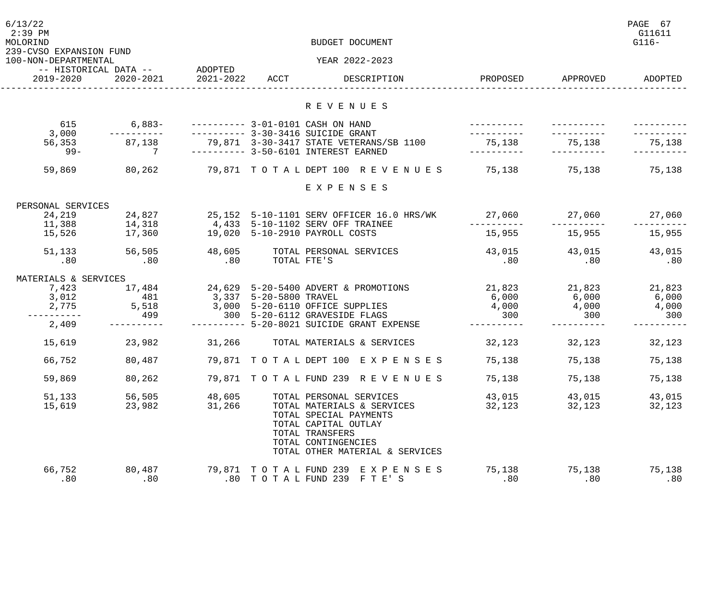| 6/13/22<br>$2:39$ PM<br>MOLORIND<br>239-CVSO EXPANSION FUND<br>100-NON-DEPARTMENTAL |                                            | BUDGET DOCUMENT<br>YEAR 2022-2023 |                        |                                                                                                                                                           |                          |               |               |
|-------------------------------------------------------------------------------------|--------------------------------------------|-----------------------------------|------------------------|-----------------------------------------------------------------------------------------------------------------------------------------------------------|--------------------------|---------------|---------------|
| 2019-2020                                                                           | -- HISTORICAL DATA -- ADOPTED<br>2020-2021 | 2021-2022 ACCT                    |                        | DESCRIPTION                                                                                                                                               | PROPOSED                 | APPROVED      | ADOPTED       |
|                                                                                     |                                            |                                   |                        | R E V E N U E S                                                                                                                                           |                          |               |               |
|                                                                                     |                                            |                                   |                        |                                                                                                                                                           |                          |               |               |
| 615<br>3,000                                                                        | $6,883-$                                   |                                   |                        | ---------- 3-01-0101 CASH ON HAND<br>---------- 3-30-3416 SUICIDE GRANT                                                                                   |                          |               |               |
| 56,353<br>$99 -$                                                                    | 87,138<br>$7\overline{ }$                  |                                   |                        | 79,871 3-30-3417 STATE VETERANS/SB 1100<br>---------- 3-50-6101 INTEREST EARNED                                                                           | 75,138                   | 75,138        | 75,138        |
| 59,869                                                                              | 80,262                                     |                                   |                        | 79,871 TOTAL DEPT 100 REVENUES                                                                                                                            | 75,138                   | 75,138        | 75,138        |
|                                                                                     |                                            |                                   |                        | EXPENSES                                                                                                                                                  |                          |               |               |
|                                                                                     |                                            |                                   |                        |                                                                                                                                                           |                          |               |               |
| PERSONAL SERVICES<br>24,219                                                         | 24,827                                     |                                   |                        | 25,152 5-10-1101 SERV OFFICER 16.0 HRS/WK                                                                                                                 | 27,060                   | 27,060        | 27,060        |
| 11,388<br>15,526                                                                    | $\frac{14}{14}$ , 318<br>17,360            |                                   |                        | 4,433 5-10-1102 SERV OFF TRAINEE<br>19,020 5-10-2910 PAYROLL COSTS                                                                                        | 15,955                   | 15,955        | 15,955        |
| 51,133<br>.80                                                                       | 56,505<br>.80                              | 48,605<br>.80                     | TOTAL FTE'S            | TOTAL PERSONAL SERVICES                                                                                                                                   | 43,015<br>.80            | 43,015<br>.80 | 43,015<br>.80 |
| MATERIALS & SERVICES                                                                |                                            |                                   |                        |                                                                                                                                                           |                          |               |               |
| 7,423                                                                               | 17,484                                     |                                   |                        | 24,629 5-20-5400 ADVERT & PROMOTIONS                                                                                                                      | 21,823<br>6 000<br>6,000 |               | 21,823        |
| 3,012                                                                               | 481                                        |                                   | 3,337 5-20-5800 TRAVEL |                                                                                                                                                           |                          |               | 6,000         |
| 2,775                                                                               | 5,518                                      |                                   |                        | 3,000 5-20-6110 OFFICE SUPPLIES                                                                                                                           | 4,000                    | 4,000         | 4,000         |
| 2,409                                                                               | 499                                        |                                   |                        | 300 5-20-6112 GRAVESIDE FLAGS<br>---------- 5-20-8021 SUICIDE GRANT EXPENSE                                                                               | 300                      | 300           | 300           |
| 15,619                                                                              | 23,982                                     | 31,266                            |                        | TOTAL MATERIALS & SERVICES                                                                                                                                | 32,123                   | 32,123        | 32,123        |
| 66,752                                                                              | 80,487                                     |                                   |                        | 79,871 TOTAL DEPT 100 EXPENSES                                                                                                                            | 75,138                   | 75,138        | 75,138        |
| 59,869                                                                              | 80,262                                     |                                   |                        | 79,871 TOTAL FUND 239 REVENUES                                                                                                                            | 75,138                   | 75,138        | 75,138        |
| 51,133                                                                              | 56,505                                     | 48,605                            |                        | TOTAL PERSONAL SERVICES                                                                                                                                   | 43,015                   | 43,015        | 43,015        |
| 15,619                                                                              | 23,982                                     | 31,266                            |                        | TOTAL MATERIALS & SERVICES<br>TOTAL SPECIAL PAYMENTS<br>TOTAL CAPITAL OUTLAY<br>TOTAL TRANSFERS<br>TOTAL CONTINGENCIES<br>TOTAL OTHER MATERIAL & SERVICES | 32,123                   | 32,123        | 32,123        |
| 66,752<br>.80                                                                       | 80,487<br>.80                              |                                   | 79,871 TOTAL FUND 239  | E X P E N S E S<br>.80 TOTAL FUND 239 FTE'S                                                                                                               | 75,138<br>.80            | 75,138<br>.80 | 75,138<br>.80 |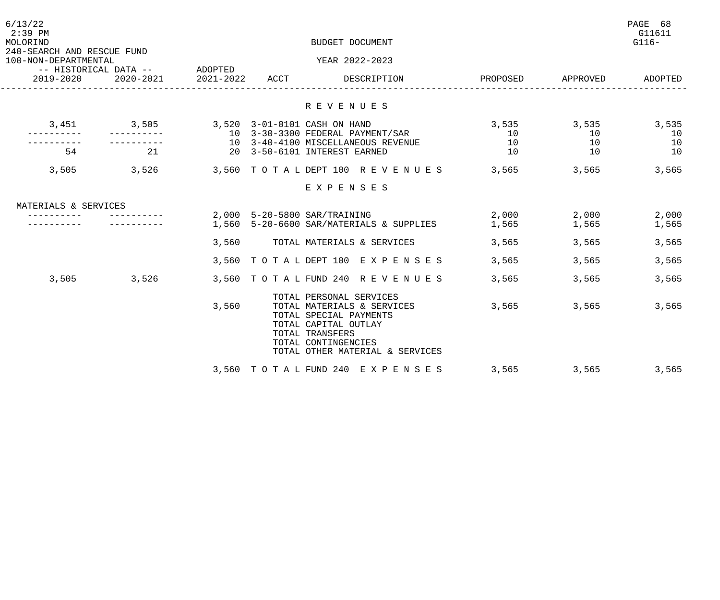| 6/13/22<br>$2:39$ PM<br>MOLORIND                   |           | BUDGET DOCUMENT |      |                                                                                                                                                                                      |          |          |          |
|----------------------------------------------------|-----------|-----------------|------|--------------------------------------------------------------------------------------------------------------------------------------------------------------------------------------|----------|----------|----------|
| 240-SEARCH AND RESCUE FUND<br>100-NON-DEPARTMENTAL |           | ADOPTED         |      | YEAR 2022-2023                                                                                                                                                                       |          |          |          |
| -- HISTORICAL DATA --<br>2019-2020                 | 2020-2021 | 2021-2022       | ACCT | DESCRIPTION                                                                                                                                                                          | PROPOSED | APPROVED | ADOPTED  |
|                                                    |           |                 |      | R E V E N U E S                                                                                                                                                                      |          |          |          |
| 3,451                                              | 3,505     |                 |      | 3,520 3-01-0101 CASH ON HAND                                                                                                                                                         | 3,535    | 3,535    | 3,535    |
|                                                    |           |                 |      | 10 3-30-3300 FEDERAL PAYMENT/SAR<br>10 3-40-4100 MISCELLANEOUS REVENUE                                                                                                               | 10<br>10 | 10<br>10 | 10<br>10 |
| 54                                                 | 21        |                 |      | 20 3-50-6101 INTEREST EARNED                                                                                                                                                         | 10       | 10       | 10       |
| 3,505                                              | 3,526     |                 |      | 3,560 TOTAL DEPT 100 REVENUES                                                                                                                                                        | 3,565    | 3,565    | 3,565    |
|                                                    |           |                 |      | EXPENSES                                                                                                                                                                             |          |          |          |
|                                                    |           |                 |      |                                                                                                                                                                                      |          |          |          |
| MATERIALS & SERVICES                               |           |                 |      | 2,000 5-20-5800 SAR/TRAINING                                                                                                                                                         | 2,000    | 2,000    | 2,000    |
|                                                    |           |                 |      | 1,560 5-20-6600 SAR/MATERIALS & SUPPLIES                                                                                                                                             | 1,565    | 1,565    | 1,565    |
|                                                    |           | 3,560           |      | TOTAL MATERIALS & SERVICES                                                                                                                                                           | 3,565    | 3,565    | 3,565    |
|                                                    |           |                 |      | 3,560 TOTAL DEPT 100 EXPENSES                                                                                                                                                        | 3,565    | 3,565    | 3,565    |
| 3,505                                              | 3,526     |                 |      | 3,560 TOTAL FUND 240 REVENUES                                                                                                                                                        | 3,565    | 3,565    | 3,565    |
|                                                    |           | 3,560           |      | TOTAL PERSONAL SERVICES<br>TOTAL MATERIALS & SERVICES<br>TOTAL SPECIAL PAYMENTS<br>TOTAL CAPITAL OUTLAY<br>TOTAL TRANSFERS<br>TOTAL CONTINGENCIES<br>TOTAL OTHER MATERIAL & SERVICES | 3,565    | 3,565    | 3,565    |
|                                                    |           |                 |      | 3,560 TOTAL FUND 240 EXPENSES                                                                                                                                                        | 3,565    | 3,565    | 3,565    |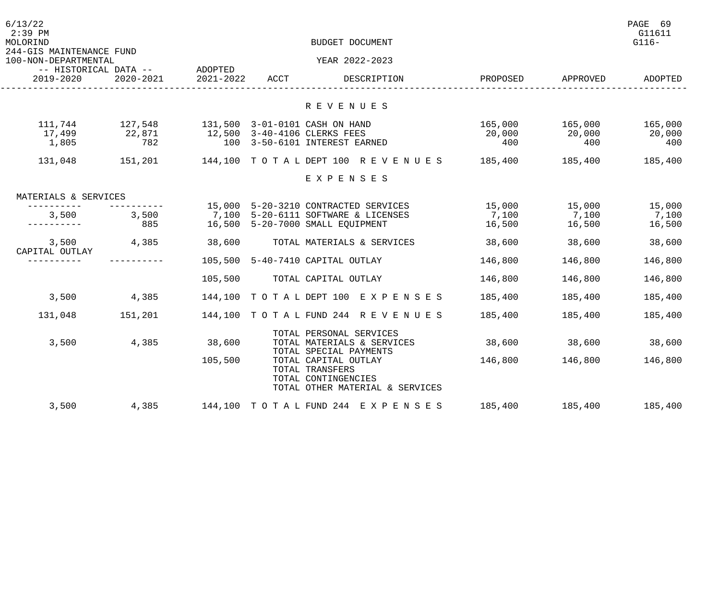| 6/13/22<br>$2:39$ PM<br>MOLORIND<br>244-GIS MAINTENANCE FUND |               |           |      | BUDGET DOCUMENT                                                           |               |               | PAGE 69<br>G11611<br>$G116-$ |
|--------------------------------------------------------------|---------------|-----------|------|---------------------------------------------------------------------------|---------------|---------------|------------------------------|
| 100-NON-DEPARTMENTAL                                         |               |           |      | YEAR 2022-2023                                                            |               |               |                              |
| -- HISTORICAL DATA -- ADOPTED<br>2020-2021<br>2019-2020      |               | 2021-2022 | ACCT | DESCRIPTION                                                               | PROPOSED      | APPROVED      | ADOPTED                      |
|                                                              |               |           |      | R E V E N U E S                                                           |               |               |                              |
|                                                              |               |           |      |                                                                           |               |               |                              |
| 111,744                                                      | 127,548       |           |      | 131,500 3-01-0101 CASH ON HAND                                            | 165,000       | 165,000       | 165,000                      |
| 17,499<br>1,805                                              | 22,871<br>782 |           |      | 12,500 3-40-4106 CLERKS FEES<br>100 3-50-6101 INTEREST EARNED             | 20,000<br>400 | 20,000<br>400 | 20,000<br>400                |
|                                                              |               |           |      |                                                                           |               |               |                              |
| 131,048                                                      | 151,201       |           |      | 144,100 TOTAL DEPT 100 REVENUES 185,400 185,400                           |               |               | 185,400                      |
|                                                              |               |           |      | EXPENSES                                                                  |               |               |                              |
| MATERIALS & SERVICES                                         |               |           |      |                                                                           |               |               |                              |
| -----------                                                  | ----------    |           |      | 15,000 5-20-3210 CONTRACTED SERVICES                                      | 15,000        | 15,000        | 15,000                       |
| 3,500<br>-----------                                         | 3,500<br>885  |           |      | 7,100 5-20-6111 SOFTWARE & LICENSES                                       | 7,100         | 7,100         | 7,100                        |
|                                                              |               |           |      | 16,500 5-20-7000 SMALL EQUIPMENT                                          | 16,500        | 16,500        | 16,500                       |
| 3,500<br>CAPITAL OUTLAY                                      | 4,385         | 38,600    |      | TOTAL MATERIALS & SERVICES                                                | 38,600        | 38,600        | 38,600                       |
| __________                                                   |               |           |      | 105,500 5-40-7410 CAPITAL OUTLAY                                          | 146,800       | 146,800       | 146,800                      |
|                                                              |               | 105,500   |      | TOTAL CAPITAL OUTLAY                                                      | 146,800       | 146,800       | 146,800                      |
| 3,500                                                        | 4,385         |           |      | 144,100 TOTAL DEPT 100 EXPENSES                                           | 185,400       | 185,400       | 185,400                      |
| 131,048                                                      | 151,201       |           |      | 144,100 TOTAL FUND 244 REVENUES                                           | 185,400       | 185,400       | 185,400                      |
|                                                              |               |           |      | TOTAL PERSONAL SERVICES                                                   |               |               |                              |
| 3,500                                                        | 4,385         | 38,600    |      | TOTAL MATERIALS & SERVICES<br>TOTAL SPECIAL PAYMENTS                      | 38,600        | 38,600        | 38,600                       |
|                                                              |               | 105,500   |      | TOTAL CAPITAL OUTLAY                                                      | 146,800       | 146,800       | 146,800                      |
|                                                              |               |           |      | TOTAL TRANSFERS<br>TOTAL CONTINGENCIES<br>TOTAL OTHER MATERIAL & SERVICES |               |               |                              |
|                                                              |               |           |      |                                                                           |               |               |                              |
| 3,500                                                        | 4,385         |           |      | 144,100 TOTAL FUND 244 EXPENSES                                           | 185,400       | 185,400       | 185,400                      |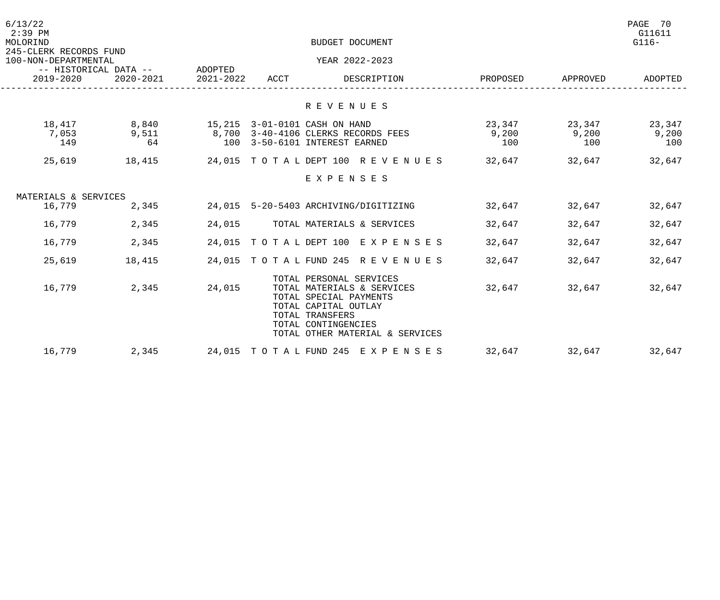| 6/13/22<br>$2:39$ PM<br>MOLORIND<br>245-CLERK RECORDS FUND<br>100-NON-DEPARTMENTAL<br>-- HISTORICAL DATA --<br>$2020 - 2021$<br>2019-2020 |                      |                      |      | BUDGET DOCUMENT                                                                                                                                                                      |                        |                        | PAGE 70<br>G11611<br>$G116-$ |
|-------------------------------------------------------------------------------------------------------------------------------------------|----------------------|----------------------|------|--------------------------------------------------------------------------------------------------------------------------------------------------------------------------------------|------------------------|------------------------|------------------------------|
|                                                                                                                                           |                      |                      |      | YEAR 2022-2023                                                                                                                                                                       |                        |                        |                              |
|                                                                                                                                           |                      | ADOPTED<br>2021-2022 | ACCT | DESCRIPTION                                                                                                                                                                          | PROPOSED               | APPROVED               | ADOPTED                      |
|                                                                                                                                           |                      |                      |      | R E V E N U E S                                                                                                                                                                      |                        |                        |                              |
| 18,417<br>7,053<br>149                                                                                                                    | 8,840<br>9,511<br>64 |                      |      | 15,215 3-01-0101 CASH ON HAND<br>8,700 3-40-4106 CLERKS RECORDS FEES<br>100 3-50-6101 INTEREST EARNED                                                                                | 23,347<br>9,200<br>100 | 23,347<br>9,200<br>100 | 23,347<br>9,200<br>100       |
| 25,619                                                                                                                                    | 18,415               |                      |      | 24,015 TOTAL DEPT 100 REVENUES                                                                                                                                                       | 32,647                 | 32,647                 | 32,647                       |
|                                                                                                                                           |                      |                      |      | EXPENSES                                                                                                                                                                             |                        |                        |                              |
| MATERIALS & SERVICES                                                                                                                      |                      |                      |      |                                                                                                                                                                                      |                        |                        |                              |
| 16,779                                                                                                                                    | 2,345                |                      |      | 24,015 5-20-5403 ARCHIVING/DIGITIZING                                                                                                                                                | 32,647                 | 32,647                 | 32,647                       |
| 16,779                                                                                                                                    | 2,345                | 24,015               |      | TOTAL MATERIALS & SERVICES                                                                                                                                                           | 32,647                 | 32,647                 | 32,647                       |
| 16,779                                                                                                                                    | 2,345                |                      |      | 24,015 TOTAL DEPT 100 EXPENSES                                                                                                                                                       | 32,647                 | 32,647                 | 32,647                       |
| 25,619                                                                                                                                    | 18,415               |                      |      | 24,015 TOTAL FUND 245 REVENUES                                                                                                                                                       | 32,647                 | 32,647                 | 32,647                       |
| 16,779                                                                                                                                    | 2,345                | 24,015               |      | TOTAL PERSONAL SERVICES<br>TOTAL MATERIALS & SERVICES<br>TOTAL SPECIAL PAYMENTS<br>TOTAL CAPITAL OUTLAY<br>TOTAL TRANSFERS<br>TOTAL CONTINGENCIES<br>TOTAL OTHER MATERIAL & SERVICES | 32,647                 | 32,647                 | 32,647                       |
| 16,779                                                                                                                                    | 2,345                |                      |      | 24,015 TOTAL FUND 245 EXPENSES                                                                                                                                                       | 32,647                 | 32,647                 | 32,647                       |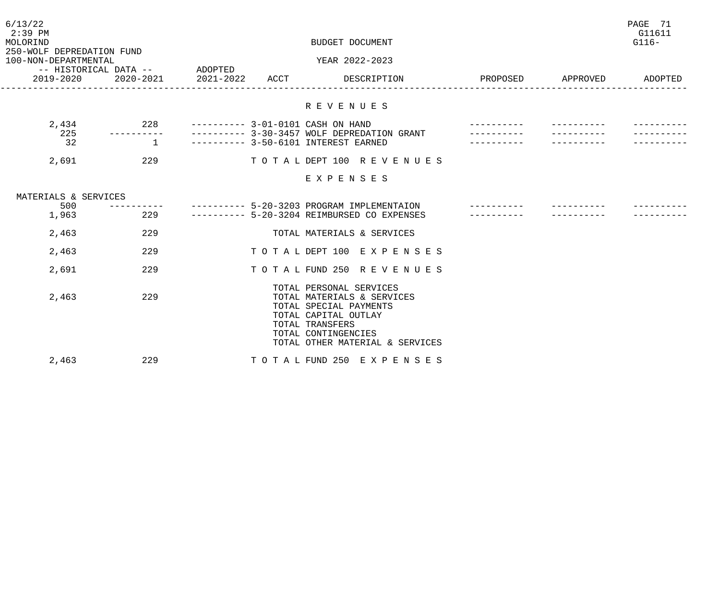| 6/13/22<br>$2:39$ PM<br>MOLORIND<br>250-WOLF DEPREDATION FUND |                | BUDGET DOCUMENT      |      |                                                                                                                                                                                      |          |          | PAGE 71<br>G11611<br>$G116-$ |
|---------------------------------------------------------------|----------------|----------------------|------|--------------------------------------------------------------------------------------------------------------------------------------------------------------------------------------|----------|----------|------------------------------|
| 100-NON-DEPARTMENTAL                                          |                |                      |      | YEAR 2022-2023                                                                                                                                                                       |          |          |                              |
| -- HISTORICAL DATA --<br>2019-2020                            | 2020-2021      | ADOPTED<br>2021-2022 | ACCT | DESCRIPTION                                                                                                                                                                          | PROPOSED | APPROVED | ADOPTED                      |
|                                                               |                |                      |      | R E V E N U E S                                                                                                                                                                      |          |          |                              |
| 2,434                                                         | 228            |                      |      | ---------- 3-01-0101 CASH ON HAND                                                                                                                                                    |          |          |                              |
| 225                                                           |                |                      |      | ---------- 3-30-3457 WOLF DEPREDATION GRANT                                                                                                                                          |          |          |                              |
| 32                                                            | $\overline{1}$ |                      |      | ---------- 3-50-6101 INTEREST EARNED                                                                                                                                                 |          |          |                              |
| 2,691                                                         | 229            |                      |      | TOTAL DEPT 100 REVENUES                                                                                                                                                              |          |          |                              |
|                                                               |                |                      |      | EXPENSES                                                                                                                                                                             |          |          |                              |
| MATERIALS & SERVICES                                          |                |                      |      |                                                                                                                                                                                      |          |          |                              |
| 500                                                           | ----------     |                      |      | --------- 5-20-3203 PROGRAM IMPLEMENTAION                                                                                                                                            |          |          |                              |
| 1,963                                                         | 229            |                      |      | --------- 5-20-3204 REIMBURSED CO EXPENSES                                                                                                                                           |          |          |                              |
| 2,463                                                         | 229            |                      |      | TOTAL MATERIALS & SERVICES                                                                                                                                                           |          |          |                              |
| 2,463                                                         | 229            |                      |      | TO TAL DEPT 100 EXPENSES                                                                                                                                                             |          |          |                              |
| 2,691                                                         | 229            |                      |      | TOTAL FUND 250 REVENUES                                                                                                                                                              |          |          |                              |
| 2,463                                                         | 229            |                      |      | TOTAL PERSONAL SERVICES<br>TOTAL MATERIALS & SERVICES<br>TOTAL SPECIAL PAYMENTS<br>TOTAL CAPITAL OUTLAY<br>TOTAL TRANSFERS<br>TOTAL CONTINGENCIES<br>TOTAL OTHER MATERIAL & SERVICES |          |          |                              |
| 2,463                                                         | 229            |                      |      | TOTAL FUND 250 EXPENSES                                                                                                                                                              |          |          |                              |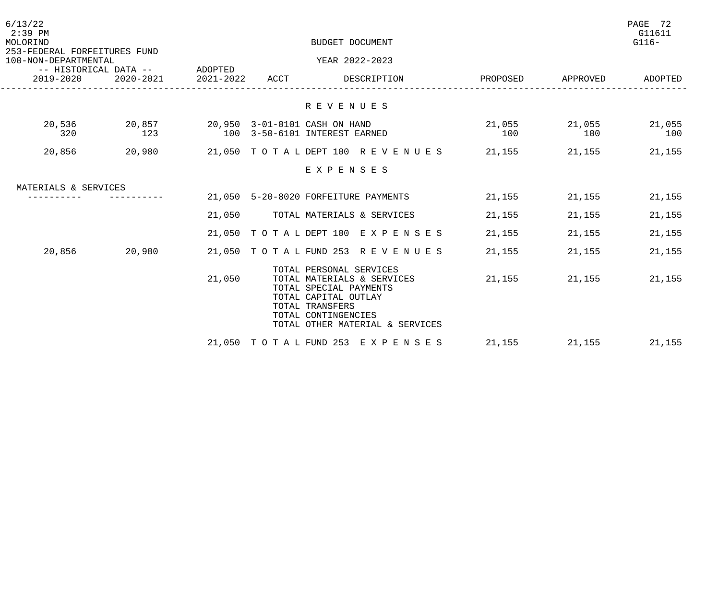| 6/13/22<br>$2:39$ PM<br>MOLORIND                     |                                               |        | BUDGET DOCUMENT                                                                                                                                                                      |                      |        | PAGE 72<br>G11611<br>$G116-$ |
|------------------------------------------------------|-----------------------------------------------|--------|--------------------------------------------------------------------------------------------------------------------------------------------------------------------------------------|----------------------|--------|------------------------------|
| 253-FEDERAL FORFEITURES FUND<br>100-NON-DEPARTMENTAL | -- HISTORICAL DATA -- ADOPTED                 |        | YEAR 2022-2023                                                                                                                                                                       |                      |        |                              |
| 2019-2020                                            | 2020-2021 2021-2022 ACCT                      |        | DESCRIPTION                                                                                                                                                                          | PROPOSED APPROVED    |        | ADOPTED                      |
|                                                      |                                               |        | R E V E N U E S                                                                                                                                                                      |                      |        |                              |
| 20,536<br>320                                        | 20,857  20,950  3-01-0101 CASH ON HAND<br>123 |        | 100 3-50-6101 INTEREST EARNED                                                                                                                                                        | 21,055 21,055<br>100 | 100    | 21,055<br>100                |
| 20,856                                               | 20,980                                        |        | 21,050 TOTAL DEPT 100 REVENUES 21,155                                                                                                                                                |                      |        | 21, 155 21, 155              |
|                                                      |                                               |        | EXPENSES                                                                                                                                                                             |                      |        |                              |
| MATERIALS & SERVICES                                 |                                               |        |                                                                                                                                                                                      |                      |        |                              |
|                                                      |                                               |        | 21,050 5-20-8020 FORFEITURE PAYMENTS                                                                                                                                                 | 21,155               | 21,155 | 21,155                       |
|                                                      |                                               |        | 21,050 TOTAL MATERIALS & SERVICES                                                                                                                                                    | 21,155               | 21,155 | 21,155                       |
|                                                      |                                               |        | 21,050 TOTAL DEPT 100 EXPENSES                                                                                                                                                       | 21,155               | 21,155 | 21,155                       |
| 20,856                                               | 20,980                                        |        | 21,050 TOTAL FUND 253 REVENUES 21,155                                                                                                                                                |                      | 21,155 | 21,155                       |
|                                                      |                                               | 21,050 | TOTAL PERSONAL SERVICES<br>TOTAL MATERIALS & SERVICES<br>TOTAL SPECIAL PAYMENTS<br>TOTAL CAPITAL OUTLAY<br>TOTAL TRANSFERS<br>TOTAL CONTINGENCIES<br>TOTAL OTHER MATERIAL & SERVICES | 21,155               | 21,155 | 21,155                       |
|                                                      |                                               |        | 21,050 TOTAL FUND 253 EXPENSES                                                                                                                                                       | 21,155               | 21,155 | 21,155                       |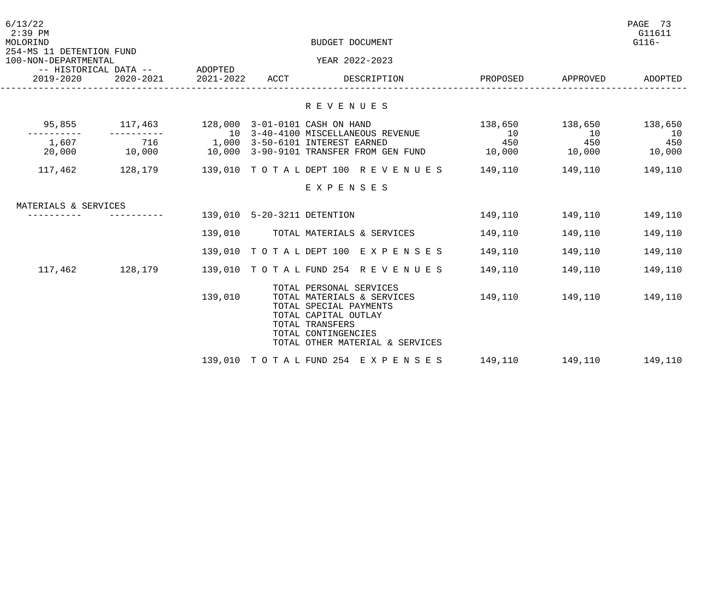| 6/13/22<br>$2:39$ PM<br>MOLORIND                 |                                        |                     |                             | BUDGET DOCUMENT                                                                                                                                                                      |           |                   | PAGE 73<br>G11611<br>$G116-$ |
|--------------------------------------------------|----------------------------------------|---------------------|-----------------------------|--------------------------------------------------------------------------------------------------------------------------------------------------------------------------------------|-----------|-------------------|------------------------------|
| 254-MS 11 DETENTION FUND<br>100-NON-DEPARTMENTAL |                                        |                     |                             | YEAR 2022-2023                                                                                                                                                                       |           |                   |                              |
| 2019-2020                                        | -- HISTORICAL DATA -- ADOPTED          | 2020-2021 2021-2022 | ACCT                        | DESCRIPTION                                                                                                                                                                          |           | PROPOSED APPROVED | ADOPTED                      |
|                                                  |                                        |                     |                             | R E V E N U E S                                                                                                                                                                      |           |                   |                              |
| 95,855                                           | 117,463 128,000 3-01-0101 CASH ON HAND |                     |                             |                                                                                                                                                                                      | 138,650   | 138,650           | 138,650                      |
| 1,607                                            | 716                                    |                     |                             | 10 3-40-4100 MISCELLANEOUS REVENUE<br>1,000 3-50-6101 INTEREST EARNED                                                                                                                | 10<br>450 | 10<br>450         | 10<br>450                    |
| 20,000                                           | 10,000                                 |                     |                             | 10,000 3-90-9101 TRANSFER FROM GEN FUND                                                                                                                                              | 10,000    | 10,000            | 10,000                       |
| 117,462                                          |                                        |                     |                             | 128,179               139,010    TOTALDEPT 100   REVENUES                                                                                                                            | 149,110   | 149,110           | 149,110                      |
|                                                  |                                        |                     |                             | EXPENSES                                                                                                                                                                             |           |                   |                              |
| MATERIALS & SERVICES                             |                                        |                     |                             |                                                                                                                                                                                      |           |                   |                              |
|                                                  |                                        |                     | 139,010 5-20-3211 DETENTION |                                                                                                                                                                                      | 149,110   | 149,110           | 149,110                      |
|                                                  |                                        | 139,010             |                             | TOTAL MATERIALS & SERVICES                                                                                                                                                           | 149,110   | 149,110           | 149,110                      |
|                                                  |                                        |                     |                             | 139,010 TOTAL DEPT 100 EXPENSES                                                                                                                                                      | 149,110   | 149,110           | 149,110                      |
| 117,462                                          | 128,179                                |                     |                             | 139,010 TOTAL FUND 254 REVENUES                                                                                                                                                      | 149,110   | 149,110           | 149,110                      |
|                                                  |                                        | 139,010             |                             | TOTAL PERSONAL SERVICES<br>TOTAL MATERIALS & SERVICES<br>TOTAL SPECIAL PAYMENTS<br>TOTAL CAPITAL OUTLAY<br>TOTAL TRANSFERS<br>TOTAL CONTINGENCIES<br>TOTAL OTHER MATERIAL & SERVICES | 149,110   | 149,110           | 149,110                      |
|                                                  |                                        |                     |                             | 139,010 TOTAL FUND 254 EXPENSES                                                                                                                                                      | 149,110   | 149,110 149,110   |                              |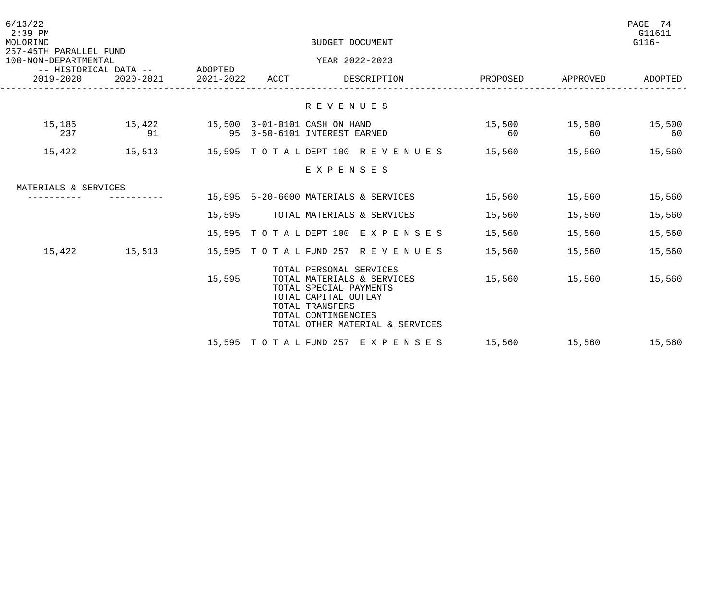| 6/13/22<br>$2:39$ PM<br>MOLORIND                                                |              |           |      | BUDGET DOCUMENT                                                                                                                                                                      |                      |                     | PAGE 74<br>G11611<br>$G116-$ |
|---------------------------------------------------------------------------------|--------------|-----------|------|--------------------------------------------------------------------------------------------------------------------------------------------------------------------------------------|----------------------|---------------------|------------------------------|
| 257-45TH PARALLEL FUND<br>100-NON-DEPARTMENTAL<br>-- HISTORICAL DATA -- ADOPTED |              |           |      | YEAR 2022-2023                                                                                                                                                                       |                      |                     |                              |
| 2019-2020                                                                       | 2020-2021    | 2021-2022 | ACCT | DESCRIPTION                                                                                                                                                                          | PROPOSED APPROVED    |                     | ADOPTED                      |
|                                                                                 |              |           |      | R E V E N U E S                                                                                                                                                                      |                      |                     |                              |
| 15,185<br>237                                                                   | 15,422<br>91 |           |      | 15,500 3-01-0101 CASH ON HAND<br>95 3-50-6101 INTEREST EARNED                                                                                                                        | 15,500<br>60         | 15,500 15,500<br>60 | 60                           |
| 15,422                                                                          |              |           |      | 15,513     15,595 TOTALDEPT100 REVENUES    15,560    15,560     15,560                                                                                                               |                      |                     |                              |
|                                                                                 |              |           |      | EXPENSES                                                                                                                                                                             |                      |                     |                              |
| MATERIALS & SERVICES                                                            |              |           |      |                                                                                                                                                                                      |                      |                     |                              |
|                                                                                 |              |           |      | 15,595 5-20-6600 MATERIALS & SERVICES                                                                                                                                                | 15,560 15,560        |                     | 15,560                       |
|                                                                                 |              |           |      | 15,595 TOTAL MATERIALS & SERVICES                                                                                                                                                    | 15,560               | 15,560              | 15,560                       |
|                                                                                 |              |           |      | 15,595 TOTAL DEPT 100 EXPENSES                                                                                                                                                       | 15,560               | 15,560              | 15,560                       |
| 15,422                                                                          | 15,513       |           |      | 15,595 TOTAL FUND 257 REVENUES 15,560                                                                                                                                                |                      | 15,560              | 15,560                       |
|                                                                                 |              | 15,595    |      | TOTAL PERSONAL SERVICES<br>TOTAL MATERIALS & SERVICES<br>TOTAL SPECIAL PAYMENTS<br>TOTAL CAPITAL OUTLAY<br>TOTAL TRANSFERS<br>TOTAL CONTINGENCIES<br>TOTAL OTHER MATERIAL & SERVICES | 15,560 15,560 15,560 |                     |                              |
|                                                                                 |              |           |      | 15,595 TOTAL FUND 257 EXPENSES                                                                                                                                                       | 15,560 15,560 15,560 |                     |                              |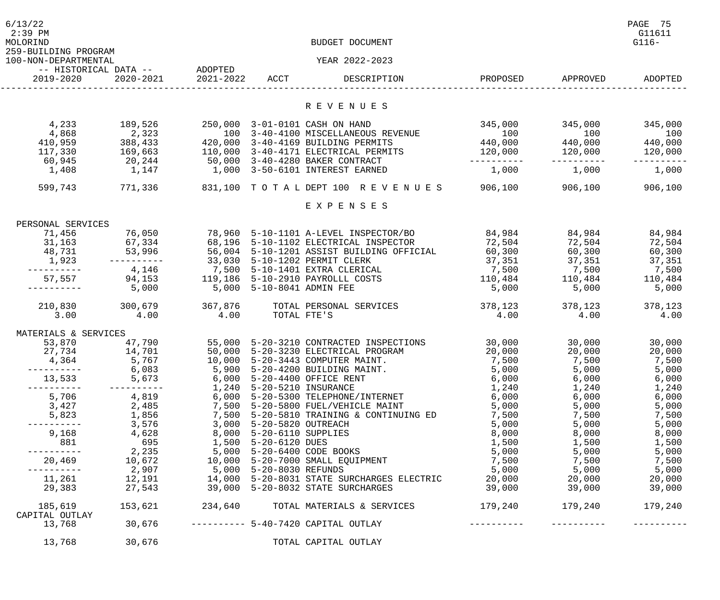| 6/13/22<br>$2:39$ PM<br>MOLORIND<br>259-BUILDING PROGRAM |                                          |                               |                           | BUDGET DOCUMENT                                                                                                                                                                 |                   |                                                                                                                                                                                                                                 | PAGE 75<br>G11611<br>$G116-$ |
|----------------------------------------------------------|------------------------------------------|-------------------------------|---------------------------|---------------------------------------------------------------------------------------------------------------------------------------------------------------------------------|-------------------|---------------------------------------------------------------------------------------------------------------------------------------------------------------------------------------------------------------------------------|------------------------------|
| 100-NON-DEPARTMENTAL                                     |                                          |                               |                           | YEAR 2022-2023                                                                                                                                                                  |                   |                                                                                                                                                                                                                                 |                              |
| 2019-2020                                                | 2020-2021                                | 2021-2022                     | ACCT                      | DESCRIPTION                                                                                                                                                                     | PROPOSED          | APPROVED                                                                                                                                                                                                                        | ADOPTED                      |
|                                                          |                                          |                               |                           | R E V E N U E S                                                                                                                                                                 |                   |                                                                                                                                                                                                                                 |                              |
|                                                          |                                          |                               |                           |                                                                                                                                                                                 |                   |                                                                                                                                                                                                                                 |                              |
| 4,233                                                    | 189,526                                  |                               |                           | 250,000 3-01-0101 CASH ON HAND                                                                                                                                                  | 345,000           | 345,000                                                                                                                                                                                                                         | 345,000                      |
| 4,868                                                    | 2,323                                    |                               |                           | 100 3-40-4100 MISCELLANEOUS REVENUE                                                                                                                                             | 100               | 100                                                                                                                                                                                                                             | 100                          |
| 410,959                                                  | 388,433                                  |                               |                           | 420,000 3-40-4169 BUILDING PERMITS                                                                                                                                              | 440,000           | 440,000                                                                                                                                                                                                                         | 440,000                      |
| 117,330                                                  | 169,663                                  |                               |                           | 110,000 3-40-4171 ELECTRICAL PERMITS 120,000<br>50,000 3-40-4280 BAKER CONTRACT                                                                                                 | ----------        | 120,000                                                                                                                                                                                                                         | 120,000                      |
| 60,945<br>1,408                                          | 20, 244<br>1,147                         |                               |                           | 1,000 3-50-6101 INTEREST EARNED                                                                                                                                                 | 1,000             | 1,000                                                                                                                                                                                                                           | 1,000                        |
|                                                          |                                          |                               |                           |                                                                                                                                                                                 |                   |                                                                                                                                                                                                                                 |                              |
| 599,743                                                  | 771,336                                  |                               |                           | 831,100 TOTALDEPT 100 REVENUES 906,100                                                                                                                                          |                   | 906, 100                                                                                                                                                                                                                        | 906,100                      |
|                                                          |                                          |                               |                           | EXPENSES                                                                                                                                                                        |                   |                                                                                                                                                                                                                                 |                              |
| PERSONAL SERVICES                                        |                                          |                               |                           |                                                                                                                                                                                 |                   |                                                                                                                                                                                                                                 |                              |
| 71,456                                                   | 76,050                                   |                               |                           | 78,960 5-10-1101 A-LEVEL INSPECTOR/BO                                                                                                                                           | 84,984            | 84,984                                                                                                                                                                                                                          | 84,984                       |
| 31,163                                                   | 67,334                                   | 68,196                        |                           | 5-10-1102 ELECTRICAL INSPECTOR                                                                                                                                                  | 72,504            | 72,504                                                                                                                                                                                                                          | 72,504                       |
| 48,731                                                   |                                          |                               |                           | 53,996 56,004 5-10-1201 ASSIST BUILDING OFFICIAL                                                                                                                                | 60, 300           | 60,300                                                                                                                                                                                                                          | 60,300                       |
| 1,923                                                    | -----------                              | 33,030 5-10-1202 PERMIT CLERK |                           |                                                                                                                                                                                 | 37,351            | 37,351                                                                                                                                                                                                                          | 37,351                       |
| -----------                                              |                                          |                               |                           | $4,146$ $7,500$ $5-10-1401$ EXTRA CLERICAL                                                                                                                                      | 7,500 7,500       |                                                                                                                                                                                                                                 | 7,500                        |
| 57,557                                                   | 94,153                                   |                               |                           | 119,186 5-10-2910 PAYROLLL COSTS 110,484                                                                                                                                        |                   | 110,484                                                                                                                                                                                                                         | 110,484                      |
|                                                          | 5,000                                    |                               | 5,000 5-10-8041 ADMIN FEE |                                                                                                                                                                                 | 5,000             | 5,000                                                                                                                                                                                                                           | 5,000                        |
| 210,830                                                  | 300,679                                  | 367,876                       |                           | TOTAL PERSONAL SERVICES                                                                                                                                                         | 378,123           | 378,123                                                                                                                                                                                                                         | 378,123                      |
| 3.00                                                     | 4.00                                     | 4.00                          | TOTAL FTE'S               |                                                                                                                                                                                 | 4.00              | 4.00                                                                                                                                                                                                                            | 4.00                         |
|                                                          |                                          |                               |                           |                                                                                                                                                                                 |                   |                                                                                                                                                                                                                                 |                              |
| MATERIALS & SERVICES<br>53,870                           | 47,790                                   |                               |                           | 55,000 5-20-3210 CONTRACTED INSPECTIONS                                                                                                                                         | 30,000            | 30,000                                                                                                                                                                                                                          | 30,000                       |
|                                                          | 27,734 14,701                            |                               |                           | 50,000 5-20-3230 ELECTRICAL PROGRAM                                                                                                                                             | 20,000            | 20,000                                                                                                                                                                                                                          | 20,000                       |
| 4,364                                                    | 5,767                                    |                               |                           | $10,000$ $5-20-3443$ COMPUTER MAINT. $7,500$                                                                                                                                    |                   | 7,500                                                                                                                                                                                                                           | 7,500                        |
|                                                          |                                          |                               |                           | $6,083$ 5,900 5-20-4200 BUILDING MAINT.                                                                                                                                         |                   | 5,000 5,000                                                                                                                                                                                                                     | 5,000                        |
|                                                          | 13,533 5,673 6,000 5-20-4400 OFFICE RENT |                               |                           | 6,000                                                                                                                                                                           |                   | 6,000 5,000 6,000 6,000 6,000 6,000 6,000 6,000 6,000 6,000 6,000 6,000 6,000 6,000 6,000 6,000 6,000 6,000 6,000 6,000 6,000 6,000 6,000 6,000 6,000 6,000 6,000 6,000 6,000 6,000 6,000 6,000 6,000 6,000 6,000 6,000 6,000 6 | 6,000                        |
|                                                          | ---------- 1,240 5-20-5210 INSURANCE     |                               |                           | 1,240                                                                                                                                                                           |                   | 1,240                                                                                                                                                                                                                           | 1,240                        |
|                                                          |                                          |                               |                           | 5,706       4,819       6,000 5-20-5300 TELEPHONE/INTERNET          6,000                                                                                                       |                   | 6,000                                                                                                                                                                                                                           | 6,000                        |
|                                                          |                                          |                               |                           | 3,427       2,485       7,500  5-20-5800 FUEL/VEHICLE MAINT          5,000                                                                                                      |                   | 5,000                                                                                                                                                                                                                           | 5,000                        |
|                                                          |                                          |                               |                           | 5,823 1,856 7,500 5-20-5810 TRAINING & CONTINUING ED 7,500                                                                                                                      |                   | 7,500                                                                                                                                                                                                                           | 7,500                        |
| ----------                                               | 3,576 3,000 5-20-5820 OUTREACH           |                               |                           | 5,000                                                                                                                                                                           |                   | 5,000 5,000 5,000 5,000 5,000 5,000 5,000 5,000 5,000 5,000 5,000 5,000 5,000 5,000 5,000 5,000 5,000 5,000 5,000 5,000 5,000 5,000 5,000 5,000 5,000 5,000 5,000 5,000 5,000 5,000 5,000 5,000 5,000 5,000 5,000 5,000 5,000 5 | 5,000                        |
|                                                          |                                          |                               |                           | $9,168$ $4,628$ $8,000$ $5-20-6110$ SUPPLIES                                                                                                                                    | 8,000             |                                                                                                                                                                                                                                 | 8,000                        |
| 881                                                      |                                          |                               |                           | $\begin{array}{cccccccc} 695 & 1,500 & 5-20-6120 & \text{DUES} & & & & 1,500 & & & 1,500 \ 2,235 & 5,000 & 5-20-6400 & \text{CODE BOOKS} & & & & 5,000 & & & 5,000 \end{array}$ |                   |                                                                                                                                                                                                                                 | 1,500                        |
| ----------                                               |                                          |                               |                           |                                                                                                                                                                                 |                   |                                                                                                                                                                                                                                 | 5,000                        |
| 20,469                                                   |                                          |                               |                           | 10,672      10,000  5-20-7000 SMALL EQUIPMENT            7,500       7,500                                                                                                      |                   |                                                                                                                                                                                                                                 | 7,500                        |
| -----------                                              |                                          |                               |                           | 2,907       5,000  5-20-8030 REFUNDS                 5,000      5,000                                                                                                           |                   |                                                                                                                                                                                                                                 | 5,000                        |
|                                                          |                                          |                               |                           | 11,261 12,191 14,000 5-20-8031 STATE SURCHARGES ELECTRIC 20,000<br>29,383 27,543 39,000 5-20-8032 STATE SURCHARGES                                                              | $39,000$ $39,000$ |                                                                                                                                                                                                                                 | 20,000 20,000<br>39,000      |
|                                                          |                                          |                               |                           |                                                                                                                                                                                 |                   |                                                                                                                                                                                                                                 |                              |
|                                                          |                                          |                               |                           | 185,619 153,621 234,640 TOTAL MATERIALS & SERVICES 179,240 179,240 179,240                                                                                                      |                   |                                                                                                                                                                                                                                 |                              |
| CAPITAL OUTLAY                                           |                                          |                               |                           |                                                                                                                                                                                 |                   |                                                                                                                                                                                                                                 |                              |
| 13,768                                                   |                                          |                               |                           |                                                                                                                                                                                 |                   |                                                                                                                                                                                                                                 |                              |
| 13,768                                                   | 30,676                                   |                               |                           | TOTAL CAPITAL OUTLAY                                                                                                                                                            |                   |                                                                                                                                                                                                                                 |                              |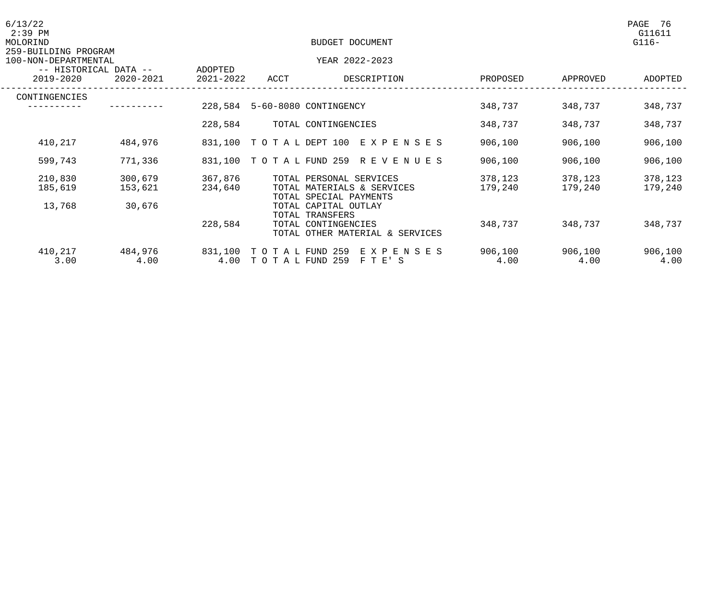| 6/13/22<br>$2:39$ PM<br>MOLORIND<br>259-BUILDING PROGRAM |                 |                      | BUDGET DOCUMENT                    |                                                                           |                 |                 | PAGE<br>- 76<br>G11611<br>$G116-$ |
|----------------------------------------------------------|-----------------|----------------------|------------------------------------|---------------------------------------------------------------------------|-----------------|-----------------|-----------------------------------|
| 100-NON-DEPARTMENTAL                                     |                 |                      |                                    | YEAR 2022-2023                                                            |                 |                 |                                   |
| -- HISTORICAL DATA --<br>2019-2020                       | $2020 - 2021$   | ADOPTED<br>2021-2022 | ACCT                               | DESCRIPTION                                                               | PROPOSED        | APPROVED        | ADOPTED                           |
| CONTINGENCIES                                            |                 |                      |                                    |                                                                           |                 |                 |                                   |
|                                                          |                 | 228,584              |                                    | 5-60-8080 CONTINGENCY                                                     | 348,737         | 348,737         | 348,737                           |
|                                                          |                 | 228,584              |                                    | TOTAL CONTINGENCIES                                                       | 348,737         | 348,737         | 348,737                           |
| 410,217                                                  | 484,976         |                      |                                    | 831,100 TOTAL DEPT 100 EXPENSES                                           | 906,100         | 906,100         | 906,100                           |
| 599,743                                                  | 771,336         | 831,100              |                                    | TOTAL FUND 259 REVENUES                                                   | 906,100         | 906,100         | 906,100                           |
| 210,830                                                  | 300,679         | 367,876              |                                    | TOTAL PERSONAL SERVICES                                                   | 378,123         | 378,123         | 378,123                           |
| 185,619                                                  | 153,621         | 234,640              |                                    | TOTAL MATERIALS & SERVICES<br>TOTAL SPECIAL PAYMENTS                      | 179,240         | 179,240         | 179,240                           |
| 13,768                                                   | 30,676          |                      |                                    | TOTAL CAPITAL OUTLAY                                                      |                 |                 |                                   |
|                                                          |                 | 228,584              |                                    | TOTAL TRANSFERS<br>TOTAL CONTINGENCIES<br>TOTAL OTHER MATERIAL & SERVICES | 348,737         | 348,737         | 348,737                           |
| 410,217<br>3.00                                          | 484,976<br>4.00 | 831,100<br>4.00      | TO TAL FUND 259<br>TO TAL FUND 259 | EXPENSES<br>F T E' S                                                      | 906,100<br>4.00 | 906,100<br>4.00 | 906,100<br>4.00                   |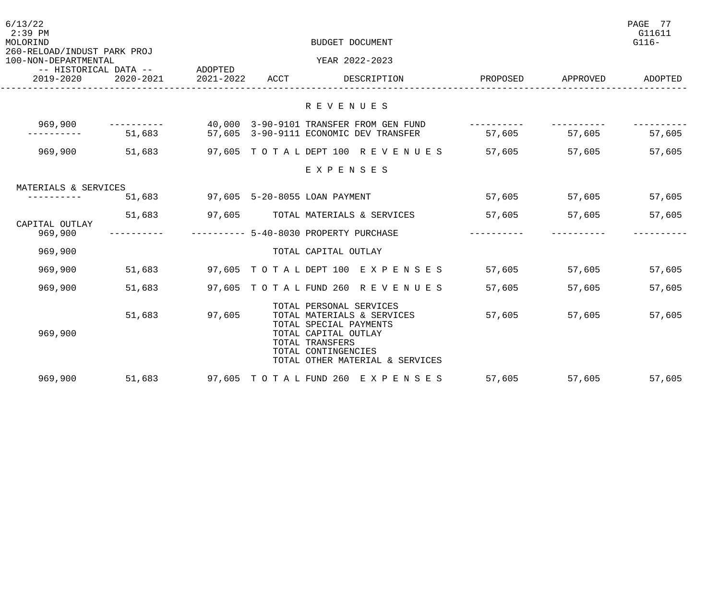| 6/13/22<br>$2:39$ PM<br>MOLORIND<br>260-RELOAD/INDUST PARK PROJ |                                            |           |      | BUDGET DOCUMENT                                                                                                                                                                      |             |          | PAGE 77<br>G11611<br>$G116-$ |
|-----------------------------------------------------------------|--------------------------------------------|-----------|------|--------------------------------------------------------------------------------------------------------------------------------------------------------------------------------------|-------------|----------|------------------------------|
| 100-NON-DEPARTMENTAL                                            |                                            |           |      | YEAR 2022-2023                                                                                                                                                                       |             |          |                              |
| 2019-2020                                                       | -- HISTORICAL DATA -- ADOPTED<br>2020-2021 | 2021-2022 | ACCT | DESCRIPTION                                                                                                                                                                          | PROPOSED    | APPROVED | ADOPTED                      |
|                                                                 |                                            |           |      | R E V E N U E S                                                                                                                                                                      |             |          |                              |
| 969,900                                                         | ____________                               |           |      | 40,000 3-90-9101 TRANSFER FROM GEN FUND                                                                                                                                              | ----------- |          |                              |
|                                                                 |                                            |           |      | 51,683 57,605 3-90-9111 ECONOMIC DEV TRANSFER                                                                                                                                        | 57,605      | 57,605   | 57,605                       |
| 969,900                                                         | 51,683                                     |           |      | 97,605 TO TA L DEPT 100 R E V E N U E S 57,605                                                                                                                                       |             | 57,605   | 57,605                       |
|                                                                 |                                            |           |      | EXPENSES                                                                                                                                                                             |             |          |                              |
| MATERIALS & SERVICES                                            |                                            |           |      |                                                                                                                                                                                      |             |          |                              |
|                                                                 |                                            |           |      | 51,683 97,605 5-20-8055 LOAN PAYMENT                                                                                                                                                 | 57,605      | 57,605   | 57,605                       |
|                                                                 | 51,683                                     |           |      | 97,605 TOTAL MATERIALS & SERVICES                                                                                                                                                    | 57,605      | 57,605   | 57,605                       |
| CAPITAL OUTLAY<br>969,900                                       |                                            |           |      | ---------- 5-40-8030 PROPERTY PURCHASE                                                                                                                                               |             |          |                              |
| 969,900                                                         |                                            |           |      | TOTAL CAPITAL OUTLAY                                                                                                                                                                 |             |          |                              |
| 969,900                                                         |                                            |           |      | 51,683 97,605 TOTAL DEPT 100 EXPENSES                                                                                                                                                | 57,605      | 57,605   | 57,605                       |
| 969,900                                                         | 51,683                                     |           |      | 97,605 TOTAL FUND 260 REVENUES                                                                                                                                                       | 57,605      | 57,605   | 57,605                       |
| 969,900                                                         | 51,683                                     | 97,605    |      | TOTAL PERSONAL SERVICES<br>TOTAL MATERIALS & SERVICES<br>TOTAL SPECIAL PAYMENTS<br>TOTAL CAPITAL OUTLAY<br>TOTAL TRANSFERS<br>TOTAL CONTINGENCIES<br>TOTAL OTHER MATERIAL & SERVICES | 57,605      | 57,605   | 57,605                       |
| 969,900                                                         | 51,683                                     |           |      | 97,605 TOTAL FUND 260 EXPENSES                                                                                                                                                       | 57,605      | 57,605   | 57,605                       |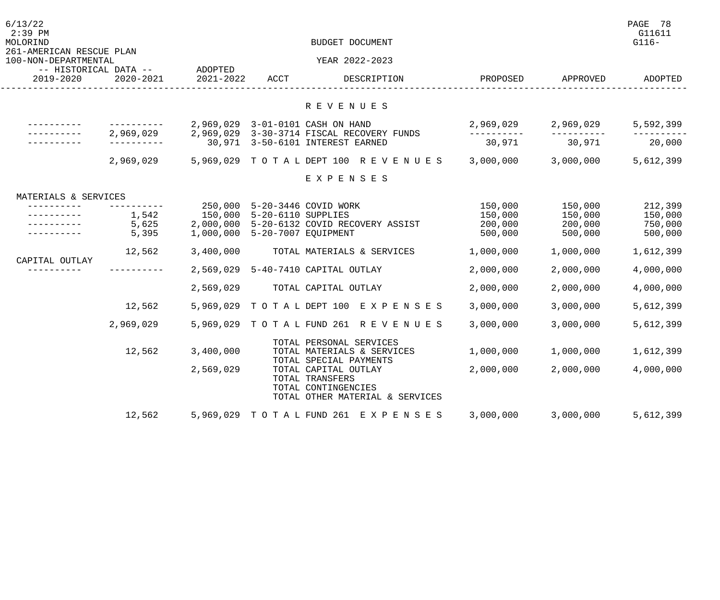| 6/13/22<br>$2:39$ PM<br>MOLORIND<br>261-AMERICAN RESCUE PLAN |                         |                                 |                                           | BUDGET DOCUMENT                                                                                   |                                          |                                          | PAGE<br>- 78<br>G11611<br>$G116-$        |
|--------------------------------------------------------------|-------------------------|---------------------------------|-------------------------------------------|---------------------------------------------------------------------------------------------------|------------------------------------------|------------------------------------------|------------------------------------------|
| 100-NON-DEPARTMENTAL                                         |                         |                                 |                                           | YEAR 2022-2023                                                                                    |                                          |                                          |                                          |
| -- HISTORICAL DATA --<br>2019-2020                           | $2020 - 2021$           | ADOPTED<br>2021-2022            | ACCT                                      | DESCRIPTION                                                                                       | PROPOSED                                 | APPROVED                                 | ADOPTED                                  |
|                                                              |                         |                                 |                                           | R E V E N U E S                                                                                   |                                          |                                          |                                          |
|                                                              |                         |                                 |                                           | 2,969,029 3-01-0101 CASH ON HAND                                                                  | 2,969,029                                | 2,969,029                                | 5,592,399                                |
|                                                              | 2,969,029               | 30,971                          |                                           | 2,969,029 3-30-3714 FISCAL RECOVERY FUNDS<br>3-50-6101 INTEREST EARNED                            | 30,971                                   | 30,971                                   | 20,000                                   |
|                                                              | 2,969,029               | 5,969,029                       | TO TAL DEPT 100                           | R E V E N U E S                                                                                   | 3,000,000                                | 3,000,000                                | 5,612,399                                |
|                                                              |                         |                                 |                                           | EXPENSES                                                                                          |                                          |                                          |                                          |
| MATERIALS & SERVICES                                         |                         |                                 |                                           |                                                                                                   |                                          |                                          |                                          |
|                                                              | 1,542<br>5,625<br>5,395 | 250,000<br>150,000<br>1,000,000 | 5-20-6110 SUPPLIES<br>5-20-7007 EQUIPMENT | 5-20-3446 COVID WORK<br>2,000,000 5-20-6132 COVID RECOVERY ASSIST                                 | 150,000<br>150,000<br>200,000<br>500,000 | 150,000<br>150,000<br>200,000<br>500,000 | 212,399<br>150,000<br>750,000<br>500,000 |
|                                                              | 12,562                  | 3,400,000                       |                                           | TOTAL MATERIALS & SERVICES                                                                        | 1,000,000                                | 1,000,000                                | 1,612,399                                |
| CAPITAL OUTLAY                                               |                         | 2,569,029                       |                                           | 5-40-7410 CAPITAL OUTLAY                                                                          | 2,000,000                                | 2,000,000                                | 4,000,000                                |
|                                                              |                         | 2,569,029                       |                                           | TOTAL CAPITAL OUTLAY                                                                              | 2,000,000                                | 2,000,000                                | 4,000,000                                |
|                                                              | 12,562                  | 5,969,029                       | TO TAL DEPT 100                           | EXPENSES                                                                                          | 3,000,000                                | 3,000,000                                | 5,612,399                                |
|                                                              | 2,969,029               |                                 |                                           | 5,969,029 TOTAL FUND 261 REVENUES                                                                 | 3,000,000                                | 3,000,000                                | 5,612,399                                |
|                                                              | 12,562                  | 3,400,000                       |                                           | TOTAL PERSONAL SERVICES<br>TOTAL MATERIALS & SERVICES<br>TOTAL SPECIAL PAYMENTS                   | 1,000,000                                | 1,000,000                                | 1,612,399                                |
|                                                              |                         | 2,569,029                       |                                           | TOTAL CAPITAL OUTLAY<br>TOTAL TRANSFERS<br>TOTAL CONTINGENCIES<br>TOTAL OTHER MATERIAL & SERVICES | 2,000,000                                | 2,000,000                                | 4,000,000                                |
|                                                              | 12,562                  |                                 |                                           | 5,969,029 TOTAL FUND 261 EXPENSES                                                                 | 3,000,000                                | 3,000,000                                | 5,612,399                                |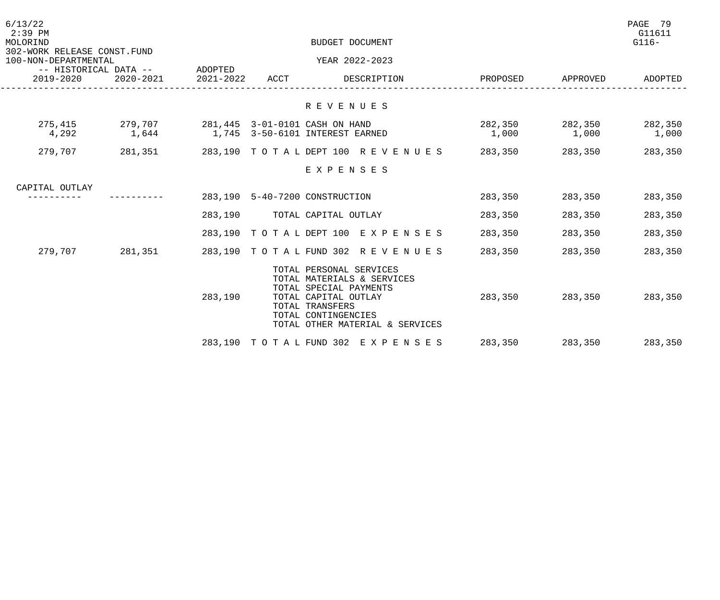| 6/13/22<br>$2:39$ PM<br>MOLORIND<br>302-WORK RELEASE CONST.FUND |                                                           |         | PAGE 79<br>BUDGET DOCUMENT |                                                                                                                                                                                      |                          |         |                  |
|-----------------------------------------------------------------|-----------------------------------------------------------|---------|----------------------------|--------------------------------------------------------------------------------------------------------------------------------------------------------------------------------------|--------------------------|---------|------------------|
| 100-NON-DEPARTMENTAL                                            |                                                           |         |                            | YEAR 2022-2023                                                                                                                                                                       |                          |         |                  |
| 2019-2020                                                       | -- HISTORICAL DATA -- ADOPTED<br>2020-2021 2021-2022 ACCT |         |                            | DESCRIPTION                                                                                                                                                                          | PROPOSED APPROVED        |         | ADOPTED          |
|                                                                 |                                                           |         |                            | R E V E N U E S                                                                                                                                                                      |                          |         |                  |
| 275,415<br>4,292                                                | 279,707<br>1,644                                          |         |                            | 281,445 3-01-0101 CASH ON HAND<br>1,745 3-50-6101 INTEREST EARNED                                                                                                                    | 282,350 282,350<br>1,000 | 1,000   | 282,350<br>1,000 |
| 279,707 281,351                                                 |                                                           |         |                            | 283,190 TOTALDEPT 100 REVENUES 283,350                                                                                                                                               |                          | 283,350 | 283,350          |
|                                                                 |                                                           |         |                            | EXPENSES                                                                                                                                                                             |                          |         |                  |
| CAPITAL OUTLAY<br>----------                                    |                                                           |         |                            | 283,190 5-40-7200 CONSTRUCTION                                                                                                                                                       | 283,350                  | 283,350 | 283,350          |
|                                                                 |                                                           |         |                            |                                                                                                                                                                                      |                          |         |                  |
|                                                                 |                                                           |         |                            | 283,190 TOTAL CAPITAL OUTLAY                                                                                                                                                         | 283,350                  | 283,350 | 283,350          |
|                                                                 |                                                           |         |                            | 283,190 TOTAL DEPT 100 EXPENSES 283,350                                                                                                                                              |                          | 283,350 | 283,350          |
| 279,707 281,351                                                 |                                                           |         |                            | 283,190 TOTAL FUND 302 REVENUES                                                                                                                                                      | 283,350                  | 283,350 | 283,350          |
|                                                                 |                                                           | 283,190 |                            | TOTAL PERSONAL SERVICES<br>TOTAL MATERIALS & SERVICES<br>TOTAL SPECIAL PAYMENTS<br>TOTAL CAPITAL OUTLAY<br>TOTAL TRANSFERS<br>TOTAL CONTINGENCIES<br>TOTAL OTHER MATERIAL & SERVICES | 283,350                  | 283,350 | 283,350          |
|                                                                 |                                                           |         |                            | 283,190 TOTAL FUND 302 EXPENSES                                                                                                                                                      | 283,350                  | 283,350 | 283,350          |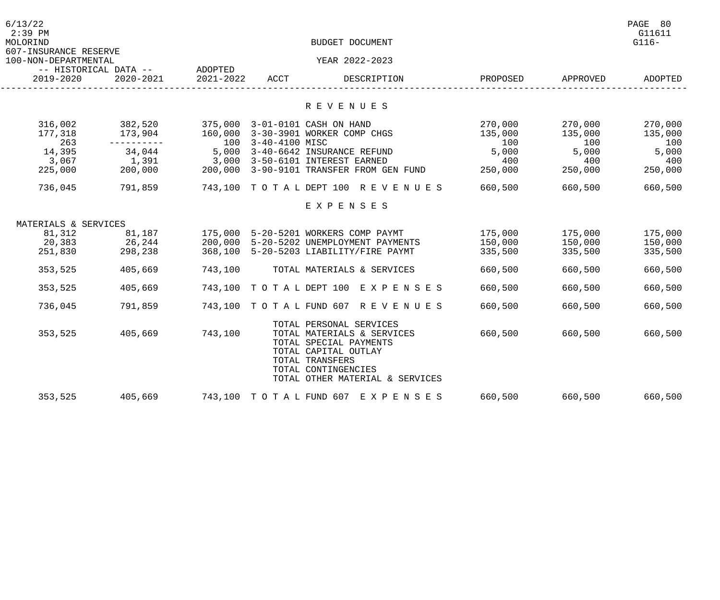| 6/13/22<br>$2:39$ PM<br>MOLORIND              |                                        |           |      | BUDGET DOCUMENT                                                                                                                                           |              |              | PAGE 80<br>G11611<br>$G116-$ |
|-----------------------------------------------|----------------------------------------|-----------|------|-----------------------------------------------------------------------------------------------------------------------------------------------------------|--------------|--------------|------------------------------|
| 607-INSURANCE RESERVE<br>100-NON-DEPARTMENTAL | -- HISTORICAL DATA --       ADOPTED    |           |      | YEAR 2022-2023                                                                                                                                            |              |              |                              |
| 2019-2020                                     | 2020-2021                              | 2021-2022 | ACCT | DESCRIPTION                                                                                                                                               | PROPOSED     | APPROVED     | ADOPTED                      |
|                                               |                                        |           |      | R E V E N U E S                                                                                                                                           |              |              |                              |
|                                               |                                        |           |      |                                                                                                                                                           |              |              |                              |
| 316,002                                       | 382,520 375,000 3-01-0101 CASH ON HAND |           |      |                                                                                                                                                           | 270,000      | 270,000      | 270,000                      |
| 177,318                                       |                                        |           |      | 173,904 160,000 3-30-3901 WORKER COMP CHGS                                                                                                                | 135,000      | 135,000      | 135,000                      |
| 263<br>14,395                                 |                                        |           |      | ---------- 100 3-40-4100 MISC<br>34,044 5,000 3-40-6642 INSURANCE REFUND                                                                                  | 100<br>5,000 | 100<br>5,000 | 100<br>5,000                 |
| 3,067                                         | 1,391                                  |           |      | 3,000 3-50-6101 INTEREST EARNED                                                                                                                           | 400          | 400          | 400                          |
| 225,000                                       | 200,000                                |           |      | 3,000 5-50-6101 INTEREST EARNED<br>200,000 3-90-9101 TRANSFER FROM GEN FUND 250,000                                                                       |              | 250,000      | 250,000                      |
| 736,045                                       | 791,859                                |           |      | 743,100 TOTALDEPT 100 REVENUES 660,500                                                                                                                    |              | 660,500      | 660,500                      |
|                                               |                                        |           |      | EXPENSES                                                                                                                                                  |              |              |                              |
| MATERIALS & SERVICES                          |                                        |           |      |                                                                                                                                                           |              |              |                              |
| 81,312                                        | 81,187                                 |           |      | 175,000 5-20-5201 WORKERS COMP PAYMT                                                                                                                      | 175,000      | 175,000      | 175,000                      |
|                                               | 20,383 26,244                          |           |      | 200,000 5-20-5202 UNEMPLOYMENT PAYMENTS                                                                                                                   | 150,000      | 150,000      | 150,000                      |
| 251,830                                       | 298,238                                |           |      | 368,100 5-20-5203 LIABILITY/FIRE PAYMT                                                                                                                    | 335,500      | 335,500      | 335,500                      |
| 353,525                                       | 405,669                                | 743,100   |      | TOTAL MATERIALS & SERVICES                                                                                                                                | 660,500      | 660,500      | 660,500                      |
| 353,525                                       | 405,669                                |           |      | 743,100 TOTAL DEPT 100 EXPENSES                                                                                                                           | 660,500      | 660,500      | 660,500                      |
| 736,045                                       | 791,859                                |           |      | 743,100 TOTAL FUND 607 REVENUES                                                                                                                           | 660,500      | 660,500      | 660,500                      |
|                                               |                                        |           |      | TOTAL PERSONAL SERVICES                                                                                                                                   |              |              |                              |
| 353,525                                       | 405,669 743,100                        |           |      | TOTAL MATERIALS & SERVICES<br>TOTAL SPECIAL PAYMENTS<br>TOTAL CAPITAL OUTLAY<br>TOTAL TRANSFERS<br>TOTAL CONTINGENCIES<br>TOTAL OTHER MATERIAL & SERVICES | 660,500      | 660,500      | 660,500                      |
| 353,525                                       | 405,669                                |           |      | 743,100 TOTAL FUND 607 EXPENSES                                                                                                                           | 660,500      | 660,500      | 660,500                      |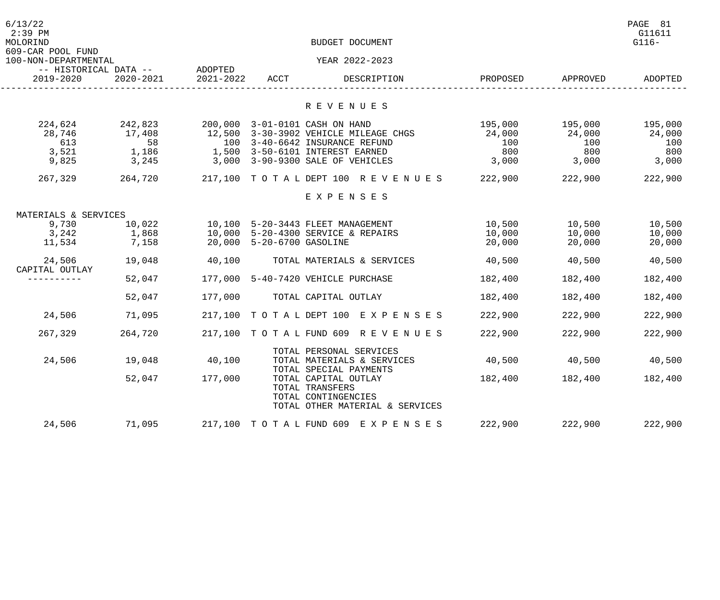| 6/13/22<br>$2:39$ PM<br>MOLORIND<br>609-CAR POOL FUND |                                  |                      |                           | BUDGET DOCUMENT                                                                                                                                                                  |                                 |                                 | PAGE 81<br>G11611<br>$G116-$    |
|-------------------------------------------------------|----------------------------------|----------------------|---------------------------|----------------------------------------------------------------------------------------------------------------------------------------------------------------------------------|---------------------------------|---------------------------------|---------------------------------|
| 100-NON-DEPARTMENTAL                                  |                                  |                      |                           | YEAR 2022-2023                                                                                                                                                                   |                                 |                                 |                                 |
| -- HISTORICAL DATA --<br>2019-2020                    | $2020 - 2021$                    | ADOPTED<br>2021-2022 | ACCT                      | DESCRIPTION                                                                                                                                                                      | PROPOSED                        | APPROVED                        | ADOPTED                         |
|                                                       |                                  |                      |                           | R E V E N U E S                                                                                                                                                                  |                                 |                                 |                                 |
| 224,624<br>28,746<br>613<br>3,521                     | 242,823<br>17,408<br>58<br>1,186 |                      |                           | 200,000 3-01-0101 CASH ON HAND<br>12,500 3-30-3902 VEHICLE MILEAGE CHGS<br>100 3-40-6642 INSURANCE REFUND<br>1,500 3-50-6101 INTEREST EARNED<br>3,000 3-90-9300 SALE OF VEHICLES | 195,000<br>24,000<br>100<br>800 | 195,000<br>24,000<br>100<br>800 | 195,000<br>24,000<br>100<br>800 |
| 9,825                                                 | 3,245                            |                      |                           |                                                                                                                                                                                  | 3,000                           | 3,000                           | 3,000                           |
| 267,329                                               | 264,720                          |                      |                           | 217,100 TOTAL DEPT 100 REVENUES                                                                                                                                                  | 222,900                         | 222,900                         | 222,900                         |
|                                                       |                                  |                      |                           | EXPENSES                                                                                                                                                                         |                                 |                                 |                                 |
| MATERIALS & SERVICES                                  |                                  |                      |                           |                                                                                                                                                                                  |                                 |                                 |                                 |
| 9,730<br>3,242<br>11,534                              | 10,022<br>1,868<br>7,158         |                      | 20,000 5-20-6700 GASOLINE | 10,100 5-20-3443 FLEET MANAGEMENT<br>10,000 5-20-4300 SERVICE & REPAIRS                                                                                                          | 10,500<br>10,000<br>20,000      | 10,500<br>10,000<br>20,000      | 10,500<br>10,000<br>20,000      |
| 24,506<br>CAPITAL OUTLAY                              | 19,048                           | 40,100               |                           | TOTAL MATERIALS & SERVICES                                                                                                                                                       | 40,500                          | 40,500                          | 40,500                          |
|                                                       | 52,047                           |                      |                           | 177,000 5-40-7420 VEHICLE PURCHASE                                                                                                                                               | 182,400                         | 182,400                         | 182,400                         |
|                                                       | 52,047                           | 177,000              |                           | TOTAL CAPITAL OUTLAY                                                                                                                                                             | 182,400                         | 182,400                         | 182,400                         |
| 24,506                                                | 71,095                           |                      |                           | 217,100 TOTAL DEPT 100 EXPENSES                                                                                                                                                  | 222,900                         | 222,900                         | 222,900                         |
| 267,329                                               | 264,720                          |                      |                           | 217,100 TOTAL FUND 609 REVENUES                                                                                                                                                  | 222,900                         | 222,900                         | 222,900                         |
| 24,506                                                | 19,048<br>52,047                 | 40,100<br>177,000    |                           | TOTAL PERSONAL SERVICES<br>TOTAL MATERIALS & SERVICES<br>TOTAL SPECIAL PAYMENTS<br>TOTAL CAPITAL OUTLAY                                                                          | 40,500<br>182,400               | 40,500<br>182,400               | 40,500<br>182,400               |
|                                                       |                                  |                      |                           | TOTAL TRANSFERS<br>TOTAL CONTINGENCIES<br>TOTAL OTHER MATERIAL & SERVICES                                                                                                        |                                 |                                 |                                 |
| 24,506                                                | 71,095                           |                      | 217,100 TOTAL FUND 609    | E X P E N S E S                                                                                                                                                                  | 222,900                         | 222,900                         | 222,900                         |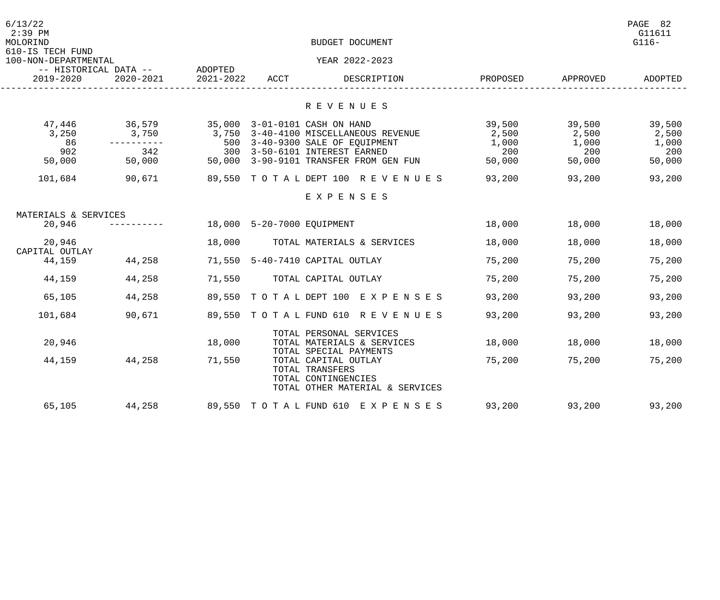| 6/13/22<br>$2:39$ PM<br>MOLORIND<br>610-IS TECH FUND<br>100-NON-DEPARTMENTAL | -- HISTORICAL DATA -- ADOPTED |           |                            | BUDGET DOCUMENT<br>YEAR 2022-2023                                                                                           |               |               | PAGE 82<br>G11611<br>$G116-$ |
|------------------------------------------------------------------------------|-------------------------------|-----------|----------------------------|-----------------------------------------------------------------------------------------------------------------------------|---------------|---------------|------------------------------|
| 2019-2020                                                                    | $2020 - 2021$                 | 2021-2022 | ACCT                       | DESCRIPTION                                                                                                                 | PROPOSED      | APPROVED      | ADOPTED                      |
|                                                                              |                               |           |                            | R E V E N U E S                                                                                                             |               |               |                              |
|                                                                              |                               |           |                            |                                                                                                                             |               |               |                              |
| 47,446                                                                       | 36,579                        |           |                            | 35,000 3-01-0101 CASH ON HAND                                                                                               | 39,500        | 39,500        | 39,500                       |
| 3,250                                                                        | 3,750                         | 3,750     |                            | 3-40-4100 MISCELLANEOUS REVENUE                                                                                             | 2,500         | 2,500         | 2,500                        |
| 86<br>902                                                                    | ----------                    | 500       |                            | 3-40-9300 SALE OF EQUIPMENT                                                                                                 | 1,000         | 1,000         | 1,000                        |
| 50,000                                                                       | 342<br>50,000                 | 300       |                            | 3-50-6101 INTEREST EARNED<br>50,000 3-90-9101 TRANSFER FROM GEN FUN                                                         | 200<br>50,000 | 200<br>50,000 | 200<br>50,000                |
|                                                                              |                               |           |                            |                                                                                                                             |               |               |                              |
| 101,684                                                                      | 90,671                        |           |                            | 89,550 TOTAL DEPT 100 REVENUES                                                                                              | 93,200        | 93,200        | 93,200                       |
|                                                                              |                               |           |                            | EXPENSES                                                                                                                    |               |               |                              |
| MATERIALS & SERVICES                                                         |                               |           |                            |                                                                                                                             |               |               |                              |
| 20,946                                                                       |                               |           | 18,000 5-20-7000 EQUIPMENT |                                                                                                                             | 18,000        | 18,000        | 18,000                       |
| 20,946<br>CAPITAL OUTLAY                                                     |                               | 18,000    |                            | TOTAL MATERIALS & SERVICES                                                                                                  | 18,000        | 18,000        | 18,000                       |
| 44,159                                                                       | 44,258                        |           |                            | 71,550 5-40-7410 CAPITAL OUTLAY                                                                                             | 75,200        | 75,200        | 75,200                       |
| 44,159                                                                       | 44,258                        | 71,550    |                            | TOTAL CAPITAL OUTLAY                                                                                                        | 75,200        | 75,200        | 75,200                       |
| 65,105                                                                       | 44,258                        |           |                            | 89,550 TOTAL DEPT 100 EXPENSES                                                                                              | 93,200        | 93,200        | 93,200                       |
| 101,684                                                                      | 90,671                        |           |                            | 89,550 TOTAL FUND 610 REVENUES                                                                                              | 93,200        | 93,200        | 93,200                       |
|                                                                              |                               |           |                            | TOTAL PERSONAL SERVICES                                                                                                     |               |               |                              |
| 20,946                                                                       |                               | 18,000    |                            | TOTAL MATERIALS & SERVICES                                                                                                  | 18,000        | 18,000        | 18,000                       |
| 44,159                                                                       | 44,258                        | 71,550    |                            | TOTAL SPECIAL PAYMENTS<br>TOTAL CAPITAL OUTLAY<br>TOTAL TRANSFERS<br>TOTAL CONTINGENCIES<br>TOTAL OTHER MATERIAL & SERVICES | 75,200        | 75,200        | 75,200                       |
| 65,105                                                                       | 44,258                        |           |                            | 89,550 TOTAL FUND 610 EXPENSES                                                                                              | 93,200        | 93,200        | 93,200                       |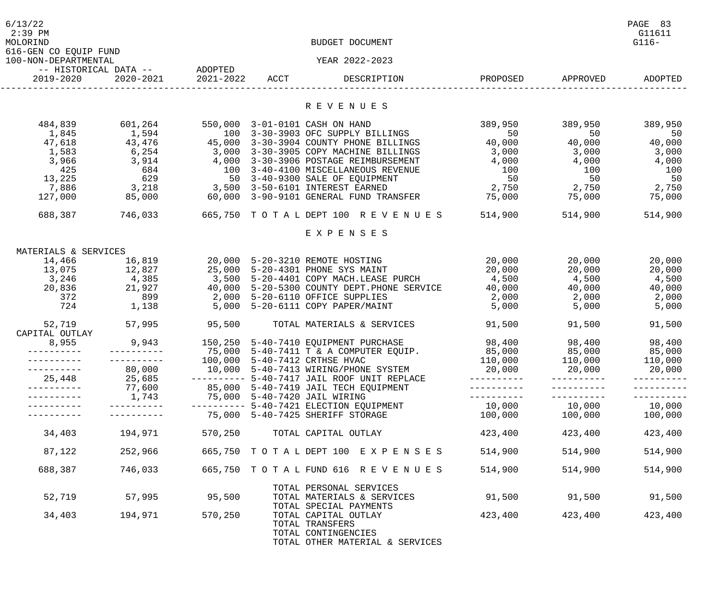| 6/13/22<br>$2:39$ PM<br>MOLORIND              |                                    |                      |      | BUDGET DOCUMENT                                                                                   |            |          | PAGE 83<br>G11611<br>$G116-$ |
|-----------------------------------------------|------------------------------------|----------------------|------|---------------------------------------------------------------------------------------------------|------------|----------|------------------------------|
| 616-GEN CO EQUIP FUND<br>100-NON-DEPARTMENTAL |                                    |                      |      | YEAR 2022-2023                                                                                    |            |          |                              |
| 2019-2020                                     | -- HISTORICAL DATA --<br>2020-2021 | ADOPTED<br>2021-2022 | ACCT | DESCRIPTION                                                                                       | PROPOSED   | APPROVED | ADOPTED                      |
|                                               |                                    |                      |      | R E V E N U E S                                                                                   |            |          |                              |
|                                               |                                    |                      |      |                                                                                                   |            |          |                              |
| 484,839                                       | 601,264                            |                      |      | 550,000 3-01-0101 CASH ON HAND                                                                    | 389,950    | 389,950  | 389,950                      |
| 1,845                                         | 1,594                              |                      |      | 100 3-30-3903 OFC SUPPLY BILLINGS                                                                 | 50         | 50       | 50                           |
| 47,618                                        | 43,476                             |                      |      | 45,000 3-30-3904 COUNTY PHONE BILLINGS                                                            | 40,000     | 40,000   | 40,000                       |
| 1,583                                         | 6,254                              |                      |      | 3,000 3-30-3905 COPY MACHINE BILLINGS                                                             | 3,000      | 3,000    | 3,000                        |
| 3,966                                         | 3,914                              | 4,000                |      | 3-30-3906 POSTAGE REIMBURSEMENT                                                                   | 4,000      | 4,000    | 4,000                        |
| 425                                           | 684                                | 100                  |      | 3-40-4100 MISCELLANEOUS REVENUE                                                                   | 100        | 100      | 100                          |
| 13,225                                        | 629                                | 50                   |      | 3-40-9300 SALE OF EQUIPMENT                                                                       | 50         | 50       | 50                           |
| 7,886                                         | 3,218                              |                      |      | 3,500 3-50-6101 INTEREST EARNED                                                                   | 2,750      | 2,750    | 2,750                        |
| 127,000                                       | 85,000                             |                      |      | 60,000 3-90-9101 GENERAL FUND TRANSFER                                                            | 75,000     | 75,000   | 75,000                       |
| 688,387                                       | 746,033                            |                      |      | 665,750 TOTAL DEPT 100 REVENUES                                                                   | 514,900    | 514,900  | 514,900                      |
|                                               |                                    |                      |      | EXPENSES                                                                                          |            |          |                              |
| MATERIALS & SERVICES                          |                                    |                      |      |                                                                                                   |            |          |                              |
| 14,466                                        | 16,819                             |                      |      | 20,000 5-20-3210 REMOTE HOSTING                                                                   | 20,000     | 20,000   | 20,000                       |
| 13,075                                        | 12,827                             |                      |      | 25,000 5-20-4301 PHONE SYS MAINT                                                                  | 20,000     | 20,000   | 20,000                       |
| 3,246                                         | 4,385                              | 3,500                |      | 5-20-4401 COPY MACH.LEASE PURCH                                                                   | 4,500      | 4,500    | 4,500                        |
| 20,836                                        | 21,927                             | 40,000               |      | 5-20-5300 COUNTY DEPT. PHONE SERVICE                                                              | 40,000     | 40,000   | 40,000                       |
| 372                                           | 899                                |                      |      | 2,000 5-20-6110 OFFICE SUPPLIES                                                                   | 2,000      | 2,000    | 2,000                        |
| 724                                           | 1,138                              |                      |      | 5,000 5-20-6111 COPY PAPER/MAINT                                                                  | 5,000      | 5,000    | 5,000                        |
| 52,719                                        | 57,995                             | 95,500               |      | TOTAL MATERIALS & SERVICES                                                                        | 91,500     | 91,500   | 91,500                       |
| CAPITAL OUTLAY                                |                                    |                      |      |                                                                                                   |            |          |                              |
| 8,955                                         | 9,943                              |                      |      | 150,250 5-40-7410 EQUIPMENT PURCHASE                                                              | 98,400     | 98,400   | 98,400                       |
|                                               |                                    |                      |      | 75,000 5-40-7411 T & A COMPUTER EQUIP.                                                            | 85,000     | 85,000   | 85,000                       |
|                                               |                                    |                      |      | 100,000 5-40-7412 CRTHSE HVAC                                                                     | 110,000    | 110,000  | 110,000                      |
| ----------                                    | 80,000                             |                      |      | 10,000 5-40-7413 WIRING/PHONE SYSTEM                                                              | 20,000     | 20,000   | 20,000                       |
| 25,448                                        | 25,685                             |                      |      | ---------- 5-40-7417 JAIL ROOF UNIT REPLACE                                                       | ---------- |          |                              |
| ----------                                    | 77,600                             |                      |      | 85,000 5-40-7419 JAIL TECH EQUIPMENT                                                              |            |          |                              |
|                                               | 1,743                              |                      |      | 75,000 5-40-7420 JAIL WIRING                                                                      |            |          |                              |
|                                               |                                    |                      |      | $------ 5-40-7421$ ELECTION EQUIPMENT                                                             | 10,000     | 10,000   | 10,000                       |
|                                               |                                    |                      |      | 75,000 5-40-7425 SHERIFF STORAGE                                                                  | 100,000    | 100,000  | 100,000                      |
| 34,403                                        | 194,971                            | 570,250              |      | TOTAL CAPITAL OUTLAY                                                                              | 423,400    | 423,400  | 423,400                      |
| 87,122                                        | 252,966                            |                      |      | 665,750 TOTAL DEPT 100 EXPENSES                                                                   | 514,900    | 514,900  | 514,900                      |
| 688,387                                       | 746,033                            |                      |      | 665,750 TOTAL FUND 616 REVENUES                                                                   | 514,900    | 514,900  | 514,900                      |
|                                               |                                    |                      |      | TOTAL PERSONAL SERVICES                                                                           |            |          |                              |
| 52,719                                        | 57,995                             | 95,500               |      | TOTAL MATERIALS & SERVICES<br>TOTAL SPECIAL PAYMENTS                                              | 91,500     | 91,500   | 91,500                       |
| 34,403                                        | 194,971                            | 570,250              |      | TOTAL CAPITAL OUTLAY<br>TOTAL TRANSFERS<br>TOTAL CONTINGENCIES<br>TOTAL OTHER MATERIAL & SERVICES | 423,400    | 423,400  | 423,400                      |